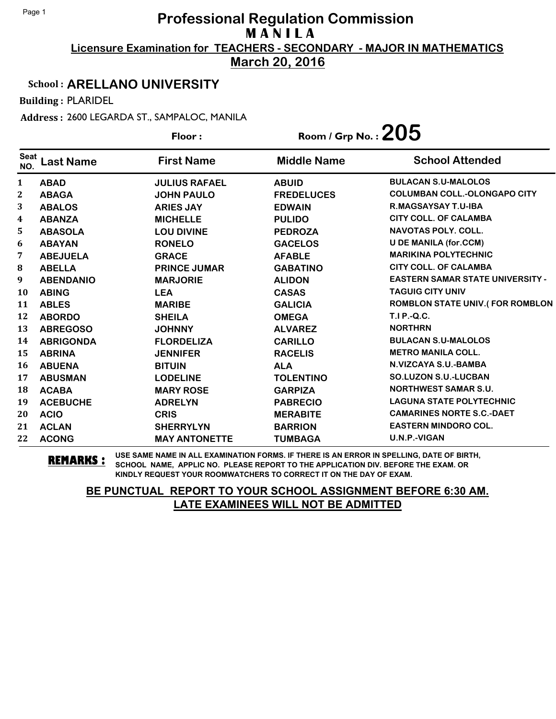**March 20, 2016**

#### School : **ARELLANO UNIVERSITY**

Building : PLARIDEL

Address : 2600 LEGARDA ST., SAMPALOC, MANILA

|                    |                  | Floor:               | Room / Grp No. : $205$ |                                         |
|--------------------|------------------|----------------------|------------------------|-----------------------------------------|
| <b>Seat</b><br>NO. | <b>Last Name</b> | <b>First Name</b>    | <b>Middle Name</b>     | <b>School Attended</b>                  |
| $\mathbf{1}$       | <b>ABAD</b>      | <b>JULIUS RAFAEL</b> | <b>ABUID</b>           | <b>BULACAN S.U-MALOLOS</b>              |
| $\mathbf{2}$       | <b>ABAGA</b>     | <b>JOHN PAULO</b>    | <b>FREDELUCES</b>      | <b>COLUMBAN COLL.-OLONGAPO CITY</b>     |
| 3                  | <b>ABALOS</b>    | <b>ARIES JAY</b>     | <b>EDWAIN</b>          | <b>R.MAGSAYSAY T.U-IBA</b>              |
| 4                  | <b>ABANZA</b>    | <b>MICHELLE</b>      | <b>PULIDO</b>          | <b>CITY COLL. OF CALAMBA</b>            |
| 5                  | <b>ABASOLA</b>   | <b>LOU DIVINE</b>    | <b>PEDROZA</b>         | <b>NAVOTAS POLY. COLL.</b>              |
| 6                  | <b>ABAYAN</b>    | <b>RONELO</b>        | <b>GACELOS</b>         | <b>U DE MANILA (for.CCM)</b>            |
| 7                  | <b>ABEJUELA</b>  | <b>GRACE</b>         | <b>AFABLE</b>          | <b>MARIKINA POLYTECHNIC</b>             |
| 8                  | <b>ABELLA</b>    | <b>PRINCE JUMAR</b>  | <b>GABATINO</b>        | <b>CITY COLL, OF CALAMBA</b>            |
| 9                  | <b>ABENDANIO</b> | <b>MARJORIE</b>      | <b>ALIDON</b>          | <b>EASTERN SAMAR STATE UNIVERSITY -</b> |
| 10                 | <b>ABING</b>     | <b>LEA</b>           | <b>CASAS</b>           | <b>TAGUIG CITY UNIV</b>                 |
| 11                 | <b>ABLES</b>     | <b>MARIBE</b>        | <b>GALICIA</b>         | <b>ROMBLON STATE UNIV.(FOR ROMBLON</b>  |
| 12                 | <b>ABORDO</b>    | <b>SHEILA</b>        | <b>OMEGA</b>           | T.I P.-Q.C.                             |
| 13                 | <b>ABREGOSO</b>  | <b>JOHNNY</b>        | <b>ALVAREZ</b>         | <b>NORTHRN</b>                          |
| 14                 | <b>ABRIGONDA</b> | <b>FLORDELIZA</b>    | <b>CARILLO</b>         | <b>BULACAN S.U-MALOLOS</b>              |
| 15                 | <b>ABRINA</b>    | <b>JENNIFER</b>      | <b>RACELIS</b>         | <b>METRO MANILA COLL.</b>               |
| 16                 | <b>ABUENA</b>    | <b>BITUIN</b>        | <b>ALA</b>             | N.VIZCAYA S.U.-BAMBA                    |
| 17                 | <b>ABUSMAN</b>   | <b>LODELINE</b>      | <b>TOLENTINO</b>       | <b>SO.LUZON S.U.-LUCBAN</b>             |
| 18                 | <b>ACABA</b>     | <b>MARY ROSE</b>     | <b>GARPIZA</b>         | <b>NORTHWEST SAMAR S.U.</b>             |
| 19                 | <b>ACEBUCHE</b>  | <b>ADRELYN</b>       | <b>PABRECIO</b>        | <b>LAGUNA STATE POLYTECHNIC</b>         |
| 20                 | <b>ACIO</b>      | <b>CRIS</b>          | <b>MERABITE</b>        | <b>CAMARINES NORTE S.C.-DAET</b>        |
| 21                 | <b>ACLAN</b>     | <b>SHERRYLYN</b>     | <b>BARRION</b>         | <b>EASTERN MINDORO COL.</b>             |
| 22                 | <b>ACONG</b>     | <b>MAY ANTONETTE</b> | <b>TUMBAGA</b>         | U.N.P.-VIGAN                            |

**REMARKS :** USE SAME NAME IN ALL EXAMINATION FORMS. IF THERE IS AN ERROR IN SPELLING, DATE OF BIRTH, SCHOOL NAME, APPLIC NO. PLEASE REPORT TO THE APPLICATION DIV. BEFORE THE EXAM. OR KINDLY REQUEST YOUR ROOMWATCHERS TO CORRECT IT ON THE DAY OF EXAM.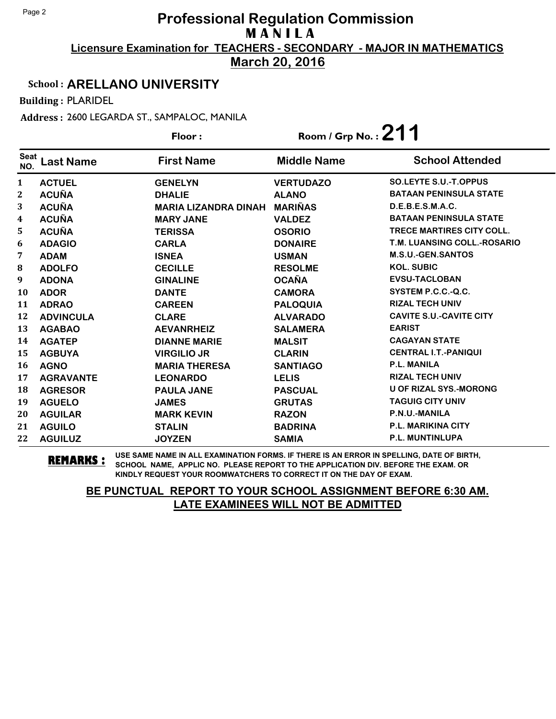**March 20, 2016**

#### School : **ARELLANO UNIVERSITY**

Building : PLARIDEL

Address : 2600 LEGARDA ST., SAMPALOC, MANILA

|                    |                  | Floor:                      | Room / Grp No.: $211$ |                                  |
|--------------------|------------------|-----------------------------|-----------------------|----------------------------------|
| <b>Seat</b><br>NO. | <b>Last Name</b> | <b>First Name</b>           | <b>Middle Name</b>    | <b>School Attended</b>           |
| 1                  | <b>ACTUEL</b>    | <b>GENELYN</b>              | <b>VERTUDAZO</b>      | <b>SO.LEYTE S.U.-T.OPPUS</b>     |
| 2                  | <b>ACUÑA</b>     | <b>DHALIE</b>               | <b>ALANO</b>          | <b>BATAAN PENINSULA STATE</b>    |
| 3                  | <b>ACUÑA</b>     | <b>MARIA LIZANDRA DINAH</b> | <b>MARIÑAS</b>        | D.E.B.E.S.M.A.C.                 |
| 4                  | <b>ACUÑA</b>     | <b>MARY JANE</b>            | <b>VALDEZ</b>         | <b>BATAAN PENINSULA STATE</b>    |
| 5                  | <b>ACUÑA</b>     | <b>TERISSA</b>              | <b>OSORIO</b>         | <b>TRECE MARTIRES CITY COLL.</b> |
| 6                  | <b>ADAGIO</b>    | <b>CARLA</b>                | <b>DONAIRE</b>        | T.M. LUANSING COLL.-ROSARIO      |
| 7                  | <b>ADAM</b>      | <b>ISNEA</b>                | <b>USMAN</b>          | <b>M.S.U.-GEN.SANTOS</b>         |
| 8                  | <b>ADOLFO</b>    | <b>CECILLE</b>              | <b>RESOLME</b>        | <b>KOL. SUBIC</b>                |
| 9                  | <b>ADONA</b>     | <b>GINALINE</b>             | <b>OCAÑA</b>          | <b>EVSU-TACLOBAN</b>             |
| 10                 | <b>ADOR</b>      | <b>DANTE</b>                | <b>CAMORA</b>         | SYSTEM P.C.C.-Q.C.               |
| 11                 | <b>ADRAO</b>     | <b>CAREEN</b>               | <b>PALOQUIA</b>       | <b>RIZAL TECH UNIV</b>           |
| 12                 | <b>ADVINCULA</b> | <b>CLARE</b>                | <b>ALVARADO</b>       | <b>CAVITE S.U.-CAVITE CITY</b>   |
| 13                 | <b>AGABAO</b>    | <b>AEVANRHEIZ</b>           | <b>SALAMERA</b>       | <b>EARIST</b>                    |
| 14                 | <b>AGATEP</b>    | <b>DIANNE MARIE</b>         | <b>MALSIT</b>         | <b>CAGAYAN STATE</b>             |
| 15                 | <b>AGBUYA</b>    | <b>VIRGILIO JR</b>          | <b>CLARIN</b>         | <b>CENTRAL I.T.-PANIQUI</b>      |
| 16                 | <b>AGNO</b>      | <b>MARIA THERESA</b>        | <b>SANTIAGO</b>       | <b>P.L. MANILA</b>               |
| 17                 | <b>AGRAVANTE</b> | <b>LEONARDO</b>             | <b>LELIS</b>          | <b>RIZAL TECH UNIV</b>           |
| 18                 | <b>AGRESOR</b>   | <b>PAULA JANE</b>           | <b>PASCUAL</b>        | <b>U OF RIZAL SYS.-MORONG</b>    |
| 19                 | <b>AGUELO</b>    | <b>JAMES</b>                | <b>GRUTAS</b>         | <b>TAGUIG CITY UNIV</b>          |
| 20                 | <b>AGUILAR</b>   | <b>MARK KEVIN</b>           | <b>RAZON</b>          | P.N.U.-MANILA                    |
| 21                 | <b>AGUILO</b>    | <b>STALIN</b>               | <b>BADRINA</b>        | <b>P.L. MARIKINA CITY</b>        |
| 22                 | <b>AGUILUZ</b>   | <b>JOYZEN</b>               | <b>SAMIA</b>          | P.L. MUNTINLUPA                  |

**REMARKS :** USE SAME NAME IN ALL EXAMINATION FORMS. IF THERE IS AN ERROR IN SPELLING, DATE OF BIRTH, SCHOOL NAME, APPLIC NO. PLEASE REPORT TO THE APPLICATION DIV. BEFORE THE EXAM. OR KINDLY REQUEST YOUR ROOMWATCHERS TO CORRECT IT ON THE DAY OF EXAM.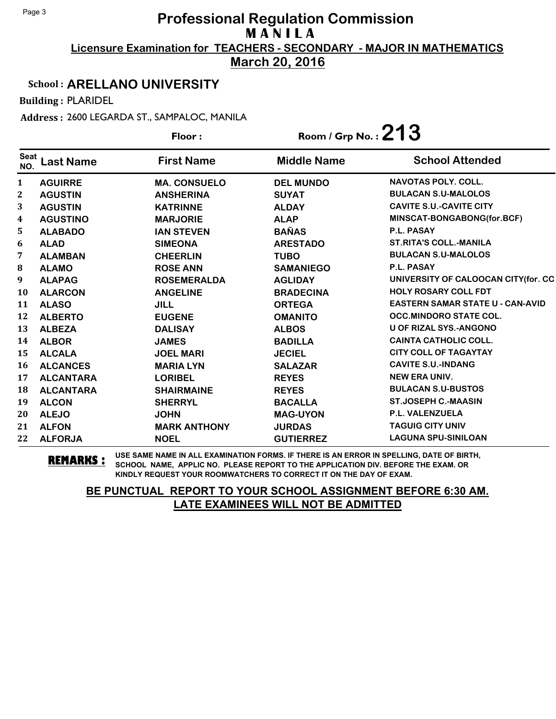**March 20, 2016**

#### School : **ARELLANO UNIVERSITY**

Building : PLARIDEL

Address : 2600 LEGARDA ST., SAMPALOC, MANILA

|                    |                  | Floor:              | Room / Grp No.: $213$ |                                         |
|--------------------|------------------|---------------------|-----------------------|-----------------------------------------|
| <b>Seat</b><br>NO. | <b>Last Name</b> | <b>First Name</b>   | <b>Middle Name</b>    | <b>School Attended</b>                  |
| 1                  | <b>AGUIRRE</b>   | <b>MA. CONSUELO</b> | <b>DEL MUNDO</b>      | <b>NAVOTAS POLY. COLL.</b>              |
| $\boldsymbol{2}$   | <b>AGUSTIN</b>   | <b>ANSHERINA</b>    | <b>SUYAT</b>          | <b>BULACAN S.U-MALOLOS</b>              |
| 3                  | <b>AGUSTIN</b>   | <b>KATRINNE</b>     | <b>ALDAY</b>          | <b>CAVITE S.U.-CAVITE CITY</b>          |
| 4                  | <b>AGUSTINO</b>  | <b>MARJORIE</b>     | <b>ALAP</b>           | MINSCAT-BONGABONG(for.BCF)              |
| 5                  | <b>ALABADO</b>   | <b>IAN STEVEN</b>   | <b>BAÑAS</b>          | P.L. PASAY                              |
| 6                  | <b>ALAD</b>      | <b>SIMEONA</b>      | <b>ARESTADO</b>       | <b>ST.RITA'S COLL.-MANILA</b>           |
| 7                  | <b>ALAMBAN</b>   | <b>CHEERLIN</b>     | <b>TUBO</b>           | <b>BULACAN S.U-MALOLOS</b>              |
| 8                  | <b>ALAMO</b>     | <b>ROSE ANN</b>     | <b>SAMANIEGO</b>      | P.L. PASAY                              |
| 9                  | <b>ALAPAG</b>    | <b>ROSEMERALDA</b>  | <b>AGLIDAY</b>        | UNIVERSITY OF CALOOCAN CITY(for. CC     |
| 10                 | <b>ALARCON</b>   | <b>ANGELINE</b>     | <b>BRADECINA</b>      | <b>HOLY ROSARY COLL FDT</b>             |
| 11                 | <b>ALASO</b>     | <b>JILL</b>         | <b>ORTEGA</b>         | <b>EASTERN SAMAR STATE U - CAN-AVID</b> |
| 12                 | <b>ALBERTO</b>   | <b>EUGENE</b>       | <b>OMANITO</b>        | <b>OCC.MINDORO STATE COL.</b>           |
| 13                 | <b>ALBEZA</b>    | <b>DALISAY</b>      | <b>ALBOS</b>          | <b>U OF RIZAL SYS.-ANGONO</b>           |
| 14                 | <b>ALBOR</b>     | <b>JAMES</b>        | <b>BADILLA</b>        | <b>CAINTA CATHOLIC COLL.</b>            |
| 15                 | <b>ALCALA</b>    | <b>JOEL MARI</b>    | <b>JECIEL</b>         | <b>CITY COLL OF TAGAYTAY</b>            |
| 16                 | <b>ALCANCES</b>  | <b>MARIA LYN</b>    | <b>SALAZAR</b>        | <b>CAVITE S.U.-INDANG</b>               |
| 17                 | <b>ALCANTARA</b> | <b>LORIBEL</b>      | <b>REYES</b>          | <b>NEW ERA UNIV.</b>                    |
| 18                 | <b>ALCANTARA</b> | <b>SHAIRMAINE</b>   | <b>REYES</b>          | <b>BULACAN S.U-BUSTOS</b>               |
| 19                 | <b>ALCON</b>     | <b>SHERRYL</b>      | <b>BACALLA</b>        | <b>ST.JOSEPH C.-MAASIN</b>              |
| 20                 | <b>ALEJO</b>     | <b>JOHN</b>         | <b>MAG-UYON</b>       | P.L. VALENZUELA                         |
| 21                 | <b>ALFON</b>     | <b>MARK ANTHONY</b> | <b>JURDAS</b>         | <b>TAGUIG CITY UNIV</b>                 |
| 22                 | <b>ALFORJA</b>   | <b>NOEL</b>         | <b>GUTIERREZ</b>      | <b>LAGUNA SPU-SINILOAN</b>              |

**REMARKS :** USE SAME NAME IN ALL EXAMINATION FORMS. IF THERE IS AN ERROR IN SPELLING, DATE OF BIRTH, SCHOOL NAME, APPLIC NO. PLEASE REPORT TO THE APPLICATION DIV. BEFORE THE EXAM. OR KINDLY REQUEST YOUR ROOMWATCHERS TO CORRECT IT ON THE DAY OF EXAM.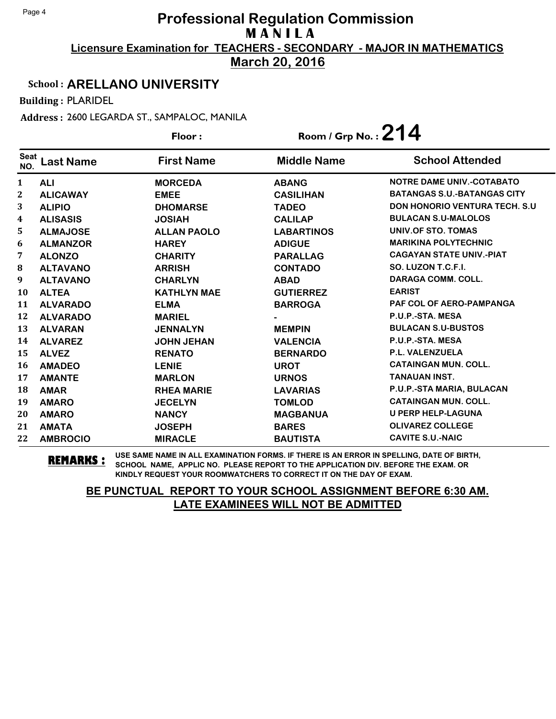**March 20, 2016**

#### School : **ARELLANO UNIVERSITY**

Building : PLARIDEL

Address : 2600 LEGARDA ST., SAMPALOC, MANILA

|                    |                  | Floor:             | Room / Grp No.: $214$ |                                       |
|--------------------|------------------|--------------------|-----------------------|---------------------------------------|
| <b>Seat</b><br>NO. | <b>Last Name</b> | <b>First Name</b>  | <b>Middle Name</b>    | <b>School Attended</b>                |
| $\mathbf{1}$       | <b>ALI</b>       | <b>MORCEDA</b>     | <b>ABANG</b>          | <b>NOTRE DAME UNIV.-COTABATO</b>      |
| 2                  | <b>ALICAWAY</b>  | <b>EMEE</b>        | <b>CASILIHAN</b>      | <b>BATANGAS S.U.-BATANGAS CITY</b>    |
| 3                  | <b>ALIPIO</b>    | <b>DHOMARSE</b>    | <b>TADEO</b>          | <b>DON HONORIO VENTURA TECH. S.U.</b> |
| 4                  | <b>ALISASIS</b>  | <b>JOSIAH</b>      | <b>CALILAP</b>        | <b>BULACAN S.U-MALOLOS</b>            |
| 5                  | <b>ALMAJOSE</b>  | <b>ALLAN PAOLO</b> | <b>LABARTINOS</b>     | UNIV.OF STO. TOMAS                    |
| 6                  | <b>ALMANZOR</b>  | <b>HAREY</b>       | <b>ADIGUE</b>         | <b>MARIKINA POLYTECHNIC</b>           |
| 7                  | <b>ALONZO</b>    | <b>CHARITY</b>     | <b>PARALLAG</b>       | <b>CAGAYAN STATE UNIV.-PIAT</b>       |
| 8                  | <b>ALTAVANO</b>  | <b>ARRISH</b>      | <b>CONTADO</b>        | SO. LUZON T.C.F.I.                    |
| 9                  | <b>ALTAVANO</b>  | <b>CHARLYN</b>     | <b>ABAD</b>           | DARAGA COMM. COLL.                    |
| 10                 | <b>ALTEA</b>     | <b>KATHLYN MAE</b> | <b>GUTIERREZ</b>      | <b>EARIST</b>                         |
| 11                 | <b>ALVARADO</b>  | <b>ELMA</b>        | <b>BARROGA</b>        | PAF COL OF AERO-PAMPANGA              |
| 12                 | <b>ALVARADO</b>  | <b>MARIEL</b>      |                       | P.U.P.-STA. MESA                      |
| 13                 | <b>ALVARAN</b>   | <b>JENNALYN</b>    | <b>MEMPIN</b>         | <b>BULACAN S.U-BUSTOS</b>             |
| 14                 | <b>ALVAREZ</b>   | <b>JOHN JEHAN</b>  | <b>VALENCIA</b>       | P.U.P.-STA. MESA                      |
| 15                 | <b>ALVEZ</b>     | <b>RENATO</b>      | <b>BERNARDO</b>       | P.L. VALENZUELA                       |
| 16                 | <b>AMADEO</b>    | <b>LENIE</b>       | <b>UROT</b>           | <b>CATAINGAN MUN. COLL.</b>           |
| 17                 | <b>AMANTE</b>    | <b>MARLON</b>      | <b>URNOS</b>          | <b>TANAUAN INST.</b>                  |
| 18                 | <b>AMAR</b>      | <b>RHEA MARIE</b>  | <b>LAVARIAS</b>       | P.U.P.-STA MARIA, BULACAN             |
| 19                 | <b>AMARO</b>     | <b>JECELYN</b>     | <b>TOMLOD</b>         | <b>CATAINGAN MUN. COLL.</b>           |
| 20                 | <b>AMARO</b>     | <b>NANCY</b>       | <b>MAGBANUA</b>       | <b>U PERP HELP-LAGUNA</b>             |
| 21                 | <b>AMATA</b>     | <b>JOSEPH</b>      | <b>BARES</b>          | <b>OLIVAREZ COLLEGE</b>               |
| 22                 | <b>AMBROCIO</b>  | <b>MIRACLE</b>     | <b>BAUTISTA</b>       | <b>CAVITE S.U.-NAIC</b>               |

**REMARKS :** USE SAME NAME IN ALL EXAMINATION FORMS. IF THERE IS AN ERROR IN SPELLING, DATE OF BIRTH, SCHOOL NAME, APPLIC NO. PLEASE REPORT TO THE APPLICATION DIV. BEFORE THE EXAM. OR KINDLY REQUEST YOUR ROOMWATCHERS TO CORRECT IT ON THE DAY OF EXAM.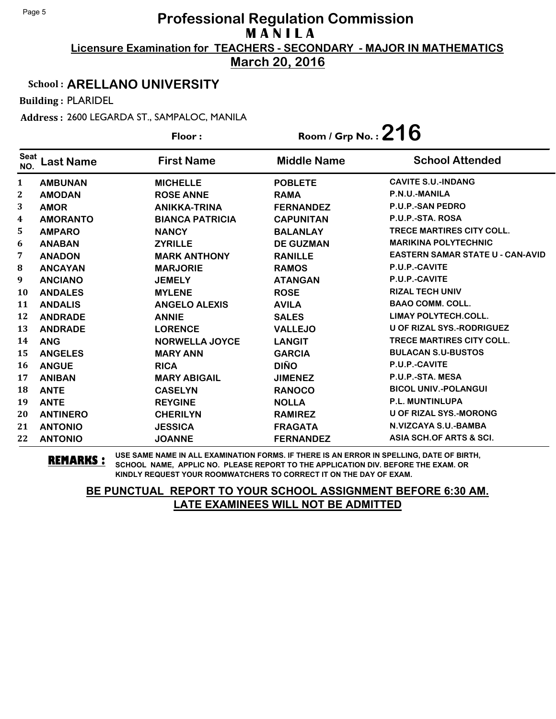**March 20, 2016**

#### School : **ARELLANO UNIVERSITY**

Building : PLARIDEL

Address : 2600 LEGARDA ST., SAMPALOC, MANILA

|                    |                  | Floor:                 | Room / Grp No.: $216$ |                                         |
|--------------------|------------------|------------------------|-----------------------|-----------------------------------------|
| <b>Seat</b><br>NO. | <b>Last Name</b> | <b>First Name</b>      | <b>Middle Name</b>    | <b>School Attended</b>                  |
| $\mathbf{1}$       | <b>AMBUNAN</b>   | <b>MICHELLE</b>        | <b>POBLETE</b>        | <b>CAVITE S.U.-INDANG</b>               |
| $\boldsymbol{2}$   | <b>AMODAN</b>    | <b>ROSE ANNE</b>       | <b>RAMA</b>           | P.N.U.-MANILA                           |
| 3                  | <b>AMOR</b>      | <b>ANIKKA-TRINA</b>    | <b>FERNANDEZ</b>      | <b>P.U.P.-SAN PEDRO</b>                 |
| 4                  | <b>AMORANTO</b>  | <b>BIANCA PATRICIA</b> | <b>CAPUNITAN</b>      | P.U.P.-STA. ROSA                        |
| 5.                 | <b>AMPARO</b>    | <b>NANCY</b>           | <b>BALANLAY</b>       | <b>TRECE MARTIRES CITY COLL.</b>        |
| 6                  | <b>ANABAN</b>    | <b>ZYRILLE</b>         | <b>DE GUZMAN</b>      | <b>MARIKINA POLYTECHNIC</b>             |
| 7                  | <b>ANADON</b>    | <b>MARK ANTHONY</b>    | <b>RANILLE</b>        | <b>EASTERN SAMAR STATE U - CAN-AVID</b> |
| 8                  | <b>ANCAYAN</b>   | <b>MARJORIE</b>        | <b>RAMOS</b>          | P.U.P.-CAVITE                           |
| 9                  | <b>ANCIANO</b>   | <b>JEMELY</b>          | <b>ATANGAN</b>        | P.U.P.-CAVITE                           |
| <b>10</b>          | <b>ANDALES</b>   | <b>MYLENE</b>          | <b>ROSE</b>           | <b>RIZAL TECH UNIV</b>                  |
| 11                 | <b>ANDALIS</b>   | <b>ANGELO ALEXIS</b>   | <b>AVILA</b>          | <b>BAAO COMM. COLL.</b>                 |
| 12                 | <b>ANDRADE</b>   | <b>ANNIE</b>           | <b>SALES</b>          | <b>LIMAY POLYTECH.COLL.</b>             |
| 13                 | <b>ANDRADE</b>   | <b>LORENCE</b>         | <b>VALLEJO</b>        | <b>U OF RIZAL SYS.-RODRIGUEZ</b>        |
| 14                 | <b>ANG</b>       | <b>NORWELLA JOYCE</b>  | <b>LANGIT</b>         | <b>TRECE MARTIRES CITY COLL.</b>        |
| 15                 | <b>ANGELES</b>   | <b>MARY ANN</b>        | <b>GARCIA</b>         | <b>BULACAN S.U-BUSTOS</b>               |
| 16                 | <b>ANGUE</b>     | <b>RICA</b>            | <b>DIÑO</b>           | P.U.P.-CAVITE                           |
| 17                 | <b>ANIBAN</b>    | <b>MARY ABIGAIL</b>    | <b>JIMENEZ</b>        | P.U.P.-STA. MESA                        |
| 18                 | <b>ANTE</b>      | <b>CASELYN</b>         | <b>RANOCO</b>         | <b>BICOL UNIV.-POLANGUI</b>             |
| 19                 | <b>ANTE</b>      | <b>REYGINE</b>         | <b>NOLLA</b>          | <b>P.L. MUNTINLUPA</b>                  |
| 20                 | <b>ANTINERO</b>  | <b>CHERILYN</b>        | <b>RAMIREZ</b>        | <b>U OF RIZAL SYS.-MORONG</b>           |
| 21                 | <b>ANTONIO</b>   | <b>JESSICA</b>         | <b>FRAGATA</b>        | N.VIZCAYA S.U.-BAMBA                    |
| 22                 | <b>ANTONIO</b>   | <b>JOANNE</b>          | <b>FERNANDEZ</b>      | ASIA SCH.OF ARTS & SCI.                 |

**REMARKS :** USE SAME NAME IN ALL EXAMINATION FORMS. IF THERE IS AN ERROR IN SPELLING, DATE OF BIRTH, SCHOOL NAME, APPLIC NO. PLEASE REPORT TO THE APPLICATION DIV. BEFORE THE EXAM. OR KINDLY REQUEST YOUR ROOMWATCHERS TO CORRECT IT ON THE DAY OF EXAM.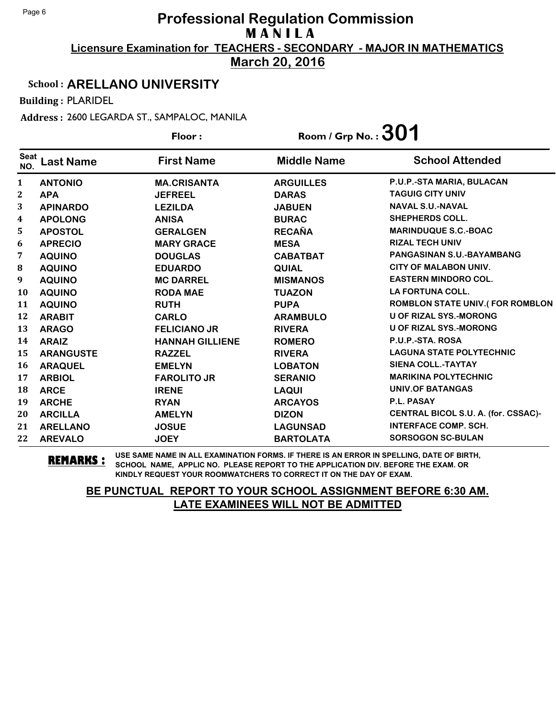**March 20, 2016**

#### School : **ARELLANO UNIVERSITY**

Building : PLARIDEL

Address : 2600 LEGARDA ST., SAMPALOC, MANILA

|                    |                  | Floor:                 | Room / Grp No. : $301$ |                                        |
|--------------------|------------------|------------------------|------------------------|----------------------------------------|
| <b>Seat</b><br>NO. | <b>Last Name</b> | <b>First Name</b>      | <b>Middle Name</b>     | <b>School Attended</b>                 |
| 1                  | <b>ANTONIO</b>   | <b>MA.CRISANTA</b>     | <b>ARGUILLES</b>       | P.U.P.-STA MARIA, BULACAN              |
| $\mathbf{2}$       | <b>APA</b>       | <b>JEFREEL</b>         | <b>DARAS</b>           | <b>TAGUIG CITY UNIV</b>                |
| 3                  | <b>APINARDO</b>  | <b>LEZILDA</b>         | <b>JABUEN</b>          | <b>NAVAL S.U.-NAVAL</b>                |
| $\boldsymbol{4}$   | <b>APOLONG</b>   | <b>ANISA</b>           | <b>BURAC</b>           | <b>SHEPHERDS COLL.</b>                 |
| 5                  | <b>APOSTOL</b>   | <b>GERALGEN</b>        | <b>RECAÑA</b>          | <b>MARINDUQUE S.C.-BOAC</b>            |
| 6                  | <b>APRECIO</b>   | <b>MARY GRACE</b>      | <b>MESA</b>            | <b>RIZAL TECH UNIV</b>                 |
| 7                  | <b>AQUINO</b>    | <b>DOUGLAS</b>         | <b>CABATBAT</b>        | PANGASINAN S.U.-BAYAMBANG              |
| 8                  | <b>AQUINO</b>    | <b>EDUARDO</b>         | <b>QUIAL</b>           | <b>CITY OF MALABON UNIV.</b>           |
| 9                  | <b>AQUINO</b>    | <b>MC DARREL</b>       | <b>MISMANOS</b>        | <b>EASTERN MINDORO COL.</b>            |
| 10                 | <b>AQUINO</b>    | <b>RODA MAE</b>        | <b>TUAZON</b>          | <b>LA FORTUNA COLL.</b>                |
| 11                 | <b>AQUINO</b>    | <b>RUTH</b>            | <b>PUPA</b>            | <b>ROMBLON STATE UNIV.(FOR ROMBLON</b> |
| 12                 | <b>ARABIT</b>    | <b>CARLO</b>           | <b>ARAMBULO</b>        | <b>U OF RIZAL SYS.-MORONG</b>          |
| 13                 | <b>ARAGO</b>     | <b>FELICIANO JR</b>    | <b>RIVERA</b>          | <b>U OF RIZAL SYS.-MORONG</b>          |
| 14                 | <b>ARAIZ</b>     | <b>HANNAH GILLIENE</b> | <b>ROMERO</b>          | P.U.P.-STA. ROSA                       |
| 15                 | <b>ARANGUSTE</b> | <b>RAZZEL</b>          | <b>RIVERA</b>          | <b>LAGUNA STATE POLYTECHNIC</b>        |
| 16                 | <b>ARAQUEL</b>   | <b>EMELYN</b>          | <b>LOBATON</b>         | <b>SIENA COLL.-TAYTAY</b>              |
| 17                 | <b>ARBIOL</b>    | <b>FAROLITO JR</b>     | <b>SERANIO</b>         | <b>MARIKINA POLYTECHNIC</b>            |
| 18                 | <b>ARCE</b>      | <b>IRENE</b>           | <b>LAQUI</b>           | <b>UNIV.OF BATANGAS</b>                |
| 19                 | <b>ARCHE</b>     | <b>RYAN</b>            | <b>ARCAYOS</b>         | P.L. PASAY                             |
| 20                 | <b>ARCILLA</b>   | <b>AMELYN</b>          | <b>DIZON</b>           | CENTRAL BICOL S.U. A. (for. CSSAC)-    |
| 21                 | <b>ARELLANO</b>  | <b>JOSUE</b>           | <b>LAGUNSAD</b>        | <b>INTERFACE COMP. SCH.</b>            |
| 22                 | <b>AREVALO</b>   | <b>JOEY</b>            | <b>BARTOLATA</b>       | <b>SORSOGON SC-BULAN</b>               |

**REMARKS :** USE SAME NAME IN ALL EXAMINATION FORMS. IF THERE IS AN ERROR IN SPELLING, DATE OF BIRTH, SCHOOL NAME, APPLIC NO. PLEASE REPORT TO THE APPLICATION DIV. BEFORE THE EXAM. OR KINDLY REQUEST YOUR ROOMWATCHERS TO CORRECT IT ON THE DAY OF EXAM.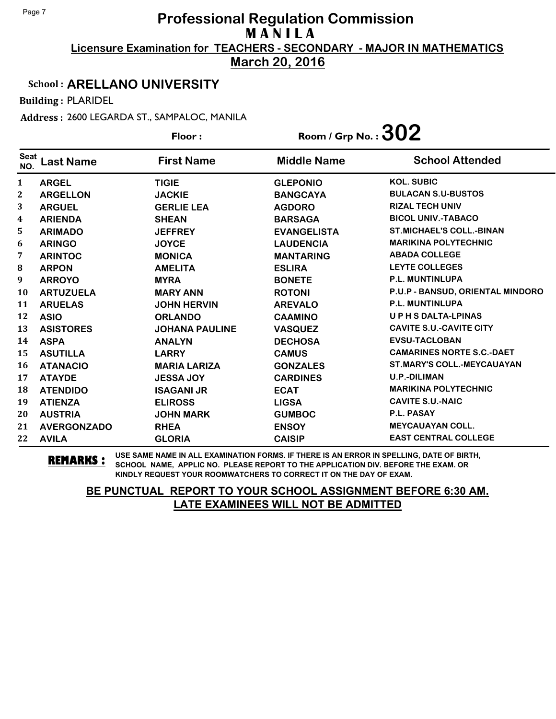**March 20, 2016**

#### School : **ARELLANO UNIVERSITY**

Building : PLARIDEL

Address : 2600 LEGARDA ST., SAMPALOC, MANILA

|                    |                    | Floor:                | Room / Grp No. : $302$ |                                  |
|--------------------|--------------------|-----------------------|------------------------|----------------------------------|
| <b>Seat</b><br>NO. | <b>Last Name</b>   | <b>First Name</b>     | <b>Middle Name</b>     | <b>School Attended</b>           |
| $\mathbf{1}$       | <b>ARGEL</b>       | <b>TIGIE</b>          | <b>GLEPONIO</b>        | <b>KOL. SUBIC</b>                |
| $\mathbf 2$        | <b>ARGELLON</b>    | <b>JACKIE</b>         | <b>BANGCAYA</b>        | <b>BULACAN S.U-BUSTOS</b>        |
| 3                  | <b>ARGUEL</b>      | <b>GERLIE LEA</b>     | <b>AGDORO</b>          | <b>RIZAL TECH UNIV</b>           |
| 4                  | <b>ARIENDA</b>     | <b>SHEAN</b>          | <b>BARSAGA</b>         | <b>BICOL UNIV.-TABACO</b>        |
| 5.                 | <b>ARIMADO</b>     | <b>JEFFREY</b>        | <b>EVANGELISTA</b>     | <b>ST.MICHAEL'S COLL.-BINAN</b>  |
| 6                  | <b>ARINGO</b>      | <b>JOYCE</b>          | <b>LAUDENCIA</b>       | <b>MARIKINA POLYTECHNIC</b>      |
| 7                  | <b>ARINTOC</b>     | <b>MONICA</b>         | <b>MANTARING</b>       | <b>ABADA COLLEGE</b>             |
| 8                  | <b>ARPON</b>       | <b>AMELITA</b>        | <b>ESLIRA</b>          | <b>LEYTE COLLEGES</b>            |
| 9                  | <b>ARROYO</b>      | <b>MYRA</b>           | <b>BONETE</b>          | <b>P.L. MUNTINLUPA</b>           |
| <b>10</b>          | <b>ARTUZUELA</b>   | <b>MARY ANN</b>       | <b>ROTONI</b>          | P.U.P - BANSUD, ORIENTAL MINDORO |
| 11                 | <b>ARUELAS</b>     | <b>JOHN HERVIN</b>    | <b>AREVALO</b>         | <b>P.L. MUNTINLUPA</b>           |
| 12                 | <b>ASIO</b>        | <b>ORLANDO</b>        | <b>CAAMINO</b>         | <b>UPHSDALTA-LPINAS</b>          |
| 13                 | <b>ASISTORES</b>   | <b>JOHANA PAULINE</b> | <b>VASQUEZ</b>         | <b>CAVITE S.U.-CAVITE CITY</b>   |
| 14                 | <b>ASPA</b>        | <b>ANALYN</b>         | <b>DECHOSA</b>         | <b>EVSU-TACLOBAN</b>             |
| 15                 | <b>ASUTILLA</b>    | <b>LARRY</b>          | <b>CAMUS</b>           | <b>CAMARINES NORTE S.C.-DAET</b> |
| 16                 | <b>ATANACIO</b>    | <b>MARIA LARIZA</b>   | <b>GONZALES</b>        | ST.MARY'S COLL.-MEYCAUAYAN       |
| 17                 | <b>ATAYDE</b>      | <b>JESSA JOY</b>      | <b>CARDINES</b>        | <b>U.P.-DILIMAN</b>              |
| 18                 | <b>ATENDIDO</b>    | <b>ISAGANI JR</b>     | <b>ECAT</b>            | <b>MARIKINA POLYTECHNIC</b>      |
| 19                 | <b>ATIENZA</b>     | <b>ELIROSS</b>        | <b>LIGSA</b>           | <b>CAVITE S.U.-NAIC</b>          |
| 20                 | <b>AUSTRIA</b>     | <b>JOHN MARK</b>      | <b>GUMBOC</b>          | P.L. PASAY                       |
| 21                 | <b>AVERGONZADO</b> | <b>RHEA</b>           | <b>ENSOY</b>           | <b>MEYCAUAYAN COLL.</b>          |
| 22                 | <b>AVILA</b>       | <b>GLORIA</b>         | <b>CAISIP</b>          | <b>EAST CENTRAL COLLEGE</b>      |

**REMARKS :** USE SAME NAME IN ALL EXAMINATION FORMS. IF THERE IS AN ERROR IN SPELLING, DATE OF BIRTH, SCHOOL NAME, APPLIC NO. PLEASE REPORT TO THE APPLICATION DIV. BEFORE THE EXAM. OR KINDLY REQUEST YOUR ROOMWATCHERS TO CORRECT IT ON THE DAY OF EXAM.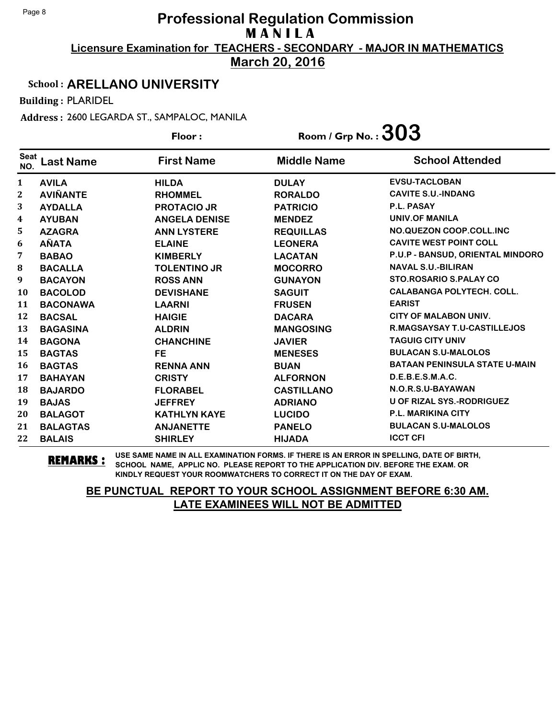**March 20, 2016**

#### School : **ARELLANO UNIVERSITY**

Building : PLARIDEL

Address : 2600 LEGARDA ST., SAMPALOC, MANILA

|                    |                  | Floor:               | Room / Grp No. : $303$ |                                      |
|--------------------|------------------|----------------------|------------------------|--------------------------------------|
| <b>Seat</b><br>NO. | <b>Last Name</b> | <b>First Name</b>    | <b>Middle Name</b>     | <b>School Attended</b>               |
| 1                  | <b>AVILA</b>     | <b>HILDA</b>         | <b>DULAY</b>           | <b>EVSU-TACLOBAN</b>                 |
| 2                  | <b>AVIÑANTE</b>  | <b>RHOMMEL</b>       | <b>RORALDO</b>         | <b>CAVITE S.U.-INDANG</b>            |
| 3                  | <b>AYDALLA</b>   | <b>PROTACIO JR</b>   | <b>PATRICIO</b>        | P.L. PASAY                           |
| 4                  | <b>AYUBAN</b>    | <b>ANGELA DENISE</b> | <b>MENDEZ</b>          | <b>UNIV.OF MANILA</b>                |
| 5                  | <b>AZAGRA</b>    | <b>ANN LYSTERE</b>   | <b>REQUILLAS</b>       | NO.QUEZON COOP.COLL.INC              |
| 6                  | <b>AÑATA</b>     | <b>ELAINE</b>        | <b>LEONERA</b>         | <b>CAVITE WEST POINT COLL</b>        |
| 7                  | <b>BABAO</b>     | <b>KIMBERLY</b>      | <b>LACATAN</b>         | P.U.P - BANSUD, ORIENTAL MINDORO     |
| 8                  | <b>BACALLA</b>   | <b>TOLENTINO JR</b>  | <b>MOCORRO</b>         | <b>NAVAL S.U.-BILIRAN</b>            |
| 9                  | <b>BACAYON</b>   | <b>ROSS ANN</b>      | <b>GUNAYON</b>         | <b>STO.ROSARIO S.PALAY CO</b>        |
| 10                 | <b>BACOLOD</b>   | <b>DEVISHANE</b>     | <b>SAGUIT</b>          | <b>CALABANGA POLYTECH. COLL.</b>     |
| 11                 | <b>BACONAWA</b>  | <b>LAARNI</b>        | <b>FRUSEN</b>          | <b>EARIST</b>                        |
| 12                 | <b>BACSAL</b>    | <b>HAIGIE</b>        | <b>DACARA</b>          | <b>CITY OF MALABON UNIV.</b>         |
| 13                 | <b>BAGASINA</b>  | <b>ALDRIN</b>        | <b>MANGOSING</b>       | <b>R.MAGSAYSAY T.U-CASTILLEJOS</b>   |
| 14                 | <b>BAGONA</b>    | <b>CHANCHINE</b>     | <b>JAVIER</b>          | <b>TAGUIG CITY UNIV</b>              |
| 15                 | <b>BAGTAS</b>    | <b>FE</b>            | <b>MENESES</b>         | <b>BULACAN S.U-MALOLOS</b>           |
| 16                 | <b>BAGTAS</b>    | <b>RENNA ANN</b>     | <b>BUAN</b>            | <b>BATAAN PENINSULA STATE U-MAIN</b> |
| 17                 | <b>BAHAYAN</b>   | <b>CRISTY</b>        | <b>ALFORNON</b>        | D.E.B.E.S.M.A.C.                     |
| 18                 | <b>BAJARDO</b>   | <b>FLORABEL</b>      | <b>CASTILLANO</b>      | N.O.R.S.U-BAYAWAN                    |
| 19                 | <b>BAJAS</b>     | <b>JEFFREY</b>       | <b>ADRIANO</b>         | <b>U OF RIZAL SYS.-RODRIGUEZ</b>     |
| 20                 | <b>BALAGOT</b>   | <b>KATHLYN KAYE</b>  | <b>LUCIDO</b>          | P.L. MARIKINA CITY                   |
| 21                 | <b>BALAGTAS</b>  | <b>ANJANETTE</b>     | <b>PANELO</b>          | <b>BULACAN S.U-MALOLOS</b>           |
| 22                 | <b>BALAIS</b>    | <b>SHIRLEY</b>       | <b>HIJADA</b>          | <b>ICCT CFI</b>                      |

**REMARKS :** USE SAME NAME IN ALL EXAMINATION FORMS. IF THERE IS AN ERROR IN SPELLING, DATE OF BIRTH, SCHOOL NAME, APPLIC NO. PLEASE REPORT TO THE APPLICATION DIV. BEFORE THE EXAM. OR KINDLY REQUEST YOUR ROOMWATCHERS TO CORRECT IT ON THE DAY OF EXAM.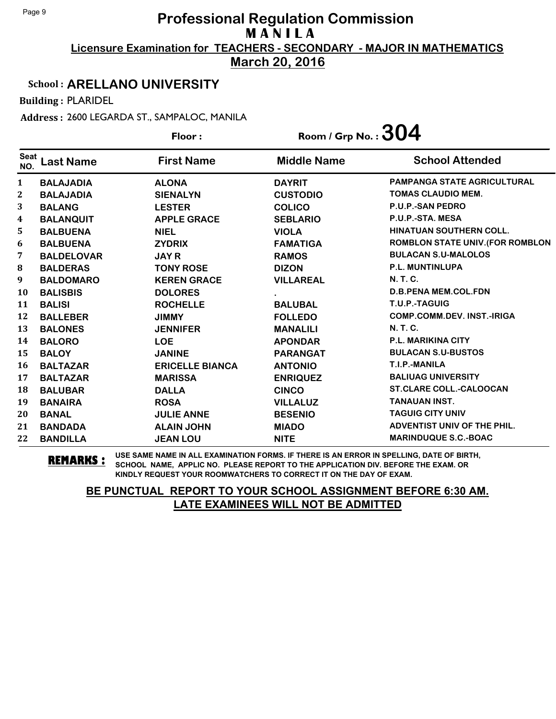**March 20, 2016**

#### School : **ARELLANO UNIVERSITY**

Building : PLARIDEL

Address : 2600 LEGARDA ST., SAMPALOC, MANILA

|                    |                   | Floor:                 | Room / Grp No. : $304$ |                                         |
|--------------------|-------------------|------------------------|------------------------|-----------------------------------------|
| <b>Seat</b><br>NO. | <b>Last Name</b>  | <b>First Name</b>      | <b>Middle Name</b>     | <b>School Attended</b>                  |
| $\mathbf{1}$       | <b>BALAJADIA</b>  | <b>ALONA</b>           | <b>DAYRIT</b>          | <b>PAMPANGA STATE AGRICULTURAL</b>      |
| 2                  | <b>BALAJADIA</b>  | <b>SIENALYN</b>        | <b>CUSTODIO</b>        | <b>TOMAS CLAUDIO MEM.</b>               |
| 3                  | <b>BALANG</b>     | <b>LESTER</b>          | <b>COLICO</b>          | <b>P.U.P.-SAN PEDRO</b>                 |
| 4                  | <b>BALANQUIT</b>  | <b>APPLE GRACE</b>     | <b>SEBLARIO</b>        | P.U.P.-STA. MESA                        |
| 5                  | <b>BALBUENA</b>   | <b>NIEL</b>            | <b>VIOLA</b>           | <b>HINATUAN SOUTHERN COLL.</b>          |
| 6                  | <b>BALBUENA</b>   | <b>ZYDRIX</b>          | <b>FAMATIGA</b>        | <b>ROMBLON STATE UNIV. (FOR ROMBLON</b> |
| 7                  | <b>BALDELOVAR</b> | <b>JAY R</b>           | <b>RAMOS</b>           | <b>BULACAN S.U-MALOLOS</b>              |
| 8                  | <b>BALDERAS</b>   | <b>TONY ROSE</b>       | <b>DIZON</b>           | <b>P.L. MUNTINLUPA</b>                  |
| 9                  | <b>BALDOMARO</b>  | <b>KEREN GRACE</b>     | <b>VILLAREAL</b>       | <b>N.T.C.</b>                           |
| 10                 | <b>BALISBIS</b>   | <b>DOLORES</b>         |                        | <b>D.B.PENA MEM.COL.FDN</b>             |
| 11                 | <b>BALISI</b>     | <b>ROCHELLE</b>        | <b>BALUBAL</b>         | T.U.P.-TAGUIG                           |
| 12                 | <b>BALLEBER</b>   | <b>JIMMY</b>           | <b>FOLLEDO</b>         | <b>COMP.COMM.DEV. INST.-IRIGA</b>       |
| 13                 | <b>BALONES</b>    | <b>JENNIFER</b>        | <b>MANALILI</b>        | <b>N.T.C.</b>                           |
| 14                 | <b>BALORO</b>     | <b>LOE</b>             | <b>APONDAR</b>         | <b>P.L. MARIKINA CITY</b>               |
| 15                 | <b>BALOY</b>      | <b>JANINE</b>          | <b>PARANGAT</b>        | <b>BULACAN S.U-BUSTOS</b>               |
| 16                 | <b>BALTAZAR</b>   | <b>ERICELLE BIANCA</b> | <b>ANTONIO</b>         | T.I.P.-MANILA                           |
| 17                 | <b>BALTAZAR</b>   | <b>MARISSA</b>         | <b>ENRIQUEZ</b>        | <b>BALIUAG UNIVERSITY</b>               |
| 18                 | <b>BALUBAR</b>    | <b>DALLA</b>           | <b>CINCO</b>           | <b>ST.CLARE COLL.-CALOOCAN</b>          |
| 19                 | <b>BANAIRA</b>    | <b>ROSA</b>            | <b>VILLALUZ</b>        | <b>TANAUAN INST.</b>                    |
| 20                 | <b>BANAL</b>      | <b>JULIE ANNE</b>      | <b>BESENIO</b>         | <b>TAGUIG CITY UNIV</b>                 |
| 21                 | <b>BANDADA</b>    | <b>ALAIN JOHN</b>      | <b>MIADO</b>           | ADVENTIST UNIV OF THE PHIL.             |
| 22                 | <b>BANDILLA</b>   | <b>JEAN LOU</b>        | <b>NITE</b>            | <b>MARINDUQUE S.C.-BOAC</b>             |

**REMARKS :** USE SAME NAME IN ALL EXAMINATION FORMS. IF THERE IS AN ERROR IN SPELLING, DATE OF BIRTH, SCHOOL NAME, APPLIC NO. PLEASE REPORT TO THE APPLICATION DIV. BEFORE THE EXAM. OR KINDLY REQUEST YOUR ROOMWATCHERS TO CORRECT IT ON THE DAY OF EXAM.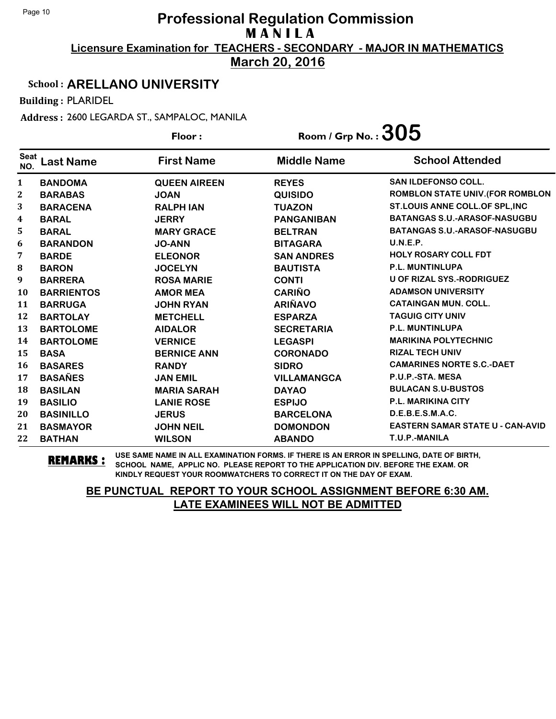**March 20, 2016**

#### School : **ARELLANO UNIVERSITY**

Building : PLARIDEL

Address : 2600 LEGARDA ST., SAMPALOC, MANILA

|                    |                   | Floor:              | Room / Grp No. : $305$ |                                         |
|--------------------|-------------------|---------------------|------------------------|-----------------------------------------|
| <b>Seat</b><br>NO. | <b>Last Name</b>  | <b>First Name</b>   | <b>Middle Name</b>     | <b>School Attended</b>                  |
| $\mathbf{1}$       | <b>BANDOMA</b>    | <b>QUEEN AIREEN</b> | <b>REYES</b>           | SAN ILDEFONSO COLL.                     |
| $\mathbf{2}$       | <b>BARABAS</b>    | <b>JOAN</b>         | <b>QUISIDO</b>         | <b>ROMBLON STATE UNIV. (FOR ROMBLON</b> |
| 3                  | <b>BARACENA</b>   | <b>RALPH IAN</b>    | <b>TUAZON</b>          | ST.LOUIS ANNE COLL.OF SPL, INC          |
| 4                  | <b>BARAL</b>      | <b>JERRY</b>        | <b>PANGANIBAN</b>      | <b>BATANGAS S.U.-ARASOF-NASUGBU</b>     |
| 5                  | <b>BARAL</b>      | <b>MARY GRACE</b>   | <b>BELTRAN</b>         | <b>BATANGAS S.U.-ARASOF-NASUGBU</b>     |
| 6                  | <b>BARANDON</b>   | <b>JO-ANN</b>       | <b>BITAGARA</b>        | U.N.E.P.                                |
| 7                  | <b>BARDE</b>      | <b>ELEONOR</b>      | <b>SAN ANDRES</b>      | <b>HOLY ROSARY COLL FDT</b>             |
| 8                  | <b>BARON</b>      | <b>JOCELYN</b>      | <b>BAUTISTA</b>        | <b>P.L. MUNTINLUPA</b>                  |
| 9                  | <b>BARRERA</b>    | <b>ROSA MARIE</b>   | <b>CONTI</b>           | <b>U OF RIZAL SYS.-RODRIGUEZ</b>        |
| 10                 | <b>BARRIENTOS</b> | <b>AMOR MEA</b>     | <b>CARIÑO</b>          | <b>ADAMSON UNIVERSITY</b>               |
| 11                 | <b>BARRUGA</b>    | <b>JOHN RYAN</b>    | <b>ARIÑAVO</b>         | <b>CATAINGAN MUN. COLL.</b>             |
| 12                 | <b>BARTOLAY</b>   | <b>METCHELL</b>     | <b>ESPARZA</b>         | <b>TAGUIG CITY UNIV</b>                 |
| 13                 | <b>BARTOLOME</b>  | <b>AIDALOR</b>      | <b>SECRETARIA</b>      | <b>P.L. MUNTINLUPA</b>                  |
| 14                 | <b>BARTOLOME</b>  | <b>VERNICE</b>      | <b>LEGASPI</b>         | <b>MARIKINA POLYTECHNIC</b>             |
| 15                 | <b>BASA</b>       | <b>BERNICE ANN</b>  | <b>CORONADO</b>        | <b>RIZAL TECH UNIV</b>                  |
| 16                 | <b>BASARES</b>    | <b>RANDY</b>        | <b>SIDRO</b>           | <b>CAMARINES NORTE S.C.-DAET</b>        |
| 17                 | <b>BASAÑES</b>    | <b>JAN EMIL</b>     | <b>VILLAMANGCA</b>     | P.U.P.-STA. MESA                        |
| 18                 | <b>BASILAN</b>    | <b>MARIA SARAH</b>  | <b>DAYAO</b>           | <b>BULACAN S.U-BUSTOS</b>               |
| 19                 | <b>BASILIO</b>    | <b>LANIE ROSE</b>   | <b>ESPIJO</b>          | <b>P.L. MARIKINA CITY</b>               |
| 20                 | <b>BASINILLO</b>  | <b>JERUS</b>        | <b>BARCELONA</b>       | D.E.B.E.S.M.A.C.                        |
| 21                 | <b>BASMAYOR</b>   | <b>JOHN NEIL</b>    | <b>DOMONDON</b>        | <b>EASTERN SAMAR STATE U - CAN-AVID</b> |
| 22                 | <b>BATHAN</b>     | <b>WILSON</b>       | <b>ABANDO</b>          | T.U.P.-MANILA                           |

**REMARKS :** USE SAME NAME IN ALL EXAMINATION FORMS. IF THERE IS AN ERROR IN SPELLING, DATE OF BIRTH, SCHOOL NAME, APPLIC NO. PLEASE REPORT TO THE APPLICATION DIV. BEFORE THE EXAM. OR KINDLY REQUEST YOUR ROOMWATCHERS TO CORRECT IT ON THE DAY OF EXAM.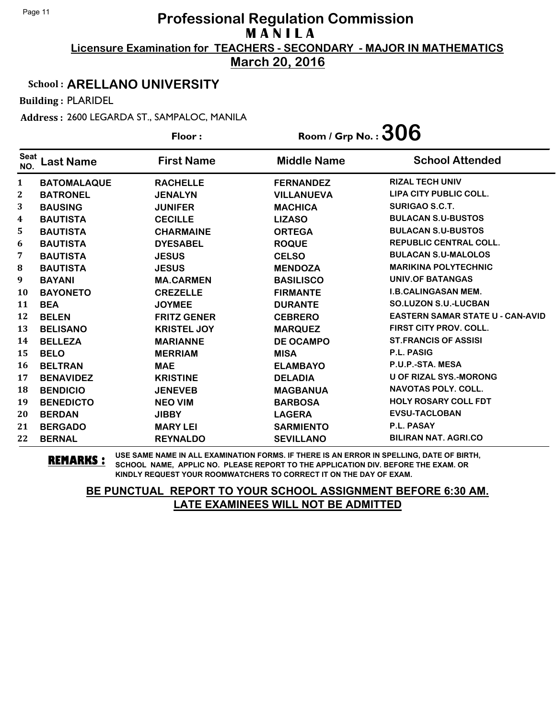**March 20, 2016**

#### School : **ARELLANO UNIVERSITY**

Building : PLARIDEL

Address : 2600 LEGARDA ST., SAMPALOC, MANILA

|                    |                    | Floor:             | Room / Grp No. : $306$ |                                         |
|--------------------|--------------------|--------------------|------------------------|-----------------------------------------|
| <b>Seat</b><br>NO. | <b>Last Name</b>   | <b>First Name</b>  | <b>Middle Name</b>     | <b>School Attended</b>                  |
| $\mathbf{1}$       | <b>BATOMALAQUE</b> | <b>RACHELLE</b>    | <b>FERNANDEZ</b>       | <b>RIZAL TECH UNIV</b>                  |
| 2                  | <b>BATRONEL</b>    | <b>JENALYN</b>     | <b>VILLANUEVA</b>      | LIPA CITY PUBLIC COLL.                  |
| 3                  | <b>BAUSING</b>     | <b>JUNIFER</b>     | <b>MACHICA</b>         | <b>SURIGAO S.C.T.</b>                   |
| 4                  | <b>BAUTISTA</b>    | <b>CECILLE</b>     | <b>LIZASO</b>          | <b>BULACAN S.U-BUSTOS</b>               |
| 5                  | <b>BAUTISTA</b>    | <b>CHARMAINE</b>   | <b>ORTEGA</b>          | <b>BULACAN S.U-BUSTOS</b>               |
| 6                  | <b>BAUTISTA</b>    | <b>DYESABEL</b>    | <b>ROQUE</b>           | <b>REPUBLIC CENTRAL COLL.</b>           |
| 7                  | <b>BAUTISTA</b>    | <b>JESUS</b>       | <b>CELSO</b>           | <b>BULACAN S.U-MALOLOS</b>              |
| ${\bf 8}$          | <b>BAUTISTA</b>    | <b>JESUS</b>       | <b>MENDOZA</b>         | <b>MARIKINA POLYTECHNIC</b>             |
| 9                  | <b>BAYANI</b>      | <b>MA.CARMEN</b>   | <b>BASILISCO</b>       | <b>UNIV.OF BATANGAS</b>                 |
| 10                 | <b>BAYONETO</b>    | <b>CREZELLE</b>    | <b>FIRMANTE</b>        | <b>I.B.CALINGASAN MEM.</b>              |
| 11                 | <b>BEA</b>         | <b>JOYMEE</b>      | <b>DURANTE</b>         | <b>SO.LUZON S.U.-LUCBAN</b>             |
| 12                 | <b>BELEN</b>       | <b>FRITZ GENER</b> | <b>CEBRERO</b>         | <b>EASTERN SAMAR STATE U - CAN-AVID</b> |
| 13                 | <b>BELISANO</b>    | <b>KRISTEL JOY</b> | <b>MARQUEZ</b>         | <b>FIRST CITY PROV. COLL.</b>           |
| 14                 | <b>BELLEZA</b>     | <b>MARIANNE</b>    | <b>DE OCAMPO</b>       | <b>ST.FRANCIS OF ASSISI</b>             |
| 15                 | <b>BELO</b>        | <b>MERRIAM</b>     | <b>MISA</b>            | <b>P.L. PASIG</b>                       |
| 16                 | <b>BELTRAN</b>     | <b>MAE</b>         | <b>ELAMBAYO</b>        | P.U.P.-STA. MESA                        |
| 17                 | <b>BENAVIDEZ</b>   | <b>KRISTINE</b>    | <b>DELADIA</b>         | <b>U OF RIZAL SYS.-MORONG</b>           |
| 18                 | <b>BENDICIO</b>    | <b>JENEVEB</b>     | <b>MAGBANUA</b>        | <b>NAVOTAS POLY. COLL.</b>              |
| 19                 | <b>BENEDICTO</b>   | <b>NEO VIM</b>     | <b>BARBOSA</b>         | <b>HOLY ROSARY COLL FDT</b>             |
| 20                 | <b>BERDAN</b>      | <b>JIBBY</b>       | <b>LAGERA</b>          | <b>EVSU-TACLOBAN</b>                    |
| 21                 | <b>BERGADO</b>     | <b>MARY LEI</b>    | <b>SARMIENTO</b>       | P.L. PASAY                              |
| 22                 | <b>BERNAL</b>      | <b>REYNALDO</b>    | <b>SEVILLANO</b>       | <b>BILIRAN NAT. AGRI.CO</b>             |

**REMARKS :** USE SAME NAME IN ALL EXAMINATION FORMS. IF THERE IS AN ERROR IN SPELLING, DATE OF BIRTH, SCHOOL NAME, APPLIC NO. PLEASE REPORT TO THE APPLICATION DIV. BEFORE THE EXAM. OR KINDLY REQUEST YOUR ROOMWATCHERS TO CORRECT IT ON THE DAY OF EXAM.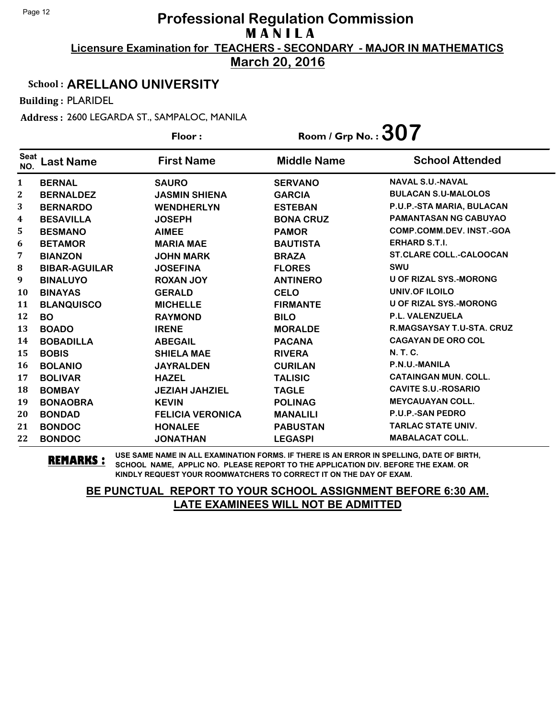**March 20, 2016**

#### School : **ARELLANO UNIVERSITY**

Building : PLARIDEL

Address : 2600 LEGARDA ST., SAMPALOC, MANILA

|                    |                      | Floor:                  | Room / Grp No.: $307$ |                                 |
|--------------------|----------------------|-------------------------|-----------------------|---------------------------------|
| <b>Seat</b><br>NO. | <b>Last Name</b>     | <b>First Name</b>       | <b>Middle Name</b>    | <b>School Attended</b>          |
| 1                  | <b>BERNAL</b>        | <b>SAURO</b>            | <b>SERVANO</b>        | <b>NAVAL S.U.-NAVAL</b>         |
| 2                  | <b>BERNALDEZ</b>     | <b>JASMIN SHIENA</b>    | <b>GARCIA</b>         | <b>BULACAN S.U-MALOLOS</b>      |
| 3                  | <b>BERNARDO</b>      | <b>WENDHERLYN</b>       | <b>ESTEBAN</b>        | P.U.P.-STA MARIA, BULACAN       |
| 4                  | <b>BESAVILLA</b>     | <b>JOSEPH</b>           | <b>BONA CRUZ</b>      | <b>PAMANTASAN NG CABUYAO</b>    |
| 5                  | <b>BESMANO</b>       | <b>AIMEE</b>            | <b>PAMOR</b>          | <b>COMP.COMM.DEV. INST.-GOA</b> |
| 6                  | <b>BETAMOR</b>       | <b>MARIA MAE</b>        | <b>BAUTISTA</b>       | <b>ERHARD S.T.I.</b>            |
| 7                  | <b>BIANZON</b>       | <b>JOHN MARK</b>        | <b>BRAZA</b>          | <b>ST.CLARE COLL.-CALOOCAN</b>  |
| 8                  | <b>BIBAR-AGUILAR</b> | <b>JOSEFINA</b>         | <b>FLORES</b>         | <b>SWU</b>                      |
| 9                  | <b>BINALUYO</b>      | <b>ROXAN JOY</b>        | <b>ANTINERO</b>       | <b>U OF RIZAL SYS.-MORONG</b>   |
| 10                 | <b>BINAYAS</b>       | <b>GERALD</b>           | <b>CELO</b>           | <b>UNIV.OF ILOILO</b>           |
| 11                 | <b>BLANQUISCO</b>    | <b>MICHELLE</b>         | <b>FIRMANTE</b>       | <b>U OF RIZAL SYS.-MORONG</b>   |
| 12                 | <b>BO</b>            | <b>RAYMOND</b>          | <b>BILO</b>           | <b>P.L. VALENZUELA</b>          |
| 13                 | <b>BOADO</b>         | <b>IRENE</b>            | <b>MORALDE</b>        | R.MAGSAYSAY T.U-STA. CRUZ       |
| 14                 | <b>BOBADILLA</b>     | <b>ABEGAIL</b>          | <b>PACANA</b>         | <b>CAGAYAN DE ORO COL</b>       |
| 15                 | <b>BOBIS</b>         | <b>SHIELA MAE</b>       | <b>RIVERA</b>         | <b>N. T. C.</b>                 |
| 16                 | <b>BOLANIO</b>       | <b>JAYRALDEN</b>        | <b>CURILAN</b>        | P.N.U.-MANILA                   |
| 17                 | <b>BOLIVAR</b>       | <b>HAZEL</b>            | <b>TALISIC</b>        | <b>CATAINGAN MUN. COLL.</b>     |
| 18                 | <b>BOMBAY</b>        | <b>JEZIAH JAHZIEL</b>   | <b>TAGLE</b>          | <b>CAVITE S.U.-ROSARIO</b>      |
| 19                 | <b>BONAOBRA</b>      | <b>KEVIN</b>            | <b>POLINAG</b>        | <b>MEYCAUAYAN COLL.</b>         |
| 20                 | <b>BONDAD</b>        | <b>FELICIA VERONICA</b> | <b>MANALILI</b>       | <b>P.U.P.-SAN PEDRO</b>         |
| 21                 | <b>BONDOC</b>        | <b>HONALEE</b>          | <b>PABUSTAN</b>       | <b>TARLAC STATE UNIV.</b>       |
| 22                 | <b>BONDOC</b>        | <b>JONATHAN</b>         | <b>LEGASPI</b>        | <b>MABALACAT COLL.</b>          |

**REMARKS :** USE SAME NAME IN ALL EXAMINATION FORMS. IF THERE IS AN ERROR IN SPELLING, DATE OF BIRTH, SCHOOL NAME, APPLIC NO. PLEASE REPORT TO THE APPLICATION DIV. BEFORE THE EXAM. OR KINDLY REQUEST YOUR ROOMWATCHERS TO CORRECT IT ON THE DAY OF EXAM.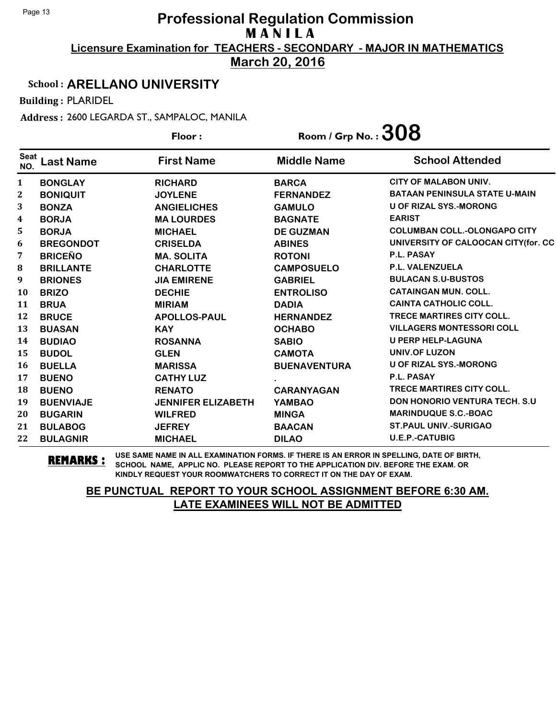**March 20, 2016**

#### School : **ARELLANO UNIVERSITY**

Building : PLARIDEL

Address : 2600 LEGARDA ST., SAMPALOC, MANILA

|                    |                  | Floor:                    | Room / Grp No. : $308$ |                                      |  |
|--------------------|------------------|---------------------------|------------------------|--------------------------------------|--|
| <b>Seat</b><br>NO. | <b>Last Name</b> | <b>First Name</b>         | <b>Middle Name</b>     | <b>School Attended</b>               |  |
| 1                  | <b>BONGLAY</b>   | <b>RICHARD</b>            | <b>BARCA</b>           | <b>CITY OF MALABON UNIV.</b>         |  |
| 2                  | <b>BONIQUIT</b>  | <b>JOYLENE</b>            | <b>FERNANDEZ</b>       | <b>BATAAN PENINSULA STATE U-MAIN</b> |  |
| 3                  | <b>BONZA</b>     | <b>ANGIELICHES</b>        | <b>GAMULO</b>          | <b>U OF RIZAL SYS.-MORONG</b>        |  |
| 4                  | <b>BORJA</b>     | <b>MA LOURDES</b>         | <b>BAGNATE</b>         | <b>EARIST</b>                        |  |
| 5                  | <b>BORJA</b>     | <b>MICHAEL</b>            | <b>DE GUZMAN</b>       | <b>COLUMBAN COLL.-OLONGAPO CITY</b>  |  |
| 6                  | <b>BREGONDOT</b> | <b>CRISELDA</b>           | <b>ABINES</b>          | UNIVERSITY OF CALOOCAN CITY(for. CC  |  |
| 7                  | <b>BRICEÑO</b>   | <b>MA. SOLITA</b>         | <b>ROTONI</b>          | <b>P.L. PASAY</b>                    |  |
| 8                  | <b>BRILLANTE</b> | <b>CHARLOTTE</b>          | <b>CAMPOSUELO</b>      | <b>P.L. VALENZUELA</b>               |  |
| 9                  | <b>BRIONES</b>   | <b>JIA EMIRENE</b>        | <b>GABRIEL</b>         | <b>BULACAN S.U-BUSTOS</b>            |  |
| <b>10</b>          | <b>BRIZO</b>     | <b>DECHIE</b>             | <b>ENTROLISO</b>       | <b>CATAINGAN MUN. COLL.</b>          |  |
| 11                 | <b>BRUA</b>      | <b>MIRIAM</b>             | <b>DADIA</b>           | <b>CAINTA CATHOLIC COLL.</b>         |  |
| 12                 | <b>BRUCE</b>     | <b>APOLLOS-PAUL</b>       | <b>HERNANDEZ</b>       | <b>TRECE MARTIRES CITY COLL.</b>     |  |
| 13                 | <b>BUASAN</b>    | <b>KAY</b>                | <b>OCHABO</b>          | <b>VILLAGERS MONTESSORI COLL</b>     |  |
| 14                 | <b>BUDIAO</b>    | <b>ROSANNA</b>            | <b>SABIO</b>           | <b>U PERP HELP-LAGUNA</b>            |  |
| 15                 | <b>BUDOL</b>     | <b>GLEN</b>               | <b>CAMOTA</b>          | UNIV.OF LUZON                        |  |
| 16                 | <b>BUELLA</b>    | <b>MARISSA</b>            | <b>BUENAVENTURA</b>    | <b>U OF RIZAL SYS.-MORONG</b>        |  |
| 17                 | <b>BUENO</b>     | <b>CATHY LUZ</b>          |                        | P.L. PASAY                           |  |
| 18                 | <b>BUENO</b>     | <b>RENATO</b>             | <b>CARANYAGAN</b>      | TRECE MARTIRES CITY COLL.            |  |
| 19                 | <b>BUENVIAJE</b> | <b>JENNIFER ELIZABETH</b> | <b>YAMBAO</b>          | <b>DON HONORIO VENTURA TECH. S.U</b> |  |
| 20                 | <b>BUGARIN</b>   | <b>WILFRED</b>            | <b>MINGA</b>           | <b>MARINDUQUE S.C.-BOAC</b>          |  |
| 21                 | <b>BULABOG</b>   | <b>JEFREY</b>             | <b>BAACAN</b>          | <b>ST.PAUL UNIV.-SURIGAO</b>         |  |
| 22                 | <b>BULAGNIR</b>  | <b>MICHAEL</b>            | <b>DILAO</b>           | <b>U.E.P.-CATUBIG</b>                |  |

**REMARKS :** USE SAME NAME IN ALL EXAMINATION FORMS. IF THERE IS AN ERROR IN SPELLING, DATE OF BIRTH, SCHOOL NAME, APPLIC NO. PLEASE REPORT TO THE APPLICATION DIV. BEFORE THE EXAM. OR KINDLY REQUEST YOUR ROOMWATCHERS TO CORRECT IT ON THE DAY OF EXAM.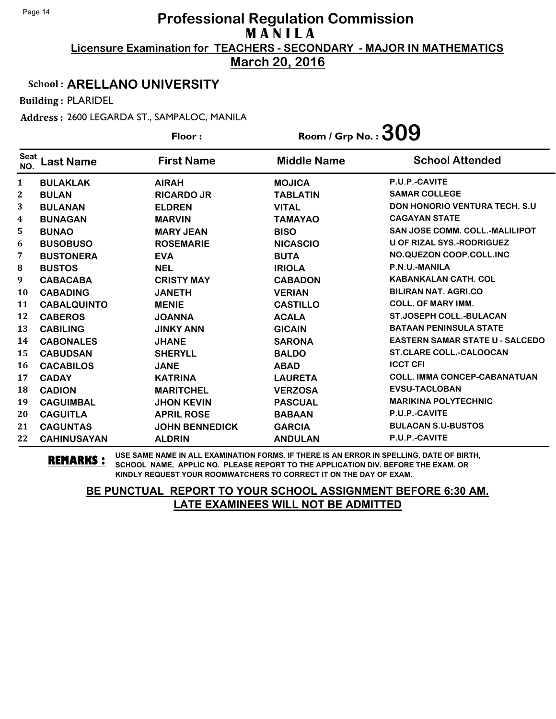**March 20, 2016**

#### School : **ARELLANO UNIVERSITY**

Building : PLARIDEL

Address : 2600 LEGARDA ST., SAMPALOC, MANILA

|                    |                    | Floor:                | Room / Grp No. : $309$ |                                        |
|--------------------|--------------------|-----------------------|------------------------|----------------------------------------|
| <b>Seat</b><br>NO. | <b>Last Name</b>   | <b>First Name</b>     | <b>Middle Name</b>     | <b>School Attended</b>                 |
| $\mathbf{1}$       | <b>BULAKLAK</b>    | <b>AIRAH</b>          | <b>MOJICA</b>          | P.U.P.-CAVITE                          |
| $\mathbf 2$        | <b>BULAN</b>       | <b>RICARDO JR</b>     | <b>TABLATIN</b>        | <b>SAMAR COLLEGE</b>                   |
| 3                  | <b>BULANAN</b>     | <b>ELDREN</b>         | <b>VITAL</b>           | <b>DON HONORIO VENTURA TECH. S.U.</b>  |
| 4                  | <b>BUNAGAN</b>     | <b>MARVIN</b>         | <b>TAMAYAO</b>         | <b>CAGAYAN STATE</b>                   |
| 5.                 | <b>BUNAO</b>       | <b>MARY JEAN</b>      | <b>BISO</b>            | <b>SAN JOSE COMM. COLL.-MALILIPOT</b>  |
| 6                  | <b>BUSOBUSO</b>    | <b>ROSEMARIE</b>      | <b>NICASCIO</b>        | <b>U OF RIZAL SYS.-RODRIGUEZ</b>       |
| 7                  | <b>BUSTONERA</b>   | <b>EVA</b>            | <b>BUTA</b>            | NO.QUEZON COOP.COLL.INC                |
| 8                  | <b>BUSTOS</b>      | <b>NEL</b>            | <b>IRIOLA</b>          | P.N.U.-MANILA                          |
| 9                  | <b>CABACABA</b>    | <b>CRISTY MAY</b>     | <b>CABADON</b>         | <b>KABANKALAN CATH, COL</b>            |
| <b>10</b>          | <b>CABADING</b>    | <b>JANETH</b>         | <b>VERIAN</b>          | <b>BILIRAN NAT. AGRI.CO</b>            |
| 11                 | <b>CABALQUINTO</b> | <b>MENIE</b>          | <b>CASTILLO</b>        | <b>COLL. OF MARY IMM.</b>              |
| 12                 | <b>CABEROS</b>     | <b>JOANNA</b>         | <b>ACALA</b>           | <b>ST.JOSEPH COLL.-BULACAN</b>         |
| 13                 | <b>CABILING</b>    | <b>JINKY ANN</b>      | <b>GICAIN</b>          | <b>BATAAN PENINSULA STATE</b>          |
| 14                 | <b>CABONALES</b>   | <b>JHANE</b>          | <b>SARONA</b>          | <b>EASTERN SAMAR STATE U - SALCEDO</b> |
| 15                 | <b>CABUDSAN</b>    | <b>SHERYLL</b>        | <b>BALDO</b>           | <b>ST.CLARE COLL.-CALOOCAN</b>         |
| 16                 | <b>CACABILOS</b>   | <b>JANE</b>           | <b>ABAD</b>            | <b>ICCT CFI</b>                        |
| 17                 | <b>CADAY</b>       | <b>KATRINA</b>        | <b>LAURETA</b>         | <b>COLL. IMMA CONCEP-CABANATUAN</b>    |
| 18                 | <b>CADION</b>      | <b>MARITCHEL</b>      | <b>VERZOSA</b>         | <b>EVSU-TACLOBAN</b>                   |
| 19                 | <b>CAGUIMBAL</b>   | <b>JHON KEVIN</b>     | <b>PASCUAL</b>         | <b>MARIKINA POLYTECHNIC</b>            |
| 20                 | <b>CAGUITLA</b>    | <b>APRIL ROSE</b>     | <b>BABAAN</b>          | P.U.P.-CAVITE                          |
| 21                 | <b>CAGUNTAS</b>    | <b>JOHN BENNEDICK</b> | <b>GARCIA</b>          | <b>BULACAN S.U-BUSTOS</b>              |
| 22                 | <b>CAHINUSAYAN</b> | <b>ALDRIN</b>         | <b>ANDULAN</b>         | P.U.P.-CAVITE                          |

**REMARKS :** USE SAME NAME IN ALL EXAMINATION FORMS. IF THERE IS AN ERROR IN SPELLING, DATE OF BIRTH, SCHOOL NAME, APPLIC NO. PLEASE REPORT TO THE APPLICATION DIV. BEFORE THE EXAM. OR KINDLY REQUEST YOUR ROOMWATCHERS TO CORRECT IT ON THE DAY OF EXAM.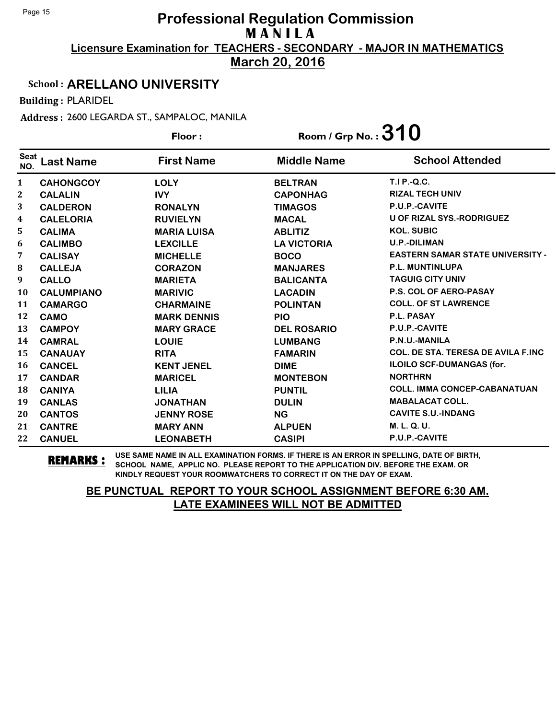**March 20, 2016**

#### School : **ARELLANO UNIVERSITY**

Building : PLARIDEL

Address : 2600 LEGARDA ST., SAMPALOC, MANILA

|                    |                   | Floor:             | Room / Grp No.: $310$ |                                            |
|--------------------|-------------------|--------------------|-----------------------|--------------------------------------------|
| <b>Seat</b><br>NO. | <b>Last Name</b>  | <b>First Name</b>  | <b>Middle Name</b>    | <b>School Attended</b>                     |
| 1                  | <b>CAHONGCOY</b>  | <b>LOLY</b>        | <b>BELTRAN</b>        | <b>T.I P.-Q.C.</b>                         |
| $\mathbf{2}$       | <b>CALALIN</b>    | <b>IVY</b>         | <b>CAPONHAG</b>       | <b>RIZAL TECH UNIV</b>                     |
| 3                  | <b>CALDERON</b>   | <b>RONALYN</b>     | <b>TIMAGOS</b>        | P.U.P.-CAVITE                              |
| 4                  | <b>CALELORIA</b>  | <b>RUVIELYN</b>    | <b>MACAL</b>          | <b>U OF RIZAL SYS.-RODRIGUEZ</b>           |
| 5.                 | <b>CALIMA</b>     | <b>MARIA LUISA</b> | <b>ABLITIZ</b>        | <b>KOL. SUBIC</b>                          |
| 6                  | <b>CALIMBO</b>    | <b>LEXCILLE</b>    | <b>LA VICTORIA</b>    | <b>U.P.-DILIMAN</b>                        |
| 7                  | <b>CALISAY</b>    | <b>MICHELLE</b>    | <b>BOCO</b>           | <b>EASTERN SAMAR STATE UNIVERSITY -</b>    |
| 8                  | <b>CALLEJA</b>    | <b>CORAZON</b>     | <b>MANJARES</b>       | P.L. MUNTINLUPA                            |
| 9                  | <b>CALLO</b>      | <b>MARIETA</b>     | <b>BALICANTA</b>      | <b>TAGUIG CITY UNIV</b>                    |
| <b>10</b>          | <b>CALUMPIANO</b> | <b>MARIVIC</b>     | <b>LACADIN</b>        | <b>P.S. COL OF AERO-PASAY</b>              |
| 11                 | <b>CAMARGO</b>    | <b>CHARMAINE</b>   | <b>POLINTAN</b>       | <b>COLL. OF ST LAWRENCE</b>                |
| 12                 | <b>CAMO</b>       | <b>MARK DENNIS</b> | <b>PIO</b>            | P.L. PASAY                                 |
| 13                 | <b>CAMPOY</b>     | <b>MARY GRACE</b>  | <b>DEL ROSARIO</b>    | P.U.P.-CAVITE                              |
| 14                 | <b>CAMRAL</b>     | <b>LOUIE</b>       | <b>LUMBANG</b>        | P.N.U.-MANILA                              |
| 15                 | <b>CANAUAY</b>    | <b>RITA</b>        | <b>FAMARIN</b>        | <b>COL. DE STA. TERESA DE AVILA F.INC.</b> |
| 16                 | <b>CANCEL</b>     | <b>KENT JENEL</b>  | <b>DIME</b>           | ILOILO SCF-DUMANGAS (for.                  |
| 17                 | <b>CANDAR</b>     | <b>MARICEL</b>     | <b>MONTEBON</b>       | <b>NORTHRN</b>                             |
| 18                 | <b>CANIYA</b>     | <b>LILIA</b>       | <b>PUNTIL</b>         | <b>COLL. IMMA CONCEP-CABANATUAN</b>        |
| 19                 | <b>CANLAS</b>     | <b>JONATHAN</b>    | <b>DULIN</b>          | <b>MABALACAT COLL.</b>                     |
| 20                 | <b>CANTOS</b>     | <b>JENNY ROSE</b>  | <b>NG</b>             | <b>CAVITE S.U.-INDANG</b>                  |
| 21                 | <b>CANTRE</b>     | <b>MARY ANN</b>    | <b>ALPUEN</b>         | M. L. Q. U.                                |
| 22                 | <b>CANUEL</b>     | <b>LEONABETH</b>   | <b>CASIPI</b>         | P.U.P.-CAVITE                              |

**REMARKS :** USE SAME NAME IN ALL EXAMINATION FORMS. IF THERE IS AN ERROR IN SPELLING, DATE OF BIRTH, SCHOOL NAME, APPLIC NO. PLEASE REPORT TO THE APPLICATION DIV. BEFORE THE EXAM. OR KINDLY REQUEST YOUR ROOMWATCHERS TO CORRECT IT ON THE DAY OF EXAM.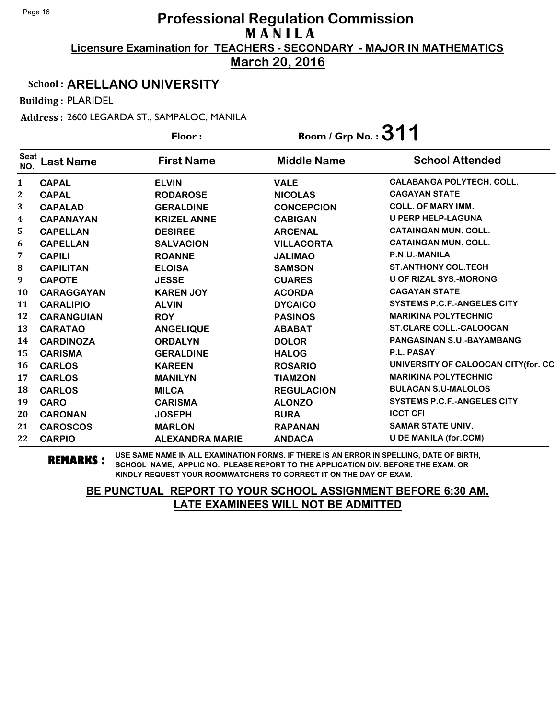**March 20, 2016**

#### School : **ARELLANO UNIVERSITY**

Building : PLARIDEL

Address : 2600 LEGARDA ST., SAMPALOC, MANILA

|                    |                   | Floor:                 | Room / Grp No.: $311$ |                                      |
|--------------------|-------------------|------------------------|-----------------------|--------------------------------------|
| <b>Seat</b><br>NO. | <b>Last Name</b>  | <b>First Name</b>      | <b>Middle Name</b>    | <b>School Attended</b>               |
| $\mathbf{1}$       | <b>CAPAL</b>      | <b>ELVIN</b>           | <b>VALE</b>           | <b>CALABANGA POLYTECH. COLL.</b>     |
| $\boldsymbol{2}$   | <b>CAPAL</b>      | <b>RODAROSE</b>        | <b>NICOLAS</b>        | <b>CAGAYAN STATE</b>                 |
| 3                  | <b>CAPALAD</b>    | <b>GERALDINE</b>       | <b>CONCEPCION</b>     | <b>COLL. OF MARY IMM.</b>            |
| 4                  | <b>CAPANAYAN</b>  | <b>KRIZEL ANNE</b>     | <b>CABIGAN</b>        | U PERP HELP-LAGUNA                   |
| 5                  | <b>CAPELLAN</b>   | <b>DESIREE</b>         | <b>ARCENAL</b>        | <b>CATAINGAN MUN. COLL.</b>          |
| 6                  | <b>CAPELLAN</b>   | <b>SALVACION</b>       | <b>VILLACORTA</b>     | <b>CATAINGAN MUN. COLL.</b>          |
| 7                  | <b>CAPILI</b>     | <b>ROANNE</b>          | <b>JALIMAO</b>        | P.N.U.-MANILA                        |
| 8                  | <b>CAPILITAN</b>  | <b>ELOISA</b>          | <b>SAMSON</b>         | <b>ST.ANTHONY COL.TECH</b>           |
| 9                  | <b>CAPOTE</b>     | <b>JESSE</b>           | <b>CUARES</b>         | <b>U OF RIZAL SYS.-MORONG</b>        |
| 10                 | <b>CARAGGAYAN</b> | <b>KAREN JOY</b>       | <b>ACORDA</b>         | <b>CAGAYAN STATE</b>                 |
| 11                 | <b>CARALIPIO</b>  | <b>ALVIN</b>           | <b>DYCAICO</b>        | <b>SYSTEMS P.C.F.-ANGELES CITY</b>   |
| 12                 | <b>CARANGUIAN</b> | <b>ROY</b>             | <b>PASINOS</b>        | <b>MARIKINA POLYTECHNIC</b>          |
| 13                 | <b>CARATAO</b>    | <b>ANGELIQUE</b>       | <b>ABABAT</b>         | <b>ST.CLARE COLL.-CALOOCAN</b>       |
| 14                 | <b>CARDINOZA</b>  | <b>ORDALYN</b>         | <b>DOLOR</b>          | PANGASINAN S.U.-BAYAMBANG            |
| 15                 | <b>CARISMA</b>    | <b>GERALDINE</b>       | <b>HALOG</b>          | P.L. PASAY                           |
| 16                 | <b>CARLOS</b>     | <b>KAREEN</b>          | <b>ROSARIO</b>        | UNIVERSITY OF CALOOCAN CITY (for. CC |
| 17                 | <b>CARLOS</b>     | <b>MANILYN</b>         | <b>TIAMZON</b>        | <b>MARIKINA POLYTECHNIC</b>          |
| 18                 | <b>CARLOS</b>     | <b>MILCA</b>           | <b>REGULACION</b>     | <b>BULACAN S.U-MALOLOS</b>           |
| 19                 | <b>CARO</b>       | <b>CARISMA</b>         | <b>ALONZO</b>         | <b>SYSTEMS P.C.F.-ANGELES CITY</b>   |
| 20                 | <b>CARONAN</b>    | <b>JOSEPH</b>          | <b>BURA</b>           | <b>ICCT CFI</b>                      |
| 21                 | <b>CAROSCOS</b>   | <b>MARLON</b>          | <b>RAPANAN</b>        | <b>SAMAR STATE UNIV.</b>             |
| 22                 | <b>CARPIO</b>     | <b>ALEXANDRA MARIE</b> | <b>ANDACA</b>         | <b>U DE MANILA (for.CCM)</b>         |

**REMARKS :** USE SAME NAME IN ALL EXAMINATION FORMS. IF THERE IS AN ERROR IN SPELLING, DATE OF BIRTH, SCHOOL NAME, APPLIC NO. PLEASE REPORT TO THE APPLICATION DIV. BEFORE THE EXAM. OR KINDLY REQUEST YOUR ROOMWATCHERS TO CORRECT IT ON THE DAY OF EXAM.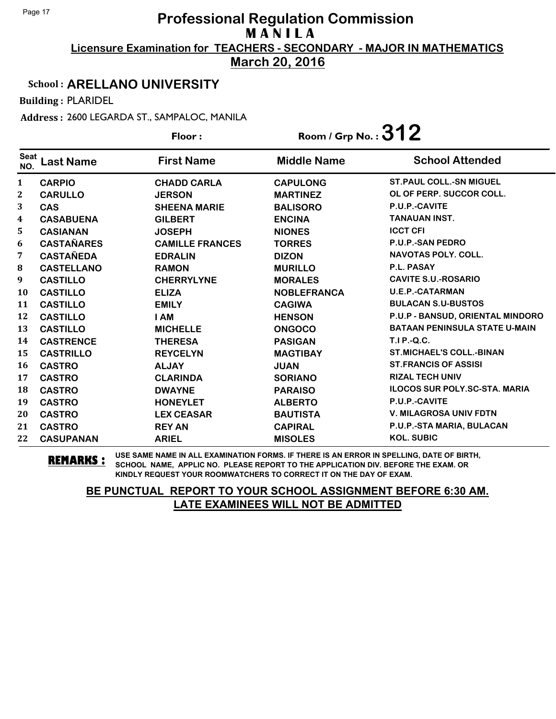**March 20, 2016**

#### School : **ARELLANO UNIVERSITY**

Building : PLARIDEL

Address : 2600 LEGARDA ST., SAMPALOC, MANILA

|                    |                   | Floor:                 | Room / Grp No.: $312$ |                                      |
|--------------------|-------------------|------------------------|-----------------------|--------------------------------------|
| <b>Seat</b><br>NO. | <b>Last Name</b>  | <b>First Name</b>      | <b>Middle Name</b>    | <b>School Attended</b>               |
| $\mathbf{1}$       | <b>CARPIO</b>     | <b>CHADD CARLA</b>     | <b>CAPULONG</b>       | <b>ST. PAUL COLL.-SN MIGUEL</b>      |
| $\mathbf{2}$       | <b>CARULLO</b>    | <b>JERSON</b>          | <b>MARTINEZ</b>       | OL OF PERP. SUCCOR COLL.             |
| 3                  | <b>CAS</b>        | <b>SHEENA MARIE</b>    | <b>BALISORO</b>       | P.U.P.-CAVITE                        |
| 4                  | <b>CASABUENA</b>  | <b>GILBERT</b>         | <b>ENCINA</b>         | <b>TANAUAN INST.</b>                 |
| 5.                 | <b>CASIANAN</b>   | <b>JOSEPH</b>          | <b>NIONES</b>         | <b>ICCT CFI</b>                      |
| 6                  | <b>CASTAÑARES</b> | <b>CAMILLE FRANCES</b> | <b>TORRES</b>         | <b>P.U.P.-SAN PEDRO</b>              |
| 7                  | <b>CASTAÑEDA</b>  | <b>EDRALIN</b>         | <b>DIZON</b>          | <b>NAVOTAS POLY. COLL.</b>           |
| 8                  | <b>CASTELLANO</b> | <b>RAMON</b>           | <b>MURILLO</b>        | <b>P.L. PASAY</b>                    |
| 9                  | <b>CASTILLO</b>   | <b>CHERRYLYNE</b>      | <b>MORALES</b>        | <b>CAVITE S.U.-ROSARIO</b>           |
| 10                 | <b>CASTILLO</b>   | <b>ELIZA</b>           | <b>NOBLEFRANCA</b>    | <b>U.E.P.-CATARMAN</b>               |
| 11                 | <b>CASTILLO</b>   | <b>EMILY</b>           | <b>CAGIWA</b>         | <b>BULACAN S.U-BUSTOS</b>            |
| 12                 | <b>CASTILLO</b>   | <b>I AM</b>            | <b>HENSON</b>         | P.U.P - BANSUD, ORIENTAL MINDORO     |
| 13                 | <b>CASTILLO</b>   | <b>MICHELLE</b>        | <b>ONGOCO</b>         | <b>BATAAN PENINSULA STATE U-MAIN</b> |
| 14                 | <b>CASTRENCE</b>  | <b>THERESA</b>         | <b>PASIGAN</b>        | $T.I.P.-Q.C.$                        |
| 15                 | <b>CASTRILLO</b>  | <b>REYCELYN</b>        | <b>MAGTIBAY</b>       | <b>ST.MICHAEL'S COLL.-BINAN</b>      |
| <b>16</b>          | <b>CASTRO</b>     | <b>ALJAY</b>           | <b>JUAN</b>           | <b>ST. FRANCIS OF ASSISI</b>         |
| 17                 | <b>CASTRO</b>     | <b>CLARINDA</b>        | <b>SORIANO</b>        | <b>RIZAL TECH UNIV</b>               |
| 18                 | <b>CASTRO</b>     | <b>DWAYNE</b>          | <b>PARAISO</b>        | <b>ILOCOS SUR POLY.SC-STA. MARIA</b> |
| 19                 | <b>CASTRO</b>     | <b>HONEYLET</b>        | <b>ALBERTO</b>        | P.U.P.-CAVITE                        |
| 20                 | <b>CASTRO</b>     | <b>LEX CEASAR</b>      | <b>BAUTISTA</b>       | <b>V. MILAGROSA UNIV FDTN</b>        |
| 21                 | <b>CASTRO</b>     | <b>REY AN</b>          | <b>CAPIRAL</b>        | P.U.P.-STA MARIA, BULACAN            |
| 22                 | <b>CASUPANAN</b>  | <b>ARIEL</b>           | <b>MISOLES</b>        | <b>KOL. SUBIC</b>                    |

**REMARKS :** USE SAME NAME IN ALL EXAMINATION FORMS. IF THERE IS AN ERROR IN SPELLING, DATE OF BIRTH, SCHOOL NAME, APPLIC NO. PLEASE REPORT TO THE APPLICATION DIV. BEFORE THE EXAM. OR KINDLY REQUEST YOUR ROOMWATCHERS TO CORRECT IT ON THE DAY OF EXAM.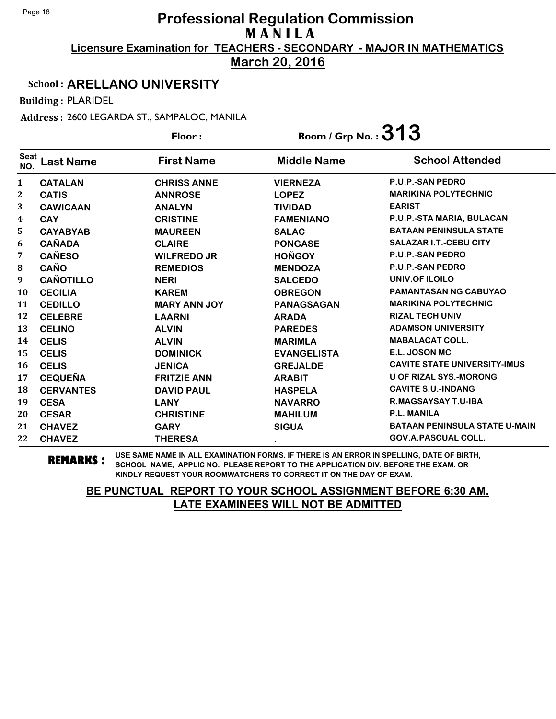**March 20, 2016**

#### School : **ARELLANO UNIVERSITY**

Building : PLARIDEL

Address : 2600 LEGARDA ST., SAMPALOC, MANILA

|                    | Floor:           |                     |                    | Room / Grp No. : $313$               |  |
|--------------------|------------------|---------------------|--------------------|--------------------------------------|--|
| <b>Seat</b><br>NO. | <b>Last Name</b> | <b>First Name</b>   | <b>Middle Name</b> | <b>School Attended</b>               |  |
| $\mathbf{1}$       | <b>CATALAN</b>   | <b>CHRISS ANNE</b>  | <b>VIERNEZA</b>    | <b>P.U.P.-SAN PEDRO</b>              |  |
| $\mathbf 2$        | <b>CATIS</b>     | <b>ANNROSE</b>      | <b>LOPEZ</b>       | <b>MARIKINA POLYTECHNIC</b>          |  |
| 3                  | <b>CAWICAAN</b>  | <b>ANALYN</b>       | <b>TIVIDAD</b>     | <b>EARIST</b>                        |  |
| $\boldsymbol{4}$   | <b>CAY</b>       | <b>CRISTINE</b>     | <b>FAMENIANO</b>   | P.U.P.-STA MARIA, BULACAN            |  |
| 5                  | <b>CAYABYAB</b>  | <b>MAUREEN</b>      | <b>SALAC</b>       | <b>BATAAN PENINSULA STATE</b>        |  |
| 6                  | <b>CAÑADA</b>    | <b>CLAIRE</b>       | <b>PONGASE</b>     | <b>SALAZAR I.T.-CEBU CITY</b>        |  |
| 7                  | <b>CAÑESO</b>    | <b>WILFREDO JR</b>  | <b>HOÑGOY</b>      | P.U.P.-SAN PEDRO                     |  |
| ${\bf 8}$          | <b>CAÑO</b>      | <b>REMEDIOS</b>     | <b>MENDOZA</b>     | <b>P.U.P.-SAN PEDRO</b>              |  |
| 9                  | <b>CAÑOTILLO</b> | <b>NERI</b>         | <b>SALCEDO</b>     | UNIV.OF ILOILO                       |  |
| <b>10</b>          | <b>CECILIA</b>   | <b>KAREM</b>        | <b>OBREGON</b>     | <b>PAMANTASAN NG CABUYAO</b>         |  |
| 11                 | <b>CEDILLO</b>   | <b>MARY ANN JOY</b> | <b>PANAGSAGAN</b>  | <b>MARIKINA POLYTECHNIC</b>          |  |
| 12                 | <b>CELEBRE</b>   | <b>LAARNI</b>       | <b>ARADA</b>       | <b>RIZAL TECH UNIV</b>               |  |
| 13                 | <b>CELINO</b>    | <b>ALVIN</b>        | <b>PAREDES</b>     | <b>ADAMSON UNIVERSITY</b>            |  |
| 14                 | <b>CELIS</b>     | <b>ALVIN</b>        | <b>MARIMLA</b>     | <b>MABALACAT COLL.</b>               |  |
| 15                 | <b>CELIS</b>     | <b>DOMINICK</b>     | <b>EVANGELISTA</b> | E.L. JOSON MC                        |  |
| 16                 | <b>CELIS</b>     | <b>JENICA</b>       | <b>GREJALDE</b>    | <b>CAVITE STATE UNIVERSITY-IMUS</b>  |  |
| 17                 | <b>CEQUEÑA</b>   | <b>FRITZIE ANN</b>  | <b>ARABIT</b>      | <b>U OF RIZAL SYS.-MORONG</b>        |  |
| 18                 | <b>CERVANTES</b> | <b>DAVID PAUL</b>   | <b>HASPELA</b>     | <b>CAVITE S.U.-INDANG</b>            |  |
| 19                 | <b>CESA</b>      | <b>LANY</b>         | <b>NAVARRO</b>     | R.MAGSAYSAY T.U-IBA                  |  |
| 20                 | <b>CESAR</b>     | <b>CHRISTINE</b>    | <b>MAHILUM</b>     | <b>P.L. MANILA</b>                   |  |
| 21                 | <b>CHAVEZ</b>    | <b>GARY</b>         | <b>SIGUA</b>       | <b>BATAAN PENINSULA STATE U-MAIN</b> |  |
| 22                 | <b>CHAVEZ</b>    | <b>THERESA</b>      | $\bullet$          | <b>GOV.A.PASCUAL COLL.</b>           |  |

**REMARKS :** USE SAME NAME IN ALL EXAMINATION FORMS. IF THERE IS AN ERROR IN SPELLING, DATE OF BIRTH, SCHOOL NAME, APPLIC NO. PLEASE REPORT TO THE APPLICATION DIV. BEFORE THE EXAM. OR KINDLY REQUEST YOUR ROOMWATCHERS TO CORRECT IT ON THE DAY OF EXAM.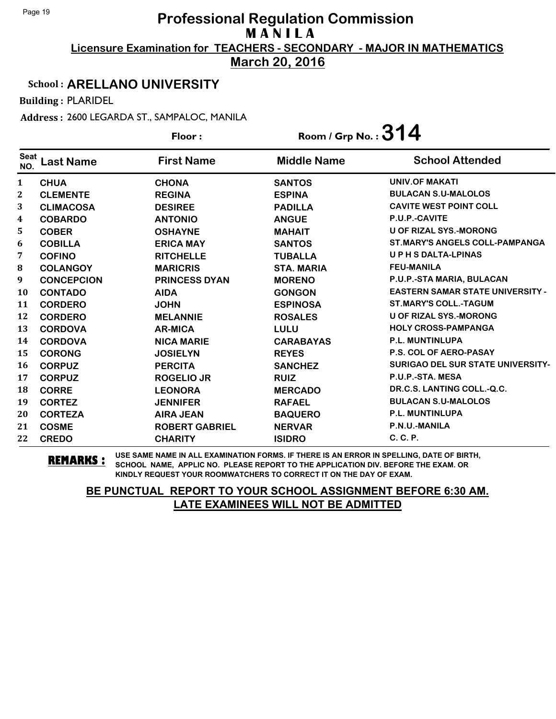**March 20, 2016**

#### School : **ARELLANO UNIVERSITY**

Building : PLARIDEL

Address : 2600 LEGARDA ST., SAMPALOC, MANILA

|                    |                   | Floor:                | Room / Grp No. : $314$ |                                          |
|--------------------|-------------------|-----------------------|------------------------|------------------------------------------|
| <b>Seat</b><br>NO. | <b>Last Name</b>  | <b>First Name</b>     | <b>Middle Name</b>     | <b>School Attended</b>                   |
| 1                  | <b>CHUA</b>       | <b>CHONA</b>          | <b>SANTOS</b>          | <b>UNIV.OF MAKATI</b>                    |
| $\mathbf{2}$       | <b>CLEMENTE</b>   | <b>REGINA</b>         | <b>ESPINA</b>          | <b>BULACAN S.U-MALOLOS</b>               |
| 3                  | <b>CLIMACOSA</b>  | <b>DESIREE</b>        | <b>PADILLA</b>         | <b>CAVITE WEST POINT COLL</b>            |
| 4                  | <b>COBARDO</b>    | <b>ANTONIO</b>        | <b>ANGUE</b>           | P.U.P.-CAVITE                            |
| 5                  | <b>COBER</b>      | <b>OSHAYNE</b>        | <b>MAHAIT</b>          | <b>U OF RIZAL SYS.-MORONG</b>            |
| 6                  | <b>COBILLA</b>    | <b>ERICA MAY</b>      | <b>SANTOS</b>          | <b>ST.MARY'S ANGELS COLL-PAMPANGA</b>    |
| 7                  | <b>COFINO</b>     | <b>RITCHELLE</b>      | <b>TUBALLA</b>         | <b>UPHSDALTA-LPINAS</b>                  |
| 8                  | <b>COLANGOY</b>   | <b>MARICRIS</b>       | <b>STA. MARIA</b>      | <b>FEU-MANILA</b>                        |
| 9                  | <b>CONCEPCION</b> | <b>PRINCESS DYAN</b>  | <b>MORENO</b>          | P.U.P.-STA MARIA, BULACAN                |
| 10                 | <b>CONTADO</b>    | <b>AIDA</b>           | <b>GONGON</b>          | <b>EASTERN SAMAR STATE UNIVERSITY -</b>  |
| 11                 | <b>CORDERO</b>    | <b>JOHN</b>           | <b>ESPINOSA</b>        | <b>ST.MARY'S COLL.-TAGUM</b>             |
| 12                 | <b>CORDERO</b>    | <b>MELANNIE</b>       | <b>ROSALES</b>         | <b>U OF RIZAL SYS.-MORONG</b>            |
| 13                 | <b>CORDOVA</b>    | <b>AR-MICA</b>        | LULU                   | <b>HOLY CROSS-PAMPANGA</b>               |
| 14                 | <b>CORDOVA</b>    | <b>NICA MARIE</b>     | <b>CARABAYAS</b>       | P.L. MUNTINLUPA                          |
| 15                 | <b>CORONG</b>     | <b>JOSIELYN</b>       | <b>REYES</b>           | <b>P.S. COL OF AERO-PASAY</b>            |
| 16                 | <b>CORPUZ</b>     | <b>PERCITA</b>        | <b>SANCHEZ</b>         | <b>SURIGAO DEL SUR STATE UNIVERSITY-</b> |
| 17                 | <b>CORPUZ</b>     | <b>ROGELIO JR</b>     | <b>RUIZ</b>            | P.U.P.-STA. MESA                         |
| 18                 | <b>CORRE</b>      | <b>LEONORA</b>        | <b>MERCADO</b>         | DR.C.S. LANTING COLL.-Q.C.               |
| 19                 | <b>CORTEZ</b>     | <b>JENNIFER</b>       | <b>RAFAEL</b>          | <b>BULACAN S.U-MALOLOS</b>               |
| 20                 | <b>CORTEZA</b>    | <b>AIRA JEAN</b>      | <b>BAQUERO</b>         | P.L. MUNTINLUPA                          |
| 21                 | <b>COSME</b>      | <b>ROBERT GABRIEL</b> | <b>NERVAR</b>          | P.N.U.-MANILA                            |
| 22                 | <b>CREDO</b>      | <b>CHARITY</b>        | <b>ISIDRO</b>          | C. C. P.                                 |

**REMARKS :** USE SAME NAME IN ALL EXAMINATION FORMS. IF THERE IS AN ERROR IN SPELLING, DATE OF BIRTH, SCHOOL NAME, APPLIC NO. PLEASE REPORT TO THE APPLICATION DIV. BEFORE THE EXAM. OR KINDLY REQUEST YOUR ROOMWATCHERS TO CORRECT IT ON THE DAY OF EXAM.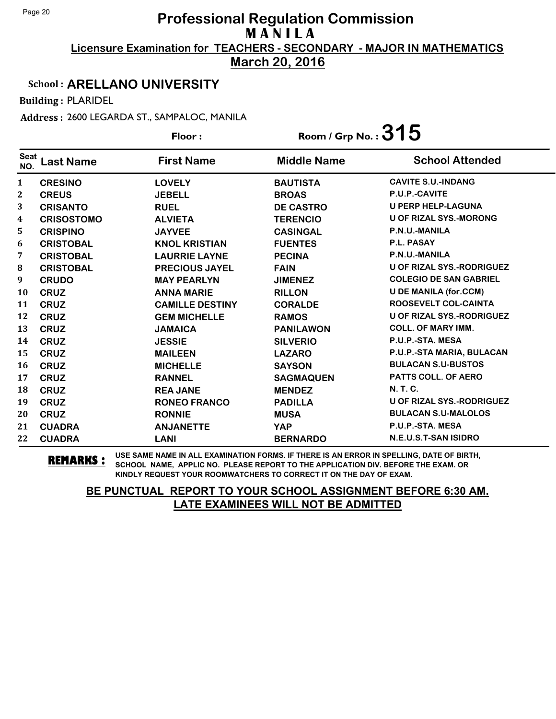**March 20, 2016**

#### School : **ARELLANO UNIVERSITY**

Building : PLARIDEL

Address : 2600 LEGARDA ST., SAMPALOC, MANILA

|                    |                   | Floor:                 | Room / Grp No. : $315$ |                                  |
|--------------------|-------------------|------------------------|------------------------|----------------------------------|
| <b>Seat</b><br>NO. | <b>Last Name</b>  | <b>First Name</b>      | <b>Middle Name</b>     | <b>School Attended</b>           |
| $\mathbf{1}$       | <b>CRESINO</b>    | <b>LOVELY</b>          | <b>BAUTISTA</b>        | <b>CAVITE S.U.-INDANG</b>        |
| $\boldsymbol{2}$   | <b>CREUS</b>      | <b>JEBELL</b>          | <b>BROAS</b>           | P.U.P.-CAVITE                    |
| 3                  | <b>CRISANTO</b>   | <b>RUEL</b>            | <b>DE CASTRO</b>       | <b>U PERP HELP-LAGUNA</b>        |
| 4                  | <b>CRISOSTOMO</b> | <b>ALVIETA</b>         | <b>TERENCIO</b>        | <b>U OF RIZAL SYS.-MORONG</b>    |
| 5                  | <b>CRISPINO</b>   | <b>JAYVEE</b>          | <b>CASINGAL</b>        | P.N.U.-MANILA                    |
| 6                  | <b>CRISTOBAL</b>  | <b>KNOL KRISTIAN</b>   | <b>FUENTES</b>         | P.L. PASAY                       |
| 7                  | <b>CRISTOBAL</b>  | <b>LAURRIE LAYNE</b>   | <b>PECINA</b>          | P.N.U.-MANILA                    |
| 8                  | <b>CRISTOBAL</b>  | <b>PRECIOUS JAYEL</b>  | <b>FAIN</b>            | <b>U OF RIZAL SYS.-RODRIGUEZ</b> |
| 9                  | <b>CRUDO</b>      | <b>MAY PEARLYN</b>     | <b>JIMENEZ</b>         | <b>COLEGIO DE SAN GABRIEL</b>    |
| 10                 | <b>CRUZ</b>       | <b>ANNA MARIE</b>      | <b>RILLON</b>          | <b>U DE MANILA (for.CCM)</b>     |
| 11                 | <b>CRUZ</b>       | <b>CAMILLE DESTINY</b> | <b>CORALDE</b>         | <b>ROOSEVELT COL-CAINTA</b>      |
| 12                 | <b>CRUZ</b>       | <b>GEM MICHELLE</b>    | <b>RAMOS</b>           | <b>U OF RIZAL SYS.-RODRIGUEZ</b> |
| 13                 | <b>CRUZ</b>       | <b>JAMAICA</b>         | <b>PANILAWON</b>       | <b>COLL. OF MARY IMM.</b>        |
| 14                 | <b>CRUZ</b>       | <b>JESSIE</b>          | <b>SILVERIO</b>        | P.U.P.-STA. MESA                 |
| 15                 | <b>CRUZ</b>       | <b>MAILEEN</b>         | <b>LAZARO</b>          | P.U.P.-STA MARIA, BULACAN        |
| 16                 | <b>CRUZ</b>       | <b>MICHELLE</b>        | <b>SAYSON</b>          | <b>BULACAN S.U-BUSTOS</b>        |
| 17                 | <b>CRUZ</b>       | <b>RANNEL</b>          | <b>SAGMAQUEN</b>       | <b>PATTS COLL. OF AERO</b>       |
| 18                 | <b>CRUZ</b>       | <b>REA JANE</b>        | <b>MENDEZ</b>          | <b>N.T.C.</b>                    |
| 19                 | <b>CRUZ</b>       | <b>RONEO FRANCO</b>    | <b>PADILLA</b>         | <b>U OF RIZAL SYS.-RODRIGUEZ</b> |
| 20                 | <b>CRUZ</b>       | <b>RONNIE</b>          | <b>MUSA</b>            | <b>BULACAN S.U-MALOLOS</b>       |
| 21                 | <b>CUADRA</b>     | <b>ANJANETTE</b>       | <b>YAP</b>             | P.U.P.-STA. MESA                 |
| 22                 | <b>CUADRA</b>     | <b>LANI</b>            | <b>BERNARDO</b>        | N.E.U.S.T-SAN ISIDRO             |

**REMARKS :** USE SAME NAME IN ALL EXAMINATION FORMS. IF THERE IS AN ERROR IN SPELLING, DATE OF BIRTH, SCHOOL NAME, APPLIC NO. PLEASE REPORT TO THE APPLICATION DIV. BEFORE THE EXAM. OR KINDLY REQUEST YOUR ROOMWATCHERS TO CORRECT IT ON THE DAY OF EXAM.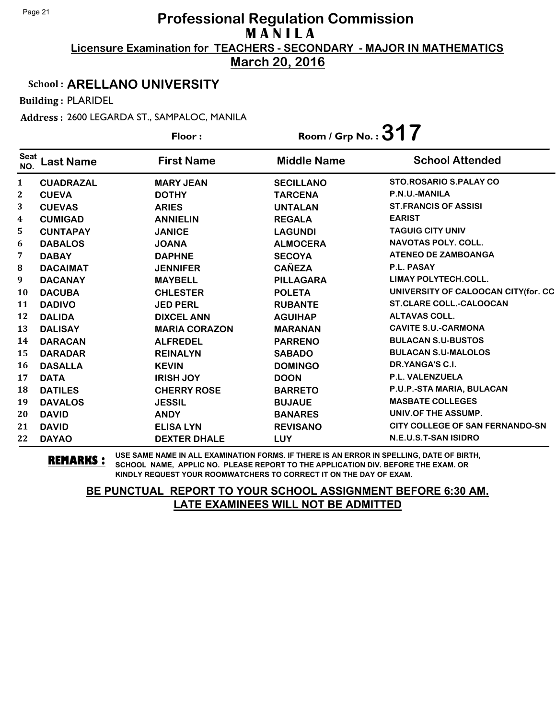**March 20, 2016**

#### School : **ARELLANO UNIVERSITY**

Building : PLARIDEL

Address : 2600 LEGARDA ST., SAMPALOC, MANILA

|                    |                  | Floor:               | Room / Grp No. : $317$ |                                        |
|--------------------|------------------|----------------------|------------------------|----------------------------------------|
| <b>Seat</b><br>NO. | <b>Last Name</b> | <b>First Name</b>    | <b>Middle Name</b>     | <b>School Attended</b>                 |
| $\mathbf{1}$       | <b>CUADRAZAL</b> | <b>MARY JEAN</b>     | <b>SECILLANO</b>       | <b>STO.ROSARIO S.PALAY CO</b>          |
| 2                  | <b>CUEVA</b>     | <b>DOTHY</b>         | <b>TARCENA</b>         | P.N.U.-MANILA                          |
| 3                  | <b>CUEVAS</b>    | <b>ARIES</b>         | <b>UNTALAN</b>         | <b>ST.FRANCIS OF ASSISI</b>            |
| 4                  | <b>CUMIGAD</b>   | <b>ANNIELIN</b>      | <b>REGALA</b>          | <b>EARIST</b>                          |
| 5                  | <b>CUNTAPAY</b>  | <b>JANICE</b>        | <b>LAGUNDI</b>         | <b>TAGUIG CITY UNIV</b>                |
| 6                  | <b>DABALOS</b>   | <b>JOANA</b>         | <b>ALMOCERA</b>        | <b>NAVOTAS POLY. COLL.</b>             |
| 7                  | <b>DABAY</b>     | <b>DAPHNE</b>        | <b>SECOYA</b>          | <b>ATENEO DE ZAMBOANGA</b>             |
| ${\bf 8}$          | <b>DACAIMAT</b>  | <b>JENNIFER</b>      | <b>CAÑEZA</b>          | P.L. PASAY                             |
| 9                  | <b>DACANAY</b>   | <b>MAYBELL</b>       | <b>PILLAGARA</b>       | <b>LIMAY POLYTECH.COLL.</b>            |
| 10                 | <b>DACUBA</b>    | <b>CHLESTER</b>      | <b>POLETA</b>          | UNIVERSITY OF CALOOCAN CITY(for. CC    |
| 11                 | <b>DADIVO</b>    | <b>JED PERL</b>      | <b>RUBANTE</b>         | <b>ST.CLARE COLL.-CALOOCAN</b>         |
| 12                 | <b>DALIDA</b>    | <b>DIXCEL ANN</b>    | <b>AGUIHAP</b>         | <b>ALTAVAS COLL.</b>                   |
| 13                 | <b>DALISAY</b>   | <b>MARIA CORAZON</b> | <b>MARANAN</b>         | <b>CAVITE S.U.-CARMONA</b>             |
| 14                 | <b>DARACAN</b>   | <b>ALFREDEL</b>      | <b>PARRENO</b>         | <b>BULACAN S.U-BUSTOS</b>              |
| 15                 | <b>DARADAR</b>   | <b>REINALYN</b>      | <b>SABADO</b>          | <b>BULACAN S.U-MALOLOS</b>             |
| 16                 | <b>DASALLA</b>   | <b>KEVIN</b>         | <b>DOMINGO</b>         | DR.YANGA'S C.I.                        |
| 17                 | <b>DATA</b>      | <b>IRISH JOY</b>     | <b>DOON</b>            | P.L. VALENZUELA                        |
| 18                 | <b>DATILES</b>   | <b>CHERRY ROSE</b>   | <b>BARRETO</b>         | P.U.P.-STA MARIA, BULACAN              |
| 19                 | <b>DAVALOS</b>   | <b>JESSIL</b>        | <b>BUJAUE</b>          | <b>MASBATE COLLEGES</b>                |
| 20                 | <b>DAVID</b>     | <b>ANDY</b>          | <b>BANARES</b>         | UNIV.OF THE ASSUMP.                    |
| 21                 | <b>DAVID</b>     | <b>ELISA LYN</b>     | <b>REVISANO</b>        | <b>CITY COLLEGE OF SAN FERNANDO-SN</b> |
| 22                 | <b>DAYAO</b>     | <b>DEXTER DHALE</b>  | <b>LUY</b>             | N.E.U.S.T-SAN ISIDRO                   |

**REMARKS :** USE SAME NAME IN ALL EXAMINATION FORMS. IF THERE IS AN ERROR IN SPELLING, DATE OF BIRTH, SCHOOL NAME, APPLIC NO. PLEASE REPORT TO THE APPLICATION DIV. BEFORE THE EXAM. OR KINDLY REQUEST YOUR ROOMWATCHERS TO CORRECT IT ON THE DAY OF EXAM.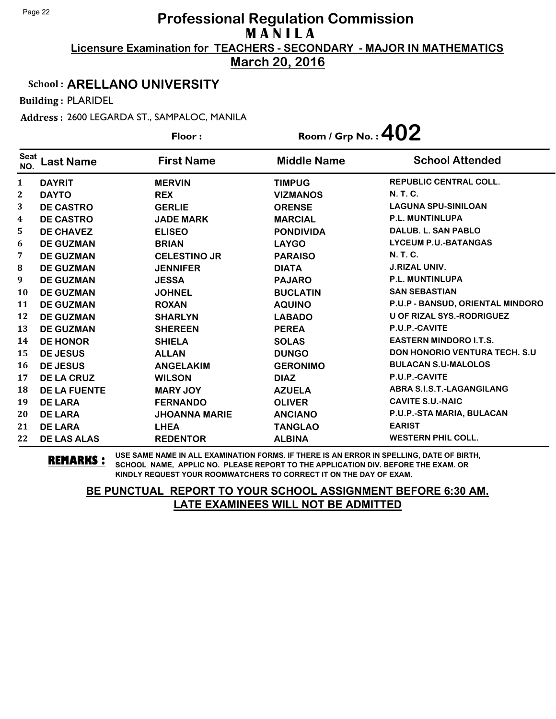**March 20, 2016**

#### School : **ARELLANO UNIVERSITY**

Building : PLARIDEL

Address : 2600 LEGARDA ST., SAMPALOC, MANILA

|                    |                     | Floor:               | Room / Grp No.: $402$ |                                      |
|--------------------|---------------------|----------------------|-----------------------|--------------------------------------|
| <b>Seat</b><br>NO. | <b>Last Name</b>    | <b>First Name</b>    | <b>Middle Name</b>    | <b>School Attended</b>               |
| 1                  | <b>DAYRIT</b>       | <b>MERVIN</b>        | <b>TIMPUG</b>         | <b>REPUBLIC CENTRAL COLL.</b>        |
| 2                  | <b>DAYTO</b>        | <b>REX</b>           | <b>VIZMANOS</b>       | <b>N.T.C.</b>                        |
| 3                  | <b>DE CASTRO</b>    | <b>GERLIE</b>        | <b>ORENSE</b>         | <b>LAGUNA SPU-SINILOAN</b>           |
| 4                  | <b>DE CASTRO</b>    | <b>JADE MARK</b>     | <b>MARCIAL</b>        | <b>P.L. MUNTINLUPA</b>               |
| 5                  | <b>DE CHAVEZ</b>    | <b>ELISEO</b>        | <b>PONDIVIDA</b>      | DALUB, L. SAN PABLO                  |
| 6                  | <b>DE GUZMAN</b>    | <b>BRIAN</b>         | <b>LAYGO</b>          | <b>LYCEUM P.U.-BATANGAS</b>          |
| 7                  | <b>DE GUZMAN</b>    | <b>CELESTINO JR</b>  | <b>PARAISO</b>        | <b>N.T.C.</b>                        |
| 8                  | <b>DE GUZMAN</b>    | <b>JENNIFER</b>      | <b>DIATA</b>          | <b>J.RIZAL UNIV.</b>                 |
| 9                  | <b>DE GUZMAN</b>    | <b>JESSA</b>         | <b>PAJARO</b>         | <b>P.L. MUNTINLUPA</b>               |
| 10                 | <b>DE GUZMAN</b>    | <b>JOHNEL</b>        | <b>BUCLATIN</b>       | <b>SAN SEBASTIAN</b>                 |
| 11                 | <b>DE GUZMAN</b>    | <b>ROXAN</b>         | <b>AQUINO</b>         | P.U.P - BANSUD, ORIENTAL MINDORO     |
| 12                 | <b>DE GUZMAN</b>    | <b>SHARLYN</b>       | <b>LABADO</b>         | <b>U OF RIZAL SYS.-RODRIGUEZ</b>     |
| 13                 | <b>DE GUZMAN</b>    | <b>SHEREEN</b>       | <b>PEREA</b>          | P.U.P.-CAVITE                        |
| 14                 | <b>DE HONOR</b>     | <b>SHIELA</b>        | <b>SOLAS</b>          | <b>EASTERN MINDORO I.T.S.</b>        |
| 15                 | <b>DE JESUS</b>     | <b>ALLAN</b>         | <b>DUNGO</b>          | <b>DON HONORIO VENTURA TECH. S.U</b> |
| 16                 | <b>DE JESUS</b>     | <b>ANGELAKIM</b>     | <b>GERONIMO</b>       | <b>BULACAN S.U-MALOLOS</b>           |
| 17                 | <b>DE LA CRUZ</b>   | <b>WILSON</b>        | <b>DIAZ</b>           | P.U.P.-CAVITE                        |
| 18                 | <b>DE LA FUENTE</b> | <b>MARY JOY</b>      | <b>AZUELA</b>         | ABRA S.I.S.T.-LAGANGILANG            |
| 19                 | <b>DE LARA</b>      | <b>FERNANDO</b>      | <b>OLIVER</b>         | <b>CAVITE S.U.-NAIC</b>              |
| 20                 | <b>DE LARA</b>      | <b>JHOANNA MARIE</b> | <b>ANCIANO</b>        | P.U.P.-STA MARIA, BULACAN            |
| 21                 | <b>DE LARA</b>      | <b>LHEA</b>          | <b>TANGLAO</b>        | <b>EARIST</b>                        |
| 22                 | <b>DE LAS ALAS</b>  | <b>REDENTOR</b>      | <b>ALBINA</b>         | <b>WESTERN PHIL COLL.</b>            |

**REMARKS :** USE SAME NAME IN ALL EXAMINATION FORMS. IF THERE IS AN ERROR IN SPELLING, DATE OF BIRTH, SCHOOL NAME, APPLIC NO. PLEASE REPORT TO THE APPLICATION DIV. BEFORE THE EXAM. OR KINDLY REQUEST YOUR ROOMWATCHERS TO CORRECT IT ON THE DAY OF EXAM.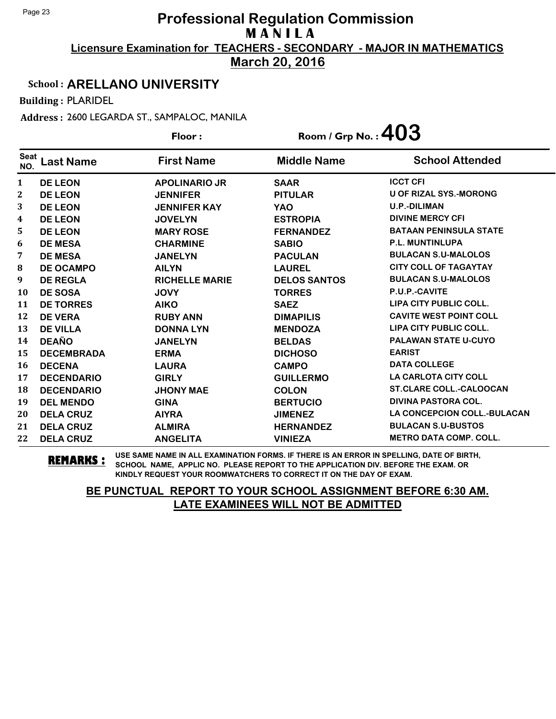**March 20, 2016**

#### School : **ARELLANO UNIVERSITY**

Building : PLARIDEL

Address : 2600 LEGARDA ST., SAMPALOC, MANILA

|                    |                   | Floor:                | Room / Grp No.: $403$ |                                    |
|--------------------|-------------------|-----------------------|-----------------------|------------------------------------|
| <b>Seat</b><br>NO. | <b>Last Name</b>  | <b>First Name</b>     | <b>Middle Name</b>    | <b>School Attended</b>             |
| 1                  | <b>DE LEON</b>    | <b>APOLINARIO JR</b>  | <b>SAAR</b>           | <b>ICCT CFI</b>                    |
| 2                  | <b>DE LEON</b>    | <b>JENNIFER</b>       | <b>PITULAR</b>        | <b>U OF RIZAL SYS.-MORONG</b>      |
| 3                  | <b>DE LEON</b>    | <b>JENNIFER KAY</b>   | <b>YAO</b>            | <b>U.P.-DILIMAN</b>                |
| 4                  | <b>DE LEON</b>    | <b>JOVELYN</b>        | <b>ESTROPIA</b>       | <b>DIVINE MERCY CFI</b>            |
| 5                  | <b>DE LEON</b>    | <b>MARY ROSE</b>      | <b>FERNANDEZ</b>      | <b>BATAAN PENINSULA STATE</b>      |
| 6                  | <b>DE MESA</b>    | <b>CHARMINE</b>       | <b>SABIO</b>          | <b>P.L. MUNTINLUPA</b>             |
| 7                  | <b>DE MESA</b>    | <b>JANELYN</b>        | <b>PACULAN</b>        | <b>BULACAN S.U-MALOLOS</b>         |
| 8                  | <b>DE OCAMPO</b>  | <b>AILYN</b>          | <b>LAUREL</b>         | <b>CITY COLL OF TAGAYTAY</b>       |
| 9                  | <b>DE REGLA</b>   | <b>RICHELLE MARIE</b> | <b>DELOS SANTOS</b>   | <b>BULACAN S.U-MALOLOS</b>         |
| 10                 | <b>DE SOSA</b>    | <b>JOVY</b>           | <b>TORRES</b>         | P.U.P.-CAVITE                      |
| 11                 | <b>DE TORRES</b>  | <b>AIKO</b>           | <b>SAEZ</b>           | <b>LIPA CITY PUBLIC COLL.</b>      |
| 12                 | <b>DE VERA</b>    | <b>RUBY ANN</b>       | <b>DIMAPILIS</b>      | <b>CAVITE WEST POINT COLL</b>      |
| 13                 | <b>DE VILLA</b>   | <b>DONNA LYN</b>      | <b>MENDOZA</b>        | <b>LIPA CITY PUBLIC COLL.</b>      |
| 14                 | <b>DEAÑO</b>      | <b>JANELYN</b>        | <b>BELDAS</b>         | <b>PALAWAN STATE U-CUYO</b>        |
| 15                 | <b>DECEMBRADA</b> | <b>ERMA</b>           | <b>DICHOSO</b>        | <b>EARIST</b>                      |
| 16                 | <b>DECENA</b>     | <b>LAURA</b>          | <b>CAMPO</b>          | <b>DATA COLLEGE</b>                |
| 17                 | <b>DECENDARIO</b> | <b>GIRLY</b>          | <b>GUILLERMO</b>      | <b>LA CARLOTA CITY COLL</b>        |
| 18                 | <b>DECENDARIO</b> | <b>JHONY MAE</b>      | <b>COLON</b>          | <b>ST.CLARE COLL.-CALOOCAN</b>     |
| 19                 | <b>DEL MENDO</b>  | <b>GINA</b>           | <b>BERTUCIO</b>       | <b>DIVINA PASTORA COL.</b>         |
| 20                 | <b>DELA CRUZ</b>  | <b>AIYRA</b>          | <b>JIMENEZ</b>        | <b>LA CONCEPCION COLL.-BULACAN</b> |
| 21                 | <b>DELA CRUZ</b>  | <b>ALMIRA</b>         | <b>HERNANDEZ</b>      | <b>BULACAN S.U-BUSTOS</b>          |
| 22                 | <b>DELA CRUZ</b>  | <b>ANGELITA</b>       | <b>VINIEZA</b>        | <b>METRO DATA COMP. COLL.</b>      |

**REMARKS :** USE SAME NAME IN ALL EXAMINATION FORMS. IF THERE IS AN ERROR IN SPELLING, DATE OF BIRTH, SCHOOL NAME, APPLIC NO. PLEASE REPORT TO THE APPLICATION DIV. BEFORE THE EXAM. OR KINDLY REQUEST YOUR ROOMWATCHERS TO CORRECT IT ON THE DAY OF EXAM.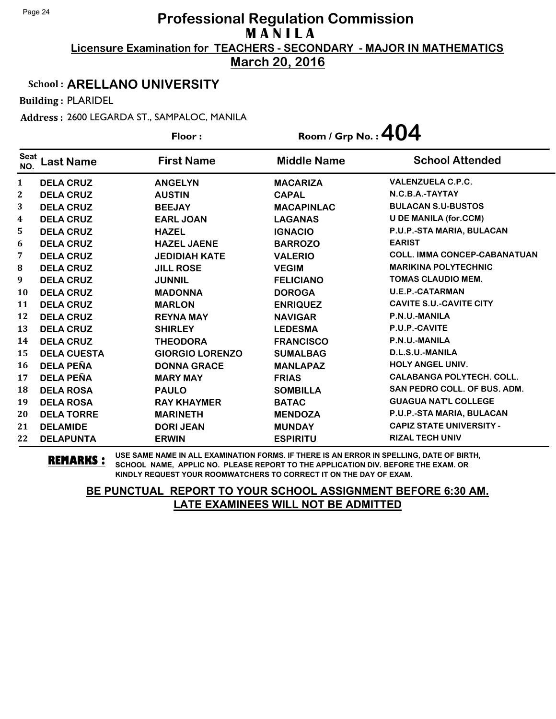**March 20, 2016**

#### School : **ARELLANO UNIVERSITY**

Building : PLARIDEL

Address : 2600 LEGARDA ST., SAMPALOC, MANILA

|                    |                    | Floor:                 | Room / Grp No. : $404$ |                                  |
|--------------------|--------------------|------------------------|------------------------|----------------------------------|
| <b>Seat</b><br>NO. | <b>Last Name</b>   | <b>First Name</b>      | <b>Middle Name</b>     | <b>School Attended</b>           |
| $\mathbf{1}$       | <b>DELA CRUZ</b>   | <b>ANGELYN</b>         | <b>MACARIZA</b>        | <b>VALENZUELA C.P.C.</b>         |
| $\mathbf{2}$       | <b>DELA CRUZ</b>   | <b>AUSTIN</b>          | <b>CAPAL</b>           | N.C.B.A.-TAYTAY                  |
| 3                  | <b>DELA CRUZ</b>   | <b>BEEJAY</b>          | <b>MACAPINLAC</b>      | <b>BULACAN S.U-BUSTOS</b>        |
| 4                  | <b>DELA CRUZ</b>   | <b>EARL JOAN</b>       | <b>LAGANAS</b>         | <b>U DE MANILA (for.CCM)</b>     |
| 5                  | <b>DELA CRUZ</b>   | <b>HAZEL</b>           | <b>IGNACIO</b>         | P.U.P.-STA MARIA, BULACAN        |
| 6                  | <b>DELA CRUZ</b>   | <b>HAZEL JAENE</b>     | <b>BARROZO</b>         | <b>EARIST</b>                    |
| 7                  | <b>DELA CRUZ</b>   | <b>JEDIDIAH KATE</b>   | <b>VALERIO</b>         | COLL. IMMA CONCEP-CABANATUAN     |
| 8                  | <b>DELA CRUZ</b>   | <b>JILL ROSE</b>       | <b>VEGIM</b>           | <b>MARIKINA POLYTECHNIC</b>      |
| 9                  | <b>DELA CRUZ</b>   | <b>JUNNIL</b>          | <b>FELICIANO</b>       | <b>TOMAS CLAUDIO MEM.</b>        |
| 10                 | <b>DELA CRUZ</b>   | <b>MADONNA</b>         | <b>DOROGA</b>          | <b>U.E.P.-CATARMAN</b>           |
| 11                 | <b>DELA CRUZ</b>   | <b>MARLON</b>          | <b>ENRIQUEZ</b>        | <b>CAVITE S.U.-CAVITE CITY</b>   |
| 12                 | <b>DELA CRUZ</b>   | <b>REYNA MAY</b>       | <b>NAVIGAR</b>         | P.N.U.-MANILA                    |
| 13                 | <b>DELA CRUZ</b>   | <b>SHIRLEY</b>         | <b>LEDESMA</b>         | P.U.P.-CAVITE                    |
| 14                 | <b>DELA CRUZ</b>   | <b>THEODORA</b>        | <b>FRANCISCO</b>       | P.N.U.-MANILA                    |
| 15                 | <b>DELA CUESTA</b> | <b>GIORGIO LORENZO</b> | <b>SUMALBAG</b>        | D.L.S.U.-MANILA                  |
| 16                 | <b>DELA PEÑA</b>   | <b>DONNA GRACE</b>     | <b>MANLAPAZ</b>        | <b>HOLY ANGEL UNIV.</b>          |
| 17                 | <b>DELA PEÑA</b>   | <b>MARY MAY</b>        | <b>FRIAS</b>           | <b>CALABANGA POLYTECH. COLL.</b> |
| 18                 | <b>DELA ROSA</b>   | <b>PAULO</b>           | <b>SOMBILLA</b>        | SAN PEDRO COLL, OF BUS, ADM.     |
| 19                 | <b>DELA ROSA</b>   | <b>RAY KHAYMER</b>     | <b>BATAC</b>           | <b>GUAGUA NAT'L COLLEGE</b>      |
| 20                 | <b>DELA TORRE</b>  | <b>MARINETH</b>        | <b>MENDOZA</b>         | P.U.P.-STA MARIA, BULACAN        |
| 21                 | <b>DELAMIDE</b>    | <b>DORI JEAN</b>       | <b>MUNDAY</b>          | <b>CAPIZ STATE UNIVERSITY -</b>  |
| 22                 | <b>DELAPUNTA</b>   | <b>ERWIN</b>           | <b>ESPIRITU</b>        | <b>RIZAL TECH UNIV</b>           |

**REMARKS :** USE SAME NAME IN ALL EXAMINATION FORMS. IF THERE IS AN ERROR IN SPELLING, DATE OF BIRTH, SCHOOL NAME, APPLIC NO. PLEASE REPORT TO THE APPLICATION DIV. BEFORE THE EXAM. OR KINDLY REQUEST YOUR ROOMWATCHERS TO CORRECT IT ON THE DAY OF EXAM.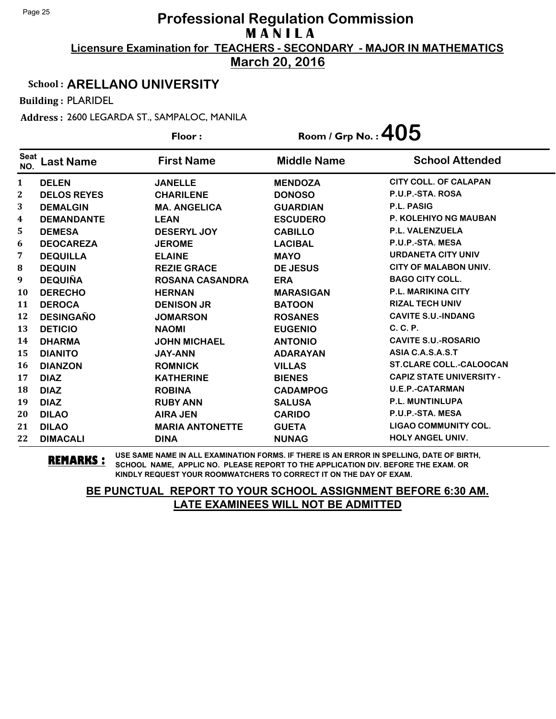**March 20, 2016**

#### School : **ARELLANO UNIVERSITY**

Building : PLARIDEL

Address : 2600 LEGARDA ST., SAMPALOC, MANILA

| Floor:             |                    |                        |                    | Room / Grp No.: $405$           |  |
|--------------------|--------------------|------------------------|--------------------|---------------------------------|--|
| <b>Seat</b><br>NO. | <b>Last Name</b>   | <b>First Name</b>      | <b>Middle Name</b> | <b>School Attended</b>          |  |
| $\mathbf{1}$       | <b>DELEN</b>       | <b>JANELLE</b>         | <b>MENDOZA</b>     | <b>CITY COLL. OF CALAPAN</b>    |  |
| 2                  | <b>DELOS REYES</b> | <b>CHARILENE</b>       | <b>DONOSO</b>      | P.U.P.-STA. ROSA                |  |
| 3                  | <b>DEMALGIN</b>    | <b>MA. ANGELICA</b>    | <b>GUARDIAN</b>    | <b>P.L. PASIG</b>               |  |
| 4                  | <b>DEMANDANTE</b>  | <b>LEAN</b>            | <b>ESCUDERO</b>    | <b>P. KOLEHIYO NG MAUBAN</b>    |  |
| 5                  | <b>DEMESA</b>      | <b>DESERYL JOY</b>     | <b>CABILLO</b>     | <b>P.L. VALENZUELA</b>          |  |
| 6                  | <b>DEOCAREZA</b>   | <b>JEROME</b>          | <b>LACIBAL</b>     | P.U.P.-STA. MESA                |  |
| 7                  | <b>DEQUILLA</b>    | <b>ELAINE</b>          | <b>MAYO</b>        | <b>URDANETA CITY UNIV</b>       |  |
| ${\bf 8}$          | <b>DEQUIN</b>      | <b>REZIE GRACE</b>     | <b>DE JESUS</b>    | <b>CITY OF MALABON UNIV.</b>    |  |
| 9                  | <b>DEQUIÑA</b>     | <b>ROSANA CASANDRA</b> | <b>ERA</b>         | <b>BAGO CITY COLL.</b>          |  |
| 10                 | <b>DERECHO</b>     | <b>HERNAN</b>          | <b>MARASIGAN</b>   | <b>P.L. MARIKINA CITY</b>       |  |
| 11                 | <b>DEROCA</b>      | <b>DENISON JR</b>      | <b>BATOON</b>      | <b>RIZAL TECH UNIV</b>          |  |
| 12                 | <b>DESINGAÑO</b>   | <b>JOMARSON</b>        | <b>ROSANES</b>     | <b>CAVITE S.U.-INDANG</b>       |  |
| 13                 | <b>DETICIO</b>     | <b>NAOMI</b>           | <b>EUGENIO</b>     | C. C. P.                        |  |
| 14                 | <b>DHARMA</b>      | <b>JOHN MICHAEL</b>    | <b>ANTONIO</b>     | <b>CAVITE S.U.-ROSARIO</b>      |  |
| 15                 | <b>DIANITO</b>     | <b>JAY-ANN</b>         | <b>ADARAYAN</b>    | ASIA C.A.S.A.S.T                |  |
| 16                 | <b>DIANZON</b>     | <b>ROMNICK</b>         | <b>VILLAS</b>      | <b>ST.CLARE COLL.-CALOOCAN</b>  |  |
| 17                 | <b>DIAZ</b>        | <b>KATHERINE</b>       | <b>BIENES</b>      | <b>CAPIZ STATE UNIVERSITY -</b> |  |
| 18                 | <b>DIAZ</b>        | <b>ROBINA</b>          | <b>CADAMPOG</b>    | <b>U.E.P.-CATARMAN</b>          |  |
| 19                 | <b>DIAZ</b>        | <b>RUBY ANN</b>        | <b>SALUSA</b>      | P.L. MUNTINLUPA                 |  |
| 20                 | <b>DILAO</b>       | <b>AIRA JEN</b>        | <b>CARIDO</b>      | P.U.P.-STA. MESA                |  |
| 21                 | <b>DILAO</b>       | <b>MARIA ANTONETTE</b> | <b>GUETA</b>       | <b>LIGAO COMMUNITY COL.</b>     |  |
| 22                 | <b>DIMACALI</b>    | <b>DINA</b>            | <b>NUNAG</b>       | <b>HOLY ANGEL UNIV.</b>         |  |

**REMARKS :** USE SAME NAME IN ALL EXAMINATION FORMS. IF THERE IS AN ERROR IN SPELLING, DATE OF BIRTH, SCHOOL NAME, APPLIC NO. PLEASE REPORT TO THE APPLICATION DIV. BEFORE THE EXAM. OR KINDLY REQUEST YOUR ROOMWATCHERS TO CORRECT IT ON THE DAY OF EXAM.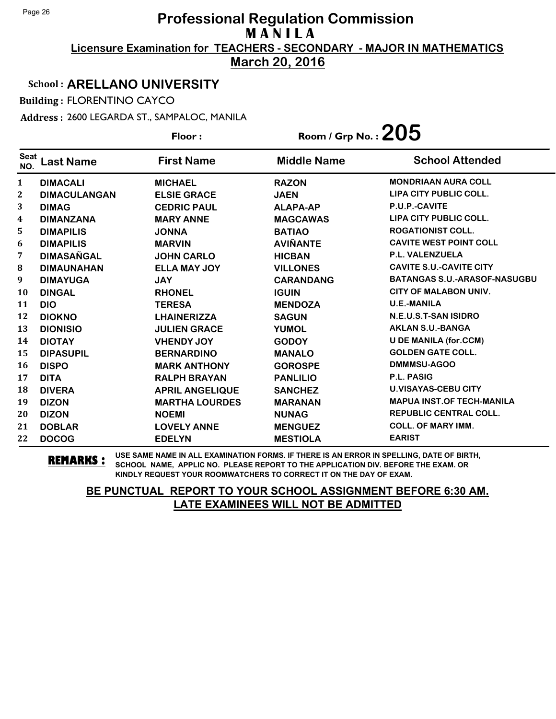**March 20, 2016**

#### School : **ARELLANO UNIVERSITY**

Building : FLORENTINO CAYCO

Address : 2600 LEGARDA ST., SAMPALOC, MANILA

|                    |                     | Floor:                 | Room / Grp No. : $205$ |                                     |
|--------------------|---------------------|------------------------|------------------------|-------------------------------------|
| <b>Seat</b><br>NO. | <b>Last Name</b>    | <b>First Name</b>      | <b>Middle Name</b>     | <b>School Attended</b>              |
| 1                  | <b>DIMACALI</b>     | <b>MICHAEL</b>         | <b>RAZON</b>           | <b>MONDRIAAN AURA COLL</b>          |
| 2                  | <b>DIMACULANGAN</b> | <b>ELSIE GRACE</b>     | <b>JAEN</b>            | LIPA CITY PUBLIC COLL.              |
| 3                  | <b>DIMAG</b>        | <b>CEDRIC PAUL</b>     | <b>ALAPA-AP</b>        | P.U.P.-CAVITE                       |
| 4                  | <b>DIMANZANA</b>    | <b>MARY ANNE</b>       | <b>MAGCAWAS</b>        | LIPA CITY PUBLIC COLL.              |
| 5                  | <b>DIMAPILIS</b>    | <b>JONNA</b>           | <b>BATIAO</b>          | <b>ROGATIONIST COLL.</b>            |
| 6                  | <b>DIMAPILIS</b>    | <b>MARVIN</b>          | <b>AVIÑANTE</b>        | <b>CAVITE WEST POINT COLL</b>       |
| 7                  | <b>DIMASAÑGAL</b>   | <b>JOHN CARLO</b>      | <b>HICBAN</b>          | P.L. VALENZUELA                     |
| 8                  | <b>DIMAUNAHAN</b>   | <b>ELLA MAY JOY</b>    | <b>VILLONES</b>        | <b>CAVITE S.U.-CAVITE CITY</b>      |
| 9                  | <b>DIMAYUGA</b>     | <b>JAY</b>             | <b>CARANDANG</b>       | <b>BATANGAS S.U.-ARASOF-NASUGBU</b> |
| 10                 | <b>DINGAL</b>       | <b>RHONEL</b>          | <b>IGUIN</b>           | <b>CITY OF MALABON UNIV.</b>        |
| 11                 | <b>DIO</b>          | <b>TERESA</b>          | <b>MENDOZA</b>         | <b>U.E.-MANILA</b>                  |
| 12                 | <b>DIOKNO</b>       | <b>LHAINERIZZA</b>     | <b>SAGUN</b>           | N.E.U.S.T-SAN ISIDRO                |
| 13                 | <b>DIONISIO</b>     | <b>JULIEN GRACE</b>    | <b>YUMOL</b>           | <b>AKLAN S.U.-BANGA</b>             |
| 14                 | <b>DIOTAY</b>       | <b>VHENDY JOY</b>      | <b>GODOY</b>           | <b>U DE MANILA (for.CCM)</b>        |
| 15                 | <b>DIPASUPIL</b>    | <b>BERNARDINO</b>      | <b>MANALO</b>          | <b>GOLDEN GATE COLL.</b>            |
| 16                 | <b>DISPO</b>        | <b>MARK ANTHONY</b>    | <b>GOROSPE</b>         | DMMMSU-AGOO                         |
| 17                 | <b>DITA</b>         | <b>RALPH BRAYAN</b>    | <b>PANLILIO</b>        | <b>P.L. PASIG</b>                   |
| 18                 | <b>DIVERA</b>       | <b>APRIL ANGELIQUE</b> | <b>SANCHEZ</b>         | <b>U.VISAYAS-CEBU CITY</b>          |
| 19                 | <b>DIZON</b>        | <b>MARTHA LOURDES</b>  | <b>MARANAN</b>         | <b>MAPUA INST.OF TECH-MANILA</b>    |
| 20                 | <b>DIZON</b>        | <b>NOEMI</b>           | <b>NUNAG</b>           | <b>REPUBLIC CENTRAL COLL.</b>       |
| 21                 | <b>DOBLAR</b>       | <b>LOVELY ANNE</b>     | <b>MENGUEZ</b>         | <b>COLL. OF MARY IMM.</b>           |
| 22                 | <b>DOCOG</b>        | <b>EDELYN</b>          | <b>MESTIOLA</b>        | <b>EARIST</b>                       |

**REMARKS :** USE SAME NAME IN ALL EXAMINATION FORMS. IF THERE IS AN ERROR IN SPELLING, DATE OF BIRTH, SCHOOL NAME, APPLIC NO. PLEASE REPORT TO THE APPLICATION DIV. BEFORE THE EXAM. OR KINDLY REQUEST YOUR ROOMWATCHERS TO CORRECT IT ON THE DAY OF EXAM.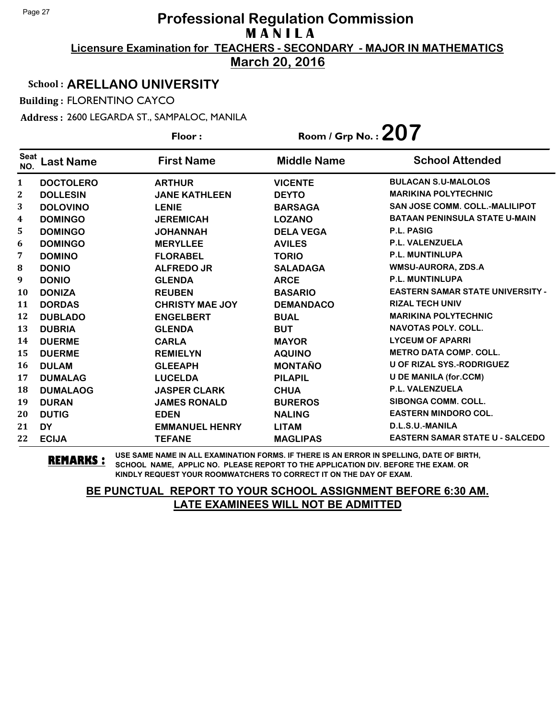**March 20, 2016**

#### School : **ARELLANO UNIVERSITY**

Building : FLORENTINO CAYCO

Address : 2600 LEGARDA ST., SAMPALOC, MANILA

| Floor:             |                  |                        | Room / Grp No. : $207$ |                                         |
|--------------------|------------------|------------------------|------------------------|-----------------------------------------|
| <b>Seat</b><br>NO. | <b>Last Name</b> | <b>First Name</b>      | <b>Middle Name</b>     | <b>School Attended</b>                  |
| $\mathbf{1}$       | <b>DOCTOLERO</b> | <b>ARTHUR</b>          | <b>VICENTE</b>         | <b>BULACAN S.U-MALOLOS</b>              |
| 2                  | <b>DOLLESIN</b>  | <b>JANE KATHLEEN</b>   | <b>DEYTO</b>           | <b>MARIKINA POLYTECHNIC</b>             |
| 3                  | <b>DOLOVINO</b>  | <b>LENIE</b>           | <b>BARSAGA</b>         | <b>SAN JOSE COMM. COLL.-MALILIPOT</b>   |
| 4                  | <b>DOMINGO</b>   | <b>JEREMICAH</b>       | <b>LOZANO</b>          | <b>BATAAN PENINSULA STATE U-MAIN</b>    |
| 5                  | <b>DOMINGO</b>   | <b>JOHANNAH</b>        | <b>DELA VEGA</b>       | <b>P.L. PASIG</b>                       |
| 6                  | <b>DOMINGO</b>   | <b>MERYLLEE</b>        | <b>AVILES</b>          | <b>P.L. VALENZUELA</b>                  |
| 7                  | <b>DOMINO</b>    | <b>FLORABEL</b>        | <b>TORIO</b>           | <b>P.L. MUNTINLUPA</b>                  |
| 8                  | <b>DONIO</b>     | <b>ALFREDO JR</b>      | <b>SALADAGA</b>        | <b>WMSU-AURORA, ZDS.A</b>               |
| 9                  | <b>DONIO</b>     | <b>GLENDA</b>          | <b>ARCE</b>            | <b>P.L. MUNTINLUPA</b>                  |
| <b>10</b>          | <b>DONIZA</b>    | <b>REUBEN</b>          | <b>BASARIO</b>         | <b>EASTERN SAMAR STATE UNIVERSITY -</b> |
| 11                 | <b>DORDAS</b>    | <b>CHRISTY MAE JOY</b> | <b>DEMANDACO</b>       | <b>RIZAL TECH UNIV</b>                  |
| 12                 | <b>DUBLADO</b>   | <b>ENGELBERT</b>       | <b>BUAL</b>            | <b>MARIKINA POLYTECHNIC</b>             |
| 13                 | <b>DUBRIA</b>    | <b>GLENDA</b>          | <b>BUT</b>             | <b>NAVOTAS POLY, COLL.</b>              |
| 14                 | <b>DUERME</b>    | <b>CARLA</b>           | <b>MAYOR</b>           | <b>LYCEUM OF APARRI</b>                 |
| 15                 | <b>DUERME</b>    | <b>REMIELYN</b>        | <b>AQUINO</b>          | <b>METRO DATA COMP. COLL.</b>           |
| 16                 | <b>DULAM</b>     | <b>GLEEAPH</b>         | <b>MONTAÑO</b>         | U OF RIZAL SYS.-RODRIGUEZ               |
| 17                 | <b>DUMALAG</b>   | <b>LUCELDA</b>         | <b>PILAPIL</b>         | <b>U DE MANILA (for.CCM)</b>            |
| 18                 | <b>DUMALAOG</b>  | <b>JASPER CLARK</b>    | <b>CHUA</b>            | <b>P.L. VALENZUELA</b>                  |
| 19                 | <b>DURAN</b>     | <b>JAMES RONALD</b>    | <b>BUREROS</b>         | <b>SIBONGA COMM. COLL.</b>              |
| 20                 | <b>DUTIG</b>     | <b>EDEN</b>            | <b>NALING</b>          | <b>EASTERN MINDORO COL.</b>             |
| 21                 | <b>DY</b>        | <b>EMMANUEL HENRY</b>  | <b>LITAM</b>           | D.L.S.U.-MANILA                         |
| 22                 | <b>ECIJA</b>     | <b>TEFANE</b>          | <b>MAGLIPAS</b>        | <b>EASTERN SAMAR STATE U - SALCEDO</b>  |

**REMARKS :** USE SAME NAME IN ALL EXAMINATION FORMS. IF THERE IS AN ERROR IN SPELLING, DATE OF BIRTH, SCHOOL NAME, APPLIC NO. PLEASE REPORT TO THE APPLICATION DIV. BEFORE THE EXAM. OR KINDLY REQUEST YOUR ROOMWATCHERS TO CORRECT IT ON THE DAY OF EXAM.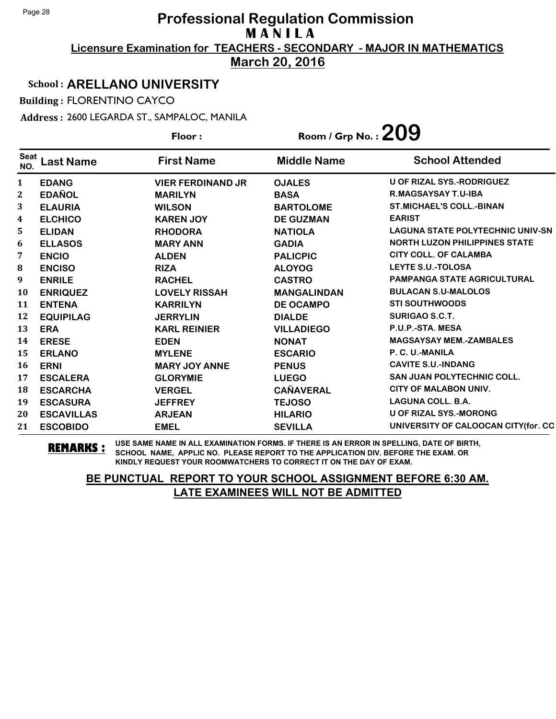**March 20, 2016**

#### School : **ARELLANO UNIVERSITY**

Building : FLORENTINO CAYCO

Address : 2600 LEGARDA ST., SAMPALOC, MANILA

**Last Name First Name Middle Name** Floor : Room / Grp No. :**209** Seat <sup>seat</sup> Last Name First Name Middle Name School Attended **EDANG VIER FERDINAND JR OJALES U OF RIZAL SYS.-RODRIGUEZ EDAÑOL MARILYN BASA R.MAGSAYSAY T.U-IBA ELAURIA WILSON BARTOLOME ST.MICHAEL'S COLL.-BINAN ELCHICO KAREN JOY DE GUZMAN EARIST ELIDAN RHODORA NATIOLA LAGUNA STATE POLYTECHNIC UNIV-SN ELLASOS MARY ANN GADIA NORTH LUZON PHILIPPINES STATE ENCIO ALDEN PALICPIC CITY COLL. OF CALAMBA ENCISO RIZA ALOYOG LEYTE S.U.-TOLOSA ENRILE RACHEL CASTRO PAMPANGA STATE AGRICULTURAL ENRIQUEZ LOVELY RISSAH MANGALINDAN BULACAN S.U-MALOLOS ENTENA KARRILYN DE OCAMPO STI SOUTHWOODS EQUIPILAG JERRYLIN DIALDE SURIGAO S.C.T. ERA KARL REINIER VILLADIEGO P.U.P.-STA. MESA ERESE EDEN NONAT MAGSAYSAY MEM.-ZAMBALES ERLANO MYLENE ESCARIO P. C. U.-MANILA ERNI MARY JOY ANNE PENUS CAVITE S.U.-INDANG ESCALERA GLORYMIE LUEGO SAN JUAN POLYTECHNIC COLL. ESCARCHA VERGEL CAÑAVERAL CITY OF MALABON UNIV. ESCASURA JEFFREY TEJOSO LAGUNA COLL. B.A. ESCAVILLAS ARJEAN HILARIO U OF RIZAL SYS.-MORONG ESCOBIDO EMEL SEVILLA UNIVERSITY OF CALOOCAN CITY(for. CC**

**REMARKS :** USE SAME NAME IN ALL EXAMINATION FORMS. IF THERE IS AN ERROR IN SPELLING, DATE OF BIRTH, SCHOOL NAME, APPLIC NO. PLEASE REPORT TO THE APPLICATION DIV. BEFORE THE EXAM. OR KINDLY REQUEST YOUR ROOMWATCHERS TO CORRECT IT ON THE DAY OF EXAM.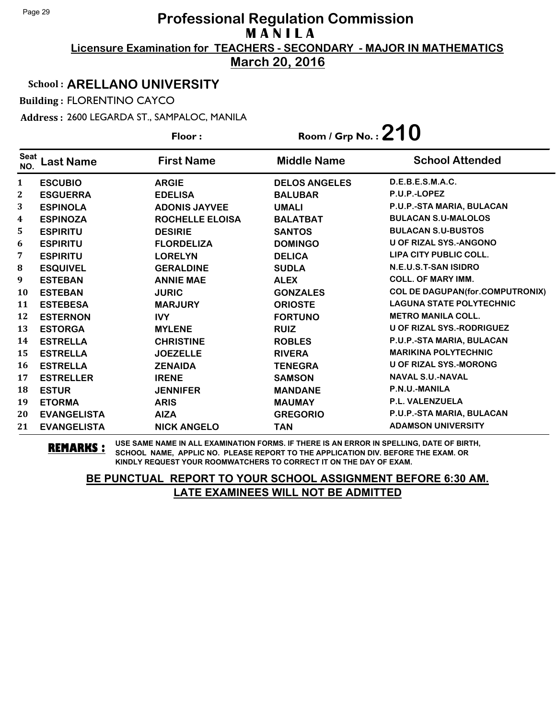**March 20, 2016**

#### School : **ARELLANO UNIVERSITY**

Building : FLORENTINO CAYCO

Address : 2600 LEGARDA ST., SAMPALOC, MANILA

| Floor:             |                    |                      | Room / Grp No.: $210$ |                                        |
|--------------------|--------------------|----------------------|-----------------------|----------------------------------------|
| <b>Seat</b><br>NO. | Last Name          | <b>First Name</b>    | <b>Middle Name</b>    | <b>School Attended</b>                 |
| 1                  | <b>ESCUBIO</b>     | <b>ARGIE</b>         | <b>DELOS ANGELES</b>  | D.E.B.E.S.M.A.C.                       |
| 2                  | <b>ESGUERRA</b>    | <b>EDELISA</b>       | <b>BALUBAR</b>        | P.U.P.-LOPEZ                           |
| 3                  | <b>ESPINOLA</b>    | <b>ADONIS JAYVEE</b> | <b>UMALI</b>          | P.U.P.-STA MARIA, BULACAN              |
| 4                  | <b>ESPINOZA</b>    | ROCHELLE ELOISA      | <b>BALATBAT</b>       | <b>BULACAN S.U-MALOLOS</b>             |
| 5                  | <b>ESPIRITU</b>    | <b>DESIRIE</b>       | <b>SANTOS</b>         | <b>BULACAN S.U-BUSTOS</b>              |
| 6                  | <b>ESPIRITU</b>    | <b>FLORDELIZA</b>    | <b>DOMINGO</b>        | <b>U OF RIZAL SYS.-ANGONO</b>          |
| 7                  | <b>ESPIRITU</b>    | <b>LORELYN</b>       | <b>DELICA</b>         | LIPA CITY PUBLIC COLL.                 |
| ${\bf 8}$          | <b>ESQUIVEL</b>    | <b>GERALDINE</b>     | <b>SUDLA</b>          | N.E.U.S.T-SAN ISIDRO                   |
| 9                  | <b>ESTEBAN</b>     | <b>ANNIE MAE</b>     | <b>ALEX</b>           | <b>COLL. OF MARY IMM.</b>              |
| 10                 | <b>ESTEBAN</b>     | <b>JURIC</b>         | <b>GONZALES</b>       | <b>COL DE DAGUPAN(for.COMPUTRONIX)</b> |
| 11                 | <b>ESTEBESA</b>    | <b>MARJURY</b>       | <b>ORIOSTE</b>        | <b>LAGUNA STATE POLYTECHNIC</b>        |
| 12                 | <b>ESTERNON</b>    | <b>IVY</b>           | <b>FORTUNO</b>        | <b>METRO MANILA COLL.</b>              |
| 13                 | <b>ESTORGA</b>     | <b>MYLENE</b>        | <b>RUIZ</b>           | U OF RIZAL SYS.-RODRIGUEZ              |
| 14                 | <b>ESTRELLA</b>    | <b>CHRISTINE</b>     | <b>ROBLES</b>         | P.U.P.-STA MARIA, BULACAN              |
| 15                 | <b>ESTRELLA</b>    | <b>JOEZELLE</b>      | <b>RIVERA</b>         | <b>MARIKINA POLYTECHNIC</b>            |
| 16                 | <b>ESTRELLA</b>    | <b>ZENAIDA</b>       | <b>TENEGRA</b>        | <b>U OF RIZAL SYS.-MORONG</b>          |
| 17                 | <b>ESTRELLER</b>   | <b>IRENE</b>         | <b>SAMSON</b>         | <b>NAVAL S.U.-NAVAL</b>                |
| 18                 | <b>ESTUR</b>       | <b>JENNIFER</b>      | <b>MANDANE</b>        | P.N.U.-MANILA                          |
| 19                 | <b>ETORMA</b>      | <b>ARIS</b>          | <b>MAUMAY</b>         | <b>P.L. VALENZUELA</b>                 |
| 20                 | <b>EVANGELISTA</b> | <b>AIZA</b>          | <b>GREGORIO</b>       | P.U.P.-STA MARIA, BULACAN              |
| 21                 | <b>EVANGELISTA</b> | <b>NICK ANGELO</b>   | <b>TAN</b>            | <b>ADAMSON UNIVERSITY</b>              |

**REMARKS :** USE SAME NAME IN ALL EXAMINATION FORMS. IF THERE IS AN ERROR IN SPELLING, DATE OF BIRTH, SCHOOL NAME, APPLIC NO. PLEASE REPORT TO THE APPLICATION DIV. BEFORE THE EXAM. OR KINDLY REQUEST YOUR ROOMWATCHERS TO CORRECT IT ON THE DAY OF EXAM.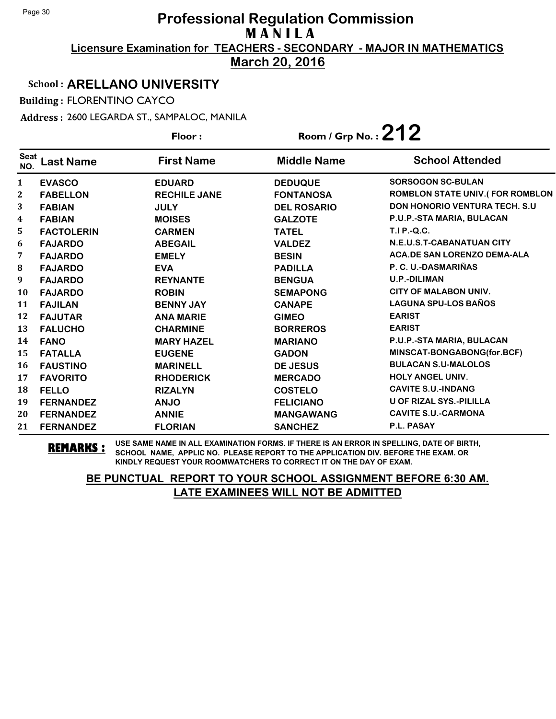**March 20, 2016**

#### School : **ARELLANO UNIVERSITY**

Building : FLORENTINO CAYCO

Address : 2600 LEGARDA ST., SAMPALOC, MANILA

|                    |                   | Floor:              | Room / Grp No.: $212$ |                                       |
|--------------------|-------------------|---------------------|-----------------------|---------------------------------------|
| <b>Seat</b><br>NO. | <b>Last Name</b>  | <b>First Name</b>   | <b>Middle Name</b>    | <b>School Attended</b>                |
| $\mathbf{1}$       | <b>EVASCO</b>     | <b>EDUARD</b>       | <b>DEDUQUE</b>        | <b>SORSOGON SC-BULAN</b>              |
| $\mathbf{2}$       | <b>FABELLON</b>   | <b>RECHILE JANE</b> | <b>FONTANOSA</b>      | ROMBLON STATE UNIV.(FOR ROMBLON       |
| 3                  | <b>FABIAN</b>     | <b>JULY</b>         | <b>DEL ROSARIO</b>    | <b>DON HONORIO VENTURA TECH. S.U.</b> |
| $\boldsymbol{4}$   | <b>FABIAN</b>     | <b>MOISES</b>       | <b>GALZOTE</b>        | P.U.P.-STA MARIA, BULACAN             |
| 5                  | <b>FACTOLERIN</b> | <b>CARMEN</b>       | <b>TATEL</b>          | <b>T.I P.-Q.C.</b>                    |
| 6                  | <b>FAJARDO</b>    | <b>ABEGAIL</b>      | <b>VALDEZ</b>         | N.E.U.S.T-CABANATUAN CITY             |
| 7                  | <b>FAJARDO</b>    | <b>EMELY</b>        | <b>BESIN</b>          | <b>ACA.DE SAN LORENZO DEMA-ALA</b>    |
| 8                  | <b>FAJARDO</b>    | <b>EVA</b>          | <b>PADILLA</b>        | P. C. U.-DASMARIÑAS                   |
| 9                  | <b>FAJARDO</b>    | <b>REYNANTE</b>     | <b>BENGUA</b>         | <b>U.P.-DILIMAN</b>                   |
| 10                 | <b>FAJARDO</b>    | <b>ROBIN</b>        | <b>SEMAPONG</b>       | <b>CITY OF MALABON UNIV.</b>          |
| 11                 | <b>FAJILAN</b>    | <b>BENNY JAY</b>    | <b>CANAPE</b>         | <b>LAGUNA SPU-LOS BAÑOS</b>           |
| 12                 | <b>FAJUTAR</b>    | <b>ANA MARIE</b>    | <b>GIMEO</b>          | <b>EARIST</b>                         |
| 13                 | <b>FALUCHO</b>    | <b>CHARMINE</b>     | <b>BORREROS</b>       | <b>EARIST</b>                         |
| 14                 | <b>FANO</b>       | <b>MARY HAZEL</b>   | <b>MARIANO</b>        | P.U.P.-STA MARIA, BULACAN             |
| 15                 | <b>FATALLA</b>    | <b>EUGENE</b>       | <b>GADON</b>          | MINSCAT-BONGABONG(for.BCF)            |
| 16                 | <b>FAUSTINO</b>   | <b>MARINELL</b>     | <b>DE JESUS</b>       | <b>BULACAN S.U-MALOLOS</b>            |
| 17                 | <b>FAVORITO</b>   | <b>RHODERICK</b>    | <b>MERCADO</b>        | <b>HOLY ANGEL UNIV.</b>               |
| 18                 | <b>FELLO</b>      | <b>RIZALYN</b>      | <b>COSTELO</b>        | <b>CAVITE S.U.-INDANG</b>             |
| 19                 | <b>FERNANDEZ</b>  | <b>ANJO</b>         | <b>FELICIANO</b>      | U OF RIZAL SYS.-PILILLA               |
| 20                 | <b>FERNANDEZ</b>  | <b>ANNIE</b>        | <b>MANGAWANG</b>      | <b>CAVITE S.U.-CARMONA</b>            |
| 21                 | <b>FERNANDEZ</b>  | <b>FLORIAN</b>      | <b>SANCHEZ</b>        | P.L. PASAY                            |

**REMARKS :** USE SAME NAME IN ALL EXAMINATION FORMS. IF THERE IS AN ERROR IN SPELLING, DATE OF BIRTH, SCHOOL NAME, APPLIC NO. PLEASE REPORT TO THE APPLICATION DIV. BEFORE THE EXAM. OR KINDLY REQUEST YOUR ROOMWATCHERS TO CORRECT IT ON THE DAY OF EXAM.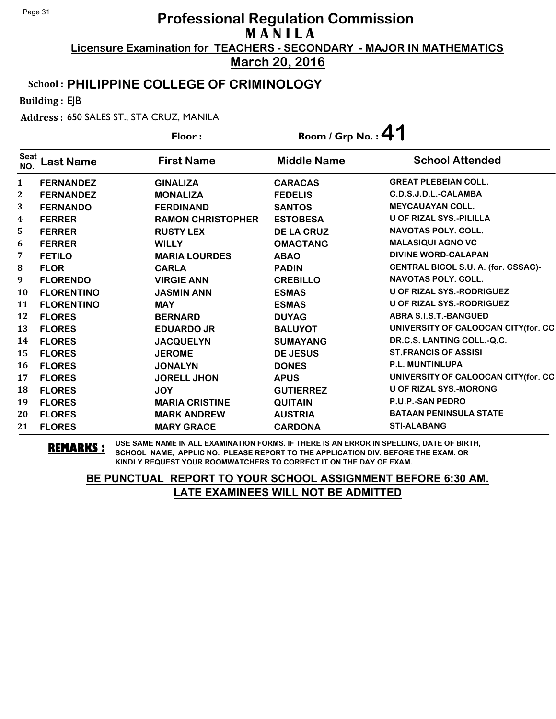**March 20, 2016**

#### School : **PHILIPPINE COLLEGE OF CRIMINOLOGY**

Building : EJB

Address : 650 SALES ST., STA CRUZ, MANILA

|                    |                   | Floor:                   |                    | Room / Grp No.: $41$                 |  |
|--------------------|-------------------|--------------------------|--------------------|--------------------------------------|--|
| <b>Seat</b><br>NO. | <b>Last Name</b>  | <b>First Name</b>        | <b>Middle Name</b> | <b>School Attended</b>               |  |
| 1                  | <b>FERNANDEZ</b>  | <b>GINALIZA</b>          | <b>CARACAS</b>     | <b>GREAT PLEBEIAN COLL.</b>          |  |
| $\mathbf{2}$       | <b>FERNANDEZ</b>  | <b>MONALIZA</b>          | <b>FEDELIS</b>     | C.D.S.J.D.L.-CALAMBA                 |  |
| 3                  | <b>FERNANDO</b>   | <b>FERDINAND</b>         | <b>SANTOS</b>      | <b>MEYCAUAYAN COLL.</b>              |  |
| $\boldsymbol{4}$   | <b>FERRER</b>     | <b>RAMON CHRISTOPHER</b> | <b>ESTOBESA</b>    | <b>U OF RIZAL SYS.-PILILLA</b>       |  |
| 5                  | <b>FERRER</b>     | <b>RUSTY LEX</b>         | <b>DE LA CRUZ</b>  | <b>NAVOTAS POLY, COLL.</b>           |  |
| 6                  | <b>FERRER</b>     | <b>WILLY</b>             | <b>OMAGTANG</b>    | <b>MALASIQUI AGNO VC</b>             |  |
| 7                  | <b>FETILO</b>     | <b>MARIA LOURDES</b>     | <b>ABAO</b>        | <b>DIVINE WORD-CALAPAN</b>           |  |
| 8                  | <b>FLOR</b>       | <b>CARLA</b>             | <b>PADIN</b>       | CENTRAL BICOL S.U. A. (for. CSSAC)-  |  |
| 9                  | <b>FLORENDO</b>   | <b>VIRGIE ANN</b>        | <b>CREBILLO</b>    | <b>NAVOTAS POLY, COLL.</b>           |  |
| 10                 | <b>FLORENTINO</b> | <b>JASMIN ANN</b>        | <b>ESMAS</b>       | U OF RIZAL SYS.-RODRIGUEZ            |  |
| 11                 | <b>FLORENTINO</b> | <b>MAY</b>               | <b>ESMAS</b>       | U OF RIZAL SYS.-RODRIGUEZ            |  |
| 12                 | <b>FLORES</b>     | <b>BERNARD</b>           | <b>DUYAG</b>       | <b>ABRA S.I.S.T.-BANGUED</b>         |  |
| 13                 | <b>FLORES</b>     | <b>EDUARDO JR</b>        | <b>BALUYOT</b>     | UNIVERSITY OF CALOOCAN CITY(for. CC  |  |
| 14                 | <b>FLORES</b>     | <b>JACQUELYN</b>         | <b>SUMAYANG</b>    | DR.C.S. LANTING COLL.-Q.C.           |  |
| 15                 | <b>FLORES</b>     | <b>JEROME</b>            | <b>DE JESUS</b>    | <b>ST.FRANCIS OF ASSISI</b>          |  |
| 16                 | <b>FLORES</b>     | <b>JONALYN</b>           | <b>DONES</b>       | <b>P.L. MUNTINLUPA</b>               |  |
| 17                 | <b>FLORES</b>     | <b>JORELL JHON</b>       | <b>APUS</b>        | UNIVERSITY OF CALOOCAN CITY (for. CC |  |
| 18                 | <b>FLORES</b>     | <b>JOY</b>               | <b>GUTIERREZ</b>   | <b>U OF RIZAL SYS.-MORONG</b>        |  |
| 19                 | <b>FLORES</b>     | <b>MARIA CRISTINE</b>    | <b>QUITAIN</b>     | <b>P.U.P.-SAN PEDRO</b>              |  |
| 20                 | <b>FLORES</b>     | <b>MARK ANDREW</b>       | <b>AUSTRIA</b>     | <b>BATAAN PENINSULA STATE</b>        |  |
| 21                 | <b>FLORES</b>     | <b>MARY GRACE</b>        | <b>CARDONA</b>     | <b>STI-ALABANG</b>                   |  |

**REMARKS :** USE SAME NAME IN ALL EXAMINATION FORMS. IF THERE IS AN ERROR IN SPELLING, DATE OF BIRTH, SCHOOL NAME, APPLIC NO. PLEASE REPORT TO THE APPLICATION DIV. BEFORE THE EXAM. OR KINDLY REQUEST YOUR ROOMWATCHERS TO CORRECT IT ON THE DAY OF EXAM.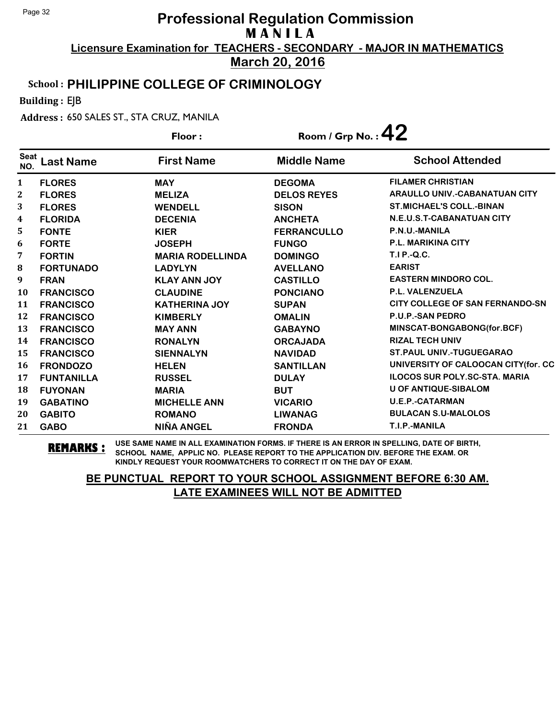**March 20, 2016**

#### School : **PHILIPPINE COLLEGE OF CRIMINOLOGY**

Building : EJB

Address : 650 SALES ST., STA CRUZ, MANILA

|                    |                   | Floor:                  | Room / Grp No. : $\bf 42$ |                                        |
|--------------------|-------------------|-------------------------|---------------------------|----------------------------------------|
| <b>Seat</b><br>NO. | Last Name         | <b>First Name</b>       | <b>Middle Name</b>        | <b>School Attended</b>                 |
| 1                  | <b>FLORES</b>     | <b>MAY</b>              | <b>DEGOMA</b>             | <b>FILAMER CHRISTIAN</b>               |
| $\mathbf{2}$       | <b>FLORES</b>     | <b>MELIZA</b>           | <b>DELOS REYES</b>        | <b>ARAULLO UNIV.-CABANATUAN CITY</b>   |
| 3                  | <b>FLORES</b>     | <b>WENDELL</b>          | <b>SISON</b>              | <b>ST.MICHAEL'S COLL.-BINAN</b>        |
| 4                  | <b>FLORIDA</b>    | <b>DECENIA</b>          | <b>ANCHETA</b>            | N.E.U.S.T-CABANATUAN CITY              |
| 5                  | <b>FONTE</b>      | <b>KIER</b>             | <b>FERRANCULLO</b>        | P.N.U.-MANILA                          |
| 6                  | <b>FORTE</b>      | <b>JOSEPH</b>           | <b>FUNGO</b>              | <b>P.L. MARIKINA CITY</b>              |
| 7                  | <b>FORTIN</b>     | <b>MARIA RODELLINDA</b> | <b>DOMINGO</b>            | <b>T.I P.-Q.C.</b>                     |
| 8                  | <b>FORTUNADO</b>  | <b>LADYLYN</b>          | <b>AVELLANO</b>           | <b>EARIST</b>                          |
| 9                  | <b>FRAN</b>       | <b>KLAY ANN JOY</b>     | <b>CASTILLO</b>           | <b>EASTERN MINDORO COL.</b>            |
| 10                 | <b>FRANCISCO</b>  | <b>CLAUDINE</b>         | <b>PONCIANO</b>           | P.L. VALENZUELA                        |
| 11                 | <b>FRANCISCO</b>  | <b>KATHERINA JOY</b>    | <b>SUPAN</b>              | <b>CITY COLLEGE OF SAN FERNANDO-SN</b> |
| 12                 | <b>FRANCISCO</b>  | <b>KIMBERLY</b>         | <b>OMALIN</b>             | <b>P.U.P.-SAN PEDRO</b>                |
| 13                 | <b>FRANCISCO</b>  | <b>MAY ANN</b>          | <b>GABAYNO</b>            | MINSCAT-BONGABONG(for.BCF)             |
| 14                 | <b>FRANCISCO</b>  | <b>RONALYN</b>          | <b>ORCAJADA</b>           | <b>RIZAL TECH UNIV</b>                 |
| 15                 | <b>FRANCISCO</b>  | <b>SIENNALYN</b>        | <b>NAVIDAD</b>            | <b>ST.PAUL UNIV.-TUGUEGARAO</b>        |
| 16                 | <b>FRONDOZO</b>   | <b>HELEN</b>            | <b>SANTILLAN</b>          | UNIVERSITY OF CALOOCAN CITY(for. CC    |
| 17                 | <b>FUNTANILLA</b> | <b>RUSSEL</b>           | <b>DULAY</b>              | <b>ILOCOS SUR POLY.SC-STA. MARIA</b>   |
| 18                 | <b>FUYONAN</b>    | <b>MARIA</b>            | <b>BUT</b>                | <b>U OF ANTIQUE-SIBALOM</b>            |
| 19                 | <b>GABATINO</b>   | <b>MICHELLE ANN</b>     | <b>VICARIO</b>            | <b>U.E.P.-CATARMAN</b>                 |
| 20                 | <b>GABITO</b>     | <b>ROMANO</b>           | <b>LIWANAG</b>            | <b>BULACAN S.U-MALOLOS</b>             |
| 21                 | <b>GABO</b>       | <b>NIÑA ANGEL</b>       | <b>FRONDA</b>             | T.I.P.-MANILA                          |

**REMARKS :** USE SAME NAME IN ALL EXAMINATION FORMS. IF THERE IS AN ERROR IN SPELLING, DATE OF BIRTH, SCHOOL NAME, APPLIC NO. PLEASE REPORT TO THE APPLICATION DIV. BEFORE THE EXAM. OR KINDLY REQUEST YOUR ROOMWATCHERS TO CORRECT IT ON THE DAY OF EXAM.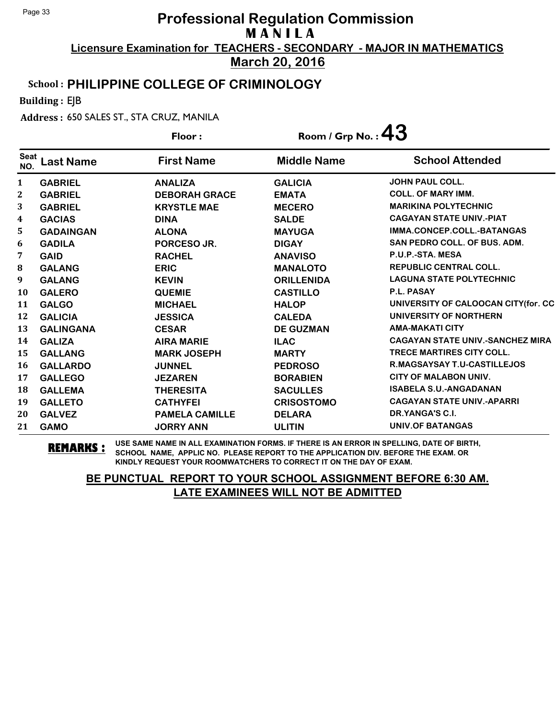**March 20, 2016**

#### School : **PHILIPPINE COLLEGE OF CRIMINOLOGY**

Building : EJB

Address : 650 SALES ST., STA CRUZ, MANILA

| Floor:             |                  |                       | Room / Grp No. : $43$ |                                         |
|--------------------|------------------|-----------------------|-----------------------|-----------------------------------------|
| <b>Seat</b><br>NO. | <b>Last Name</b> | <b>First Name</b>     | <b>Middle Name</b>    | <b>School Attended</b>                  |
| $\mathbf{1}$       | <b>GABRIEL</b>   | <b>ANALIZA</b>        | <b>GALICIA</b>        | <b>JOHN PAUL COLL.</b>                  |
| $\mathbf{2}$       | <b>GABRIEL</b>   | <b>DEBORAH GRACE</b>  | <b>EMATA</b>          | <b>COLL. OF MARY IMM.</b>               |
| 3                  | <b>GABRIEL</b>   | <b>KRYSTLE MAE</b>    | <b>MECERO</b>         | <b>MARIKINA POLYTECHNIC</b>             |
| 4                  | <b>GACIAS</b>    | <b>DINA</b>           | <b>SALDE</b>          | <b>CAGAYAN STATE UNIV.-PIAT</b>         |
| 5                  | <b>GADAINGAN</b> | <b>ALONA</b>          | <b>MAYUGA</b>         | IMMA.CONCEP.COLL.-BATANGAS              |
| 6                  | <b>GADILA</b>    | PORCESO JR.           | <b>DIGAY</b>          | <b>SAN PEDRO COLL. OF BUS. ADM.</b>     |
| 7                  | <b>GAID</b>      | <b>RACHEL</b>         | <b>ANAVISO</b>        | P.U.P.-STA. MESA                        |
| 8                  | <b>GALANG</b>    | <b>ERIC</b>           | <b>MANALOTO</b>       | <b>REPUBLIC CENTRAL COLL.</b>           |
| 9                  | <b>GALANG</b>    | <b>KEVIN</b>          | <b>ORILLENIDA</b>     | <b>LAGUNA STATE POLYTECHNIC</b>         |
| <b>10</b>          | <b>GALERO</b>    | <b>QUEMIE</b>         | <b>CASTILLO</b>       | P.L. PASAY                              |
| 11                 | <b>GALGO</b>     | <b>MICHAEL</b>        | <b>HALOP</b>          | UNIVERSITY OF CALOOCAN CITY (for. CC    |
| 12                 | <b>GALICIA</b>   | <b>JESSICA</b>        | <b>CALEDA</b>         | UNIVERSITY OF NORTHERN                  |
| 13                 | <b>GALINGANA</b> | <b>CESAR</b>          | <b>DE GUZMAN</b>      | <b>AMA-MAKATI CITY</b>                  |
| 14                 | <b>GALIZA</b>    | <b>AIRA MARIE</b>     | <b>ILAC</b>           | <b>CAGAYAN STATE UNIV.-SANCHEZ MIRA</b> |
| 15                 | <b>GALLANG</b>   | <b>MARK JOSEPH</b>    | <b>MARTY</b>          | TRECE MARTIRES CITY COLL.               |
| 16                 | <b>GALLARDO</b>  | <b>JUNNEL</b>         | <b>PEDROSO</b>        | <b>R.MAGSAYSAY T.U-CASTILLEJOS</b>      |
| 17                 | <b>GALLEGO</b>   | <b>JEZAREN</b>        | <b>BORABIEN</b>       | <b>CITY OF MALABON UNIV.</b>            |
| 18                 | <b>GALLEMA</b>   | <b>THERESITA</b>      | <b>SACULLES</b>       | <b>ISABELA S.U.-ANGADANAN</b>           |
| 19                 | <b>GALLETO</b>   | <b>CATHYFEI</b>       | <b>CRISOSTOMO</b>     | <b>CAGAYAN STATE UNIV.-APARRI</b>       |
| 20                 | <b>GALVEZ</b>    | <b>PAMELA CAMILLE</b> | <b>DELARA</b>         | DR.YANGA'S C.I.                         |
| 21                 | <b>GAMO</b>      | <b>JORRY ANN</b>      | <b>ULITIN</b>         | <b>UNIV.OF BATANGAS</b>                 |

**REMARKS :** USE SAME NAME IN ALL EXAMINATION FORMS. IF THERE IS AN ERROR IN SPELLING, DATE OF BIRTH, SCHOOL NAME, APPLIC NO. PLEASE REPORT TO THE APPLICATION DIV. BEFORE THE EXAM. OR KINDLY REQUEST YOUR ROOMWATCHERS TO CORRECT IT ON THE DAY OF EXAM.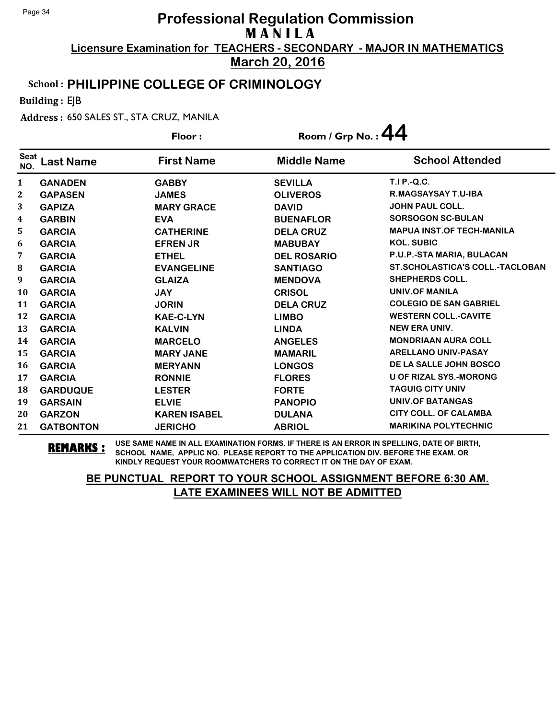**March 20, 2016**

### School : **PHILIPPINE COLLEGE OF CRIMINOLOGY**

Building : EJB

Address : 650 SALES ST., STA CRUZ, MANILA

|                    |                  | Room / Grp No.: $44$<br>Floor: |                    |                                        |  |
|--------------------|------------------|--------------------------------|--------------------|----------------------------------------|--|
| <b>Seat</b><br>NO. | <b>Last Name</b> | <b>First Name</b>              | <b>Middle Name</b> | <b>School Attended</b>                 |  |
| 1                  | <b>GANADEN</b>   | <b>GABBY</b>                   | <b>SEVILLA</b>     | $T.I.P.-Q.C.$                          |  |
| $\mathbf{2}$       | <b>GAPASEN</b>   | <b>JAMES</b>                   | <b>OLIVEROS</b>    | <b>R.MAGSAYSAY T.U-IBA</b>             |  |
| 3                  | <b>GAPIZA</b>    | <b>MARY GRACE</b>              | <b>DAVID</b>       | <b>JOHN PAUL COLL.</b>                 |  |
| 4                  | <b>GARBIN</b>    | <b>EVA</b>                     | <b>BUENAFLOR</b>   | <b>SORSOGON SC-BULAN</b>               |  |
| 5                  | <b>GARCIA</b>    | <b>CATHERINE</b>               | <b>DELA CRUZ</b>   | <b>MAPUA INST.OF TECH-MANILA</b>       |  |
| 6                  | <b>GARCIA</b>    | <b>EFREN JR</b>                | <b>MABUBAY</b>     | <b>KOL. SUBIC</b>                      |  |
| 7                  | <b>GARCIA</b>    | <b>ETHEL</b>                   | <b>DEL ROSARIO</b> | P.U.P.-STA MARIA, BULACAN              |  |
| 8                  | <b>GARCIA</b>    | <b>EVANGELINE</b>              | <b>SANTIAGO</b>    | <b>ST.SCHOLASTICA'S COLL.-TACLOBAN</b> |  |
| 9                  | <b>GARCIA</b>    | <b>GLAIZA</b>                  | <b>MENDOVA</b>     | <b>SHEPHERDS COLL.</b>                 |  |
| 10                 | <b>GARCIA</b>    | <b>JAY</b>                     | <b>CRISOL</b>      | <b>UNIV.OF MANILA</b>                  |  |
| 11                 | <b>GARCIA</b>    | <b>JORIN</b>                   | <b>DELA CRUZ</b>   | <b>COLEGIO DE SAN GABRIEL</b>          |  |
| 12                 | <b>GARCIA</b>    | <b>KAE-C-LYN</b>               | <b>LIMBO</b>       | <b>WESTERN COLL.-CAVITE</b>            |  |
| 13                 | <b>GARCIA</b>    | <b>KALVIN</b>                  | <b>LINDA</b>       | <b>NEW ERA UNIV.</b>                   |  |
| 14                 | <b>GARCIA</b>    | <b>MARCELO</b>                 | <b>ANGELES</b>     | <b>MONDRIAAN AURA COLL</b>             |  |
| 15                 | <b>GARCIA</b>    | <b>MARY JANE</b>               | <b>MAMARIL</b>     | <b>ARELLANO UNIV-PASAY</b>             |  |
| 16                 | <b>GARCIA</b>    | <b>MERYANN</b>                 | <b>LONGOS</b>      | DE LA SALLE JOHN BOSCO                 |  |
| 17                 | <b>GARCIA</b>    | <b>RONNIE</b>                  | <b>FLORES</b>      | <b>U OF RIZAL SYS.-MORONG</b>          |  |
| 18                 | <b>GARDUQUE</b>  | <b>LESTER</b>                  | <b>FORTE</b>       | <b>TAGUIG CITY UNIV</b>                |  |
| 19                 | <b>GARSAIN</b>   | <b>ELVIE</b>                   | <b>PANOPIO</b>     | <b>UNIV.OF BATANGAS</b>                |  |
| 20                 | <b>GARZON</b>    | <b>KAREN ISABEL</b>            | <b>DULANA</b>      | <b>CITY COLL. OF CALAMBA</b>           |  |
| 21                 | <b>GATBONTON</b> | <b>JERICHO</b>                 | <b>ABRIOL</b>      | <b>MARIKINA POLYTECHNIC</b>            |  |

**REMARKS :** USE SAME NAME IN ALL EXAMINATION FORMS. IF THERE IS AN ERROR IN SPELLING, DATE OF BIRTH, SCHOOL NAME, APPLIC NO. PLEASE REPORT TO THE APPLICATION DIV. BEFORE THE EXAM. OR KINDLY REQUEST YOUR ROOMWATCHERS TO CORRECT IT ON THE DAY OF EXAM.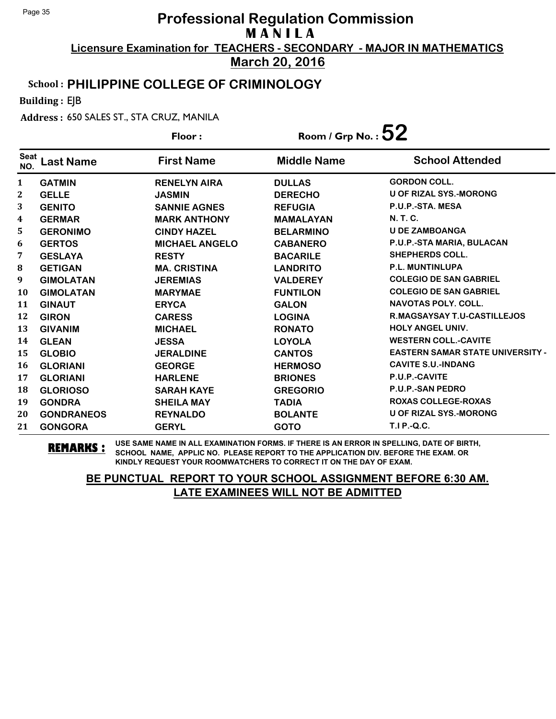**March 20, 2016**

#### School : **PHILIPPINE COLLEGE OF CRIMINOLOGY**

Building : EJB

Address : 650 SALES ST., STA CRUZ, MANILA

|                    |                   | Floor:                | Room / Grp No.: $52$ |                                         |
|--------------------|-------------------|-----------------------|----------------------|-----------------------------------------|
| <b>Seat</b><br>NO. | <b>Last Name</b>  | <b>First Name</b>     | <b>Middle Name</b>   | <b>School Attended</b>                  |
| 1                  | <b>GATMIN</b>     | <b>RENELYN AIRA</b>   | <b>DULLAS</b>        | <b>GORDON COLL.</b>                     |
| $\boldsymbol{2}$   | <b>GELLE</b>      | <b>JASMIN</b>         | <b>DERECHO</b>       | <b>U OF RIZAL SYS.-MORONG</b>           |
| 3                  | <b>GENITO</b>     | <b>SANNIE AGNES</b>   | <b>REFUGIA</b>       | P.U.P.-STA, MESA                        |
| 4                  | <b>GERMAR</b>     | <b>MARK ANTHONY</b>   | <b>MAMALAYAN</b>     | <b>N. T. C.</b>                         |
| 5                  | <b>GERONIMO</b>   | <b>CINDY HAZEL</b>    | <b>BELARMINO</b>     | <b>U DE ZAMBOANGA</b>                   |
| 6                  | <b>GERTOS</b>     | <b>MICHAEL ANGELO</b> | <b>CABANERO</b>      | P.U.P.-STA MARIA, BULACAN               |
| 7                  | <b>GESLAYA</b>    | <b>RESTY</b>          | <b>BACARILE</b>      | <b>SHEPHERDS COLL.</b>                  |
| 8                  | <b>GETIGAN</b>    | <b>MA. CRISTINA</b>   | <b>LANDRITO</b>      | P.L. MUNTINLUPA                         |
| 9                  | <b>GIMOLATAN</b>  | <b>JEREMIAS</b>       | <b>VALDEREY</b>      | <b>COLEGIO DE SAN GABRIEL</b>           |
| 10                 | <b>GIMOLATAN</b>  | <b>MARYMAE</b>        | <b>FUNTILON</b>      | <b>COLEGIO DE SAN GABRIEL</b>           |
| 11                 | <b>GINAUT</b>     | <b>ERYCA</b>          | <b>GALON</b>         | <b>NAVOTAS POLY, COLL.</b>              |
| 12                 | <b>GIRON</b>      | <b>CARESS</b>         | <b>LOGINA</b>        | R.MAGSAYSAY T.U-CASTILLEJOS             |
| 13                 | <b>GIVANIM</b>    | <b>MICHAEL</b>        | <b>RONATO</b>        | <b>HOLY ANGEL UNIV.</b>                 |
| 14                 | <b>GLEAN</b>      | <b>JESSA</b>          | <b>LOYOLA</b>        | <b>WESTERN COLL.-CAVITE</b>             |
| 15                 | <b>GLOBIO</b>     | <b>JERALDINE</b>      | <b>CANTOS</b>        | <b>EASTERN SAMAR STATE UNIVERSITY -</b> |
| 16                 | <b>GLORIANI</b>   | <b>GEORGE</b>         | <b>HERMOSO</b>       | <b>CAVITE S.U.-INDANG</b>               |
| 17                 | <b>GLORIANI</b>   | <b>HARLENE</b>        | <b>BRIONES</b>       | P.U.P.-CAVITE                           |
| 18                 | <b>GLORIOSO</b>   | <b>SARAH KAYE</b>     | <b>GREGORIO</b>      | <b>P.U.P.-SAN PEDRO</b>                 |
| 19                 | <b>GONDRA</b>     | <b>SHEILA MAY</b>     | <b>TADIA</b>         | <b>ROXAS COLLEGE-ROXAS</b>              |
| 20                 | <b>GONDRANEOS</b> | <b>REYNALDO</b>       | <b>BOLANTE</b>       | <b>U OF RIZAL SYS.-MORONG</b>           |
| 21                 | <b>GONGORA</b>    | <b>GERYL</b>          | <b>GOTO</b>          | T.I P.-Q.C.                             |

**REMARKS :** USE SAME NAME IN ALL EXAMINATION FORMS. IF THERE IS AN ERROR IN SPELLING, DATE OF BIRTH, SCHOOL NAME, APPLIC NO. PLEASE REPORT TO THE APPLICATION DIV. BEFORE THE EXAM. OR KINDLY REQUEST YOUR ROOMWATCHERS TO CORRECT IT ON THE DAY OF EXAM.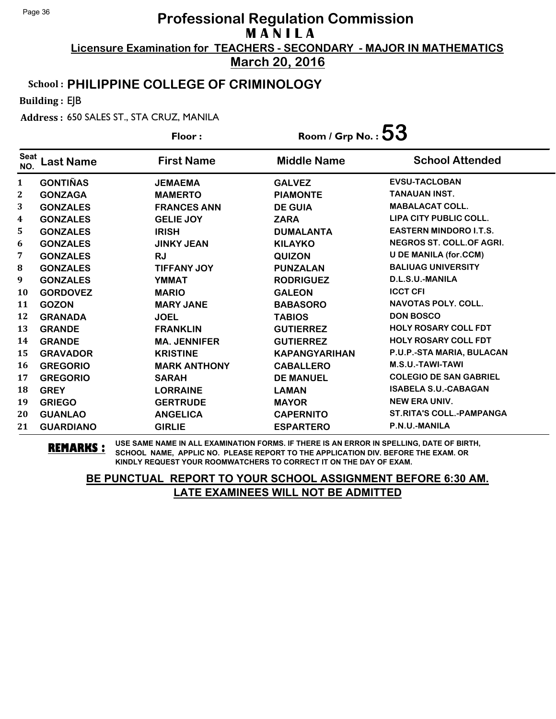**March 20, 2016**

#### School : **PHILIPPINE COLLEGE OF CRIMINOLOGY**

Building : EJB

Address : 650 SALES ST., STA CRUZ, MANILA

|                    |                  | Floor:              | Room / Grp No. : $53$ |                                 |
|--------------------|------------------|---------------------|-----------------------|---------------------------------|
| <b>Seat</b><br>NO. | Last Name        | <b>First Name</b>   | <b>Middle Name</b>    | <b>School Attended</b>          |
| $\mathbf{1}$       | <b>GONTIÑAS</b>  | <b>JEMAEMA</b>      | <b>GALVEZ</b>         | <b>EVSU-TACLOBAN</b>            |
| $\boldsymbol{2}$   | <b>GONZAGA</b>   | <b>MAMERTO</b>      | <b>PIAMONTE</b>       | <b>TANAUAN INST.</b>            |
| 3                  | <b>GONZALES</b>  | <b>FRANCES ANN</b>  | <b>DE GUIA</b>        | <b>MABALACAT COLL.</b>          |
| 4                  | <b>GONZALES</b>  | <b>GELIE JOY</b>    | <b>ZARA</b>           | LIPA CITY PUBLIC COLL.          |
| 5                  | <b>GONZALES</b>  | <b>IRISH</b>        | <b>DUMALANTA</b>      | <b>EASTERN MINDORO I.T.S.</b>   |
| 6                  | <b>GONZALES</b>  | <b>JINKY JEAN</b>   | <b>KILAYKO</b>        | <b>NEGROS ST. COLL.OF AGRI.</b> |
| 7                  | <b>GONZALES</b>  | <b>RJ</b>           | <b>QUIZON</b>         | <b>U DE MANILA (for.CCM)</b>    |
| ${\bf 8}$          | <b>GONZALES</b>  | <b>TIFFANY JOY</b>  | <b>PUNZALAN</b>       | <b>BALIUAG UNIVERSITY</b>       |
| 9                  | <b>GONZALES</b>  | <b>YMMAT</b>        | <b>RODRIGUEZ</b>      | D.L.S.U.-MANILA                 |
| 10                 | <b>GORDOVEZ</b>  | <b>MARIO</b>        | <b>GALEON</b>         | <b>ICCT CFI</b>                 |
| 11                 | <b>GOZON</b>     | <b>MARY JANE</b>    | <b>BABASORO</b>       | <b>NAVOTAS POLY, COLL.</b>      |
| 12                 | <b>GRANADA</b>   | <b>JOEL</b>         | <b>TABIOS</b>         | <b>DON BOSCO</b>                |
| 13                 | <b>GRANDE</b>    | <b>FRANKLIN</b>     | <b>GUTIERREZ</b>      | <b>HOLY ROSARY COLL FDT</b>     |
| 14                 | <b>GRANDE</b>    | <b>MA. JENNIFER</b> | <b>GUTIERREZ</b>      | <b>HOLY ROSARY COLL FDT</b>     |
| 15                 | <b>GRAVADOR</b>  | <b>KRISTINE</b>     | <b>KAPANGYARIHAN</b>  | P.U.P.-STA MARIA, BULACAN       |
| 16                 | <b>GREGORIO</b>  | <b>MARK ANTHONY</b> | <b>CABALLERO</b>      | M.S.U.-TAWI-TAWI                |
| 17                 | <b>GREGORIO</b>  | <b>SARAH</b>        | <b>DE MANUEL</b>      | <b>COLEGIO DE SAN GABRIEL</b>   |
| 18                 | <b>GREY</b>      | <b>LORRAINE</b>     | <b>LAMAN</b>          | <b>ISABELA S.U.-CABAGAN</b>     |
| 19                 | <b>GRIEGO</b>    | <b>GERTRUDE</b>     | <b>MAYOR</b>          | <b>NEW ERA UNIV.</b>            |
| 20                 | <b>GUANLAO</b>   | <b>ANGELICA</b>     | <b>CAPERNITO</b>      | <b>ST.RITA'S COLL.-PAMPANGA</b> |
| 21                 | <b>GUARDIANO</b> | <b>GIRLIE</b>       | <b>ESPARTERO</b>      | P.N.U.-MANILA                   |

**REMARKS :** USE SAME NAME IN ALL EXAMINATION FORMS. IF THERE IS AN ERROR IN SPELLING, DATE OF BIRTH, SCHOOL NAME, APPLIC NO. PLEASE REPORT TO THE APPLICATION DIV. BEFORE THE EXAM. OR KINDLY REQUEST YOUR ROOMWATCHERS TO CORRECT IT ON THE DAY OF EXAM.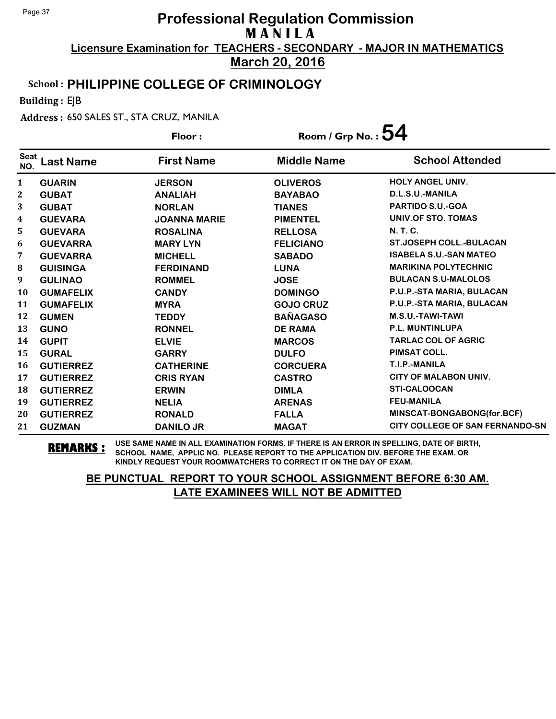**March 20, 2016**

### School : **PHILIPPINE COLLEGE OF CRIMINOLOGY**

Building : EJB

Address : 650 SALES ST., STA CRUZ, MANILA

|                    |                  | Floor:              | Room / Grp No. : $54$ |                                        |
|--------------------|------------------|---------------------|-----------------------|----------------------------------------|
| <b>Seat</b><br>NO. | <b>Last Name</b> | <b>First Name</b>   | <b>Middle Name</b>    | <b>School Attended</b>                 |
| 1                  | <b>GUARIN</b>    | <b>JERSON</b>       | <b>OLIVEROS</b>       | HOLY ANGEL UNIV.                       |
| $\mathbf{2}$       | <b>GUBAT</b>     | <b>ANALIAH</b>      | <b>BAYABAO</b>        | D.L.S.U.-MANILA                        |
| 3                  | <b>GUBAT</b>     | <b>NORLAN</b>       | <b>TIANES</b>         | <b>PARTIDO S.U.-GOA</b>                |
| 4                  | <b>GUEVARA</b>   | <b>JOANNA MARIE</b> | <b>PIMENTEL</b>       | UNIV.OF STO. TOMAS                     |
| 5                  | <b>GUEVARA</b>   | <b>ROSALINA</b>     | <b>RELLOSA</b>        | N. T. C.                               |
| 6                  | <b>GUEVARRA</b>  | <b>MARY LYN</b>     | <b>FELICIANO</b>      | <b>ST.JOSEPH COLL.-BULACAN</b>         |
| 7                  | <b>GUEVARRA</b>  | <b>MICHELL</b>      | <b>SABADO</b>         | <b>ISABELA S.U.-SAN MATEO</b>          |
| 8                  | <b>GUISINGA</b>  | <b>FERDINAND</b>    | <b>LUNA</b>           | <b>MARIKINA POLYTECHNIC</b>            |
| 9                  | <b>GULINAO</b>   | <b>ROMMEL</b>       | <b>JOSE</b>           | <b>BULACAN S.U-MALOLOS</b>             |
| <b>10</b>          | <b>GUMAFELIX</b> | <b>CANDY</b>        | <b>DOMINGO</b>        | P.U.P.-STA MARIA, BULACAN              |
| 11                 | <b>GUMAFELIX</b> | <b>MYRA</b>         | <b>GOJO CRUZ</b>      | P.U.P.-STA MARIA, BULACAN              |
| 12                 | <b>GUMEN</b>     | <b>TEDDY</b>        | <b>BAÑAGASO</b>       | M.S.U.-TAWI-TAWI                       |
| 13                 | <b>GUNO</b>      | <b>RONNEL</b>       | <b>DE RAMA</b>        | <b>P.L. MUNTINLUPA</b>                 |
| 14                 | <b>GUPIT</b>     | <b>ELVIE</b>        | <b>MARCOS</b>         | <b>TARLAC COL OF AGRIC</b>             |
| 15                 | <b>GURAL</b>     | <b>GARRY</b>        | <b>DULFO</b>          | PIMSAT COLL.                           |
| 16                 | <b>GUTIERREZ</b> | <b>CATHERINE</b>    | <b>CORCUERA</b>       | T.I.P.-MANILA                          |
| 17                 | <b>GUTIERREZ</b> | <b>CRIS RYAN</b>    | <b>CASTRO</b>         | <b>CITY OF MALABON UNIV.</b>           |
| 18                 | <b>GUTIERREZ</b> | <b>ERWIN</b>        | <b>DIMLA</b>          | STI-CALOOCAN                           |
| 19                 | <b>GUTIERREZ</b> | <b>NELIA</b>        | <b>ARENAS</b>         | <b>FEU-MANILA</b>                      |
| 20                 | <b>GUTIERREZ</b> | <b>RONALD</b>       | <b>FALLA</b>          | MINSCAT-BONGABONG(for.BCF)             |
| 21                 | <b>GUZMAN</b>    | <b>DANILO JR</b>    | <b>MAGAT</b>          | <b>CITY COLLEGE OF SAN FERNANDO-SN</b> |

**REMARKS :** USE SAME NAME IN ALL EXAMINATION FORMS. IF THERE IS AN ERROR IN SPELLING, DATE OF BIRTH, SCHOOL NAME, APPLIC NO. PLEASE REPORT TO THE APPLICATION DIV. BEFORE THE EXAM. OR KINDLY REQUEST YOUR ROOMWATCHERS TO CORRECT IT ON THE DAY OF EXAM.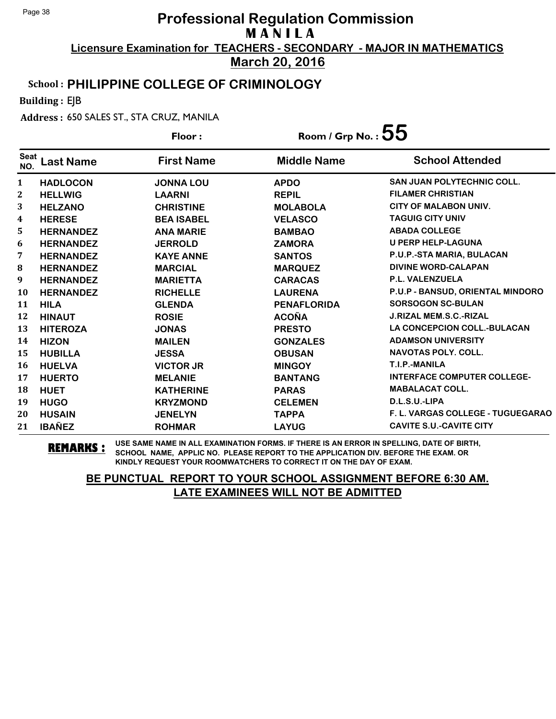**March 20, 2016**

### School : **PHILIPPINE COLLEGE OF CRIMINOLOGY**

Building : EJB

Address : 650 SALES ST., STA CRUZ, MANILA

|                    |                  | Floor:            | Room / Grp No. : $55$ |                                    |  |
|--------------------|------------------|-------------------|-----------------------|------------------------------------|--|
| <b>Seat</b><br>NO. | <b>Last Name</b> | <b>First Name</b> | <b>Middle Name</b>    | <b>School Attended</b>             |  |
| $\mathbf{1}$       | <b>HADLOCON</b>  | <b>JONNA LOU</b>  | <b>APDO</b>           | <b>SAN JUAN POLYTECHNIC COLL.</b>  |  |
| $\mathbf{2}$       | <b>HELLWIG</b>   | <b>LAARNI</b>     | <b>REPIL</b>          | <b>FILAMER CHRISTIAN</b>           |  |
| 3                  | <b>HELZANO</b>   | <b>CHRISTINE</b>  | <b>MOLABOLA</b>       | <b>CITY OF MALABON UNIV.</b>       |  |
| 4                  | <b>HERESE</b>    | <b>BEA ISABEL</b> | <b>VELASCO</b>        | <b>TAGUIG CITY UNIV</b>            |  |
| 5                  | <b>HERNANDEZ</b> | <b>ANA MARIE</b>  | <b>BAMBAO</b>         | <b>ABADA COLLEGE</b>               |  |
| 6                  | <b>HERNANDEZ</b> | <b>JERROLD</b>    | <b>ZAMORA</b>         | <b>U PERP HELP-LAGUNA</b>          |  |
| 7                  | <b>HERNANDEZ</b> | <b>KAYE ANNE</b>  | <b>SANTOS</b>         | P.U.P.-STA MARIA, BULACAN          |  |
| ${\bf 8}$          | <b>HERNANDEZ</b> | <b>MARCIAL</b>    | <b>MARQUEZ</b>        | <b>DIVINE WORD-CALAPAN</b>         |  |
| 9                  | <b>HERNANDEZ</b> | <b>MARIETTA</b>   | <b>CARACAS</b>        | P.L. VALENZUELA                    |  |
| 10                 | <b>HERNANDEZ</b> | <b>RICHELLE</b>   | <b>LAURENA</b>        | P.U.P - BANSUD, ORIENTAL MINDORO   |  |
| 11                 | <b>HILA</b>      | <b>GLENDA</b>     | <b>PENAFLORIDA</b>    | <b>SORSOGON SC-BULAN</b>           |  |
| 12                 | <b>HINAUT</b>    | <b>ROSIE</b>      | <b>ACOÑA</b>          | <b>J.RIZAL MEM.S.C.-RIZAL</b>      |  |
| 13                 | <b>HITEROZA</b>  | <b>JONAS</b>      | <b>PRESTO</b>         | <b>LA CONCEPCION COLL.-BULACAN</b> |  |
| 14                 | <b>HIZON</b>     | <b>MAILEN</b>     | <b>GONZALES</b>       | <b>ADAMSON UNIVERSITY</b>          |  |
| 15                 | <b>HUBILLA</b>   | <b>JESSA</b>      | <b>OBUSAN</b>         | <b>NAVOTAS POLY, COLL.</b>         |  |
| 16                 | <b>HUELVA</b>    | <b>VICTOR JR</b>  | <b>MINGOY</b>         | T.I.P.-MANILA                      |  |
| 17                 | <b>HUERTO</b>    | <b>MELANIE</b>    | <b>BANTANG</b>        | <b>INTERFACE COMPUTER COLLEGE-</b> |  |
| 18                 | <b>HUET</b>      | <b>KATHERINE</b>  | <b>PARAS</b>          | <b>MABALACAT COLL.</b>             |  |
| 19                 | <b>HUGO</b>      | <b>KRYZMOND</b>   | <b>CELEMEN</b>        | D.L.S.U.-LIPA                      |  |
| 20                 | <b>HUSAIN</b>    | <b>JENELYN</b>    | <b>TAPPA</b>          | F. L. VARGAS COLLEGE - TUGUEGARAO  |  |
| 21                 | <b>IBAÑEZ</b>    | <b>ROHMAR</b>     | <b>LAYUG</b>          | <b>CAVITE S.U.-CAVITE CITY</b>     |  |

**REMARKS :** USE SAME NAME IN ALL EXAMINATION FORMS. IF THERE IS AN ERROR IN SPELLING, DATE OF BIRTH, SCHOOL NAME, APPLIC NO. PLEASE REPORT TO THE APPLICATION DIV. BEFORE THE EXAM. OR KINDLY REQUEST YOUR ROOMWATCHERS TO CORRECT IT ON THE DAY OF EXAM.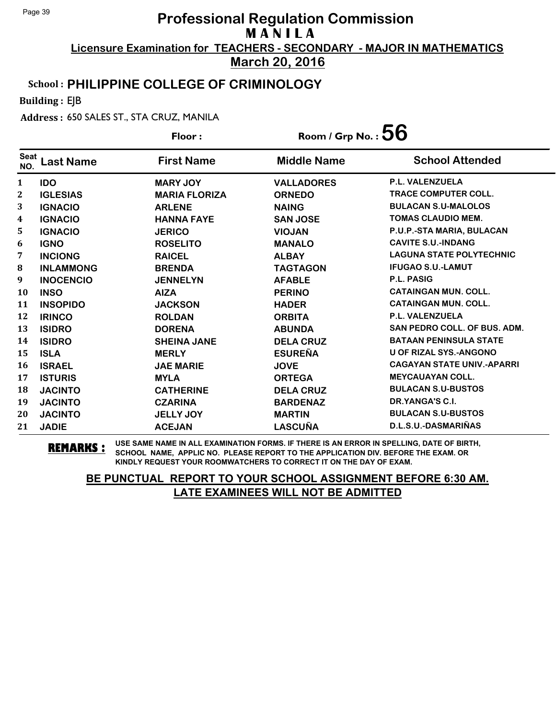**March 20, 2016**

### School : **PHILIPPINE COLLEGE OF CRIMINOLOGY**

Building : EJB

Address : 650 SALES ST., STA CRUZ, MANILA

|                    |                  | Floor:               | Room / Grp No. : $56$ |                                     |
|--------------------|------------------|----------------------|-----------------------|-------------------------------------|
| <b>Seat</b><br>NO. | Last Name        | <b>First Name</b>    | <b>Middle Name</b>    | <b>School Attended</b>              |
| 1                  | <b>IDO</b>       | <b>MARY JOY</b>      | <b>VALLADORES</b>     | <b>P.L. VALENZUELA</b>              |
| 2                  | <b>IGLESIAS</b>  | <b>MARIA FLORIZA</b> | <b>ORNEDO</b>         | <b>TRACE COMPUTER COLL.</b>         |
| 3                  | <b>IGNACIO</b>   | <b>ARLENE</b>        | <b>NAING</b>          | <b>BULACAN S.U-MALOLOS</b>          |
| 4                  | <b>IGNACIO</b>   | <b>HANNA FAYE</b>    | <b>SAN JOSE</b>       | <b>TOMAS CLAUDIO MEM.</b>           |
| 5                  | <b>IGNACIO</b>   | <b>JERICO</b>        | <b>VIOJAN</b>         | P.U.P.-STA MARIA, BULACAN           |
| 6                  | <b>IGNO</b>      | <b>ROSELITO</b>      | <b>MANALO</b>         | <b>CAVITE S.U.-INDANG</b>           |
| 7                  | <b>INCIONG</b>   | <b>RAICEL</b>        | <b>ALBAY</b>          | <b>LAGUNA STATE POLYTECHNIC</b>     |
| 8                  | <b>INLAMMONG</b> | <b>BRENDA</b>        | <b>TAGTAGON</b>       | <b>IFUGAO S.U.-LAMUT</b>            |
| 9                  | <b>INOCENCIO</b> | <b>JENNELYN</b>      | <b>AFABLE</b>         | <b>P.L. PASIG</b>                   |
| 10                 | <b>INSO</b>      | <b>AIZA</b>          | <b>PERINO</b>         | <b>CATAINGAN MUN. COLL.</b>         |
| 11                 | <b>INSOPIDO</b>  | <b>JACKSON</b>       | <b>HADER</b>          | <b>CATAINGAN MUN. COLL.</b>         |
| 12                 | <b>IRINCO</b>    | <b>ROLDAN</b>        | <b>ORBITA</b>         | <b>P.L. VALENZUELA</b>              |
| 13                 | <b>ISIDRO</b>    | <b>DORENA</b>        | <b>ABUNDA</b>         | <b>SAN PEDRO COLL. OF BUS. ADM.</b> |
| 14                 | <b>ISIDRO</b>    | <b>SHEINA JANE</b>   | <b>DELA CRUZ</b>      | <b>BATAAN PENINSULA STATE</b>       |
| 15                 | <b>ISLA</b>      | <b>MERLY</b>         | <b>ESUREÑA</b>        | <b>U OF RIZAL SYS.-ANGONO</b>       |
| 16                 | <b>ISRAEL</b>    | <b>JAE MARIE</b>     | <b>JOVE</b>           | <b>CAGAYAN STATE UNIV.-APARRI</b>   |
| 17                 | <b>ISTURIS</b>   | <b>MYLA</b>          | <b>ORTEGA</b>         | <b>MEYCAUAYAN COLL.</b>             |
| 18                 | <b>JACINTO</b>   | <b>CATHERINE</b>     | <b>DELA CRUZ</b>      | <b>BULACAN S.U-BUSTOS</b>           |
| 19                 | <b>JACINTO</b>   | <b>CZARINA</b>       | <b>BARDENAZ</b>       | DR.YANGA'S C.I.                     |
| 20                 | <b>JACINTO</b>   | <b>JELLY JOY</b>     | <b>MARTIN</b>         | <b>BULACAN S.U-BUSTOS</b>           |
| 21                 | <b>JADIE</b>     | <b>ACEJAN</b>        | <b>LASCUÑA</b>        | D.L.S.U.-DASMARIÑAS                 |

**REMARKS :** USE SAME NAME IN ALL EXAMINATION FORMS. IF THERE IS AN ERROR IN SPELLING, DATE OF BIRTH, SCHOOL NAME, APPLIC NO. PLEASE REPORT TO THE APPLICATION DIV. BEFORE THE EXAM. OR KINDLY REQUEST YOUR ROOMWATCHERS TO CORRECT IT ON THE DAY OF EXAM.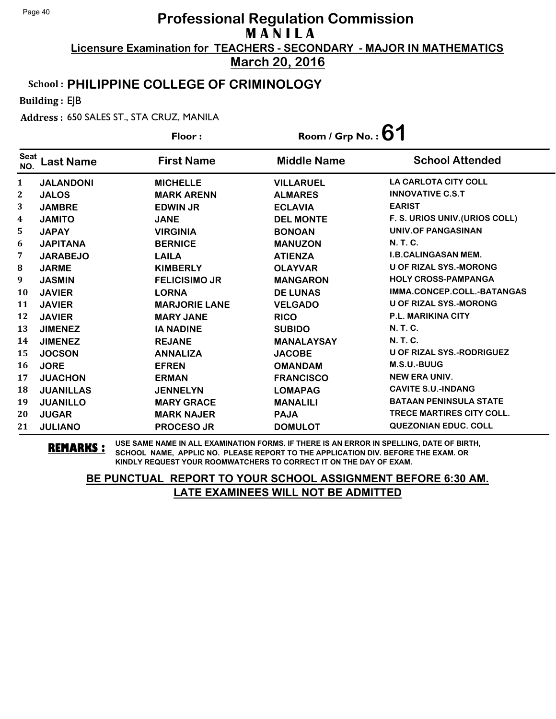**March 20, 2016**

### School : **PHILIPPINE COLLEGE OF CRIMINOLOGY**

Building : EJB

Address : 650 SALES ST., STA CRUZ, MANILA

|                    |                  | Floor:               | Room / Grp No.: $61$ |                                  |
|--------------------|------------------|----------------------|----------------------|----------------------------------|
| <b>Seat</b><br>NO. | <b>Last Name</b> | <b>First Name</b>    | <b>Middle Name</b>   | <b>School Attended</b>           |
| 1                  | <b>JALANDONI</b> | <b>MICHELLE</b>      | <b>VILLARUEL</b>     | <b>LA CARLOTA CITY COLL</b>      |
| $\mathbf{2}$       | <b>JALOS</b>     | <b>MARK ARENN</b>    | <b>ALMARES</b>       | <b>INNOVATIVE C.S.T</b>          |
| 3                  | <b>JAMBRE</b>    | <b>EDWIN JR</b>      | <b>ECLAVIA</b>       | <b>EARIST</b>                    |
| 4                  | <b>JAMITO</b>    | <b>JANE</b>          | <b>DEL MONTE</b>     | F. S. URIOS UNIV. (URIOS COLL)   |
| 5                  | <b>JAPAY</b>     | <b>VIRGINIA</b>      | <b>BONOAN</b>        | <b>UNIV.OF PANGASINAN</b>        |
| 6                  | <b>JAPITANA</b>  | <b>BERNICE</b>       | <b>MANUZON</b>       | <b>N. T. C.</b>                  |
| 7                  | <b>JARABEJO</b>  | <b>LAILA</b>         | <b>ATIENZA</b>       | <b>I.B.CALINGASAN MEM.</b>       |
| 8                  | <b>JARME</b>     | <b>KIMBERLY</b>      | <b>OLAYVAR</b>       | <b>U OF RIZAL SYS.-MORONG</b>    |
| 9                  | <b>JASMIN</b>    | <b>FELICISIMO JR</b> | <b>MANGARON</b>      | <b>HOLY CROSS-PAMPANGA</b>       |
| 10                 | <b>JAVIER</b>    | <b>LORNA</b>         | <b>DE LUNAS</b>      | IMMA.CONCEP.COLL.-BATANGAS       |
| 11                 | <b>JAVIER</b>    | <b>MARJORIE LANE</b> | <b>VELGADO</b>       | <b>U OF RIZAL SYS.-MORONG</b>    |
| 12                 | <b>JAVIER</b>    | <b>MARY JANE</b>     | <b>RICO</b>          | <b>P.L. MARIKINA CITY</b>        |
| 13                 | <b>JIMENEZ</b>   | <b>IA NADINE</b>     | <b>SUBIDO</b>        | <b>N. T. C.</b>                  |
| 14                 | <b>JIMENEZ</b>   | <b>REJANE</b>        | <b>MANALAYSAY</b>    | <b>N.T.C.</b>                    |
| 15                 | <b>JOCSON</b>    | <b>ANNALIZA</b>      | <b>JACOBE</b>        | <b>U OF RIZAL SYS.-RODRIGUEZ</b> |
| 16                 | <b>JORE</b>      | <b>EFREN</b>         | <b>OMANDAM</b>       | M.S.U.-BUUG                      |
| 17                 | <b>JUACHON</b>   | <b>ERMAN</b>         | <b>FRANCISCO</b>     | <b>NEW ERA UNIV.</b>             |
| 18                 | <b>JUANILLAS</b> | <b>JENNELYN</b>      | <b>LOMAPAG</b>       | <b>CAVITE S.U.-INDANG</b>        |
| 19                 | <b>JUANILLO</b>  | <b>MARY GRACE</b>    | <b>MANALILI</b>      | <b>BATAAN PENINSULA STATE</b>    |
| 20                 | <b>JUGAR</b>     | <b>MARK NAJER</b>    | <b>PAJA</b>          | <b>TRECE MARTIRES CITY COLL.</b> |
| 21                 | <b>JULIANO</b>   | <b>PROCESO JR</b>    | <b>DOMULOT</b>       | <b>QUEZONIAN EDUC. COLL</b>      |

**REMARKS :** USE SAME NAME IN ALL EXAMINATION FORMS. IF THERE IS AN ERROR IN SPELLING, DATE OF BIRTH, SCHOOL NAME, APPLIC NO. PLEASE REPORT TO THE APPLICATION DIV. BEFORE THE EXAM. OR KINDLY REQUEST YOUR ROOMWATCHERS TO CORRECT IT ON THE DAY OF EXAM.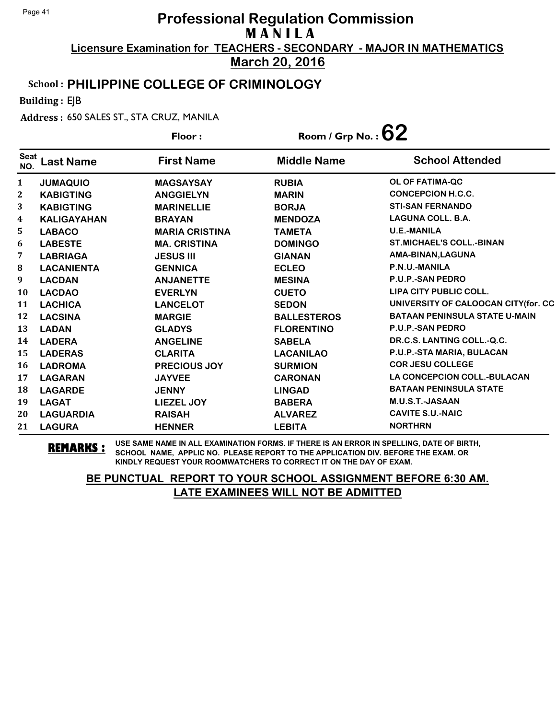**March 20, 2016**

#### School : **PHILIPPINE COLLEGE OF CRIMINOLOGY**

Building : EJB

Address : 650 SALES ST., STA CRUZ, MANILA

|                    |                    | Floor:                | Room / Grp No. : $62$ |                                      |
|--------------------|--------------------|-----------------------|-----------------------|--------------------------------------|
| <b>Seat</b><br>NO. | <b>Last Name</b>   | <b>First Name</b>     | <b>Middle Name</b>    | <b>School Attended</b>               |
| $\mathbf{1}$       | <b>JUMAQUIO</b>    | <b>MAGSAYSAY</b>      | <b>RUBIA</b>          | <b>OL OF FATIMA-QC</b>               |
| $\mathbf{2}$       | <b>KABIGTING</b>   | <b>ANGGIELYN</b>      | <b>MARIN</b>          | <b>CONCEPCION H.C.C.</b>             |
| 3                  | <b>KABIGTING</b>   | <b>MARINELLIE</b>     | <b>BORJA</b>          | <b>STI-SAN FERNANDO</b>              |
| 4                  | <b>KALIGAYAHAN</b> | <b>BRAYAN</b>         | <b>MENDOZA</b>        | <b>LAGUNA COLL. B.A.</b>             |
| 5                  | <b>LABACO</b>      | <b>MARIA CRISTINA</b> | <b>TAMETA</b>         | <b>U.E.-MANILA</b>                   |
| 6                  | <b>LABESTE</b>     | <b>MA. CRISTINA</b>   | <b>DOMINGO</b>        | <b>ST.MICHAEL'S COLL.-BINAN</b>      |
| 7                  | <b>LABRIAGA</b>    | <b>JESUS III</b>      | <b>GIANAN</b>         | AMA-BINAN, LAGUNA                    |
| ${\bf 8}$          | <b>LACANIENTA</b>  | <b>GENNICA</b>        | <b>ECLEO</b>          | P.N.U.-MANILA                        |
| 9                  | <b>LACDAN</b>      | <b>ANJANETTE</b>      | <b>MESINA</b>         | <b>P.U.P.-SAN PEDRO</b>              |
| 10                 | <b>LACDAO</b>      | <b>EVERLYN</b>        | <b>CUETO</b>          | LIPA CITY PUBLIC COLL.               |
| 11                 | <b>LACHICA</b>     | <b>LANCELOT</b>       | <b>SEDON</b>          | UNIVERSITY OF CALOOCAN CITY(for. CC  |
| 12                 | <b>LACSINA</b>     | <b>MARGIE</b>         | <b>BALLESTEROS</b>    | <b>BATAAN PENINSULA STATE U-MAIN</b> |
| 13                 | <b>LADAN</b>       | <b>GLADYS</b>         | <b>FLORENTINO</b>     | P.U.P.-SAN PEDRO                     |
| 14                 | <b>LADERA</b>      | <b>ANGELINE</b>       | <b>SABELA</b>         | DR.C.S. LANTING COLL.-Q.C.           |
| 15                 | <b>LADERAS</b>     | <b>CLARITA</b>        | <b>LACANILAO</b>      | P.U.P.-STA MARIA, BULACAN            |
| 16                 | <b>LADROMA</b>     | PRECIOUS JOY          | <b>SURMION</b>        | <b>COR JESU COLLEGE</b>              |
| 17                 | <b>LAGARAN</b>     | <b>JAYVEE</b>         | <b>CARONAN</b>        | <b>LA CONCEPCION COLL.-BULACAN</b>   |
| 18                 | <b>LAGARDE</b>     | <b>JENNY</b>          | <b>LINGAD</b>         | <b>BATAAN PENINSULA STATE</b>        |
| 19                 | <b>LAGAT</b>       | LIEZEL JOY            | <b>BABERA</b>         | M.U.S.T.-JASAAN                      |
| 20                 | <b>LAGUARDIA</b>   | <b>RAISAH</b>         | <b>ALVAREZ</b>        | <b>CAVITE S.U.-NAIC</b>              |
| 21                 | <b>LAGURA</b>      | <b>HENNER</b>         | <b>LEBITA</b>         | <b>NORTHRN</b>                       |

**REMARKS :** USE SAME NAME IN ALL EXAMINATION FORMS. IF THERE IS AN ERROR IN SPELLING, DATE OF BIRTH, SCHOOL NAME, APPLIC NO. PLEASE REPORT TO THE APPLICATION DIV. BEFORE THE EXAM. OR KINDLY REQUEST YOUR ROOMWATCHERS TO CORRECT IT ON THE DAY OF EXAM.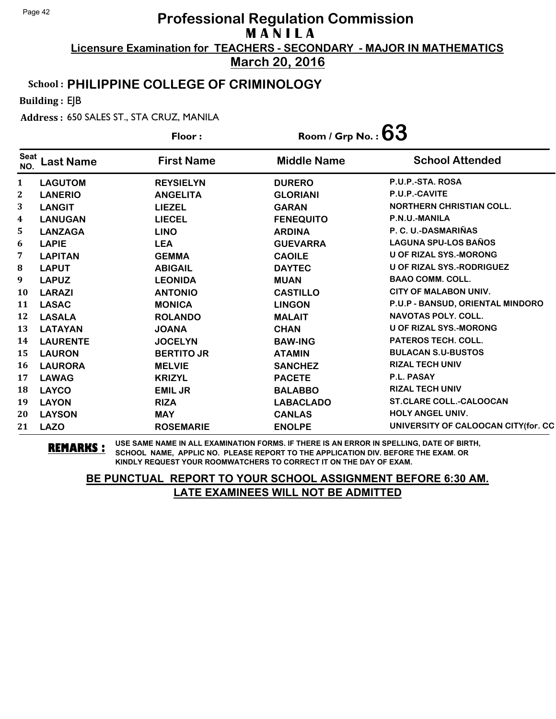**March 20, 2016**

#### School : **PHILIPPINE COLLEGE OF CRIMINOLOGY**

Building : EJB

Address : 650 SALES ST., STA CRUZ, MANILA

|                    |                  | Floor:            | Room / Grp No. : $63$ |                                      |
|--------------------|------------------|-------------------|-----------------------|--------------------------------------|
| <b>Seat</b><br>NO. | <b>Last Name</b> | <b>First Name</b> | <b>Middle Name</b>    | <b>School Attended</b>               |
| 1                  | <b>LAGUTOM</b>   | <b>REYSIELYN</b>  | <b>DURERO</b>         | P.U.P.-STA. ROSA                     |
| $\boldsymbol{2}$   | <b>LANERIO</b>   | <b>ANGELITA</b>   | <b>GLORIANI</b>       | P.U.P.-CAVITE                        |
| 3                  | <b>LANGIT</b>    | <b>LIEZEL</b>     | <b>GARAN</b>          | <b>NORTHERN CHRISTIAN COLL.</b>      |
| 4                  | <b>LANUGAN</b>   | <b>LIECEL</b>     | <b>FENEQUITO</b>      | P.N.U.-MANILA                        |
| 5                  | <b>LANZAGA</b>   | <b>LINO</b>       | <b>ARDINA</b>         | P. C. U.-DASMARIÑAS                  |
| 6                  | <b>LAPIE</b>     | <b>LEA</b>        | <b>GUEVARRA</b>       | <b>LAGUNA SPU-LOS BAÑOS</b>          |
| 7                  | <b>LAPITAN</b>   | <b>GEMMA</b>      | <b>CAOILE</b>         | <b>U OF RIZAL SYS.-MORONG</b>        |
| 8                  | <b>LAPUT</b>     | <b>ABIGAIL</b>    | <b>DAYTEC</b>         | <b>U OF RIZAL SYS.-RODRIGUEZ</b>     |
| 9                  | <b>LAPUZ</b>     | <b>LEONIDA</b>    | <b>MUAN</b>           | <b>BAAO COMM. COLL.</b>              |
| 10                 | <b>LARAZI</b>    | <b>ANTONIO</b>    | <b>CASTILLO</b>       | <b>CITY OF MALABON UNIV.</b>         |
| 11                 | <b>LASAC</b>     | <b>MONICA</b>     | <b>LINGON</b>         | P.U.P - BANSUD, ORIENTAL MINDORO     |
| 12                 | <b>LASALA</b>    | <b>ROLANDO</b>    | <b>MALAIT</b>         | <b>NAVOTAS POLY. COLL.</b>           |
| 13                 | <b>LATAYAN</b>   | <b>JOANA</b>      | <b>CHAN</b>           | <b>U OF RIZAL SYS.-MORONG</b>        |
| 14                 | <b>LAURENTE</b>  | <b>JOCELYN</b>    | <b>BAW-ING</b>        | <b>PATEROS TECH. COLL.</b>           |
| 15                 | <b>LAURON</b>    | <b>BERTITO JR</b> | <b>ATAMIN</b>         | <b>BULACAN S.U-BUSTOS</b>            |
| 16                 | <b>LAURORA</b>   | <b>MELVIE</b>     | <b>SANCHEZ</b>        | <b>RIZAL TECH UNIV</b>               |
| 17                 | <b>LAWAG</b>     | <b>KRIZYL</b>     | <b>PACETE</b>         | P.L. PASAY                           |
| 18                 | <b>LAYCO</b>     | <b>EMIL JR</b>    | <b>BALABBO</b>        | <b>RIZAL TECH UNIV</b>               |
| 19                 | <b>LAYON</b>     | <b>RIZA</b>       | <b>LABACLADO</b>      | <b>ST.CLARE COLL.-CALOOCAN</b>       |
| 20                 | <b>LAYSON</b>    | <b>MAY</b>        | <b>CANLAS</b>         | <b>HOLY ANGEL UNIV.</b>              |
| 21                 | <b>LAZO</b>      | <b>ROSEMARIE</b>  | <b>ENOLPE</b>         | UNIVERSITY OF CALOOCAN CITY (for. CC |

**REMARKS :** USE SAME NAME IN ALL EXAMINATION FORMS. IF THERE IS AN ERROR IN SPELLING, DATE OF BIRTH, SCHOOL NAME, APPLIC NO. PLEASE REPORT TO THE APPLICATION DIV. BEFORE THE EXAM. OR KINDLY REQUEST YOUR ROOMWATCHERS TO CORRECT IT ON THE DAY OF EXAM.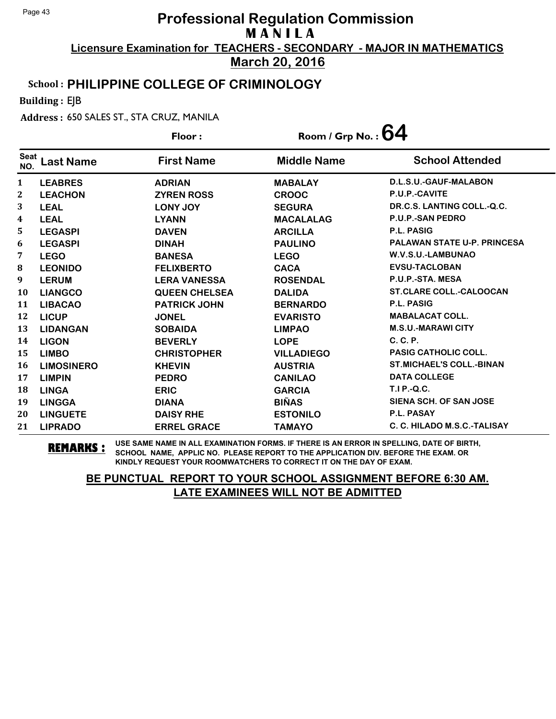**March 20, 2016**

### School : **PHILIPPINE COLLEGE OF CRIMINOLOGY**

Building : EJB

Address : 650 SALES ST., STA CRUZ, MANILA

|                    |                   | Floor:               | Room / Grp No. : $64$ |                                    |
|--------------------|-------------------|----------------------|-----------------------|------------------------------------|
| <b>Seat</b><br>NO. | <b>Last Name</b>  | <b>First Name</b>    | <b>Middle Name</b>    | <b>School Attended</b>             |
| 1                  | <b>LEABRES</b>    | <b>ADRIAN</b>        | <b>MABALAY</b>        | D.L.S.U.-GAUF-MALABON              |
| 2                  | <b>LEACHON</b>    | <b>ZYREN ROSS</b>    | <b>CROOC</b>          | P.U.P.-CAVITE                      |
| 3                  | <b>LEAL</b>       | <b>LONY JOY</b>      | <b>SEGURA</b>         | DR.C.S. LANTING COLL.-Q.C.         |
| 4                  | <b>LEAL</b>       | <b>LYANN</b>         | <b>MACALALAG</b>      | <b>P.U.P.-SAN PEDRO</b>            |
| 5                  | <b>LEGASPI</b>    | <b>DAVEN</b>         | <b>ARCILLA</b>        | <b>P.L. PASIG</b>                  |
| 6                  | <b>LEGASPI</b>    | <b>DINAH</b>         | <b>PAULINO</b>        | <b>PALAWAN STATE U-P. PRINCESA</b> |
| 7                  | <b>LEGO</b>       | <b>BANESA</b>        | <b>LEGO</b>           | W.V.S.U.-LAMBUNAO                  |
| 8                  | <b>LEONIDO</b>    | <b>FELIXBERTO</b>    | <b>CACA</b>           | <b>EVSU-TACLOBAN</b>               |
| 9                  | <b>LERUM</b>      | <b>LERA VANESSA</b>  | <b>ROSENDAL</b>       | P.U.P.-STA. MESA                   |
| 10                 | <b>LIANGCO</b>    | <b>QUEEN CHELSEA</b> | <b>DALIDA</b>         | <b>ST.CLARE COLL.-CALOOCAN</b>     |
| 11                 | <b>LIBACAO</b>    | <b>PATRICK JOHN</b>  | <b>BERNARDO</b>       | <b>P.L. PASIG</b>                  |
| 12                 | <b>LICUP</b>      | <b>JONEL</b>         | <b>EVARISTO</b>       | <b>MABALACAT COLL.</b>             |
| 13                 | <b>LIDANGAN</b>   | <b>SOBAIDA</b>       | <b>LIMPAO</b>         | <b>M.S.U.-MARAWI CITY</b>          |
| 14                 | <b>LIGON</b>      | <b>BEVERLY</b>       | <b>LOPE</b>           | $C, C, P$ .                        |
| 15                 | <b>LIMBO</b>      | <b>CHRISTOPHER</b>   | <b>VILLADIEGO</b>     | <b>PASIG CATHOLIC COLL.</b>        |
| 16                 | <b>LIMOSINERO</b> | <b>KHEVIN</b>        | <b>AUSTRIA</b>        | <b>ST.MICHAEL'S COLL.-BINAN</b>    |
| 17                 | <b>LIMPIN</b>     | <b>PEDRO</b>         | <b>CANILAO</b>        | <b>DATA COLLEGE</b>                |
| 18                 | <b>LINGA</b>      | <b>ERIC</b>          | <b>GARCIA</b>         | T.I P.-Q.C.                        |
| 19                 | <b>LINGGA</b>     | <b>DIANA</b>         | <b>BIÑAS</b>          | <b>SIENA SCH. OF SAN JOSE</b>      |
| 20                 | <b>LINGUETE</b>   | <b>DAISY RHE</b>     | <b>ESTONILO</b>       | <b>P.L. PASAY</b>                  |
| 21                 | <b>LIPRADO</b>    | <b>ERREL GRACE</b>   | <b>TAMAYO</b>         | C. C. HILADO M.S.C.-TALISAY        |

**REMARKS :** USE SAME NAME IN ALL EXAMINATION FORMS. IF THERE IS AN ERROR IN SPELLING, DATE OF BIRTH, SCHOOL NAME, APPLIC NO. PLEASE REPORT TO THE APPLICATION DIV. BEFORE THE EXAM. OR KINDLY REQUEST YOUR ROOMWATCHERS TO CORRECT IT ON THE DAY OF EXAM.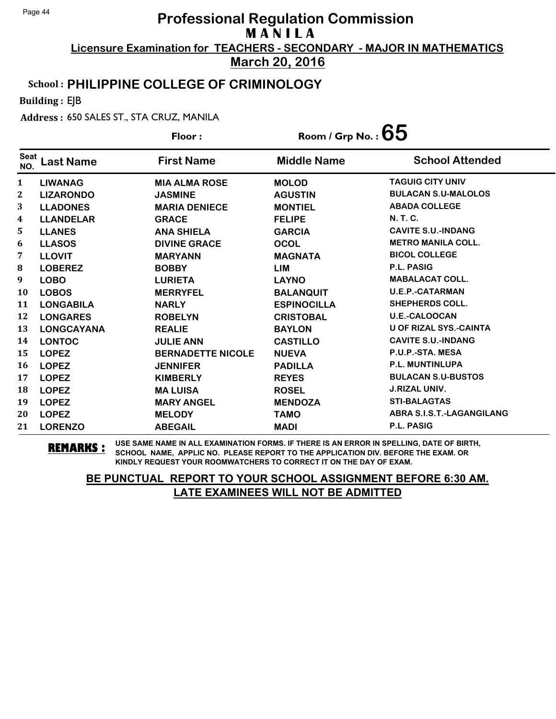**March 20, 2016**

### School : **PHILIPPINE COLLEGE OF CRIMINOLOGY**

Building : EJB

Address : 650 SALES ST., STA CRUZ, MANILA

|                    |                   | Floor:                   | Room / Grp No. : $\bf{65}$ |                               |
|--------------------|-------------------|--------------------------|----------------------------|-------------------------------|
| <b>Seat</b><br>NO. | <b>Last Name</b>  | <b>First Name</b>        | <b>Middle Name</b>         | <b>School Attended</b>        |
| $\mathbf{1}$       | <b>LIWANAG</b>    | <b>MIA ALMA ROSE</b>     | <b>MOLOD</b>               | <b>TAGUIG CITY UNIV</b>       |
| $\mathbf{2}$       | <b>LIZARONDO</b>  | <b>JASMINE</b>           | <b>AGUSTIN</b>             | <b>BULACAN S.U-MALOLOS</b>    |
| 3                  | <b>LLADONES</b>   | <b>MARIA DENIECE</b>     | <b>MONTIEL</b>             | <b>ABADA COLLEGE</b>          |
| 4                  | <b>LLANDELAR</b>  | <b>GRACE</b>             | <b>FELIPE</b>              | <b>N.T.C.</b>                 |
| 5                  | <b>LLANES</b>     | <b>ANA SHIELA</b>        | <b>GARCIA</b>              | <b>CAVITE S.U.-INDANG</b>     |
| 6                  | <b>LLASOS</b>     | <b>DIVINE GRACE</b>      | <b>OCOL</b>                | <b>METRO MANILA COLL.</b>     |
| 7                  | <b>LLOVIT</b>     | <b>MARYANN</b>           | <b>MAGNATA</b>             | <b>BICOL COLLEGE</b>          |
| ${\bf 8}$          | <b>LOBEREZ</b>    | <b>BOBBY</b>             | <b>LIM</b>                 | <b>P.L. PASIG</b>             |
| 9                  | <b>LOBO</b>       | <b>LURIETA</b>           | <b>LAYNO</b>               | <b>MABALACAT COLL.</b>        |
| 10                 | <b>LOBOS</b>      | <b>MERRYFEL</b>          | <b>BALANQUIT</b>           | <b>U.E.P.-CATARMAN</b>        |
| 11                 | <b>LONGABILA</b>  | <b>NARLY</b>             | <b>ESPINOCILLA</b>         | <b>SHEPHERDS COLL.</b>        |
| 12                 | <b>LONGARES</b>   | <b>ROBELYN</b>           | <b>CRISTOBAL</b>           | <b>U.E.-CALOOCAN</b>          |
| 13                 | <b>LONGCAYANA</b> | <b>REALIE</b>            | <b>BAYLON</b>              | <b>U OF RIZAL SYS.-CAINTA</b> |
| 14                 | <b>LONTOC</b>     | <b>JULIE ANN</b>         | <b>CASTILLO</b>            | <b>CAVITE S.U.-INDANG</b>     |
| 15                 | <b>LOPEZ</b>      | <b>BERNADETTE NICOLE</b> | <b>NUEVA</b>               | P.U.P.-STA. MESA              |
| 16                 | <b>LOPEZ</b>      | <b>JENNIFER</b>          | <b>PADILLA</b>             | <b>P.L. MUNTINLUPA</b>        |
| 17                 | <b>LOPEZ</b>      | <b>KIMBERLY</b>          | <b>REYES</b>               | <b>BULACAN S.U-BUSTOS</b>     |
| 18                 | <b>LOPEZ</b>      | <b>MALUISA</b>           | <b>ROSEL</b>               | <b>J.RIZAL UNIV.</b>          |
| 19                 | <b>LOPEZ</b>      | <b>MARY ANGEL</b>        | <b>MENDOZA</b>             | <b>STI-BALAGTAS</b>           |
| 20                 | <b>LOPEZ</b>      | <b>MELODY</b>            | <b>TAMO</b>                | ABRA S.I.S.T.-LAGANGILANG     |
| 21                 | <b>LORENZO</b>    | <b>ABEGAIL</b>           | <b>MADI</b>                | P.L. PASIG                    |

**REMARKS :** USE SAME NAME IN ALL EXAMINATION FORMS. IF THERE IS AN ERROR IN SPELLING, DATE OF BIRTH, SCHOOL NAME, APPLIC NO. PLEASE REPORT TO THE APPLICATION DIV. BEFORE THE EXAM. OR KINDLY REQUEST YOUR ROOMWATCHERS TO CORRECT IT ON THE DAY OF EXAM.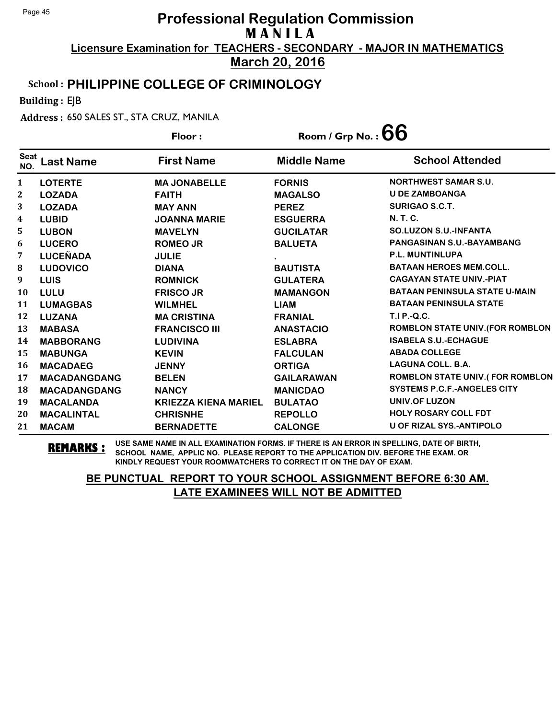**March 20, 2016**

#### School : **PHILIPPINE COLLEGE OF CRIMINOLOGY**

Building : EJB

Address : 650 SALES ST., STA CRUZ, MANILA

|                         |                     | Floor:                      | Room / Grp No. : $66$ |                                         |
|-------------------------|---------------------|-----------------------------|-----------------------|-----------------------------------------|
| <b>Seat</b><br>NO.      | <b>Last Name</b>    | <b>First Name</b>           | <b>Middle Name</b>    | <b>School Attended</b>                  |
| $\mathbf{1}$            | <b>LOTERTE</b>      | <b>MA JONABELLE</b>         | <b>FORNIS</b>         | <b>NORTHWEST SAMAR S.U.</b>             |
| $\mathbf{2}$            | <b>LOZADA</b>       | <b>FAITH</b>                | <b>MAGALSO</b>        | <b>U DE ZAMBOANGA</b>                   |
| 3                       | <b>LOZADA</b>       | <b>MAY ANN</b>              | <b>PEREZ</b>          | <b>SURIGAO S.C.T.</b>                   |
| $\overline{\mathbf{4}}$ | <b>LUBID</b>        | <b>JOANNA MARIE</b>         | <b>ESGUERRA</b>       | <b>N.T.C.</b>                           |
| 5                       | <b>LUBON</b>        | <b>MAVELYN</b>              | <b>GUCILATAR</b>      | <b>SO.LUZON S.U.-INFANTA</b>            |
| 6                       | <b>LUCERO</b>       | <b>ROMEO JR</b>             | <b>BALUETA</b>        | PANGASINAN S.U.-BAYAMBANG               |
| 7                       | <b>LUCEÑADA</b>     | <b>JULIE</b>                |                       | <b>P.L. MUNTINLUPA</b>                  |
| ${\bf 8}$               | <b>LUDOVICO</b>     | <b>DIANA</b>                | <b>BAUTISTA</b>       | <b>BATAAN HEROES MEM.COLL.</b>          |
| 9                       | <b>LUIS</b>         | <b>ROMNICK</b>              | <b>GULATERA</b>       | <b>CAGAYAN STATE UNIV.-PIAT</b>         |
| 10                      | <b>LULU</b>         | <b>FRISCO JR</b>            | <b>MAMANGON</b>       | <b>BATAAN PENINSULA STATE U-MAIN</b>    |
| 11                      | <b>LUMAGBAS</b>     | <b>WILMHEL</b>              | <b>LIAM</b>           | <b>BATAAN PENINSULA STATE</b>           |
| 12                      | <b>LUZANA</b>       | <b>MA CRISTINA</b>          | <b>FRANIAL</b>        | <b>T.I P.-Q.C.</b>                      |
| 13                      | <b>MABASA</b>       | <b>FRANCISCO III</b>        | <b>ANASTACIO</b>      | <b>ROMBLON STATE UNIV. (FOR ROMBLON</b> |
| 14                      | <b>MABBORANG</b>    | <b>LUDIVINA</b>             | <b>ESLABRA</b>        | <b>ISABELA S.U.-ECHAGUE</b>             |
| 15                      | <b>MABUNGA</b>      | <b>KEVIN</b>                | <b>FALCULAN</b>       | <b>ABADA COLLEGE</b>                    |
| 16                      | <b>MACADAEG</b>     | <b>JENNY</b>                | <b>ORTIGA</b>         | <b>LAGUNA COLL. B.A.</b>                |
| 17                      | <b>MACADANGDANG</b> | <b>BELEN</b>                | <b>GAILARAWAN</b>     | <b>ROMBLON STATE UNIV.(FOR ROMBLON</b>  |
| 18                      | <b>MACADANGDANG</b> | <b>NANCY</b>                | <b>MANICDAO</b>       | <b>SYSTEMS P.C.F.-ANGELES CITY</b>      |
| 19                      | <b>MACALANDA</b>    | <b>KRIEZZA KIENA MARIEL</b> | <b>BULATAO</b>        | UNIV.OF LUZON                           |
| 20                      | <b>MACALINTAL</b>   | <b>CHRISNHE</b>             | <b>REPOLLO</b>        | <b>HOLY ROSARY COLL FDT</b>             |
| 21                      | <b>MACAM</b>        | <b>BERNADETTE</b>           | <b>CALONGE</b>        | <b>U OF RIZAL SYS.-ANTIPOLO</b>         |

**REMARKS :** USE SAME NAME IN ALL EXAMINATION FORMS. IF THERE IS AN ERROR IN SPELLING, DATE OF BIRTH, SCHOOL NAME, APPLIC NO. PLEASE REPORT TO THE APPLICATION DIV. BEFORE THE EXAM. OR KINDLY REQUEST YOUR ROOMWATCHERS TO CORRECT IT ON THE DAY OF EXAM.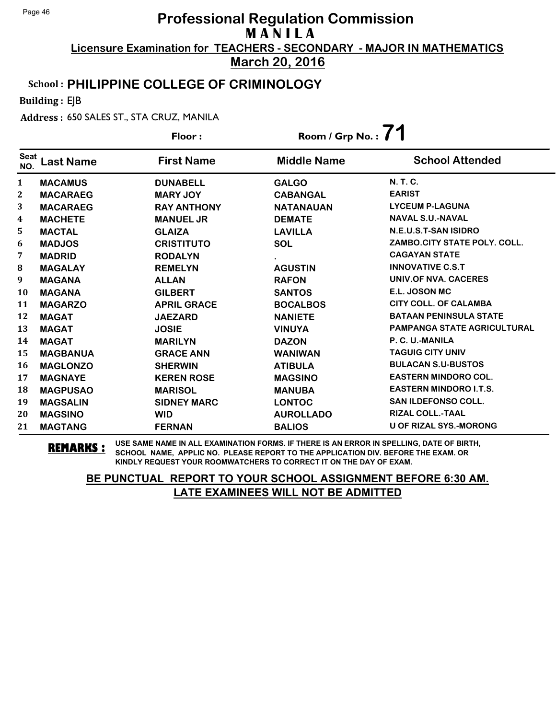**March 20, 2016**

### School : **PHILIPPINE COLLEGE OF CRIMINOLOGY**

Building : EJB

Address : 650 SALES ST., STA CRUZ, MANILA

|                    |                 | Floor:             | Room / Grp No.: 71 |                                    |
|--------------------|-----------------|--------------------|--------------------|------------------------------------|
| <b>Seat</b><br>NO. | Last Name       | <b>First Name</b>  | <b>Middle Name</b> | <b>School Attended</b>             |
| $\mathbf{1}$       | <b>MACAMUS</b>  | <b>DUNABELL</b>    | <b>GALGO</b>       | N. T. C.                           |
| 2                  | <b>MACARAEG</b> | <b>MARY JOY</b>    | <b>CABANGAL</b>    | <b>EARIST</b>                      |
| 3                  | <b>MACARAEG</b> | <b>RAY ANTHONY</b> | <b>NATANAUAN</b>   | <b>LYCEUM P-LAGUNA</b>             |
| 4                  | <b>MACHETE</b>  | <b>MANUEL JR</b>   | <b>DEMATE</b>      | <b>NAVAL S.U.-NAVAL</b>            |
| 5                  | <b>MACTAL</b>   | <b>GLAIZA</b>      | <b>LAVILLA</b>     | N.E.U.S.T-SAN ISIDRO               |
| 6                  | <b>MADJOS</b>   | <b>CRISTITUTO</b>  | <b>SOL</b>         | ZAMBO.CITY STATE POLY. COLL.       |
| 7                  | <b>MADRID</b>   | <b>RODALYN</b>     |                    | <b>CAGAYAN STATE</b>               |
| 8                  | <b>MAGALAY</b>  | <b>REMELYN</b>     | <b>AGUSTIN</b>     | <b>INNOVATIVE C.S.T</b>            |
| 9                  | <b>MAGANA</b>   | <b>ALLAN</b>       | <b>RAFON</b>       | UNIV.OF NVA. CACERES               |
| 10                 | <b>MAGANA</b>   | <b>GILBERT</b>     | <b>SANTOS</b>      | E.L. JOSON MC                      |
| 11                 | <b>MAGARZO</b>  | <b>APRIL GRACE</b> | <b>BOCALBOS</b>    | <b>CITY COLL. OF CALAMBA</b>       |
| 12                 | <b>MAGAT</b>    | <b>JAEZARD</b>     | <b>NANIETE</b>     | <b>BATAAN PENINSULA STATE</b>      |
| 13                 | <b>MAGAT</b>    | <b>JOSIE</b>       | <b>VINUYA</b>      | <b>PAMPANGA STATE AGRICULTURAL</b> |
| 14                 | <b>MAGAT</b>    | <b>MARILYN</b>     | <b>DAZON</b>       | P. C. U.-MANILA                    |
| 15                 | <b>MAGBANUA</b> | <b>GRACE ANN</b>   | <b>WANIWAN</b>     | <b>TAGUIG CITY UNIV</b>            |
| 16                 | <b>MAGLONZO</b> | <b>SHERWIN</b>     | <b>ATIBULA</b>     | <b>BULACAN S.U-BUSTOS</b>          |
| 17                 | <b>MAGNAYE</b>  | <b>KEREN ROSE</b>  | <b>MAGSINO</b>     | <b>EASTERN MINDORO COL.</b>        |
| 18                 | <b>MAGPUSAO</b> | <b>MARISOL</b>     | <b>MANUBA</b>      | <b>EASTERN MINDORO I.T.S.</b>      |
| 19                 | <b>MAGSALIN</b> | <b>SIDNEY MARC</b> | <b>LONTOC</b>      | <b>SAN ILDEFONSO COLL.</b>         |
| 20                 | <b>MAGSINO</b>  | <b>WID</b>         | <b>AUROLLADO</b>   | <b>RIZAL COLL.-TAAL</b>            |
| 21                 | <b>MAGTANG</b>  | <b>FERNAN</b>      | <b>BALIOS</b>      | <b>U OF RIZAL SYS.-MORONG</b>      |

**REMARKS :** USE SAME NAME IN ALL EXAMINATION FORMS. IF THERE IS AN ERROR IN SPELLING, DATE OF BIRTH, SCHOOL NAME, APPLIC NO. PLEASE REPORT TO THE APPLICATION DIV. BEFORE THE EXAM. OR KINDLY REQUEST YOUR ROOMWATCHERS TO CORRECT IT ON THE DAY OF EXAM.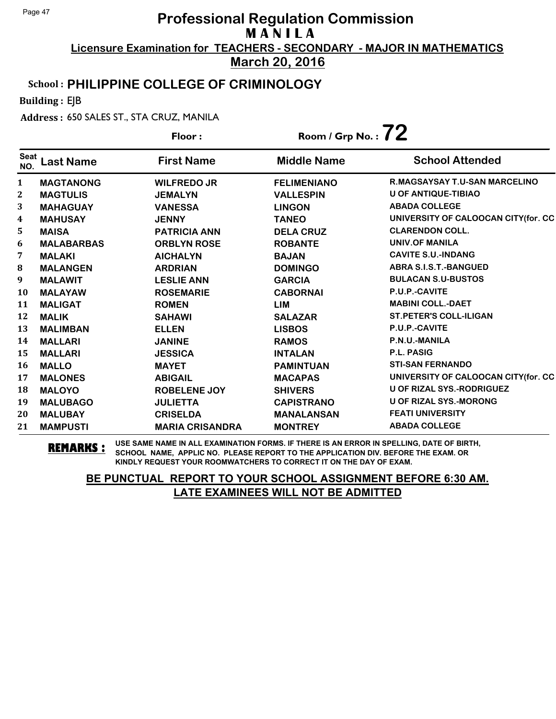**March 20, 2016**

#### School : **PHILIPPINE COLLEGE OF CRIMINOLOGY**

Building : EJB

Address : 650 SALES ST., STA CRUZ, MANILA

|                    |                   | Floor:                 | Room / Grp No. : $72$ |                                      |
|--------------------|-------------------|------------------------|-----------------------|--------------------------------------|
| <b>Seat</b><br>NO. | <b>Last Name</b>  | <b>First Name</b>      | <b>Middle Name</b>    | <b>School Attended</b>               |
| 1                  | <b>MAGTANONG</b>  | <b>WILFREDO JR</b>     | <b>FELIMENIANO</b>    | <b>R.MAGSAYSAY T.U-SAN MARCELINO</b> |
| 2                  | <b>MAGTULIS</b>   | <b>JEMALYN</b>         | <b>VALLESPIN</b>      | U OF ANTIQUE-TIBIAO                  |
| 3                  | <b>MAHAGUAY</b>   | <b>VANESSA</b>         | <b>LINGON</b>         | <b>ABADA COLLEGE</b>                 |
| 4                  | <b>MAHUSAY</b>    | <b>JENNY</b>           | <b>TANEO</b>          | UNIVERSITY OF CALOOCAN CITY(for. CC  |
| 5                  | <b>MAISA</b>      | <b>PATRICIA ANN</b>    | <b>DELA CRUZ</b>      | <b>CLARENDON COLL.</b>               |
| 6                  | <b>MALABARBAS</b> | <b>ORBLYN ROSE</b>     | <b>ROBANTE</b>        | <b>UNIV.OF MANILA</b>                |
| 7                  | <b>MALAKI</b>     | <b>AICHALYN</b>        | <b>BAJAN</b>          | <b>CAVITE S.U.-INDANG</b>            |
| 8                  | <b>MALANGEN</b>   | <b>ARDRIAN</b>         | <b>DOMINGO</b>        | <b>ABRA S.I.S.T.-BANGUED</b>         |
| 9                  | <b>MALAWIT</b>    | <b>LESLIE ANN</b>      | <b>GARCIA</b>         | <b>BULACAN S.U-BUSTOS</b>            |
| 10                 | <b>MALAYAW</b>    | <b>ROSEMARIE</b>       | <b>CABORNAI</b>       | P.U.P.-CAVITE                        |
| 11                 | <b>MALIGAT</b>    | <b>ROMEN</b>           | LIM                   | <b>MABINI COLL.-DAET</b>             |
| 12                 | <b>MALIK</b>      | <b>SAHAWI</b>          | <b>SALAZAR</b>        | <b>ST.PETER'S COLL-ILIGAN</b>        |
| 13                 | <b>MALIMBAN</b>   | <b>ELLEN</b>           | <b>LISBOS</b>         | P.U.P.-CAVITE                        |
| 14                 | <b>MALLARI</b>    | <b>JANINE</b>          | <b>RAMOS</b>          | P.N.U.-MANILA                        |
| 15                 | <b>MALLARI</b>    | <b>JESSICA</b>         | <b>INTALAN</b>        | <b>P.L. PASIG</b>                    |
| 16                 | <b>MALLO</b>      | <b>MAYET</b>           | <b>PAMINTUAN</b>      | <b>STI-SAN FERNANDO</b>              |
| 17                 | <b>MALONES</b>    | <b>ABIGAIL</b>         | <b>MACAPAS</b>        | UNIVERSITY OF CALOOCAN CITY(for. CC  |
| 18                 | <b>MALOYO</b>     | <b>ROBELENE JOY</b>    | <b>SHIVERS</b>        | <b>U OF RIZAL SYS.-RODRIGUEZ</b>     |
| 19                 | <b>MALUBAGO</b>   | <b>JULIETTA</b>        | <b>CAPISTRANO</b>     | <b>U OF RIZAL SYS.-MORONG</b>        |
| 20                 | <b>MALUBAY</b>    | <b>CRISELDA</b>        | <b>MANALANSAN</b>     | <b>FEATI UNIVERSITY</b>              |
| 21                 | <b>MAMPUSTI</b>   | <b>MARIA CRISANDRA</b> | <b>MONTREY</b>        | <b>ABADA COLLEGE</b>                 |

**REMARKS :** USE SAME NAME IN ALL EXAMINATION FORMS. IF THERE IS AN ERROR IN SPELLING, DATE OF BIRTH, SCHOOL NAME, APPLIC NO. PLEASE REPORT TO THE APPLICATION DIV. BEFORE THE EXAM. OR KINDLY REQUEST YOUR ROOMWATCHERS TO CORRECT IT ON THE DAY OF EXAM.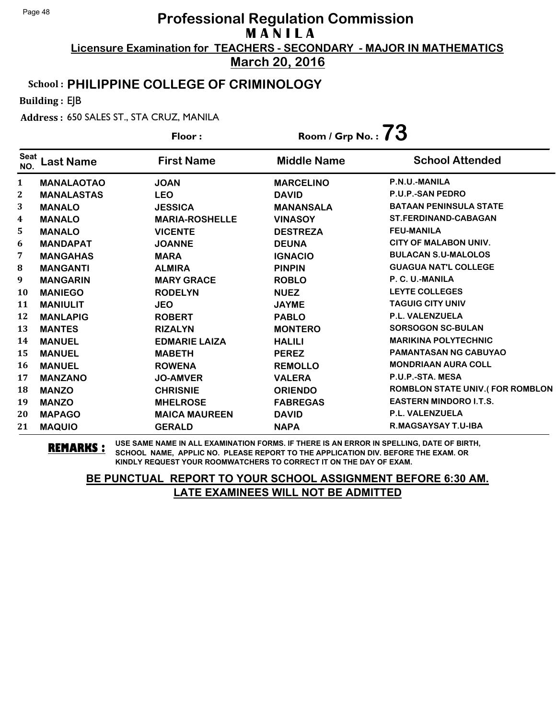**March 20, 2016**

#### School : **PHILIPPINE COLLEGE OF CRIMINOLOGY**

Building : EJB

Address : 650 SALES ST., STA CRUZ, MANILA

|                    |                   | Floor:                | Room / Grp No. : $73$ |                                        |
|--------------------|-------------------|-----------------------|-----------------------|----------------------------------------|
| <b>Seat</b><br>NO. | <b>Last Name</b>  | <b>First Name</b>     | <b>Middle Name</b>    | <b>School Attended</b>                 |
| 1                  | <b>MANALAOTAO</b> | <b>JOAN</b>           | <b>MARCELINO</b>      | P.N.U.-MANILA                          |
| 2                  | <b>MANALASTAS</b> | <b>LEO</b>            | <b>DAVID</b>          | <b>P.U.P.-SAN PEDRO</b>                |
| 3                  | <b>MANALO</b>     | <b>JESSICA</b>        | <b>MANANSALA</b>      | <b>BATAAN PENINSULA STATE</b>          |
| 4                  | <b>MANALO</b>     | <b>MARIA-ROSHELLE</b> | <b>VINASOY</b>        | <b>ST.FERDINAND-CABAGAN</b>            |
| 5                  | <b>MANALO</b>     | <b>VICENTE</b>        | <b>DESTREZA</b>       | <b>FEU-MANILA</b>                      |
| 6                  | <b>MANDAPAT</b>   | <b>JOANNE</b>         | <b>DEUNA</b>          | <b>CITY OF MALABON UNIV.</b>           |
| 7                  | <b>MANGAHAS</b>   | <b>MARA</b>           | <b>IGNACIO</b>        | <b>BULACAN S.U-MALOLOS</b>             |
| 8                  | <b>MANGANTI</b>   | <b>ALMIRA</b>         | <b>PINPIN</b>         | <b>GUAGUA NAT'L COLLEGE</b>            |
| 9                  | <b>MANGARIN</b>   | <b>MARY GRACE</b>     | <b>ROBLO</b>          | P. C. U.-MANILA                        |
| 10                 | <b>MANIEGO</b>    | <b>RODELYN</b>        | <b>NUEZ</b>           | <b>LEYTE COLLEGES</b>                  |
| 11                 | <b>MANIULIT</b>   | <b>JEO</b>            | <b>JAYME</b>          | <b>TAGUIG CITY UNIV</b>                |
| 12                 | <b>MANLAPIG</b>   | <b>ROBERT</b>         | <b>PABLO</b>          | P.L. VALENZUELA                        |
| 13                 | <b>MANTES</b>     | <b>RIZALYN</b>        | <b>MONTERO</b>        | <b>SORSOGON SC-BULAN</b>               |
| 14                 | <b>MANUEL</b>     | <b>EDMARIE LAIZA</b>  | <b>HALILI</b>         | <b>MARIKINA POLYTECHNIC</b>            |
| 15                 | <b>MANUEL</b>     | <b>MABETH</b>         | <b>PEREZ</b>          | <b>PAMANTASAN NG CABUYAO</b>           |
| 16                 | <b>MANUEL</b>     | <b>ROWENA</b>         | <b>REMOLLO</b>        | <b>MONDRIAAN AURA COLL</b>             |
| 17                 | <b>MANZANO</b>    | <b>JO-AMVER</b>       | <b>VALERA</b>         | P.U.P.-STA. MESA                       |
| 18                 | <b>MANZO</b>      | <b>CHRISNIE</b>       | <b>ORIENDO</b>        | <b>ROMBLON STATE UNIV.(FOR ROMBLON</b> |
| 19                 | <b>MANZO</b>      | <b>MHELROSE</b>       | <b>FABREGAS</b>       | <b>EASTERN MINDORO I.T.S.</b>          |
| 20                 | <b>MAPAGO</b>     | <b>MAICA MAUREEN</b>  | <b>DAVID</b>          | P.L. VALENZUELA                        |
| 21                 | <b>MAQUIO</b>     | <b>GERALD</b>         | <b>NAPA</b>           | R.MAGSAYSAY T.U-IBA                    |

**REMARKS :** USE SAME NAME IN ALL EXAMINATION FORMS. IF THERE IS AN ERROR IN SPELLING, DATE OF BIRTH, SCHOOL NAME, APPLIC NO. PLEASE REPORT TO THE APPLICATION DIV. BEFORE THE EXAM. OR KINDLY REQUEST YOUR ROOMWATCHERS TO CORRECT IT ON THE DAY OF EXAM.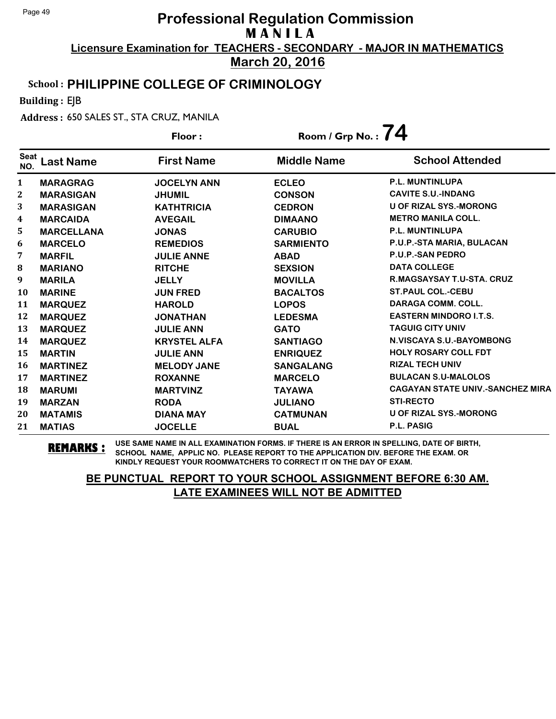**March 20, 2016**

### School : **PHILIPPINE COLLEGE OF CRIMINOLOGY**

Building : EJB

Address : 650 SALES ST., STA CRUZ, MANILA

|                    |                   | Floor:              | Room / Grp No. : $74$ |                                         |
|--------------------|-------------------|---------------------|-----------------------|-----------------------------------------|
| <b>Seat</b><br>NO. | <b>Last Name</b>  | <b>First Name</b>   | <b>Middle Name</b>    | <b>School Attended</b>                  |
| 1                  | <b>MARAGRAG</b>   | <b>JOCELYN ANN</b>  | <b>ECLEO</b>          | <b>P.L. MUNTINLUPA</b>                  |
| $\mathbf{2}$       | <b>MARASIGAN</b>  | <b>JHUMIL</b>       | <b>CONSON</b>         | <b>CAVITE S.U.-INDANG</b>               |
| 3                  | <b>MARASIGAN</b>  | <b>KATHTRICIA</b>   | <b>CEDRON</b>         | <b>U OF RIZAL SYS.-MORONG</b>           |
| 4                  | <b>MARCAIDA</b>   | <b>AVEGAIL</b>      | <b>DIMAANO</b>        | <b>METRO MANILA COLL.</b>               |
| 5                  | <b>MARCELLANA</b> | <b>JONAS</b>        | <b>CARUBIO</b>        | <b>P.L. MUNTINLUPA</b>                  |
| 6                  | <b>MARCELO</b>    | <b>REMEDIOS</b>     | <b>SARMIENTO</b>      | P.U.P.-STA MARIA, BULACAN               |
| 7                  | <b>MARFIL</b>     | <b>JULIE ANNE</b>   | <b>ABAD</b>           | <b>P.U.P.-SAN PEDRO</b>                 |
| ${\bf 8}$          | <b>MARIANO</b>    | <b>RITCHE</b>       | <b>SEXSION</b>        | <b>DATA COLLEGE</b>                     |
| 9                  | <b>MARILA</b>     | <b>JELLY</b>        | <b>MOVILLA</b>        | <b>R.MAGSAYSAY T.U-STA. CRUZ</b>        |
| 10                 | <b>MARINE</b>     | <b>JUN FRED</b>     | <b>BACALTOS</b>       | <b>ST.PAUL COL.-CEBU</b>                |
| 11                 | <b>MARQUEZ</b>    | <b>HAROLD</b>       | <b>LOPOS</b>          | <b>DARAGA COMM. COLL.</b>               |
| 12                 | <b>MARQUEZ</b>    | <b>JONATHAN</b>     | <b>LEDESMA</b>        | <b>EASTERN MINDORO I.T.S.</b>           |
| 13                 | <b>MARQUEZ</b>    | <b>JULIE ANN</b>    | <b>GATO</b>           | <b>TAGUIG CITY UNIV</b>                 |
| 14                 | <b>MARQUEZ</b>    | <b>KRYSTEL ALFA</b> | <b>SANTIAGO</b>       | N.VISCAYA S.U.-BAYOMBONG                |
| 15                 | <b>MARTIN</b>     | <b>JULIE ANN</b>    | <b>ENRIQUEZ</b>       | <b>HOLY ROSARY COLL FDT</b>             |
| 16                 | <b>MARTINEZ</b>   | <b>MELODY JANE</b>  | <b>SANGALANG</b>      | <b>RIZAL TECH UNIV</b>                  |
| 17                 | <b>MARTINEZ</b>   | <b>ROXANNE</b>      | <b>MARCELO</b>        | <b>BULACAN S.U-MALOLOS</b>              |
| 18                 | <b>MARUMI</b>     | <b>MARTVINZ</b>     | <b>TAYAWA</b>         | <b>CAGAYAN STATE UNIV.-SANCHEZ MIRA</b> |
| 19                 | <b>MARZAN</b>     | <b>RODA</b>         | <b>JULIANO</b>        | <b>STI-RECTO</b>                        |
| 20                 | <b>MATAMIS</b>    | <b>DIANA MAY</b>    | <b>CATMUNAN</b>       | U OF RIZAL SYS.-MORONG                  |
| 21                 | <b>MATIAS</b>     | <b>JOCELLE</b>      | <b>BUAL</b>           | P.L. PASIG                              |

**REMARKS :** USE SAME NAME IN ALL EXAMINATION FORMS. IF THERE IS AN ERROR IN SPELLING, DATE OF BIRTH, SCHOOL NAME, APPLIC NO. PLEASE REPORT TO THE APPLICATION DIV. BEFORE THE EXAM. OR KINDLY REQUEST YOUR ROOMWATCHERS TO CORRECT IT ON THE DAY OF EXAM.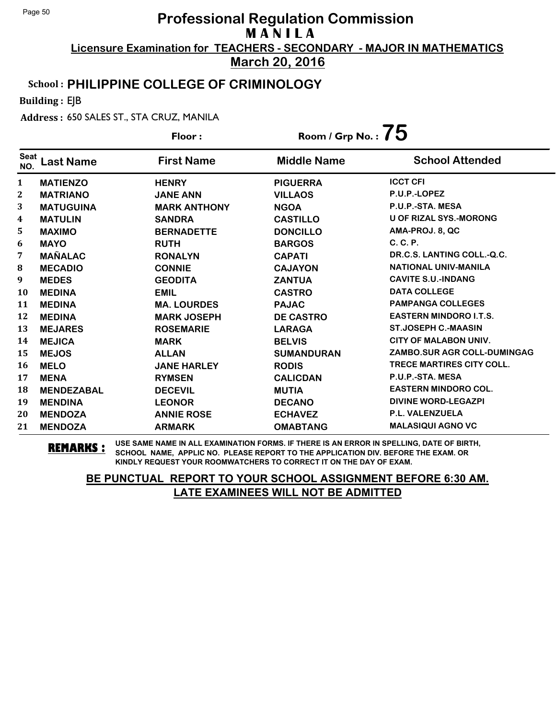**March 20, 2016**

### School : **PHILIPPINE COLLEGE OF CRIMINOLOGY**

Building : EJB

Address : 650 SALES ST., STA CRUZ, MANILA

|                    |                   | Floor:              | Room / Grp No. : $75$ |                                    |
|--------------------|-------------------|---------------------|-----------------------|------------------------------------|
| <b>Seat</b><br>NO. | Last Name         | <b>First Name</b>   | <b>Middle Name</b>    | <b>School Attended</b>             |
| 1                  | <b>MATIENZO</b>   | <b>HENRY</b>        | <b>PIGUERRA</b>       | <b>ICCT CFI</b>                    |
| $\mathbf{2}$       | <b>MATRIANO</b>   | <b>JANE ANN</b>     | <b>VILLAOS</b>        | P.U.P.-LOPEZ                       |
| 3                  | <b>MATUGUINA</b>  | <b>MARK ANTHONY</b> | <b>NGOA</b>           | P.U.P.-STA. MESA                   |
| 4                  | <b>MATULIN</b>    | <b>SANDRA</b>       | <b>CASTILLO</b>       | <b>U OF RIZAL SYS.-MORONG</b>      |
| 5                  | <b>MAXIMO</b>     | <b>BERNADETTE</b>   | <b>DONCILLO</b>       | AMA-PROJ. 8, QC                    |
| 6                  | <b>MAYO</b>       | <b>RUTH</b>         | <b>BARGOS</b>         | C. C. P.                           |
| 7                  | <b>MAÑALAC</b>    | <b>RONALYN</b>      | <b>CAPATI</b>         | DR.C.S. LANTING COLL.-Q.C.         |
| 8                  | <b>MECADIO</b>    | <b>CONNIE</b>       | <b>CAJAYON</b>        | <b>NATIONAL UNIV-MANILA</b>        |
| 9                  | <b>MEDES</b>      | <b>GEODITA</b>      | <b>ZANTUA</b>         | <b>CAVITE S.U.-INDANG</b>          |
| 10                 | <b>MEDINA</b>     | <b>EMIL</b>         | <b>CASTRO</b>         | <b>DATA COLLEGE</b>                |
| 11                 | <b>MEDINA</b>     | <b>MA. LOURDES</b>  | <b>PAJAC</b>          | <b>PAMPANGA COLLEGES</b>           |
| 12                 | <b>MEDINA</b>     | <b>MARK JOSEPH</b>  | <b>DE CASTRO</b>      | <b>EASTERN MINDORO I.T.S.</b>      |
| 13                 | <b>MEJARES</b>    | <b>ROSEMARIE</b>    | <b>LARAGA</b>         | <b>ST.JOSEPH C.-MAASIN</b>         |
| 14                 | <b>MEJICA</b>     | <b>MARK</b>         | <b>BELVIS</b>         | <b>CITY OF MALABON UNIV.</b>       |
| 15                 | <b>MEJOS</b>      | <b>ALLAN</b>        | <b>SUMANDURAN</b>     | <b>ZAMBO.SUR AGR COLL-DUMINGAG</b> |
| 16                 | <b>MELO</b>       | <b>JANE HARLEY</b>  | <b>RODIS</b>          | TRECE MARTIRES CITY COLL.          |
| 17                 | <b>MENA</b>       | <b>RYMSEN</b>       | <b>CALICDAN</b>       | P.U.P.-STA. MESA                   |
| 18                 | <b>MENDEZABAL</b> | <b>DECEVIL</b>      | <b>MUTIA</b>          | <b>EASTERN MINDORO COL.</b>        |
| 19                 | <b>MENDINA</b>    | <b>LEONOR</b>       | <b>DECANO</b>         | <b>DIVINE WORD-LEGAZPI</b>         |
| 20                 | <b>MENDOZA</b>    | <b>ANNIE ROSE</b>   | <b>ECHAVEZ</b>        | <b>P.L. VALENZUELA</b>             |
| 21                 | <b>MENDOZA</b>    | <b>ARMARK</b>       | <b>OMABTANG</b>       | <b>MALASIQUI AGNO VC</b>           |

**REMARKS :** USE SAME NAME IN ALL EXAMINATION FORMS. IF THERE IS AN ERROR IN SPELLING, DATE OF BIRTH, SCHOOL NAME, APPLIC NO. PLEASE REPORT TO THE APPLICATION DIV. BEFORE THE EXAM. OR KINDLY REQUEST YOUR ROOMWATCHERS TO CORRECT IT ON THE DAY OF EXAM.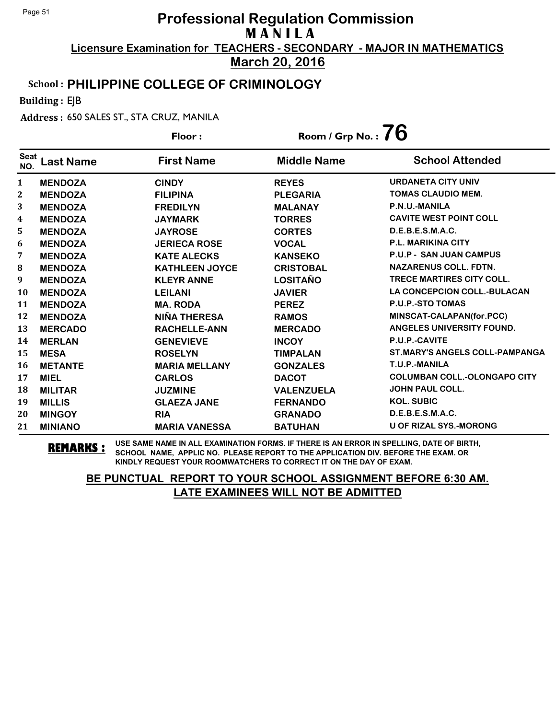**March 20, 2016**

### School : **PHILIPPINE COLLEGE OF CRIMINOLOGY**

Building : EJB

Address : 650 SALES ST., STA CRUZ, MANILA

|                    |                  | Floor:                | Room / Grp No. : $76$ |                                       |
|--------------------|------------------|-----------------------|-----------------------|---------------------------------------|
| <b>Seat</b><br>NO. | <b>Last Name</b> | <b>First Name</b>     | <b>Middle Name</b>    | <b>School Attended</b>                |
| $\mathbf{1}$       | <b>MENDOZA</b>   | <b>CINDY</b>          | <b>REYES</b>          | <b>URDANETA CITY UNIV</b>             |
| 2                  | <b>MENDOZA</b>   | <b>FILIPINA</b>       | <b>PLEGARIA</b>       | <b>TOMAS CLAUDIO MEM.</b>             |
| 3                  | <b>MENDOZA</b>   | <b>FREDILYN</b>       | <b>MALANAY</b>        | P.N.U.-MANILA                         |
| 4                  | <b>MENDOZA</b>   | <b>JAYMARK</b>        | <b>TORRES</b>         | <b>CAVITE WEST POINT COLL</b>         |
| 5                  | <b>MENDOZA</b>   | <b>JAYROSE</b>        | <b>CORTES</b>         | D.E.B.E.S.M.A.C.                      |
| 6                  | <b>MENDOZA</b>   | <b>JERIECA ROSE</b>   | <b>VOCAL</b>          | <b>P.L. MARIKINA CITY</b>             |
| 7                  | <b>MENDOZA</b>   | <b>KATE ALECKS</b>    | <b>KANSEKO</b>        | <b>P.U.P - SAN JUAN CAMPUS</b>        |
| 8                  | <b>MENDOZA</b>   | <b>KATHLEEN JOYCE</b> | <b>CRISTOBAL</b>      | <b>NAZARENUS COLL. FDTN.</b>          |
| 9                  | <b>MENDOZA</b>   | <b>KLEYR ANNE</b>     | <b>LOSITAÑO</b>       | <b>TRECE MARTIRES CITY COLL.</b>      |
| 10                 | <b>MENDOZA</b>   | <b>LEILANI</b>        | <b>JAVIER</b>         | <b>LA CONCEPCION COLL.-BULACAN</b>    |
| 11                 | <b>MENDOZA</b>   | <b>MA. RODA</b>       | <b>PEREZ</b>          | P.U.P.-STO TOMAS                      |
| 12                 | <b>MENDOZA</b>   | <b>NIÑA THERESA</b>   | <b>RAMOS</b>          | MINSCAT-CALAPAN(for.PCC)              |
| 13                 | <b>MERCADO</b>   | <b>RACHELLE-ANN</b>   | <b>MERCADO</b>        | ANGELES UNIVERSITY FOUND.             |
| 14                 | <b>MERLAN</b>    | <b>GENEVIEVE</b>      | <b>INCOY</b>          | P.U.P.-CAVITE                         |
| 15                 | <b>MESA</b>      | <b>ROSELYN</b>        | <b>TIMPALAN</b>       | <b>ST.MARY'S ANGELS COLL-PAMPANGA</b> |
| 16                 | <b>METANTE</b>   | <b>MARIA MELLANY</b>  | <b>GONZALES</b>       | T.U.P.-MANILA                         |
| 17                 | <b>MIEL</b>      | <b>CARLOS</b>         | <b>DACOT</b>          | <b>COLUMBAN COLL.-OLONGAPO CITY</b>   |
| 18                 | <b>MILITAR</b>   | <b>JUZMINE</b>        | <b>VALENZUELA</b>     | <b>JOHN PAUL COLL.</b>                |
| 19                 | <b>MILLIS</b>    | <b>GLAEZA JANE</b>    | <b>FERNANDO</b>       | <b>KOL. SUBIC</b>                     |
| 20                 | <b>MINGOY</b>    | <b>RIA</b>            | <b>GRANADO</b>        | D.E.B.E.S.M.A.C.                      |
| 21                 | <b>MINIANO</b>   | <b>MARIA VANESSA</b>  | <b>BATUHAN</b>        | <b>U OF RIZAL SYS.-MORONG</b>         |

**REMARKS :** USE SAME NAME IN ALL EXAMINATION FORMS. IF THERE IS AN ERROR IN SPELLING, DATE OF BIRTH, SCHOOL NAME, APPLIC NO. PLEASE REPORT TO THE APPLICATION DIV. BEFORE THE EXAM. OR KINDLY REQUEST YOUR ROOMWATCHERS TO CORRECT IT ON THE DAY OF EXAM.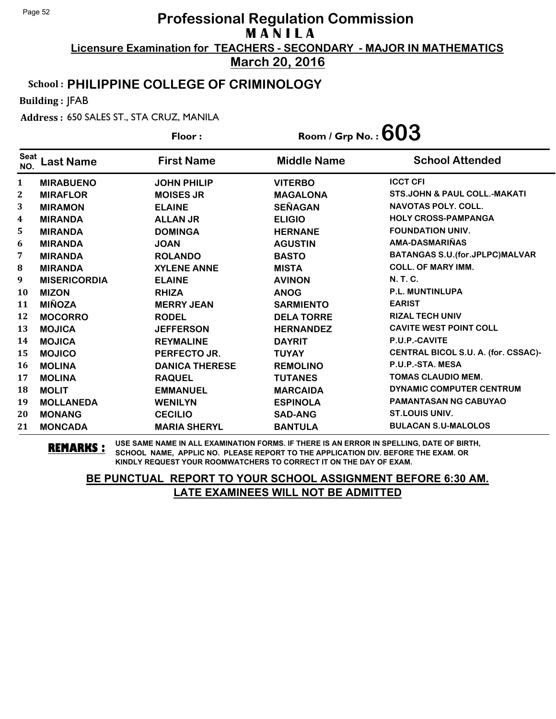**March 20, 2016**

### School : **PHILIPPINE COLLEGE OF CRIMINOLOGY**

Building : JFAB

Address : 650 SALES ST., STA CRUZ, MANILA

|                    |                     | Floor:                | Room / Grp No. : $603$ |                                         |
|--------------------|---------------------|-----------------------|------------------------|-----------------------------------------|
| <b>Seat</b><br>NO. | <b>Last Name</b>    | <b>First Name</b>     | <b>Middle Name</b>     | <b>School Attended</b>                  |
| 1                  | <b>MIRABUENO</b>    | <b>JOHN PHILIP</b>    | <b>VITERBO</b>         | <b>ICCT CFI</b>                         |
| 2                  | <b>MIRAFLOR</b>     | <b>MOISES JR</b>      | <b>MAGALONA</b>        | <b>STS.JOHN &amp; PAUL COLL.-MAKATI</b> |
| 3                  | <b>MIRAMON</b>      | <b>ELAINE</b>         | <b>SEÑAGAN</b>         | <b>NAVOTAS POLY, COLL.</b>              |
| 4                  | <b>MIRANDA</b>      | <b>ALLAN JR</b>       | <b>ELIGIO</b>          | <b>HOLY CROSS-PAMPANGA</b>              |
| 5                  | <b>MIRANDA</b>      | <b>DOMINGA</b>        | <b>HERNANE</b>         | <b>FOUNDATION UNIV.</b>                 |
| 6                  | <b>MIRANDA</b>      | <b>JOAN</b>           | <b>AGUSTIN</b>         | AMA-DASMARIÑAS                          |
| 7                  | <b>MIRANDA</b>      | <b>ROLANDO</b>        | <b>BASTO</b>           | BATANGAS S.U. (for.JPLPC) MALVAR        |
| 8                  | <b>MIRANDA</b>      | <b>XYLENE ANNE</b>    | <b>MISTA</b>           | <b>COLL. OF MARY IMM.</b>               |
| 9                  | <b>MISERICORDIA</b> | <b>ELAINE</b>         | <b>AVINON</b>          | N. T. C.                                |
| 10                 | <b>MIZON</b>        | <b>RHIZA</b>          | <b>ANOG</b>            | <b>P.L. MUNTINLUPA</b>                  |
| 11                 | <b>MIÑOZA</b>       | <b>MERRY JEAN</b>     | <b>SARMIENTO</b>       | <b>EARIST</b>                           |
| 12                 | <b>MOCORRO</b>      | <b>RODEL</b>          | <b>DELA TORRE</b>      | <b>RIZAL TECH UNIV</b>                  |
| 13                 | <b>MOJICA</b>       | <b>JEFFERSON</b>      | <b>HERNANDEZ</b>       | <b>CAVITE WEST POINT COLL</b>           |
| 14                 | <b>MOJICA</b>       | <b>REYMALINE</b>      | <b>DAYRIT</b>          | P.U.P.-CAVITE                           |
| 15                 | <b>MOJICO</b>       | PERFECTO JR.          | <b>TUYAY</b>           | CENTRAL BICOL S.U. A. (for. CSSAC)-     |
| 16                 | <b>MOLINA</b>       | <b>DANICA THERESE</b> | <b>REMOLINO</b>        | P.U.P.-STA. MESA                        |
| 17                 | <b>MOLINA</b>       | <b>RAQUEL</b>         | <b>TUTANES</b>         | <b>TOMAS CLAUDIO MEM.</b>               |
| 18                 | <b>MOLIT</b>        | <b>EMMANUEL</b>       | <b>MARCAIDA</b>        | DYNAMIC COMPUTER CENTRUM                |
| 19                 | <b>MOLLANEDA</b>    | <b>WENILYN</b>        | <b>ESPINOLA</b>        | <b>PAMANTASAN NG CABUYAO</b>            |
| 20                 | <b>MONANG</b>       | <b>CECILIO</b>        | <b>SAD-ANG</b>         | <b>ST.LOUIS UNIV.</b>                   |
| 21                 | <b>MONCADA</b>      | <b>MARIA SHERYL</b>   | <b>BANTULA</b>         | <b>BULACAN S.U-MALOLOS</b>              |

**REMARKS :** USE SAME NAME IN ALL EXAMINATION FORMS. IF THERE IS AN ERROR IN SPELLING, DATE OF BIRTH, SCHOOL NAME, APPLIC NO. PLEASE REPORT TO THE APPLICATION DIV. BEFORE THE EXAM. OR KINDLY REQUEST YOUR ROOMWATCHERS TO CORRECT IT ON THE DAY OF EXAM.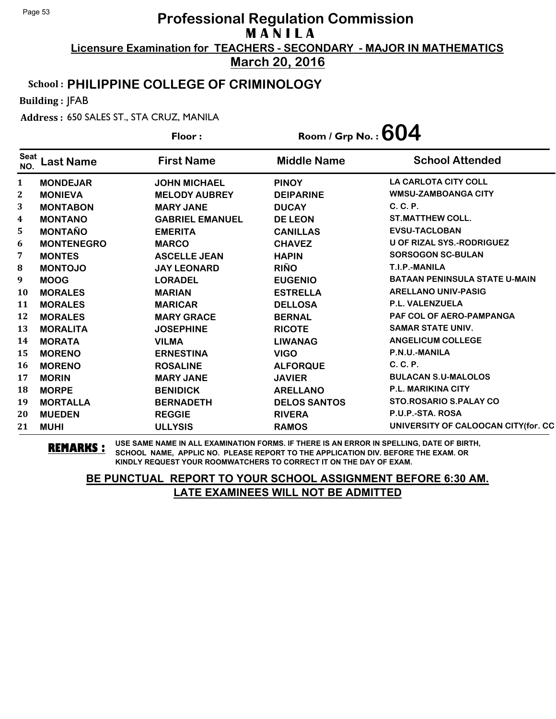**March 20, 2016**

#### School : **PHILIPPINE COLLEGE OF CRIMINOLOGY**

Building : JFAB

Address : 650 SALES ST., STA CRUZ, MANILA

|                    |                   | Floor:                 | Room / Grp No. : $604$ |                                      |
|--------------------|-------------------|------------------------|------------------------|--------------------------------------|
| <b>Seat</b><br>NO. | <b>Last Name</b>  | <b>First Name</b>      | <b>Middle Name</b>     | <b>School Attended</b>               |
| $\mathbf{1}$       | <b>MONDEJAR</b>   | <b>JOHN MICHAEL</b>    | <b>PINOY</b>           | <b>LA CARLOTA CITY COLL</b>          |
| $\mathbf{2}$       | <b>MONIEVA</b>    | <b>MELODY AUBREY</b>   | <b>DEIPARINE</b>       | <b>WMSU-ZAMBOANGA CITY</b>           |
| 3                  | <b>MONTABON</b>   | <b>MARY JANE</b>       | <b>DUCAY</b>           | $C, C, P$ .                          |
| 4                  | <b>MONTANO</b>    | <b>GABRIEL EMANUEL</b> | <b>DE LEON</b>         | <b>ST.MATTHEW COLL.</b>              |
| 5                  | <b>MONTAÑO</b>    | <b>EMERITA</b>         | <b>CANILLAS</b>        | <b>EVSU-TACLOBAN</b>                 |
| 6                  | <b>MONTENEGRO</b> | <b>MARCO</b>           | <b>CHAVEZ</b>          | <b>U OF RIZAL SYS.-RODRIGUEZ</b>     |
| 7                  | <b>MONTES</b>     | <b>ASCELLE JEAN</b>    | <b>HAPIN</b>           | <b>SORSOGON SC-BULAN</b>             |
| $\bf{8}$           | <b>MONTOJO</b>    | <b>JAY LEONARD</b>     | <b>RIÑO</b>            | T.I.P.-MANILA                        |
| 9                  | <b>MOOG</b>       | <b>LORADEL</b>         | <b>EUGENIO</b>         | <b>BATAAN PENINSULA STATE U-MAIN</b> |
| 10                 | <b>MORALES</b>    | <b>MARIAN</b>          | <b>ESTRELLA</b>        | <b>ARELLANO UNIV-PASIG</b>           |
| 11                 | <b>MORALES</b>    | <b>MARICAR</b>         | <b>DELLOSA</b>         | <b>P.L. VALENZUELA</b>               |
| 12                 | <b>MORALES</b>    | <b>MARY GRACE</b>      | <b>BERNAL</b>          | <b>PAF COL OF AERO-PAMPANGA</b>      |
| 13                 | <b>MORALITA</b>   | <b>JOSEPHINE</b>       | <b>RICOTE</b>          | <b>SAMAR STATE UNIV.</b>             |
| 14                 | <b>MORATA</b>     | <b>VILMA</b>           | <b>LIWANAG</b>         | <b>ANGELICUM COLLEGE</b>             |
| 15                 | <b>MORENO</b>     | <b>ERNESTINA</b>       | <b>VIGO</b>            | P.N.U.-MANILA                        |
| 16                 | <b>MORENO</b>     | <b>ROSALINE</b>        | <b>ALFORQUE</b>        | C. C. P.                             |
| 17                 | <b>MORIN</b>      | <b>MARY JANE</b>       | <b>JAVIER</b>          | <b>BULACAN S.U-MALOLOS</b>           |
| 18                 | <b>MORPE</b>      | <b>BENIDICK</b>        | <b>ARELLANO</b>        | <b>P.L. MARIKINA CITY</b>            |
| 19                 | <b>MORTALLA</b>   | <b>BERNADETH</b>       | <b>DELOS SANTOS</b>    | <b>STO.ROSARIO S.PALAY CO</b>        |
| 20                 | <b>MUEDEN</b>     | <b>REGGIE</b>          | <b>RIVERA</b>          | P.U.P.-STA. ROSA                     |
| 21                 | <b>MUHI</b>       | <b>ULLYSIS</b>         | <b>RAMOS</b>           | UNIVERSITY OF CALOOCAN CITY (for. CC |

**REMARKS :** USE SAME NAME IN ALL EXAMINATION FORMS. IF THERE IS AN ERROR IN SPELLING, DATE OF BIRTH, SCHOOL NAME, APPLIC NO. PLEASE REPORT TO THE APPLICATION DIV. BEFORE THE EXAM. OR KINDLY REQUEST YOUR ROOMWATCHERS TO CORRECT IT ON THE DAY OF EXAM.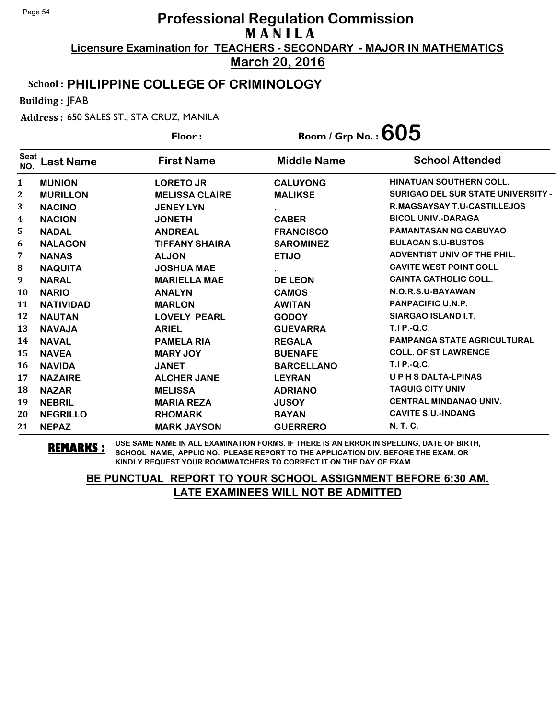**March 20, 2016**

#### School : **PHILIPPINE COLLEGE OF CRIMINOLOGY**

Building : JFAB

Address : 650 SALES ST., STA CRUZ, MANILA

|                    |                  | Floor:                | Room / Grp No. : $605$ |                                           |
|--------------------|------------------|-----------------------|------------------------|-------------------------------------------|
| <b>Seat</b><br>NO. | <b>Last Name</b> | <b>First Name</b>     | <b>Middle Name</b>     | <b>School Attended</b>                    |
| $\mathbf{1}$       | <b>MUNION</b>    | <b>LORETO JR</b>      | <b>CALUYONG</b>        | <b>HINATUAN SOUTHERN COLL.</b>            |
| 2                  | <b>MURILLON</b>  | <b>MELISSA CLAIRE</b> | <b>MALIKSE</b>         | <b>SURIGAO DEL SUR STATE UNIVERSITY -</b> |
| 3                  | <b>NACINO</b>    | <b>JENEY LYN</b>      |                        | R.MAGSAYSAY T.U-CASTILLEJOS               |
| 4                  | <b>NACION</b>    | <b>JONETH</b>         | <b>CABER</b>           | <b>BICOL UNIV.-DARAGA</b>                 |
| 5                  | <b>NADAL</b>     | <b>ANDREAL</b>        | <b>FRANCISCO</b>       | <b>PAMANTASAN NG CABUYAO</b>              |
| 6                  | <b>NALAGON</b>   | <b>TIFFANY SHAIRA</b> | <b>SAROMINEZ</b>       | <b>BULACAN S.U-BUSTOS</b>                 |
| 7                  | <b>NANAS</b>     | <b>ALJON</b>          | <b>ETIJO</b>           | ADVENTIST UNIV OF THE PHIL.               |
| 8                  | <b>NAQUITA</b>   | <b>JOSHUA MAE</b>     |                        | <b>CAVITE WEST POINT COLL</b>             |
| 9                  | <b>NARAL</b>     | <b>MARIELLA MAE</b>   | <b>DE LEON</b>         | <b>CAINTA CATHOLIC COLL.</b>              |
| 10                 | <b>NARIO</b>     | <b>ANALYN</b>         | <b>CAMOS</b>           | N.O.R.S.U-BAYAWAN                         |
| 11                 | <b>NATIVIDAD</b> | <b>MARLON</b>         | <b>AWITAN</b>          | <b>PANPACIFIC U.N.P.</b>                  |
| 12                 | <b>NAUTAN</b>    | <b>LOVELY PEARL</b>   | <b>GODOY</b>           | SIARGAO ISLAND I.T.                       |
| 13                 | <b>NAVAJA</b>    | <b>ARIEL</b>          | <b>GUEVARRA</b>        | <b>T.I P.-Q.C.</b>                        |
| 14                 | <b>NAVAL</b>     | <b>PAMELA RIA</b>     | <b>REGALA</b>          | <b>PAMPANGA STATE AGRICULTURAL</b>        |
| 15                 | <b>NAVEA</b>     | <b>MARY JOY</b>       | <b>BUENAFE</b>         | <b>COLL. OF ST LAWRENCE</b>               |
| 16                 | <b>NAVIDA</b>    | <b>JANET</b>          | <b>BARCELLANO</b>      | <b>T.I P.-Q.C.</b>                        |
| 17                 | <b>NAZAIRE</b>   | <b>ALCHER JANE</b>    | <b>LEYRAN</b>          | <b>UPHSDALTA-LPINAS</b>                   |
| 18                 | <b>NAZAR</b>     | <b>MELISSA</b>        | <b>ADRIANO</b>         | <b>TAGUIG CITY UNIV</b>                   |
| 19                 | <b>NEBRIL</b>    | <b>MARIA REZA</b>     | <b>JUSOY</b>           | <b>CENTRAL MINDANAO UNIV.</b>             |
| 20                 | <b>NEGRILLO</b>  | <b>RHOMARK</b>        | <b>BAYAN</b>           | <b>CAVITE S.U.-INDANG</b>                 |
| 21                 | <b>NEPAZ</b>     | <b>MARK JAYSON</b>    | <b>GUERRERO</b>        | N. T. C.                                  |

**REMARKS :** USE SAME NAME IN ALL EXAMINATION FORMS. IF THERE IS AN ERROR IN SPELLING, DATE OF BIRTH, SCHOOL NAME, APPLIC NO. PLEASE REPORT TO THE APPLICATION DIV. BEFORE THE EXAM. OR KINDLY REQUEST YOUR ROOMWATCHERS TO CORRECT IT ON THE DAY OF EXAM.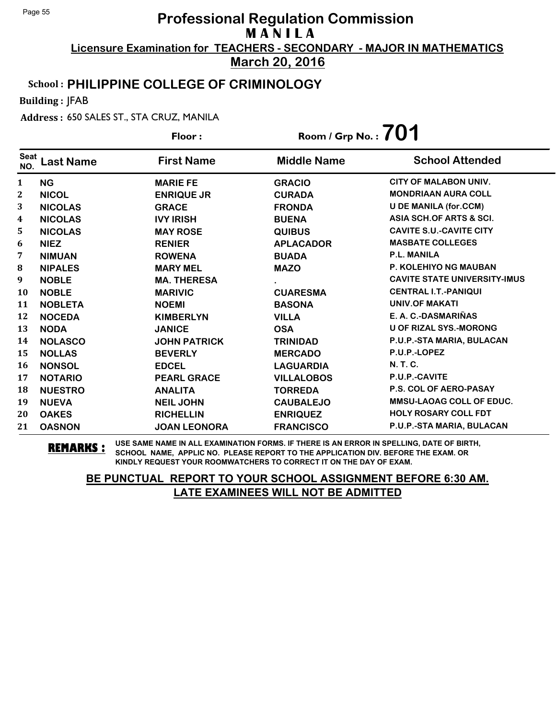**March 20, 2016**

### School : **PHILIPPINE COLLEGE OF CRIMINOLOGY**

Building : JFAB

Address : 650 SALES ST., STA CRUZ, MANILA

|                    |                  | Floor:              | Room / Grp No.: $701$ |                                     |
|--------------------|------------------|---------------------|-----------------------|-------------------------------------|
| <b>Seat</b><br>NO. | <b>Last Name</b> | <b>First Name</b>   | <b>Middle Name</b>    | <b>School Attended</b>              |
| 1                  | <b>NG</b>        | <b>MARIE FE</b>     | <b>GRACIO</b>         | <b>CITY OF MALABON UNIV.</b>        |
| $\boldsymbol{2}$   | <b>NICOL</b>     | <b>ENRIQUE JR</b>   | <b>CURADA</b>         | <b>MONDRIAAN AURA COLL</b>          |
| 3                  | <b>NICOLAS</b>   | <b>GRACE</b>        | <b>FRONDA</b>         | <b>U DE MANILA (for.CCM)</b>        |
| 4                  | <b>NICOLAS</b>   | <b>IVY IRISH</b>    | <b>BUENA</b>          | ASIA SCH.OF ARTS & SCI.             |
| 5                  | <b>NICOLAS</b>   | <b>MAY ROSE</b>     | <b>QUIBUS</b>         | <b>CAVITE S.U.-CAVITE CITY</b>      |
| 6                  | <b>NIEZ</b>      | <b>RENIER</b>       | <b>APLACADOR</b>      | <b>MASBATE COLLEGES</b>             |
| 7                  | <b>NIMUAN</b>    | <b>ROWENA</b>       | <b>BUADA</b>          | <b>P.L. MANILA</b>                  |
| ${\bf 8}$          | <b>NIPALES</b>   | <b>MARY MEL</b>     | <b>MAZO</b>           | <b>P. KOLEHIYO NG MAUBAN</b>        |
| 9                  | <b>NOBLE</b>     | <b>MA. THERESA</b>  |                       | <b>CAVITE STATE UNIVERSITY-IMUS</b> |
| 10                 | <b>NOBLE</b>     | <b>MARIVIC</b>      | <b>CUARESMA</b>       | <b>CENTRAL I.T.-PANIQUI</b>         |
| 11                 | <b>NOBLETA</b>   | <b>NOEMI</b>        | <b>BASONA</b>         | <b>UNIV.OF MAKATI</b>               |
| 12                 | <b>NOCEDA</b>    | <b>KIMBERLYN</b>    | <b>VILLA</b>          | E. A. C.-DASMARIÑAS                 |
| 13                 | <b>NODA</b>      | <b>JANICE</b>       | <b>OSA</b>            | <b>U OF RIZAL SYS.-MORONG</b>       |
| 14                 | <b>NOLASCO</b>   | <b>JOHN PATRICK</b> | <b>TRINIDAD</b>       | P.U.P.-STA MARIA, BULACAN           |
| 15                 | <b>NOLLAS</b>    | <b>BEVERLY</b>      | <b>MERCADO</b>        | P.U.P.-LOPEZ                        |
| 16                 | <b>NONSOL</b>    | <b>EDCEL</b>        | <b>LAGUARDIA</b>      | <b>N.T.C.</b>                       |
| 17                 | <b>NOTARIO</b>   | <b>PEARL GRACE</b>  | <b>VILLALOBOS</b>     | P.U.P.-CAVITE                       |
| 18                 | <b>NUESTRO</b>   | <b>ANALITA</b>      | <b>TORREDA</b>        | <b>P.S. COL OF AERO-PASAY</b>       |
| 19                 | <b>NUEVA</b>     | <b>NEIL JOHN</b>    | <b>CAUBALEJO</b>      | <b>MMSU-LAOAG COLL OF EDUC.</b>     |
| 20                 | <b>OAKES</b>     | <b>RICHELLIN</b>    | <b>ENRIQUEZ</b>       | <b>HOLY ROSARY COLL FDT</b>         |
| 21                 | <b>OASNON</b>    | <b>JOAN LEONORA</b> | <b>FRANCISCO</b>      | P.U.P.-STA MARIA, BULACAN           |

**REMARKS :** USE SAME NAME IN ALL EXAMINATION FORMS. IF THERE IS AN ERROR IN SPELLING, DATE OF BIRTH, SCHOOL NAME, APPLIC NO. PLEASE REPORT TO THE APPLICATION DIV. BEFORE THE EXAM. OR KINDLY REQUEST YOUR ROOMWATCHERS TO CORRECT IT ON THE DAY OF EXAM.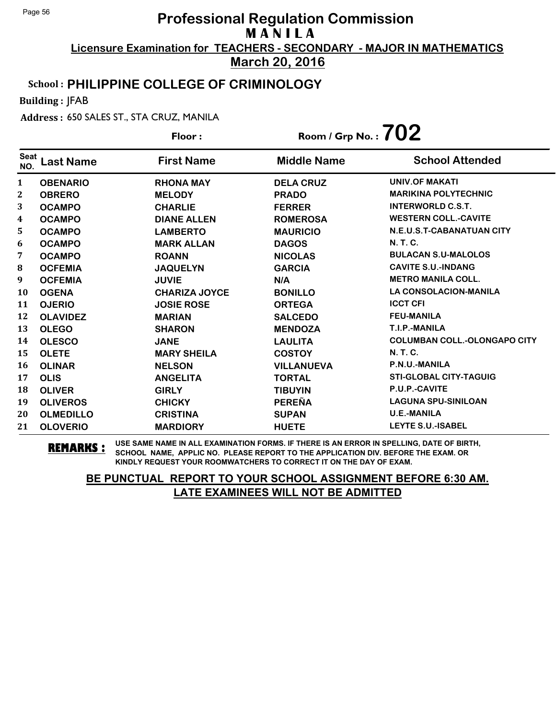**March 20, 2016**

### School : **PHILIPPINE COLLEGE OF CRIMINOLOGY**

Building : JFAB

Address : 650 SALES ST., STA CRUZ, MANILA

|                    |                  | Floor:               | Room / Grp No. : $702$ |                                     |
|--------------------|------------------|----------------------|------------------------|-------------------------------------|
| <b>Seat</b><br>NO. | <b>Last Name</b> | <b>First Name</b>    | <b>Middle Name</b>     | <b>School Attended</b>              |
| $\mathbf{1}$       | <b>OBENARIO</b>  | <b>RHONA MAY</b>     | <b>DELA CRUZ</b>       | <b>UNIV.OF MAKATI</b>               |
| 2                  | <b>OBRERO</b>    | <b>MELODY</b>        | <b>PRADO</b>           | <b>MARIKINA POLYTECHNIC</b>         |
| 3                  | <b>OCAMPO</b>    | <b>CHARLIE</b>       | <b>FERRER</b>          | <b>INTERWORLD C.S.T.</b>            |
| 4                  | <b>OCAMPO</b>    | <b>DIANE ALLEN</b>   | <b>ROMEROSA</b>        | <b>WESTERN COLL.-CAVITE</b>         |
| 5                  | <b>OCAMPO</b>    | <b>LAMBERTO</b>      | <b>MAURICIO</b>        | N.E.U.S.T-CABANATUAN CITY           |
| 6                  | <b>OCAMPO</b>    | <b>MARK ALLAN</b>    | <b>DAGOS</b>           | <b>N.T.C.</b>                       |
| 7                  | <b>OCAMPO</b>    | <b>ROANN</b>         | <b>NICOLAS</b>         | <b>BULACAN S.U-MALOLOS</b>          |
| 8                  | <b>OCFEMIA</b>   | <b>JAQUELYN</b>      | <b>GARCIA</b>          | <b>CAVITE S.U.-INDANG</b>           |
| 9                  | <b>OCFEMIA</b>   | <b>JUVIE</b>         | N/A                    | <b>METRO MANILA COLL.</b>           |
| <b>10</b>          | <b>OGENA</b>     | <b>CHARIZA JOYCE</b> | <b>BONILLO</b>         | <b>LA CONSOLACION-MANILA</b>        |
| 11                 | <b>OJERIO</b>    | <b>JOSIE ROSE</b>    | <b>ORTEGA</b>          | <b>ICCT CFI</b>                     |
| 12                 | <b>OLAVIDEZ</b>  | <b>MARIAN</b>        | <b>SALCEDO</b>         | <b>FEU-MANILA</b>                   |
| 13                 | <b>OLEGO</b>     | <b>SHARON</b>        | <b>MENDOZA</b>         | T.I.P.-MANILA                       |
| 14                 | <b>OLESCO</b>    | <b>JANE</b>          | <b>LAULITA</b>         | <b>COLUMBAN COLL.-OLONGAPO CITY</b> |
| 15                 | <b>OLETE</b>     | <b>MARY SHEILA</b>   | <b>COSTOY</b>          | <b>N.T.C.</b>                       |
| <b>16</b>          | <b>OLINAR</b>    | <b>NELSON</b>        | <b>VILLANUEVA</b>      | P.N.U.-MANILA                       |
| 17                 | <b>OLIS</b>      | <b>ANGELITA</b>      | <b>TORTAL</b>          | <b>STI-GLOBAL CITY-TAGUIG</b>       |
| 18                 | <b>OLIVER</b>    | <b>GIRLY</b>         | <b>TIBUYIN</b>         | P.U.P.-CAVITE                       |
| 19                 | <b>OLIVEROS</b>  | <b>CHICKY</b>        | <b>PEREÑA</b>          | <b>LAGUNA SPU-SINILOAN</b>          |
| 20                 | <b>OLMEDILLO</b> | <b>CRISTINA</b>      | <b>SUPAN</b>           | <b>U.E.-MANILA</b>                  |
| 21                 | <b>OLOVERIO</b>  | <b>MARDIORY</b>      | <b>HUETE</b>           | <b>LEYTE S.U.-ISABEL</b>            |

**REMARKS :** USE SAME NAME IN ALL EXAMINATION FORMS. IF THERE IS AN ERROR IN SPELLING, DATE OF BIRTH, SCHOOL NAME, APPLIC NO. PLEASE REPORT TO THE APPLICATION DIV. BEFORE THE EXAM. OR KINDLY REQUEST YOUR ROOMWATCHERS TO CORRECT IT ON THE DAY OF EXAM.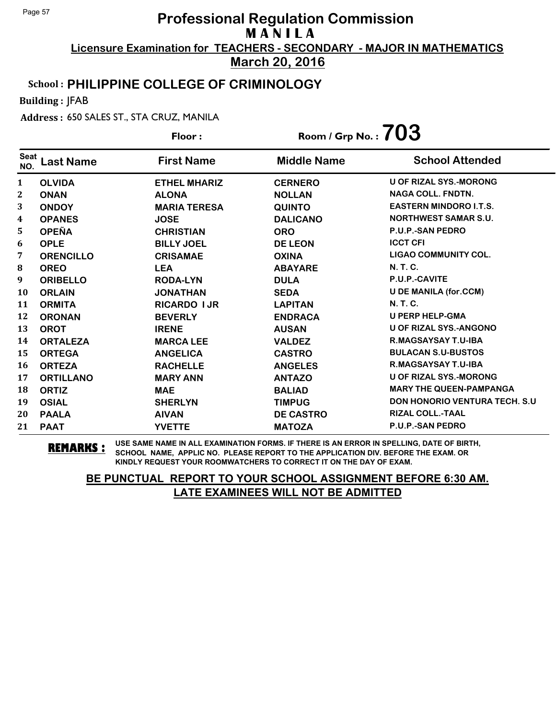**March 20, 2016**

### School : **PHILIPPINE COLLEGE OF CRIMINOLOGY**

Building : JFAB

Address : 650 SALES ST., STA CRUZ, MANILA

|                    |                  | Floor:              | Room / Grp No. : $703$ |                                       |
|--------------------|------------------|---------------------|------------------------|---------------------------------------|
| <b>Seat</b><br>NO. | <b>Last Name</b> | <b>First Name</b>   | <b>Middle Name</b>     | <b>School Attended</b>                |
| $\mathbf{1}$       | <b>OLVIDA</b>    | <b>ETHEL MHARIZ</b> | <b>CERNERO</b>         | <b>U OF RIZAL SYS.-MORONG</b>         |
| $\mathbf{2}$       | <b>ONAN</b>      | <b>ALONA</b>        | <b>NOLLAN</b>          | <b>NAGA COLL. FNDTN.</b>              |
| 3                  | <b>ONDOY</b>     | <b>MARIA TERESA</b> | <b>QUINTO</b>          | <b>EASTERN MINDORO I.T.S.</b>         |
| 4                  | <b>OPANES</b>    | <b>JOSE</b>         | <b>DALICANO</b>        | <b>NORTHWEST SAMAR S.U.</b>           |
| 5                  | <b>OPEÑA</b>     | <b>CHRISTIAN</b>    | <b>ORO</b>             | <b>P.U.P.-SAN PEDRO</b>               |
| 6                  | <b>OPLE</b>      | <b>BILLY JOEL</b>   | <b>DE LEON</b>         | <b>ICCT CFI</b>                       |
| 7                  | <b>ORENCILLO</b> | <b>CRISAMAE</b>     | <b>OXINA</b>           | <b>LIGAO COMMUNITY COL.</b>           |
| 8                  | <b>OREO</b>      | <b>LEA</b>          | <b>ABAYARE</b>         | <b>N. T. C.</b>                       |
| 9                  | <b>ORIBELLO</b>  | <b>RODA-LYN</b>     | <b>DULA</b>            | P.U.P.-CAVITE                         |
| <b>10</b>          | <b>ORLAIN</b>    | <b>JONATHAN</b>     | <b>SEDA</b>            | <b>U DE MANILA (for.CCM)</b>          |
| 11                 | <b>ORMITA</b>    | <b>RICARDO I JR</b> | <b>LAPITAN</b>         | N. T. C.                              |
| 12                 | <b>ORONAN</b>    | <b>BEVERLY</b>      | <b>ENDRACA</b>         | <b>U PERP HELP-GMA</b>                |
| 13                 | <b>OROT</b>      | <b>IRENE</b>        | <b>AUSAN</b>           | <b>U OF RIZAL SYS.-ANGONO</b>         |
| 14                 | <b>ORTALEZA</b>  | <b>MARCA LEE</b>    | <b>VALDEZ</b>          | <b>R.MAGSAYSAY T.U-IBA</b>            |
| 15                 | <b>ORTEGA</b>    | <b>ANGELICA</b>     | <b>CASTRO</b>          | <b>BULACAN S.U-BUSTOS</b>             |
| 16                 | <b>ORTEZA</b>    | <b>RACHELLE</b>     | <b>ANGELES</b>         | <b>R.MAGSAYSAY T.U-IBA</b>            |
| 17                 | <b>ORTILLANO</b> | <b>MARY ANN</b>     | <b>ANTAZO</b>          | <b>U OF RIZAL SYS.-MORONG</b>         |
| 18                 | <b>ORTIZ</b>     | <b>MAE</b>          | <b>BALIAD</b>          | <b>MARY THE QUEEN-PAMPANGA</b>        |
| 19                 | <b>OSIAL</b>     | <b>SHERLYN</b>      | <b>TIMPUG</b>          | <b>DON HONORIO VENTURA TECH. S.U.</b> |
| 20                 | <b>PAALA</b>     | <b>AIVAN</b>        | <b>DE CASTRO</b>       | <b>RIZAL COLL.-TAAL</b>               |
| 21                 | <b>PAAT</b>      | <b>YVETTE</b>       | <b>MATOZA</b>          | <b>P.U.P.-SAN PEDRO</b>               |

**REMARKS :** USE SAME NAME IN ALL EXAMINATION FORMS. IF THERE IS AN ERROR IN SPELLING, DATE OF BIRTH, SCHOOL NAME, APPLIC NO. PLEASE REPORT TO THE APPLICATION DIV. BEFORE THE EXAM. OR KINDLY REQUEST YOUR ROOMWATCHERS TO CORRECT IT ON THE DAY OF EXAM.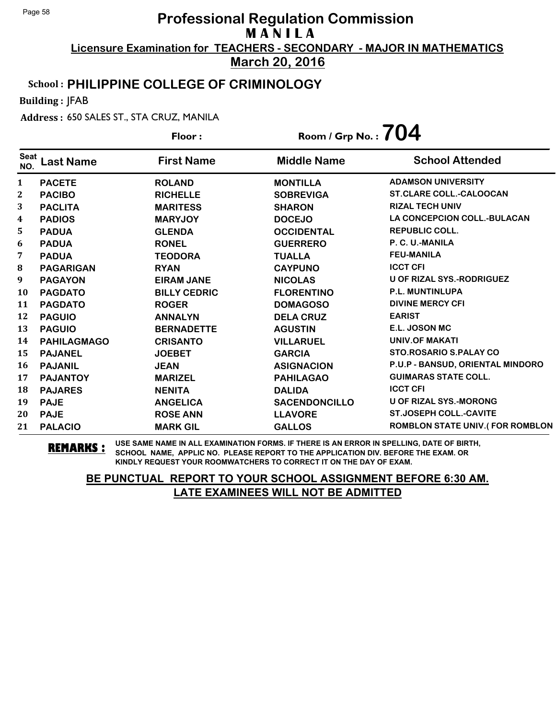**March 20, 2016**

### School : **PHILIPPINE COLLEGE OF CRIMINOLOGY**

Building : JFAB

Address : 650 SALES ST., STA CRUZ, MANILA

|                    |                    | Floor:              | Room / Grp No. : $704$ |                                        |
|--------------------|--------------------|---------------------|------------------------|----------------------------------------|
| <b>Seat</b><br>NO. | <b>Last Name</b>   | <b>First Name</b>   | <b>Middle Name</b>     | <b>School Attended</b>                 |
| $\mathbf{1}$       | <b>PACETE</b>      | <b>ROLAND</b>       | <b>MONTILLA</b>        | <b>ADAMSON UNIVERSITY</b>              |
| 2                  | <b>PACIBO</b>      | <b>RICHELLE</b>     | <b>SOBREVIGA</b>       | <b>ST.CLARE COLL.-CALOOCAN</b>         |
| 3                  | <b>PACLITA</b>     | <b>MARITESS</b>     | <b>SHARON</b>          | <b>RIZAL TECH UNIV</b>                 |
| 4                  | <b>PADIOS</b>      | <b>MARYJOY</b>      | <b>DOCEJO</b>          | <b>LA CONCEPCION COLL.-BULACAN</b>     |
| 5                  | <b>PADUA</b>       | <b>GLENDA</b>       | <b>OCCIDENTAL</b>      | <b>REPUBLIC COLL.</b>                  |
| 6                  | <b>PADUA</b>       | <b>RONEL</b>        | <b>GUERRERO</b>        | P. C. U.-MANILA                        |
| 7                  | <b>PADUA</b>       | <b>TEODORA</b>      | <b>TUALLA</b>          | <b>FEU-MANILA</b>                      |
| 8                  | <b>PAGARIGAN</b>   | <b>RYAN</b>         | <b>CAYPUNO</b>         | <b>ICCT CFI</b>                        |
| 9                  | <b>PAGAYON</b>     | <b>EIRAM JANE</b>   | <b>NICOLAS</b>         | <b>U OF RIZAL SYS.-RODRIGUEZ</b>       |
| 10                 | <b>PAGDATO</b>     | <b>BILLY CEDRIC</b> | <b>FLORENTINO</b>      | <b>P.L. MUNTINLUPA</b>                 |
| 11                 | <b>PAGDATO</b>     | <b>ROGER</b>        | <b>DOMAGOSO</b>        | <b>DIVINE MERCY CFI</b>                |
| 12                 | <b>PAGUIO</b>      | <b>ANNALYN</b>      | <b>DELA CRUZ</b>       | <b>EARIST</b>                          |
| 13                 | <b>PAGUIO</b>      | <b>BERNADETTE</b>   | <b>AGUSTIN</b>         | E.L. JOSON MC                          |
| 14                 | <b>PAHILAGMAGO</b> | <b>CRISANTO</b>     | <b>VILLARUEL</b>       | <b>UNIV.OF MAKATI</b>                  |
| 15                 | <b>PAJANEL</b>     | <b>JOEBET</b>       | <b>GARCIA</b>          | <b>STO.ROSARIO S.PALAY CO</b>          |
| <b>16</b>          | <b>PAJANIL</b>     | <b>JEAN</b>         | <b>ASIGNACION</b>      | P.U.P - BANSUD, ORIENTAL MINDORO       |
| 17                 | <b>PAJANTOY</b>    | <b>MARIZEL</b>      | <b>PAHILAGAO</b>       | <b>GUIMARAS STATE COLL.</b>            |
| 18                 | <b>PAJARES</b>     | <b>NENITA</b>       | <b>DALIDA</b>          | <b>ICCT CFI</b>                        |
| 19                 | <b>PAJE</b>        | <b>ANGELICA</b>     | <b>SACENDONCILLO</b>   | <b>U OF RIZAL SYS.-MORONG</b>          |
| 20                 | <b>PAJE</b>        | <b>ROSE ANN</b>     | <b>LLAVORE</b>         | <b>ST.JOSEPH COLL.-CAVITE</b>          |
| 21                 | <b>PALACIO</b>     | <b>MARK GIL</b>     | <b>GALLOS</b>          | <b>ROMBLON STATE UNIV.(FOR ROMBLON</b> |

**REMARKS :** USE SAME NAME IN ALL EXAMINATION FORMS. IF THERE IS AN ERROR IN SPELLING, DATE OF BIRTH, SCHOOL NAME, APPLIC NO. PLEASE REPORT TO THE APPLICATION DIV. BEFORE THE EXAM. OR KINDLY REQUEST YOUR ROOMWATCHERS TO CORRECT IT ON THE DAY OF EXAM.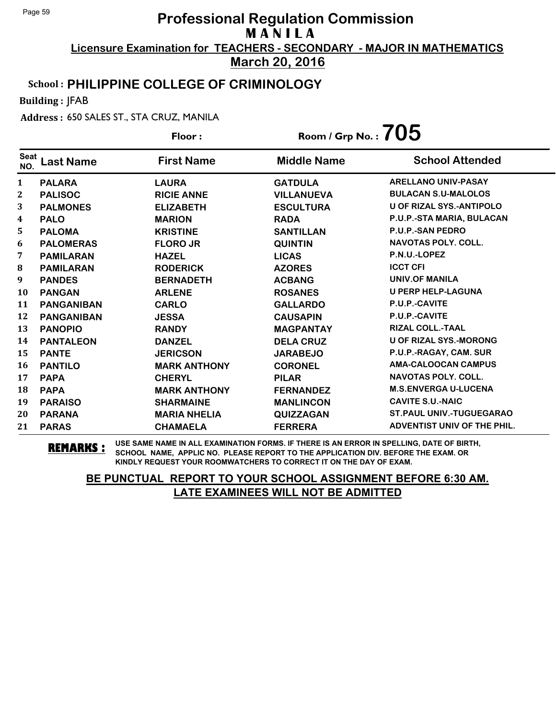**March 20, 2016**

### School : **PHILIPPINE COLLEGE OF CRIMINOLOGY**

Building : JFAB

Address : 650 SALES ST., STA CRUZ, MANILA

|                    |                   | Floor:              | Room / Grp No. : $705$ |                                    |
|--------------------|-------------------|---------------------|------------------------|------------------------------------|
| <b>Seat</b><br>NO. | <b>Last Name</b>  | <b>First Name</b>   | <b>Middle Name</b>     | <b>School Attended</b>             |
| 1                  | <b>PALARA</b>     | <b>LAURA</b>        | <b>GATDULA</b>         | <b>ARELLANO UNIV-PASAY</b>         |
| $\boldsymbol{2}$   | <b>PALISOC</b>    | <b>RICIE ANNE</b>   | <b>VILLANUEVA</b>      | <b>BULACAN S.U-MALOLOS</b>         |
| 3                  | <b>PALMONES</b>   | <b>ELIZABETH</b>    | <b>ESCULTURA</b>       | <b>U OF RIZAL SYS.-ANTIPOLO</b>    |
| 4                  | <b>PALO</b>       | <b>MARION</b>       | <b>RADA</b>            | P.U.P.-STA MARIA, BULACAN          |
| 5                  | <b>PALOMA</b>     | <b>KRISTINE</b>     | <b>SANTILLAN</b>       | <b>P.U.P.-SAN PEDRO</b>            |
| 6                  | <b>PALOMERAS</b>  | <b>FLORO JR</b>     | <b>QUINTIN</b>         | <b>NAVOTAS POLY. COLL.</b>         |
| 7                  | <b>PAMILARAN</b>  | <b>HAZEL</b>        | <b>LICAS</b>           | P.N.U.-LOPEZ                       |
| 8                  | <b>PAMILARAN</b>  | <b>RODERICK</b>     | <b>AZORES</b>          | <b>ICCT CFI</b>                    |
| 9                  | <b>PANDES</b>     | <b>BERNADETH</b>    | <b>ACBANG</b>          | <b>UNIV.OF MANILA</b>              |
| 10                 | <b>PANGAN</b>     | <b>ARLENE</b>       | <b>ROSANES</b>         | <b>U PERP HELP-LAGUNA</b>          |
| 11                 | <b>PANGANIBAN</b> | <b>CARLO</b>        | <b>GALLARDO</b>        | P.U.P.-CAVITE                      |
| 12                 | <b>PANGANIBAN</b> | <b>JESSA</b>        | <b>CAUSAPIN</b>        | P.U.P.-CAVITE                      |
| 13                 | <b>PANOPIO</b>    | <b>RANDY</b>        | <b>MAGPANTAY</b>       | <b>RIZAL COLL.-TAAL</b>            |
| 14                 | <b>PANTALEON</b>  | <b>DANZEL</b>       | <b>DELA CRUZ</b>       | <b>U OF RIZAL SYS.-MORONG</b>      |
| 15                 | <b>PANTE</b>      | <b>JERICSON</b>     | <b>JARABEJO</b>        | P.U.P.-RAGAY, CAM. SUR             |
| 16                 | <b>PANTILO</b>    | <b>MARK ANTHONY</b> | <b>CORONEL</b>         | <b>AMA-CALOOCAN CAMPUS</b>         |
| 17                 | <b>PAPA</b>       | <b>CHERYL</b>       | <b>PILAR</b>           | <b>NAVOTAS POLY, COLL.</b>         |
| 18                 | <b>PAPA</b>       | <b>MARK ANTHONY</b> | <b>FERNANDEZ</b>       | <b>M.S.ENVERGA U-LUCENA</b>        |
| 19                 | <b>PARAISO</b>    | <b>SHARMAINE</b>    | <b>MANLINCON</b>       | <b>CAVITE S.U.-NAIC</b>            |
| 20                 | <b>PARANA</b>     | <b>MARIA NHELIA</b> | QUIZZAGAN              | <b>ST.PAUL UNIV.-TUGUEGARAO</b>    |
| 21                 | <b>PARAS</b>      | <b>CHAMAELA</b>     | <b>FERRERA</b>         | <b>ADVENTIST UNIV OF THE PHIL.</b> |

**REMARKS :** USE SAME NAME IN ALL EXAMINATION FORMS. IF THERE IS AN ERROR IN SPELLING, DATE OF BIRTH, SCHOOL NAME, APPLIC NO. PLEASE REPORT TO THE APPLICATION DIV. BEFORE THE EXAM. OR KINDLY REQUEST YOUR ROOMWATCHERS TO CORRECT IT ON THE DAY OF EXAM.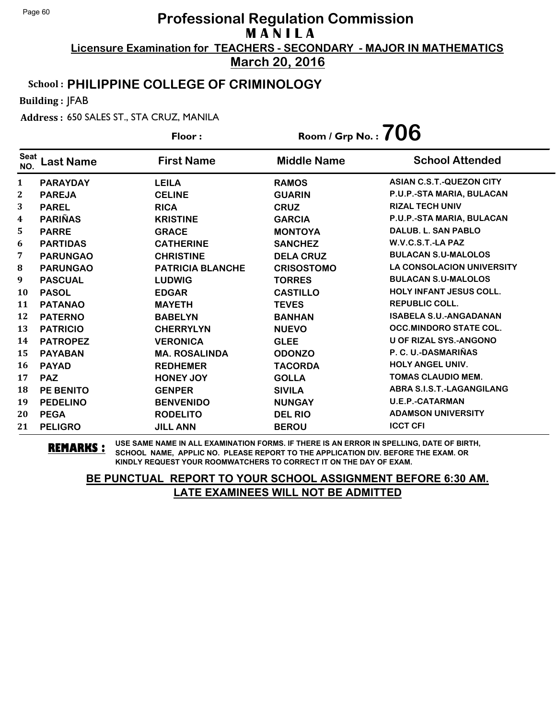**March 20, 2016**

#### School : **PHILIPPINE COLLEGE OF CRIMINOLOGY**

Building : JFAB

Address : 650 SALES ST., STA CRUZ, MANILA

**Last Name First Name Middle Name** Floor : Room / Grp No. :**706** Seat <sup>seat</sup> Last Name First Name Middle Name School Attended **PARAYDAY LEILA RAMOS ASIAN C.S.T.-QUEZON CITY PAREJA CELINE GUARIN P.U.P.-STA MARIA, BULACAN PAREL RICA CRUZ RIZAL TECH UNIV PARIÑAS KRISTINE GARCIA P.U.P.-STA MARIA, BULACAN PARRE GRACE MONTOYA DALUB. L. SAN PABLO PARTIDAS CATHERINE SANCHEZ W.V.C.S.T.-LA PAZ PARUNGAO CHRISTINE DELA CRUZ BULACAN S.U-MALOLOS PARUNGAO PATRICIA BLANCHE CRISOSTOMO LA CONSOLACION UNIVERSITY PASCUAL LUDWIG TORRES BULACAN S.U-MALOLOS PASOL EDGAR CASTILLO HOLY INFANT JESUS COLL. PATANAO MAYETH TEVES REPUBLIC COLL. PATERNO BABELYN BANHAN ISABELA S.U.-ANGADANAN PATRICIO CHERRYLYN NUEVO OCC.MINDORO STATE COL. PATROPEZ VERONICA GLEE U OF RIZAL SYS.-ANGONO PAYABAN MA. ROSALINDA ODONZO P. C. U.-DASMARIÑAS PAYAD REDHEMER TACORDA HOLY ANGEL UNIV. PAZ HONEY JOY GOLLA TOMAS CLAUDIO MEM. PE BENITO GENPER SIVILA ABRA S.I.S.T.-LAGANGILANG PEDELINO BENVENIDO NUNGAY U.E.P.-CATARMAN PEGA RODELITO DEL RIO ADAMSON UNIVERSITY PELIGRO JILL ANN BEROU ICCT CFI**

**REMARKS :** USE SAME NAME IN ALL EXAMINATION FORMS. IF THERE IS AN ERROR IN SPELLING, DATE OF BIRTH, SCHOOL NAME, APPLIC NO. PLEASE REPORT TO THE APPLICATION DIV. BEFORE THE EXAM. OR KINDLY REQUEST YOUR ROOMWATCHERS TO CORRECT IT ON THE DAY OF EXAM.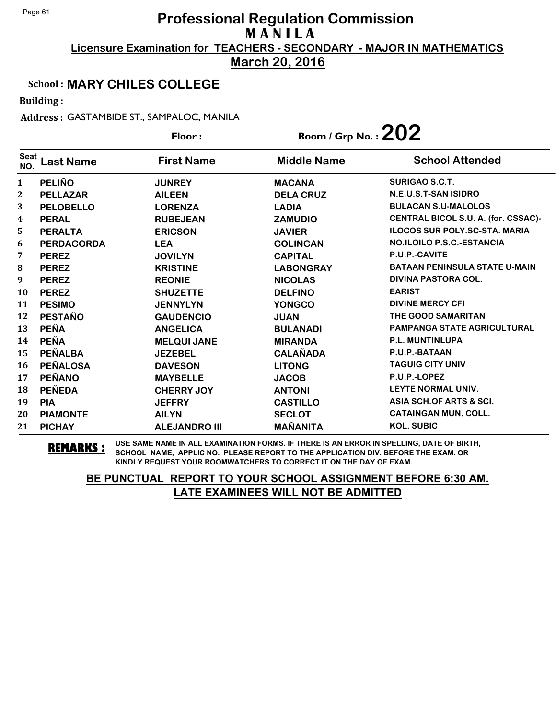**March 20, 2016**

#### School : **MARY CHILES COLLEGE**

Building :

Address : GASTAMBIDE ST., SAMPALOC, MANILA

|                    |                   | Floor:               | Room / Grp No. : $202$ |                                      |
|--------------------|-------------------|----------------------|------------------------|--------------------------------------|
| <b>Seat</b><br>NO. | <b>Last Name</b>  | <b>First Name</b>    | <b>Middle Name</b>     | <b>School Attended</b>               |
| 1                  | <b>PELIÑO</b>     | <b>JUNREY</b>        | <b>MACANA</b>          | <b>SURIGAO S.C.T.</b>                |
| $\mathbf{2}$       | <b>PELLAZAR</b>   | <b>AILEEN</b>        | <b>DELA CRUZ</b>       | N.E.U.S.T-SAN ISIDRO                 |
| 3                  | <b>PELOBELLO</b>  | <b>LORENZA</b>       | <b>LADIA</b>           | <b>BULACAN S.U-MALOLOS</b>           |
| 4                  | <b>PERAL</b>      | <b>RUBEJEAN</b>      | <b>ZAMUDIO</b>         | CENTRAL BICOL S.U. A. (for. CSSAC)-  |
| 5                  | <b>PERALTA</b>    | <b>ERICSON</b>       | <b>JAVIER</b>          | <b>ILOCOS SUR POLY.SC-STA. MARIA</b> |
| 6                  | <b>PERDAGORDA</b> | <b>LEA</b>           | <b>GOLINGAN</b>        | <b>NO.ILOILO P.S.C.-ESTANCIA</b>     |
| 7                  | <b>PEREZ</b>      | <b>JOVILYN</b>       | <b>CAPITAL</b>         | P.U.P.-CAVITE                        |
| 8                  | <b>PEREZ</b>      | <b>KRISTINE</b>      | <b>LABONGRAY</b>       | <b>BATAAN PENINSULA STATE U-MAIN</b> |
| 9                  | <b>PEREZ</b>      | <b>REONIE</b>        | <b>NICOLAS</b>         | <b>DIVINA PASTORA COL.</b>           |
| <b>10</b>          | <b>PEREZ</b>      | <b>SHUZETTE</b>      | <b>DELFINO</b>         | <b>EARIST</b>                        |
| 11                 | <b>PESIMO</b>     | <b>JENNYLYN</b>      | <b>YONGCO</b>          | <b>DIVINE MERCY CFI</b>              |
| 12                 | <b>PESTAÑO</b>    | <b>GAUDENCIO</b>     | <b>JUAN</b>            | <b>THE GOOD SAMARITAN</b>            |
| 13                 | <b>PEÑA</b>       | <b>ANGELICA</b>      | <b>BULANADI</b>        | <b>PAMPANGA STATE AGRICULTURAL</b>   |
| 14                 | <b>PEÑA</b>       | <b>MELQUI JANE</b>   | <b>MIRANDA</b>         | <b>P.L. MUNTINLUPA</b>               |
| 15                 | <b>PEÑALBA</b>    | <b>JEZEBEL</b>       | <b>CALAÑADA</b>        | P.U.P.-BATAAN                        |
| <b>16</b>          | <b>PEÑALOSA</b>   | <b>DAVESON</b>       | <b>LITONG</b>          | <b>TAGUIG CITY UNIV</b>              |
| 17                 | <b>PEÑANO</b>     | <b>MAYBELLE</b>      | <b>JACOB</b>           | P.U.P.-LOPEZ                         |
| 18                 | <b>PEÑEDA</b>     | <b>CHERRY JOY</b>    | <b>ANTONI</b>          | LEYTE NORMAL UNIV.                   |
| 19                 | <b>PIA</b>        | <b>JEFFRY</b>        | <b>CASTILLO</b>        | ASIA SCH.OF ARTS & SCI.              |
| 20                 | <b>PIAMONTE</b>   | <b>AILYN</b>         | <b>SECLOT</b>          | <b>CATAINGAN MUN. COLL.</b>          |
| 21                 | <b>PICHAY</b>     | <b>ALEJANDRO III</b> | <b>MAÑANITA</b>        | <b>KOL. SUBIC</b>                    |

**REMARKS :** USE SAME NAME IN ALL EXAMINATION FORMS. IF THERE IS AN ERROR IN SPELLING, DATE OF BIRTH, SCHOOL NAME, APPLIC NO. PLEASE REPORT TO THE APPLICATION DIV. BEFORE THE EXAM. OR KINDLY REQUEST YOUR ROOMWATCHERS TO CORRECT IT ON THE DAY OF EXAM.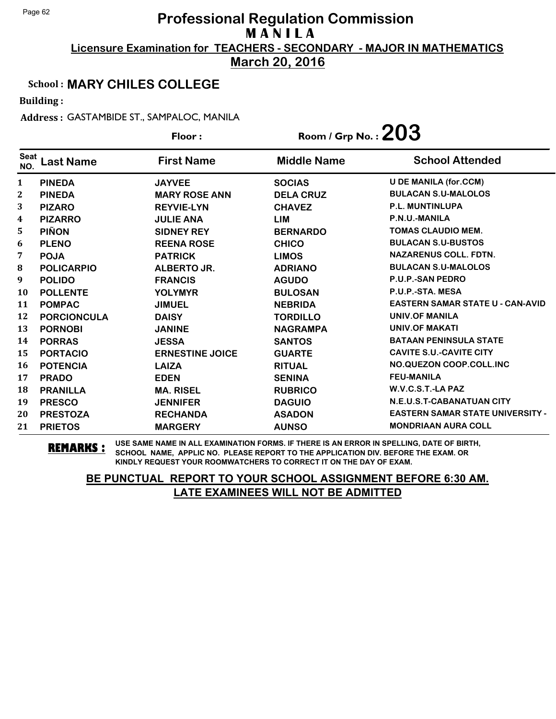**March 20, 2016**

#### School : **MARY CHILES COLLEGE**

Building :

Address : GASTAMBIDE ST., SAMPALOC, MANILA

|                    |                    | Floor:                 | Room / Grp No. : $203$ |                                         |
|--------------------|--------------------|------------------------|------------------------|-----------------------------------------|
| <b>Seat</b><br>NO. | <b>Last Name</b>   | <b>First Name</b>      | <b>Middle Name</b>     | <b>School Attended</b>                  |
| 1                  | <b>PINEDA</b>      | <b>JAYVEE</b>          | <b>SOCIAS</b>          | <b>U DE MANILA (for.CCM)</b>            |
| 2                  | <b>PINEDA</b>      | <b>MARY ROSE ANN</b>   | <b>DELA CRUZ</b>       | <b>BULACAN S.U-MALOLOS</b>              |
| 3                  | <b>PIZARO</b>      | <b>REYVIE-LYN</b>      | <b>CHAVEZ</b>          | <b>P.L. MUNTINLUPA</b>                  |
| 4                  | <b>PIZARRO</b>     | <b>JULIE ANA</b>       | <b>LIM</b>             | P.N.U.-MANILA                           |
| 5                  | <b>PIÑON</b>       | <b>SIDNEY REY</b>      | <b>BERNARDO</b>        | <b>TOMAS CLAUDIO MEM.</b>               |
| 6                  | <b>PLENO</b>       | <b>REENA ROSE</b>      | <b>CHICO</b>           | <b>BULACAN S.U-BUSTOS</b>               |
| 7                  | <b>POJA</b>        | <b>PATRICK</b>         | <b>LIMOS</b>           | <b>NAZARENUS COLL. FDTN.</b>            |
| 8                  | <b>POLICARPIO</b>  | <b>ALBERTO JR.</b>     | <b>ADRIANO</b>         | <b>BULACAN S.U-MALOLOS</b>              |
| 9                  | <b>POLIDO</b>      | <b>FRANCIS</b>         | <b>AGUDO</b>           | <b>P.U.P.-SAN PEDRO</b>                 |
| <b>10</b>          | <b>POLLENTE</b>    | <b>YOLYMYR</b>         | <b>BULOSAN</b>         | P.U.P.-STA. MESA                        |
| 11                 | <b>POMPAC</b>      | <b>JIMUEL</b>          | <b>NEBRIDA</b>         | <b>EASTERN SAMAR STATE U - CAN-AVID</b> |
| 12                 | <b>PORCIONCULA</b> | <b>DAISY</b>           | <b>TORDILLO</b>        | UNIV.OF MANILA                          |
| 13                 | <b>PORNOBI</b>     | <b>JANINE</b>          | <b>NAGRAMPA</b>        | <b>UNIV.OF MAKATI</b>                   |
| 14                 | <b>PORRAS</b>      | <b>JESSA</b>           | <b>SANTOS</b>          | <b>BATAAN PENINSULA STATE</b>           |
| 15                 | <b>PORTACIO</b>    | <b>ERNESTINE JOICE</b> | <b>GUARTE</b>          | <b>CAVITE S.U.-CAVITE CITY</b>          |
| 16                 | <b>POTENCIA</b>    | <b>LAIZA</b>           | <b>RITUAL</b>          | NO.QUEZON COOP.COLL.INC                 |
| 17                 | <b>PRADO</b>       | <b>EDEN</b>            | <b>SENINA</b>          | <b>FEU-MANILA</b>                       |
| 18                 | <b>PRANILLA</b>    | <b>MA. RISEL</b>       | <b>RUBRICO</b>         | W.V.C.S.T.-LA PAZ                       |
| 19                 | <b>PRESCO</b>      | <b>JENNIFER</b>        | <b>DAGUIO</b>          | N.E.U.S.T-CABANATUAN CITY               |
| 20                 | <b>PRESTOZA</b>    | <b>RECHANDA</b>        | <b>ASADON</b>          | <b>EASTERN SAMAR STATE UNIVERSITY -</b> |
| 21                 | <b>PRIETOS</b>     | <b>MARGERY</b>         | <b>AUNSO</b>           | <b>MONDRIAAN AURA COLL</b>              |

**REMARKS :** USE SAME NAME IN ALL EXAMINATION FORMS. IF THERE IS AN ERROR IN SPELLING, DATE OF BIRTH, SCHOOL NAME, APPLIC NO. PLEASE REPORT TO THE APPLICATION DIV. BEFORE THE EXAM. OR KINDLY REQUEST YOUR ROOMWATCHERS TO CORRECT IT ON THE DAY OF EXAM.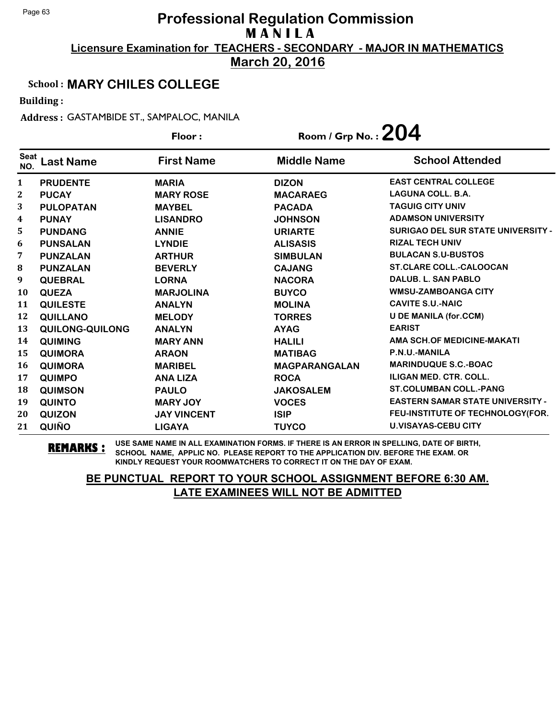**March 20, 2016**

#### School : **MARY CHILES COLLEGE**

Building :

Address : GASTAMBIDE ST., SAMPALOC, MANILA

|                    |                  | Floor:             | Room / Grp No. : $204$ |                                         |
|--------------------|------------------|--------------------|------------------------|-----------------------------------------|
| <b>Seat</b><br>NO. | <b>Last Name</b> | <b>First Name</b>  | <b>Middle Name</b>     | <b>School Attended</b>                  |
| 1                  | <b>PRUDENTE</b>  | <b>MARIA</b>       | <b>DIZON</b>           | <b>EAST CENTRAL COLLEGE</b>             |
| $\mathbf{2}$       | <b>PUCAY</b>     | <b>MARY ROSE</b>   | <b>MACARAEG</b>        | <b>LAGUNA COLL. B.A.</b>                |
| 3                  | <b>PULOPATAN</b> | <b>MAYBEL</b>      | <b>PACADA</b>          | <b>TAGUIG CITY UNIV</b>                 |
| 4                  | <b>PUNAY</b>     | <b>LISANDRO</b>    | <b>JOHNSON</b>         | <b>ADAMSON UNIVERSITY</b>               |
| 5                  | <b>PUNDANG</b>   | <b>ANNIE</b>       | <b>URIARTE</b>         | SURIGAO DEL SUR STATE UNIVERSITY -      |
| 6                  | <b>PUNSALAN</b>  | <b>LYNDIE</b>      | <b>ALISASIS</b>        | <b>RIZAL TECH UNIV</b>                  |
| 7                  | <b>PUNZALAN</b>  | <b>ARTHUR</b>      | <b>SIMBULAN</b>        | <b>BULACAN S.U-BUSTOS</b>               |
| 8                  | <b>PUNZALAN</b>  | <b>BEVERLY</b>     | <b>CAJANG</b>          | <b>ST.CLARE COLL.-CALOOCAN</b>          |
| 9                  | <b>QUEBRAL</b>   | <b>LORNA</b>       | <b>NACORA</b>          | DALUB, L. SAN PABLO                     |
| 10                 | <b>QUEZA</b>     | <b>MARJOLINA</b>   | <b>BUYCO</b>           | <b>WMSU-ZAMBOANGA CITY</b>              |
| 11                 | <b>QUILESTE</b>  | <b>ANALYN</b>      | <b>MOLINA</b>          | <b>CAVITE S.U.-NAIC</b>                 |
| 12                 | <b>QUILLANO</b>  | <b>MELODY</b>      | <b>TORRES</b>          | <b>U DE MANILA (for.CCM)</b>            |
| 13                 | QUILONG-QUILONG  | <b>ANALYN</b>      | <b>AYAG</b>            | <b>EARIST</b>                           |
| 14                 | <b>QUIMING</b>   | <b>MARY ANN</b>    | <b>HALILI</b>          | AMA SCH.OF MEDICINE-MAKATI              |
| 15                 | <b>QUIMORA</b>   | <b>ARAON</b>       | <b>MATIBAG</b>         | P.N.U.-MANILA                           |
| 16                 | <b>QUIMORA</b>   | <b>MARIBEL</b>     | <b>MAGPARANGALAN</b>   | <b>MARINDUQUE S.C.-BOAC</b>             |
| 17                 | <b>QUIMPO</b>    | <b>ANA LIZA</b>    | <b>ROCA</b>            | <b>ILIGAN MED. CTR. COLL.</b>           |
| 18                 | <b>QUIMSON</b>   | <b>PAULO</b>       | <b>JAKOSALEM</b>       | <b>ST.COLUMBAN COLL.-PANG</b>           |
| 19                 | <b>QUINTO</b>    | <b>MARY JOY</b>    | <b>VOCES</b>           | <b>EASTERN SAMAR STATE UNIVERSITY -</b> |
| 20                 | <b>QUIZON</b>    | <b>JAY VINCENT</b> | <b>ISIP</b>            | FEU-INSTITUTE OF TECHNOLOGY(FOR.        |
| 21                 | QUIÑO            | <b>LIGAYA</b>      | <b>TUYCO</b>           | <b>U.VISAYAS-CEBU CITY</b>              |

**REMARKS :** USE SAME NAME IN ALL EXAMINATION FORMS. IF THERE IS AN ERROR IN SPELLING, DATE OF BIRTH, SCHOOL NAME, APPLIC NO. PLEASE REPORT TO THE APPLICATION DIV. BEFORE THE EXAM. OR KINDLY REQUEST YOUR ROOMWATCHERS TO CORRECT IT ON THE DAY OF EXAM.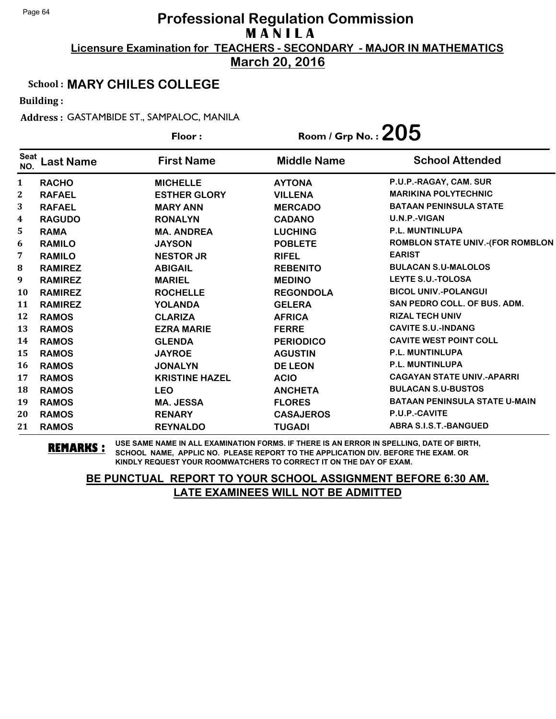**March 20, 2016**

#### School : **MARY CHILES COLLEGE**

Building :

Address : GASTAMBIDE ST., SAMPALOC, MANILA

|                    |                  | Floor:                | Room / Grp No. : $205$ |                                         |
|--------------------|------------------|-----------------------|------------------------|-----------------------------------------|
| <b>Seat</b><br>NO. | <b>Last Name</b> | <b>First Name</b>     | <b>Middle Name</b>     | <b>School Attended</b>                  |
| 1                  | <b>RACHO</b>     | <b>MICHELLE</b>       | <b>AYTONA</b>          | P.U.P.-RAGAY, CAM. SUR                  |
| 2                  | <b>RAFAEL</b>    | <b>ESTHER GLORY</b>   | <b>VILLENA</b>         | <b>MARIKINA POLYTECHNIC</b>             |
| 3                  | <b>RAFAEL</b>    | <b>MARY ANN</b>       | <b>MERCADO</b>         | <b>BATAAN PENINSULA STATE</b>           |
| 4                  | <b>RAGUDO</b>    | <b>RONALYN</b>        | <b>CADANO</b>          | U.N.P.-VIGAN                            |
| 5                  | <b>RAMA</b>      | <b>MA. ANDREA</b>     | <b>LUCHING</b>         | <b>P.L. MUNTINLUPA</b>                  |
| 6                  | <b>RAMILO</b>    | <b>JAYSON</b>         | <b>POBLETE</b>         | <b>ROMBLON STATE UNIV.-(FOR ROMBLON</b> |
| 7                  | <b>RAMILO</b>    | <b>NESTOR JR</b>      | <b>RIFEL</b>           | <b>EARIST</b>                           |
| 8                  | <b>RAMIREZ</b>   | <b>ABIGAIL</b>        | <b>REBENITO</b>        | <b>BULACAN S.U-MALOLOS</b>              |
| 9                  | <b>RAMIREZ</b>   | <b>MARIEL</b>         | <b>MEDINO</b>          | <b>LEYTE S.U.-TOLOSA</b>                |
| 10                 | <b>RAMIREZ</b>   | <b>ROCHELLE</b>       | <b>REGONDOLA</b>       | <b>BICOL UNIV.-POLANGUI</b>             |
| 11                 | <b>RAMIREZ</b>   | <b>YOLANDA</b>        | <b>GELERA</b>          | <b>SAN PEDRO COLL. OF BUS. ADM.</b>     |
| 12                 | <b>RAMOS</b>     | <b>CLARIZA</b>        | <b>AFRICA</b>          | <b>RIZAL TECH UNIV</b>                  |
| 13                 | <b>RAMOS</b>     | <b>EZRA MARIE</b>     | <b>FERRE</b>           | <b>CAVITE S.U.-INDANG</b>               |
| 14                 | <b>RAMOS</b>     | <b>GLENDA</b>         | <b>PERIODICO</b>       | <b>CAVITE WEST POINT COLL</b>           |
| 15                 | <b>RAMOS</b>     | <b>JAYROE</b>         | <b>AGUSTIN</b>         | <b>P.L. MUNTINLUPA</b>                  |
| 16                 | <b>RAMOS</b>     | <b>JONALYN</b>        | <b>DE LEON</b>         | <b>P.L. MUNTINLUPA</b>                  |
| 17                 | <b>RAMOS</b>     | <b>KRISTINE HAZEL</b> | <b>ACIO</b>            | <b>CAGAYAN STATE UNIV.-APARRI</b>       |
| 18                 | <b>RAMOS</b>     | <b>LEO</b>            | <b>ANCHETA</b>         | <b>BULACAN S.U-BUSTOS</b>               |
| 19                 | <b>RAMOS</b>     | <b>MA. JESSA</b>      | <b>FLORES</b>          | <b>BATAAN PENINSULA STATE U-MAIN</b>    |
| 20                 | <b>RAMOS</b>     | <b>RENARY</b>         | <b>CASAJEROS</b>       | <b>P.U.P.-CAVITE</b>                    |
| 21                 | <b>RAMOS</b>     | <b>REYNALDO</b>       | <b>TUGADI</b>          | <b>ABRA S.I.S.T.-BANGUED</b>            |

**REMARKS :** USE SAME NAME IN ALL EXAMINATION FORMS. IF THERE IS AN ERROR IN SPELLING, DATE OF BIRTH, SCHOOL NAME, APPLIC NO. PLEASE REPORT TO THE APPLICATION DIV. BEFORE THE EXAM. OR KINDLY REQUEST YOUR ROOMWATCHERS TO CORRECT IT ON THE DAY OF EXAM.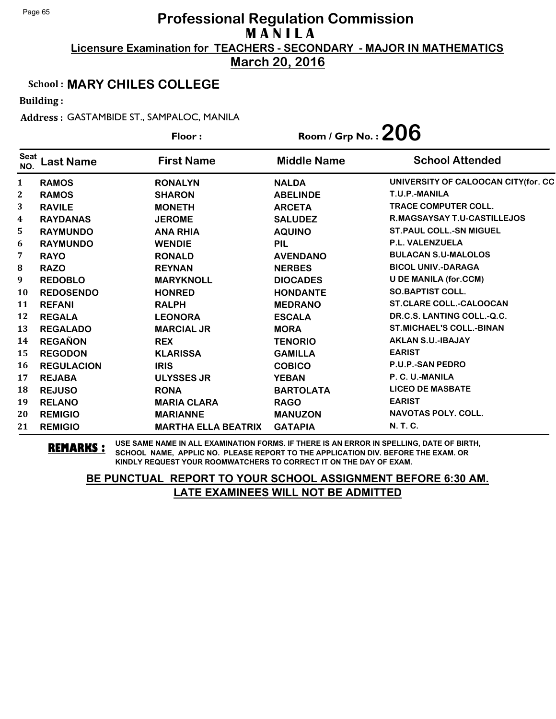**March 20, 2016**

#### School : **MARY CHILES COLLEGE**

Building :

Address : GASTAMBIDE ST., SAMPALOC, MANILA

|                    |                   | Floor:                     | Room / Grp No. : $206$ |                                     |
|--------------------|-------------------|----------------------------|------------------------|-------------------------------------|
| <b>Seat</b><br>NO. | <b>Last Name</b>  | <b>First Name</b>          | <b>Middle Name</b>     | <b>School Attended</b>              |
| 1                  | <b>RAMOS</b>      | <b>RONALYN</b>             | <b>NALDA</b>           | UNIVERSITY OF CALOOCAN CITY(for. CC |
| 2                  | <b>RAMOS</b>      | <b>SHARON</b>              | <b>ABELINDE</b>        | T.U.P.-MANILA                       |
| 3                  | <b>RAVILE</b>     | <b>MONETH</b>              | <b>ARCETA</b>          | <b>TRACE COMPUTER COLL.</b>         |
| 4                  | <b>RAYDANAS</b>   | <b>JEROME</b>              | <b>SALUDEZ</b>         | <b>R.MAGSAYSAY T.U-CASTILLEJOS</b>  |
| 5                  | <b>RAYMUNDO</b>   | <b>ANA RHIA</b>            | <b>AQUINO</b>          | <b>ST. PAUL COLL.-SN MIGUEL</b>     |
| 6                  | <b>RAYMUNDO</b>   | <b>WENDIE</b>              | <b>PIL</b>             | P.L. VALENZUELA                     |
| 7                  | <b>RAYO</b>       | <b>RONALD</b>              | <b>AVENDANO</b>        | <b>BULACAN S.U-MALOLOS</b>          |
| 8                  | <b>RAZO</b>       | <b>REYNAN</b>              | <b>NERBES</b>          | <b>BICOL UNIV.-DARAGA</b>           |
| 9                  | <b>REDOBLO</b>    | <b>MARYKNOLL</b>           | <b>DIOCADES</b>        | <b>U DE MANILA (for.CCM)</b>        |
| 10                 | <b>REDOSENDO</b>  | <b>HONRED</b>              | <b>HONDANTE</b>        | <b>SO.BAPTIST COLL.</b>             |
| 11                 | <b>REFANI</b>     | <b>RALPH</b>               | <b>MEDRANO</b>         | <b>ST.CLARE COLL.-CALOOCAN</b>      |
| 12                 | <b>REGALA</b>     | <b>LEONORA</b>             | <b>ESCALA</b>          | DR.C.S. LANTING COLL.-Q.C.          |
| 13                 | <b>REGALADO</b>   | <b>MARCIAL JR</b>          | <b>MORA</b>            | <b>ST.MICHAEL'S COLL.-BINAN</b>     |
| 14                 | <b>REGAÑON</b>    | <b>REX</b>                 | <b>TENORIO</b>         | <b>AKLAN S.U.-IBAJAY</b>            |
| 15                 | <b>REGODON</b>    | <b>KLARISSA</b>            | <b>GAMILLA</b>         | <b>EARIST</b>                       |
| 16                 | <b>REGULACION</b> | <b>IRIS</b>                | <b>COBICO</b>          | <b>P.U.P.-SAN PEDRO</b>             |
| 17                 | <b>REJABA</b>     | <b>ULYSSES JR</b>          | <b>YEBAN</b>           | P. C. U.-MANILA                     |
| 18                 | <b>REJUSO</b>     | <b>RONA</b>                | <b>BARTOLATA</b>       | <b>LICEO DE MASBATE</b>             |
| 19                 | <b>RELANO</b>     | <b>MARIA CLARA</b>         | <b>RAGO</b>            | <b>EARIST</b>                       |
| 20                 | <b>REMIGIO</b>    | <b>MARIANNE</b>            | <b>MANUZON</b>         | <b>NAVOTAS POLY, COLL.</b>          |
| 21                 | <b>REMIGIO</b>    | <b>MARTHA ELLA BEATRIX</b> | <b>GATAPIA</b>         | N. T. C.                            |

**REMARKS :** USE SAME NAME IN ALL EXAMINATION FORMS. IF THERE IS AN ERROR IN SPELLING, DATE OF BIRTH, SCHOOL NAME, APPLIC NO. PLEASE REPORT TO THE APPLICATION DIV. BEFORE THE EXAM. OR KINDLY REQUEST YOUR ROOMWATCHERS TO CORRECT IT ON THE DAY OF EXAM.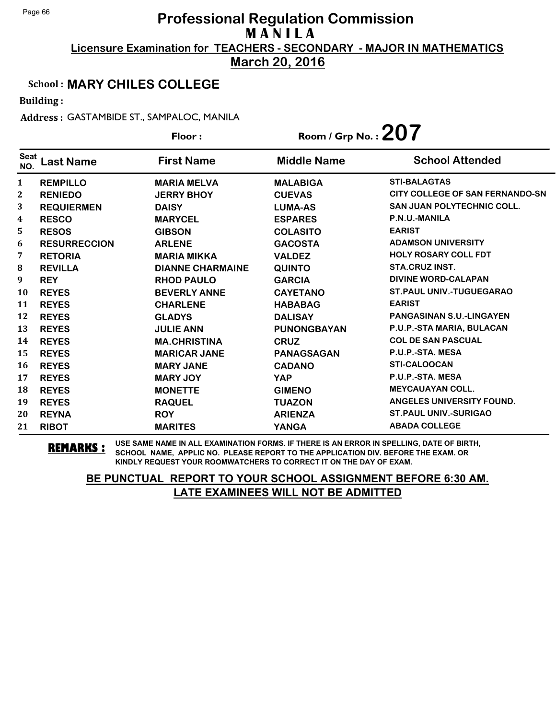**March 20, 2016**

### School : **MARY CHILES COLLEGE**

Building :

Address : GASTAMBIDE ST., SAMPALOC, MANILA

|                    |                     | Floor:                  | Room / Grp No.: $207$ |                                        |
|--------------------|---------------------|-------------------------|-----------------------|----------------------------------------|
| <b>Seat</b><br>NO. | Last Name           | <b>First Name</b>       | <b>Middle Name</b>    | <b>School Attended</b>                 |
| 1                  | <b>REMPILLO</b>     | <b>MARIA MELVA</b>      | <b>MALABIGA</b>       | <b>STI-BALAGTAS</b>                    |
| $\mathbf{2}$       | <b>RENIEDO</b>      | <b>JERRY BHOY</b>       | <b>CUEVAS</b>         | <b>CITY COLLEGE OF SAN FERNANDO-SN</b> |
| 3                  | <b>REQUIERMEN</b>   | <b>DAISY</b>            | <b>LUMA-AS</b>        | <b>SAN JUAN POLYTECHNIC COLL.</b>      |
| 4                  | <b>RESCO</b>        | <b>MARYCEL</b>          | <b>ESPARES</b>        | P.N.U.-MANILA                          |
| 5                  | <b>RESOS</b>        | <b>GIBSON</b>           | <b>COLASITO</b>       | <b>EARIST</b>                          |
| 6                  | <b>RESURRECCION</b> | <b>ARLENE</b>           | <b>GACOSTA</b>        | <b>ADAMSON UNIVERSITY</b>              |
| 7                  | <b>RETORIA</b>      | <b>MARIA MIKKA</b>      | <b>VALDEZ</b>         | <b>HOLY ROSARY COLL FDT</b>            |
| 8                  | <b>REVILLA</b>      | <b>DIANNE CHARMAINE</b> | <b>QUINTO</b>         | <b>STA.CRUZ INST.</b>                  |
| 9                  | <b>REY</b>          | <b>RHOD PAULO</b>       | <b>GARCIA</b>         | <b>DIVINE WORD-CALAPAN</b>             |
| 10                 | <b>REYES</b>        | <b>BEVERLY ANNE</b>     | <b>CAYETANO</b>       | <b>ST.PAUL UNIV.-TUGUEGARAO</b>        |
| 11                 | <b>REYES</b>        | <b>CHARLENE</b>         | <b>HABABAG</b>        | <b>EARIST</b>                          |
| 12                 | <b>REYES</b>        | <b>GLADYS</b>           | <b>DALISAY</b>        | <b>PANGASINAN S.U.-LINGAYEN</b>        |
| 13                 | <b>REYES</b>        | <b>JULIE ANN</b>        | <b>PUNONGBAYAN</b>    | P.U.P.-STA MARIA, BULACAN              |
| 14                 | <b>REYES</b>        | <b>MA.CHRISTINA</b>     | <b>CRUZ</b>           | <b>COL DE SAN PASCUAL</b>              |
| 15                 | <b>REYES</b>        | <b>MARICAR JANE</b>     | <b>PANAGSAGAN</b>     | P.U.P.-STA. MESA                       |
| 16                 | <b>REYES</b>        | <b>MARY JANE</b>        | <b>CADANO</b>         | <b>STI-CALOOCAN</b>                    |
| 17                 | <b>REYES</b>        | <b>MARY JOY</b>         | <b>YAP</b>            | P.U.P.-STA. MESA                       |
| 18                 | <b>REYES</b>        | <b>MONETTE</b>          | <b>GIMENO</b>         | <b>MEYCAUAYAN COLL.</b>                |
| 19                 | <b>REYES</b>        | <b>RAQUEL</b>           | <b>TUAZON</b>         | ANGELES UNIVERSITY FOUND.              |
| 20                 | <b>REYNA</b>        | <b>ROY</b>              | <b>ARIENZA</b>        | <b>ST. PAUL UNIV.-SURIGAO</b>          |
| 21                 | <b>RIBOT</b>        | <b>MARITES</b>          | <b>YANGA</b>          | <b>ABADA COLLEGE</b>                   |

**REMARKS :** USE SAME NAME IN ALL EXAMINATION FORMS. IF THERE IS AN ERROR IN SPELLING, DATE OF BIRTH, SCHOOL NAME, APPLIC NO. PLEASE REPORT TO THE APPLICATION DIV. BEFORE THE EXAM. OR KINDLY REQUEST YOUR ROOMWATCHERS TO CORRECT IT ON THE DAY OF EXAM.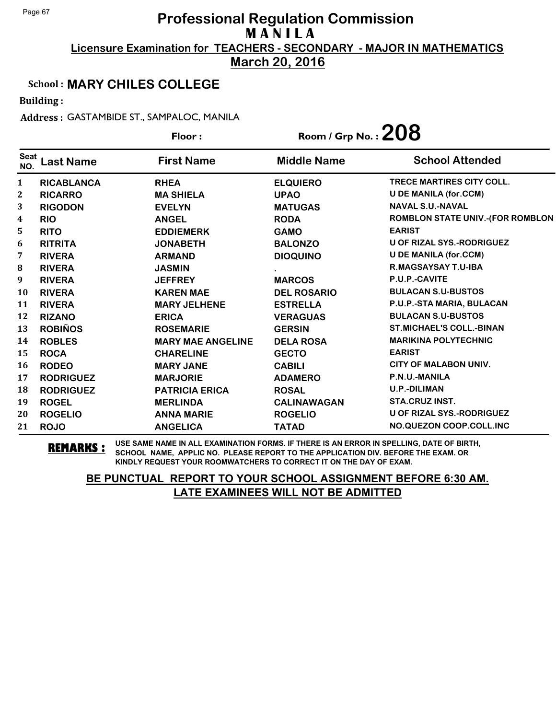**March 20, 2016**

#### School : **MARY CHILES COLLEGE**

Building :

Address : GASTAMBIDE ST., SAMPALOC, MANILA

|                    |                   | Floor:                   | Room / Grp No. : $208$ |                                         |
|--------------------|-------------------|--------------------------|------------------------|-----------------------------------------|
| <b>Seat</b><br>NO. | <b>Last Name</b>  | <b>First Name</b>        | <b>Middle Name</b>     | <b>School Attended</b>                  |
| $\mathbf{1}$       | <b>RICABLANCA</b> | <b>RHEA</b>              | <b>ELQUIERO</b>        | <b>TRECE MARTIRES CITY COLL.</b>        |
| 2                  | <b>RICARRO</b>    | <b>MA SHIELA</b>         | <b>UPAO</b>            | <b>U DE MANILA (for.CCM)</b>            |
| 3                  | <b>RIGODON</b>    | <b>EVELYN</b>            | <b>MATUGAS</b>         | <b>NAVAL S.U.-NAVAL</b>                 |
| 4                  | <b>RIO</b>        | <b>ANGEL</b>             | <b>RODA</b>            | <b>ROMBLON STATE UNIV.-(FOR ROMBLON</b> |
| 5                  | <b>RITO</b>       | <b>EDDIEMERK</b>         | <b>GAMO</b>            | <b>EARIST</b>                           |
| 6                  | <b>RITRITA</b>    | <b>JONABETH</b>          | <b>BALONZO</b>         | U OF RIZAL SYS.-RODRIGUEZ               |
| 7                  | <b>RIVERA</b>     | <b>ARMAND</b>            | <b>DIOQUINO</b>        | <b>U DE MANILA (for.CCM)</b>            |
| ${\bf 8}$          | <b>RIVERA</b>     | <b>JASMIN</b>            |                        | R.MAGSAYSAY T.U-IBA                     |
| 9                  | <b>RIVERA</b>     | <b>JEFFREY</b>           | <b>MARCOS</b>          | P.U.P.-CAVITE                           |
| 10                 | <b>RIVERA</b>     | <b>KAREN MAE</b>         | <b>DEL ROSARIO</b>     | <b>BULACAN S.U-BUSTOS</b>               |
| 11                 | <b>RIVERA</b>     | <b>MARY JELHENE</b>      | <b>ESTRELLA</b>        | P.U.P.-STA MARIA, BULACAN               |
| 12                 | <b>RIZANO</b>     | <b>ERICA</b>             | <b>VERAGUAS</b>        | <b>BULACAN S.U-BUSTOS</b>               |
| 13                 | <b>ROBIÑOS</b>    | <b>ROSEMARIE</b>         | <b>GERSIN</b>          | <b>ST.MICHAEL'S COLL.-BINAN</b>         |
| 14                 | <b>ROBLES</b>     | <b>MARY MAE ANGELINE</b> | <b>DELA ROSA</b>       | <b>MARIKINA POLYTECHNIC</b>             |
| 15                 | <b>ROCA</b>       | <b>CHARELINE</b>         | <b>GECTO</b>           | <b>EARIST</b>                           |
| 16                 | <b>RODEO</b>      | <b>MARY JANE</b>         | <b>CABILI</b>          | <b>CITY OF MALABON UNIV.</b>            |
| 17                 | <b>RODRIGUEZ</b>  | <b>MARJORIE</b>          | <b>ADAMERO</b>         | P.N.U.-MANILA                           |
| 18                 | <b>RODRIGUEZ</b>  | <b>PATRICIA ERICA</b>    | <b>ROSAL</b>           | <b>U.P.-DILIMAN</b>                     |
| 19                 | <b>ROGEL</b>      | <b>MERLINDA</b>          | <b>CALINAWAGAN</b>     | <b>STA.CRUZ INST.</b>                   |
| 20                 | <b>ROGELIO</b>    | <b>ANNA MARIE</b>        | <b>ROGELIO</b>         | U OF RIZAL SYS.-RODRIGUEZ               |
| 21                 | <b>ROJO</b>       | <b>ANGELICA</b>          | <b>TATAD</b>           | NO.QUEZON COOP.COLL.INC                 |

**REMARKS :** USE SAME NAME IN ALL EXAMINATION FORMS. IF THERE IS AN ERROR IN SPELLING, DATE OF BIRTH, SCHOOL NAME, APPLIC NO. PLEASE REPORT TO THE APPLICATION DIV. BEFORE THE EXAM. OR KINDLY REQUEST YOUR ROOMWATCHERS TO CORRECT IT ON THE DAY OF EXAM.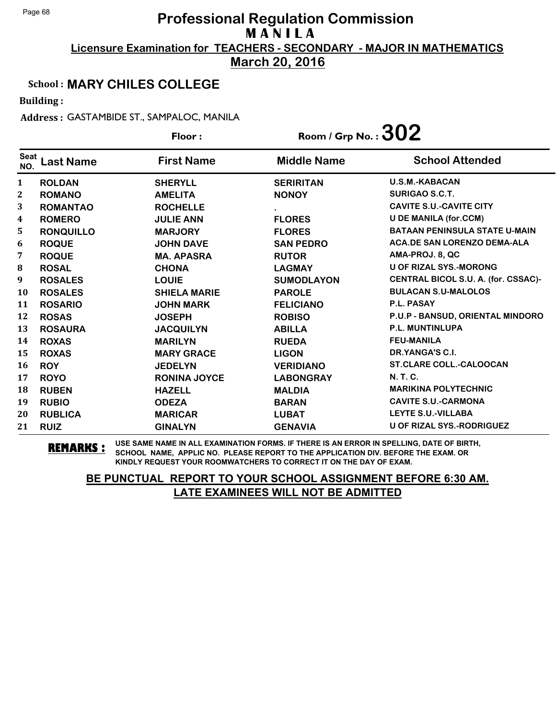**March 20, 2016**

### School : **MARY CHILES COLLEGE**

Building :

Address : GASTAMBIDE ST., SAMPALOC, MANILA

|                    |                  | Floor:              | Room / Grp No. : $302$ |                                      |
|--------------------|------------------|---------------------|------------------------|--------------------------------------|
| <b>Seat</b><br>NO. | <b>Last Name</b> | <b>First Name</b>   | <b>Middle Name</b>     | <b>School Attended</b>               |
| $\mathbf{1}$       | <b>ROLDAN</b>    | <b>SHERYLL</b>      | <b>SERIRITAN</b>       | <b>U.S.M.-KABACAN</b>                |
| $\mathbf{2}$       | <b>ROMANO</b>    | <b>AMELITA</b>      | <b>NONOY</b>           | <b>SURIGAO S.C.T.</b>                |
| 3                  | <b>ROMANTAO</b>  | <b>ROCHELLE</b>     |                        | <b>CAVITE S.U.-CAVITE CITY</b>       |
| 4                  | <b>ROMERO</b>    | <b>JULIE ANN</b>    | <b>FLORES</b>          | <b>U DE MANILA (for.CCM)</b>         |
| 5                  | <b>RONQUILLO</b> | <b>MARJORY</b>      | <b>FLORES</b>          | <b>BATAAN PENINSULA STATE U-MAIN</b> |
| 6                  | <b>ROQUE</b>     | <b>JOHN DAVE</b>    | <b>SAN PEDRO</b>       | <b>ACA.DE SAN LORENZO DEMA-ALA</b>   |
| 7                  | <b>ROQUE</b>     | <b>MA. APASRA</b>   | <b>RUTOR</b>           | AMA-PROJ. 8, QC                      |
| 8                  | <b>ROSAL</b>     | <b>CHONA</b>        | <b>LAGMAY</b>          | <b>U OF RIZAL SYS.-MORONG</b>        |
| 9                  | <b>ROSALES</b>   | <b>LOUIE</b>        | <b>SUMODLAYON</b>      | CENTRAL BICOL S.U. A. (for. CSSAC)-  |
| <b>10</b>          | <b>ROSALES</b>   | <b>SHIELA MARIE</b> | <b>PAROLE</b>          | <b>BULACAN S.U-MALOLOS</b>           |
| 11                 | <b>ROSARIO</b>   | <b>JOHN MARK</b>    | <b>FELICIANO</b>       | P.L. PASAY                           |
| 12                 | <b>ROSAS</b>     | <b>JOSEPH</b>       | <b>ROBISO</b>          | P.U.P - BANSUD, ORIENTAL MINDORO     |
| 13                 | <b>ROSAURA</b>   | <b>JACQUILYN</b>    | <b>ABILLA</b>          | <b>P.L. MUNTINLUPA</b>               |
| 14                 | <b>ROXAS</b>     | <b>MARILYN</b>      | <b>RUEDA</b>           | <b>FEU-MANILA</b>                    |
| 15                 | <b>ROXAS</b>     | <b>MARY GRACE</b>   | <b>LIGON</b>           | DR.YANGA'S C.I.                      |
| 16                 | <b>ROY</b>       | <b>JEDELYN</b>      | <b>VERIDIANO</b>       | <b>ST.CLARE COLL.-CALOOCAN</b>       |
| 17                 | <b>ROYO</b>      | <b>RONINA JOYCE</b> | <b>LABONGRAY</b>       | N. T. C.                             |
| 18                 | <b>RUBEN</b>     | <b>HAZELL</b>       | <b>MALDIA</b>          | <b>MARIKINA POLYTECHNIC</b>          |
| 19                 | <b>RUBIO</b>     | <b>ODEZA</b>        | <b>BARAN</b>           | <b>CAVITE S.U.-CARMONA</b>           |
| 20                 | <b>RUBLICA</b>   | <b>MARICAR</b>      | <b>LUBAT</b>           | <b>LEYTE S.U.-VILLABA</b>            |
| 21                 | <b>RUIZ</b>      | <b>GINALYN</b>      | <b>GENAVIA</b>         | <b>U OF RIZAL SYS.-RODRIGUEZ</b>     |

**REMARKS :** USE SAME NAME IN ALL EXAMINATION FORMS. IF THERE IS AN ERROR IN SPELLING, DATE OF BIRTH, SCHOOL NAME, APPLIC NO. PLEASE REPORT TO THE APPLICATION DIV. BEFORE THE EXAM. OR KINDLY REQUEST YOUR ROOMWATCHERS TO CORRECT IT ON THE DAY OF EXAM.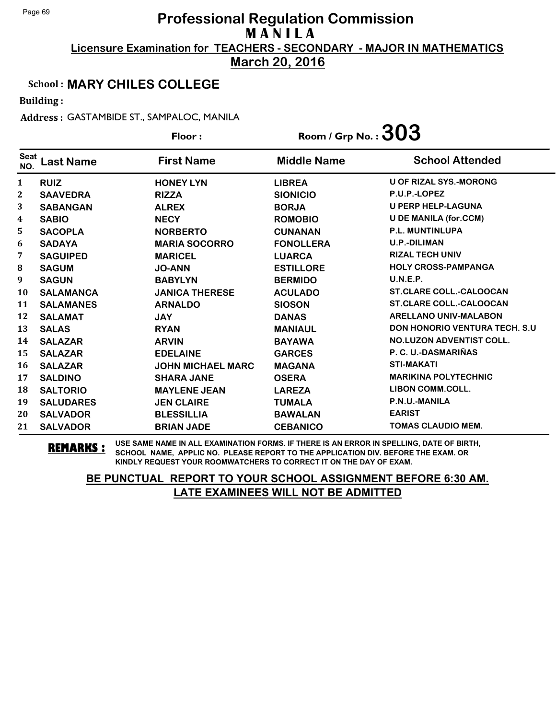**March 20, 2016**

### School : **MARY CHILES COLLEGE**

Building :

Address : GASTAMBIDE ST., SAMPALOC, MANILA

|                    |                  | Floor:                   | Room / Grp No. : $303$ |                                       |
|--------------------|------------------|--------------------------|------------------------|---------------------------------------|
| <b>Seat</b><br>NO. | Last Name        | <b>First Name</b>        | <b>Middle Name</b>     | <b>School Attended</b>                |
| 1                  | <b>RUIZ</b>      | <b>HONEY LYN</b>         | <b>LIBREA</b>          | <b>U OF RIZAL SYS.-MORONG</b>         |
| 2                  | <b>SAAVEDRA</b>  | <b>RIZZA</b>             | <b>SIONICIO</b>        | P.U.P.-LOPEZ                          |
| 3                  | <b>SABANGAN</b>  | <b>ALREX</b>             | <b>BORJA</b>           | <b>U PERP HELP-LAGUNA</b>             |
| 4                  | <b>SABIO</b>     | <b>NECY</b>              | <b>ROMOBIO</b>         | <b>U DE MANILA (for.CCM)</b>          |
| 5                  | <b>SACOPLA</b>   | <b>NORBERTO</b>          | <b>CUNANAN</b>         | <b>P.L. MUNTINLUPA</b>                |
| 6                  | <b>SADAYA</b>    | <b>MARIA SOCORRO</b>     | <b>FONOLLERA</b>       | <b>U.P.-DILIMAN</b>                   |
| 7                  | <b>SAGUIPED</b>  | <b>MARICEL</b>           | <b>LUARCA</b>          | <b>RIZAL TECH UNIV</b>                |
| 8                  | <b>SAGUM</b>     | <b>JO-ANN</b>            | <b>ESTILLORE</b>       | <b>HOLY CROSS-PAMPANGA</b>            |
| 9                  | <b>SAGUN</b>     | <b>BABYLYN</b>           | <b>BERMIDO</b>         | U.N.E.P.                              |
| 10                 | <b>SALAMANCA</b> | <b>JANICA THERESE</b>    | <b>ACULADO</b>         | <b>ST.CLARE COLL.-CALOOCAN</b>        |
| 11                 | <b>SALAMANES</b> | <b>ARNALDO</b>           | <b>SIOSON</b>          | <b>ST.CLARE COLL.-CALOOCAN</b>        |
| 12                 | <b>SALAMAT</b>   | <b>JAY</b>               | <b>DANAS</b>           | ARELLANO UNIV-MALABON                 |
| 13                 | <b>SALAS</b>     | <b>RYAN</b>              | <b>MANIAUL</b>         | <b>DON HONORIO VENTURA TECH. S.U.</b> |
| 14                 | <b>SALAZAR</b>   | <b>ARVIN</b>             | <b>BAYAWA</b>          | <b>NO.LUZON ADVENTIST COLL.</b>       |
| 15                 | <b>SALAZAR</b>   | <b>EDELAINE</b>          | <b>GARCES</b>          | P. C. U.-DASMARIÑAS                   |
| 16                 | <b>SALAZAR</b>   | <b>JOHN MICHAEL MARC</b> | <b>MAGANA</b>          | <b>STI-MAKATI</b>                     |
| 17                 | <b>SALDINO</b>   | <b>SHARA JANE</b>        | <b>OSERA</b>           | <b>MARIKINA POLYTECHNIC</b>           |
| 18                 | <b>SALTORIO</b>  | <b>MAYLENE JEAN</b>      | <b>LAREZA</b>          | <b>LIBON COMM.COLL.</b>               |
| 19                 | <b>SALUDARES</b> | <b>JEN CLAIRE</b>        | <b>TUMALA</b>          | P.N.U.-MANILA                         |
| 20                 | <b>SALVADOR</b>  | <b>BLESSILLIA</b>        | <b>BAWALAN</b>         | <b>EARIST</b>                         |
| 21                 | <b>SALVADOR</b>  | <b>BRIAN JADE</b>        | <b>CEBANICO</b>        | <b>TOMAS CLAUDIO MEM.</b>             |

**REMARKS :** USE SAME NAME IN ALL EXAMINATION FORMS. IF THERE IS AN ERROR IN SPELLING, DATE OF BIRTH, SCHOOL NAME, APPLIC NO. PLEASE REPORT TO THE APPLICATION DIV. BEFORE THE EXAM. OR KINDLY REQUEST YOUR ROOMWATCHERS TO CORRECT IT ON THE DAY OF EXAM.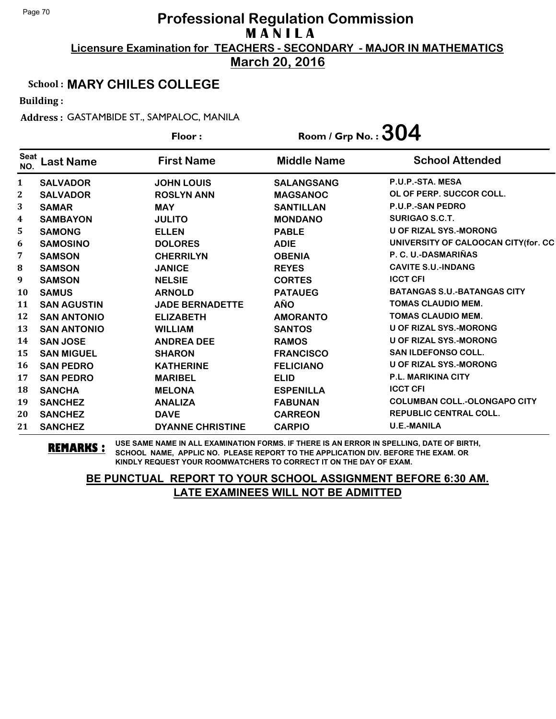**March 20, 2016**

### School : **MARY CHILES COLLEGE**

Building :

Address : GASTAMBIDE ST., SAMPALOC, MANILA

|                    |                    | Floor:                  | Room / Grp No. : $304$ |                                     |
|--------------------|--------------------|-------------------------|------------------------|-------------------------------------|
| <b>Seat</b><br>NO. | <b>Last Name</b>   | <b>First Name</b>       | <b>Middle Name</b>     | <b>School Attended</b>              |
| 1                  | <b>SALVADOR</b>    | <b>JOHN LOUIS</b>       | <b>SALANGSANG</b>      | P.U.P.-STA, MESA                    |
| 2                  | <b>SALVADOR</b>    | <b>ROSLYN ANN</b>       | <b>MAGSANOC</b>        | OL OF PERP. SUCCOR COLL.            |
| 3                  | <b>SAMAR</b>       | <b>MAY</b>              | <b>SANTILLAN</b>       | <b>P.U.P.-SAN PEDRO</b>             |
| 4                  | <b>SAMBAYON</b>    | <b>JULITO</b>           | <b>MONDANO</b>         | SURIGAO S.C.T.                      |
| 5                  | <b>SAMONG</b>      | <b>ELLEN</b>            | <b>PABLE</b>           | <b>U OF RIZAL SYS.-MORONG</b>       |
| 6                  | <b>SAMOSINO</b>    | <b>DOLORES</b>          | <b>ADIE</b>            | UNIVERSITY OF CALOOCAN CITY(for. CC |
| 7                  | <b>SAMSON</b>      | <b>CHERRILYN</b>        | <b>OBENIA</b>          | P. C. U.-DASMARIÑAS                 |
| ${\bf 8}$          | <b>SAMSON</b>      | <b>JANICE</b>           | <b>REYES</b>           | <b>CAVITE S.U.-INDANG</b>           |
| 9                  | <b>SAMSON</b>      | <b>NELSIE</b>           | <b>CORTES</b>          | <b>ICCT CFI</b>                     |
| 10                 | <b>SAMUS</b>       | <b>ARNOLD</b>           | <b>PATAUEG</b>         | <b>BATANGAS S.U.-BATANGAS CITY</b>  |
| 11                 | <b>SAN AGUSTIN</b> | <b>JADE BERNADETTE</b>  | <b>AÑO</b>             | <b>TOMAS CLAUDIO MEM.</b>           |
| 12                 | <b>SAN ANTONIO</b> | <b>ELIZABETH</b>        | <b>AMORANTO</b>        | <b>TOMAS CLAUDIO MEM.</b>           |
| 13                 | <b>SAN ANTONIO</b> | <b>WILLIAM</b>          | <b>SANTOS</b>          | U OF RIZAL SYS.-MORONG              |
| 14                 | <b>SAN JOSE</b>    | <b>ANDREA DEE</b>       | <b>RAMOS</b>           | <b>U OF RIZAL SYS.-MORONG</b>       |
| 15                 | <b>SAN MIGUEL</b>  | <b>SHARON</b>           | <b>FRANCISCO</b>       | <b>SAN ILDEFONSO COLL.</b>          |
| 16                 | <b>SAN PEDRO</b>   | <b>KATHERINE</b>        | <b>FELICIANO</b>       | <b>U OF RIZAL SYS.-MORONG</b>       |
| 17                 | <b>SAN PEDRO</b>   | <b>MARIBEL</b>          | <b>ELID</b>            | <b>P.L. MARIKINA CITY</b>           |
| 18                 | <b>SANCHA</b>      | <b>MELONA</b>           | <b>ESPENILLA</b>       | <b>ICCT CFI</b>                     |
| 19                 | <b>SANCHEZ</b>     | <b>ANALIZA</b>          | <b>FABUNAN</b>         | <b>COLUMBAN COLL.-OLONGAPO CITY</b> |
| 20                 | <b>SANCHEZ</b>     | <b>DAVE</b>             | <b>CARREON</b>         | <b>REPUBLIC CENTRAL COLL.</b>       |
| 21                 | <b>SANCHEZ</b>     | <b>DYANNE CHRISTINE</b> | <b>CARPIO</b>          | <b>U.E.-MANILA</b>                  |

**REMARKS :** USE SAME NAME IN ALL EXAMINATION FORMS. IF THERE IS AN ERROR IN SPELLING, DATE OF BIRTH, SCHOOL NAME, APPLIC NO. PLEASE REPORT TO THE APPLICATION DIV. BEFORE THE EXAM. OR KINDLY REQUEST YOUR ROOMWATCHERS TO CORRECT IT ON THE DAY OF EXAM.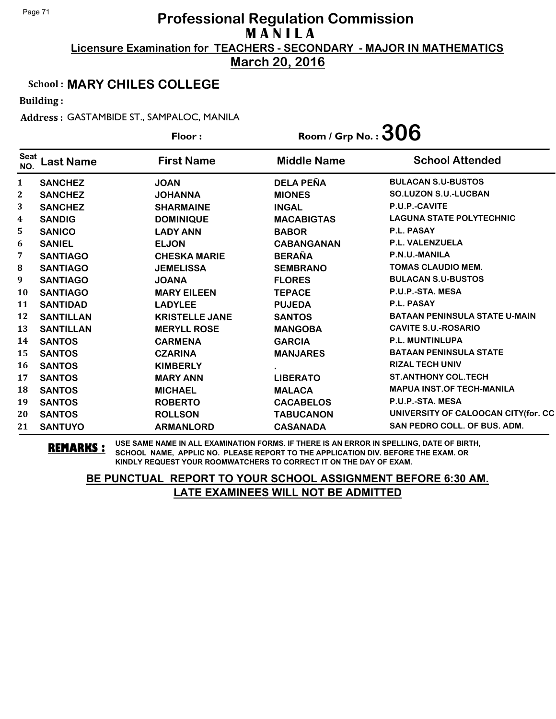**March 20, 2016**

### School : **MARY CHILES COLLEGE**

Building :

Address : GASTAMBIDE ST., SAMPALOC, MANILA

|                         |                  | Floor:                | Room / Grp No. : $306$ |                                      |
|-------------------------|------------------|-----------------------|------------------------|--------------------------------------|
| <b>Seat</b><br>NO.      | <b>Last Name</b> | <b>First Name</b>     | <b>Middle Name</b>     | <b>School Attended</b>               |
| 1                       | <b>SANCHEZ</b>   | <b>JOAN</b>           | <b>DELA PEÑA</b>       | <b>BULACAN S.U-BUSTOS</b>            |
| 2                       | <b>SANCHEZ</b>   | <b>JOHANNA</b>        | <b>MIONES</b>          | <b>SO.LUZON S.U.-LUCBAN</b>          |
| 3                       | <b>SANCHEZ</b>   | <b>SHARMAINE</b>      | <b>INGAL</b>           | P.U.P.-CAVITE                        |
| $\overline{\mathbf{4}}$ | <b>SANDIG</b>    | <b>DOMINIQUE</b>      | <b>MACABIGTAS</b>      | <b>LAGUNA STATE POLYTECHNIC</b>      |
| 5                       | <b>SANICO</b>    | <b>LADY ANN</b>       | <b>BABOR</b>           | <b>P.L. PASAY</b>                    |
| 6                       | <b>SANIEL</b>    | <b>ELJON</b>          | <b>CABANGANAN</b>      | <b>P.L. VALENZUELA</b>               |
| 7                       | <b>SANTIAGO</b>  | <b>CHESKA MARIE</b>   | <b>BERAÑA</b>          | P.N.U.-MANILA                        |
| 8                       | <b>SANTIAGO</b>  | <b>JEMELISSA</b>      | <b>SEMBRANO</b>        | <b>TOMAS CLAUDIO MEM.</b>            |
| 9                       | <b>SANTIAGO</b>  | <b>JOANA</b>          | <b>FLORES</b>          | <b>BULACAN S.U-BUSTOS</b>            |
| 10                      | <b>SANTIAGO</b>  | <b>MARY EILEEN</b>    | <b>TEPACE</b>          | P.U.P.-STA. MESA                     |
| 11                      | <b>SANTIDAD</b>  | <b>LADYLEE</b>        | <b>PUJEDA</b>          | P.L. PASAY                           |
| 12                      | <b>SANTILLAN</b> | <b>KRISTELLE JANE</b> | <b>SANTOS</b>          | <b>BATAAN PENINSULA STATE U-MAIN</b> |
| 13                      | <b>SANTILLAN</b> | <b>MERYLL ROSE</b>    | <b>MANGOBA</b>         | <b>CAVITE S.U.-ROSARIO</b>           |
| 14                      | <b>SANTOS</b>    | <b>CARMENA</b>        | <b>GARCIA</b>          | P.L. MUNTINLUPA                      |
| 15                      | <b>SANTOS</b>    | <b>CZARINA</b>        | <b>MANJARES</b>        | <b>BATAAN PENINSULA STATE</b>        |
| 16                      | <b>SANTOS</b>    | <b>KIMBERLY</b>       |                        | <b>RIZAL TECH UNIV</b>               |
| 17                      | <b>SANTOS</b>    | <b>MARY ANN</b>       | <b>LIBERATO</b>        | <b>ST.ANTHONY COL.TECH</b>           |
| 18                      | <b>SANTOS</b>    | <b>MICHAEL</b>        | <b>MALACA</b>          | <b>MAPUA INST.OF TECH-MANILA</b>     |
| 19                      | <b>SANTOS</b>    | <b>ROBERTO</b>        | <b>CACABELOS</b>       | P.U.P.-STA. MESA                     |
| 20                      | <b>SANTOS</b>    | <b>ROLLSON</b>        | <b>TABUCANON</b>       | UNIVERSITY OF CALOOCAN CITY(for. CC  |
| 21                      | <b>SANTUYO</b>   | <b>ARMANLORD</b>      | <b>CASANADA</b>        | <b>SAN PEDRO COLL. OF BUS. ADM.</b>  |

**REMARKS :** USE SAME NAME IN ALL EXAMINATION FORMS. IF THERE IS AN ERROR IN SPELLING, DATE OF BIRTH, SCHOOL NAME, APPLIC NO. PLEASE REPORT TO THE APPLICATION DIV. BEFORE THE EXAM. OR KINDLY REQUEST YOUR ROOMWATCHERS TO CORRECT IT ON THE DAY OF EXAM.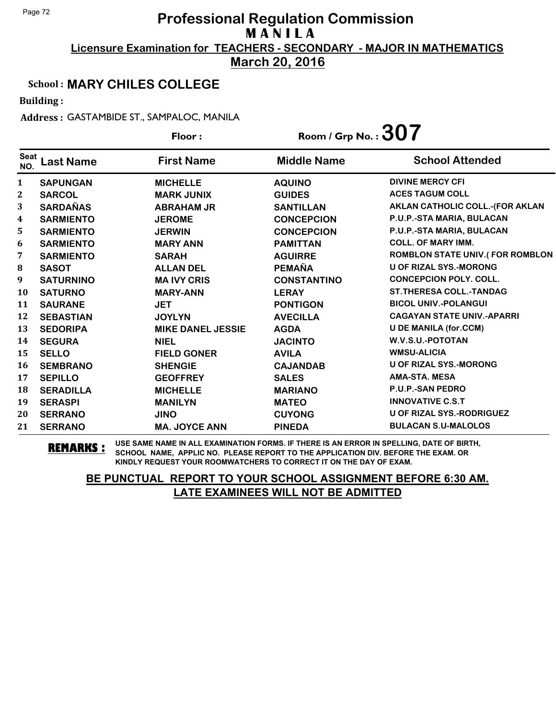**March 20, 2016**

#### School : **MARY CHILES COLLEGE**

Building :

Address : GASTAMBIDE ST., SAMPALOC, MANILA

|                    |                  | Floor:                   | Room / Grp No. : $307$ |                                        |
|--------------------|------------------|--------------------------|------------------------|----------------------------------------|
| <b>Seat</b><br>NO. | <b>Last Name</b> | <b>First Name</b>        | <b>Middle Name</b>     | <b>School Attended</b>                 |
| $\mathbf{1}$       | <b>SAPUNGAN</b>  | <b>MICHELLE</b>          | <b>AQUINO</b>          | <b>DIVINE MERCY CFI</b>                |
| $\mathbf{2}$       | <b>SARCOL</b>    | <b>MARK JUNIX</b>        | <b>GUIDES</b>          | <b>ACES TAGUM COLL</b>                 |
| 3                  | <b>SARDAÑAS</b>  | <b>ABRAHAM JR</b>        | <b>SANTILLAN</b>       | <b>AKLAN CATHOLIC COLL.-(FOR AKLAN</b> |
| 4                  | <b>SARMIENTO</b> | <b>JEROME</b>            | <b>CONCEPCION</b>      | P.U.P.-STA MARIA, BULACAN              |
| 5                  | <b>SARMIENTO</b> | <b>JERWIN</b>            | <b>CONCEPCION</b>      | P.U.P.-STA MARIA, BULACAN              |
| 6                  | <b>SARMIENTO</b> | <b>MARY ANN</b>          | <b>PAMITTAN</b>        | <b>COLL. OF MARY IMM.</b>              |
| 7                  | <b>SARMIENTO</b> | <b>SARAH</b>             | <b>AGUIRRE</b>         | <b>ROMBLON STATE UNIV.(FOR ROMBLON</b> |
| ${\bf 8}$          | <b>SASOT</b>     | <b>ALLAN DEL</b>         | <b>PEMAÑA</b>          | <b>U OF RIZAL SYS.-MORONG</b>          |
| 9                  | <b>SATURNINO</b> | <b>MA IVY CRIS</b>       | <b>CONSTANTINO</b>     | <b>CONCEPCION POLY. COLL.</b>          |
| 10                 | <b>SATURNO</b>   | <b>MARY-ANN</b>          | <b>LERAY</b>           | <b>ST.THERESA COLL.-TANDAG</b>         |
| 11                 | <b>SAURANE</b>   | <b>JET</b>               | <b>PONTIGON</b>        | <b>BICOL UNIV.-POLANGUI</b>            |
| 12                 | <b>SEBASTIAN</b> | <b>JOYLYN</b>            | <b>AVECILLA</b>        | <b>CAGAYAN STATE UNIV.-APARRI</b>      |
| 13                 | <b>SEDORIPA</b>  | <b>MIKE DANEL JESSIE</b> | <b>AGDA</b>            | <b>U DE MANILA (for.CCM)</b>           |
| 14                 | <b>SEGURA</b>    | <b>NIEL</b>              | <b>JACINTO</b>         | W.V.S.U.-POTOTAN                       |
| 15                 | <b>SELLO</b>     | <b>FIELD GONER</b>       | <b>AVILA</b>           | <b>WMSU-ALICIA</b>                     |
| 16                 | <b>SEMBRANO</b>  | <b>SHENGIE</b>           | <b>CAJANDAB</b>        | <b>U OF RIZAL SYS.-MORONG</b>          |
| 17                 | <b>SEPILLO</b>   | <b>GEOFFREY</b>          | <b>SALES</b>           | <b>AMA-STA, MESA</b>                   |
| 18                 | <b>SERADILLA</b> | <b>MICHELLE</b>          | <b>MARIANO</b>         | <b>P.U.P.-SAN PEDRO</b>                |
| 19                 | <b>SERASPI</b>   | <b>MANILYN</b>           | <b>MATEO</b>           | <b>INNOVATIVE C.S.T</b>                |
| 20                 | <b>SERRANO</b>   | <b>JINO</b>              | <b>CUYONG</b>          | U OF RIZAL SYS.-RODRIGUEZ              |
| 21                 | <b>SERRANO</b>   | <b>MA. JOYCE ANN</b>     | <b>PINEDA</b>          | <b>BULACAN S.U-MALOLOS</b>             |

**REMARKS :** USE SAME NAME IN ALL EXAMINATION FORMS. IF THERE IS AN ERROR IN SPELLING, DATE OF BIRTH, SCHOOL NAME, APPLIC NO. PLEASE REPORT TO THE APPLICATION DIV. BEFORE THE EXAM. OR KINDLY REQUEST YOUR ROOMWATCHERS TO CORRECT IT ON THE DAY OF EXAM.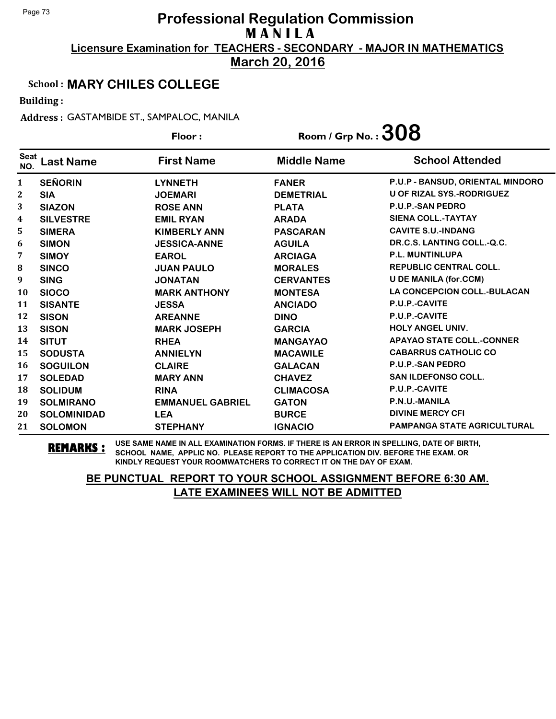**March 20, 2016**

### School : **MARY CHILES COLLEGE**

Building :

Address : GASTAMBIDE ST., SAMPALOC, MANILA

|                    |                    | Floor:                  | Room / Grp No. : $308$ |                                    |
|--------------------|--------------------|-------------------------|------------------------|------------------------------------|
| <b>Seat</b><br>NO. | <b>Last Name</b>   | <b>First Name</b>       | <b>Middle Name</b>     | <b>School Attended</b>             |
| $\mathbf{1}$       | <b>SEÑORIN</b>     | <b>LYNNETH</b>          | <b>FANER</b>           | P.U.P - BANSUD, ORIENTAL MINDORO   |
| $\mathbf{2}$       | <b>SIA</b>         | <b>JOEMARI</b>          | <b>DEMETRIAL</b>       | <b>U OF RIZAL SYS.-RODRIGUEZ</b>   |
| 3                  | <b>SIAZON</b>      | <b>ROSE ANN</b>         | <b>PLATA</b>           | <b>P.U.P.-SAN PEDRO</b>            |
| 4                  | <b>SILVESTRE</b>   | <b>EMIL RYAN</b>        | <b>ARADA</b>           | <b>SIENA COLL.-TAYTAY</b>          |
| 5                  | <b>SIMERA</b>      | <b>KIMBERLY ANN</b>     | <b>PASCARAN</b>        | <b>CAVITE S.U.-INDANG</b>          |
| 6                  | <b>SIMON</b>       | <b>JESSICA-ANNE</b>     | <b>AGUILA</b>          | DR.C.S. LANTING COLL.-Q.C.         |
| 7                  | <b>SIMOY</b>       | <b>EAROL</b>            | <b>ARCIAGA</b>         | <b>P.L. MUNTINLUPA</b>             |
| 8                  | <b>SINCO</b>       | <b>JUAN PAULO</b>       | <b>MORALES</b>         | <b>REPUBLIC CENTRAL COLL.</b>      |
| 9                  | <b>SING</b>        | <b>JONATAN</b>          | <b>CERVANTES</b>       | <b>U DE MANILA (for.CCM)</b>       |
| 10                 | <b>SIOCO</b>       | <b>MARK ANTHONY</b>     | <b>MONTESA</b>         | <b>LA CONCEPCION COLL.-BULACAN</b> |
| 11                 | <b>SISANTE</b>     | <b>JESSA</b>            | <b>ANCIADO</b>         | P.U.P.-CAVITE                      |
| 12                 | <b>SISON</b>       | <b>AREANNE</b>          | <b>DINO</b>            | P.U.P.-CAVITE                      |
| 13                 | <b>SISON</b>       | <b>MARK JOSEPH</b>      | <b>GARCIA</b>          | <b>HOLY ANGEL UNIV.</b>            |
| 14                 | <b>SITUT</b>       | <b>RHEA</b>             | <b>MANGAYAO</b>        | <b>APAYAO STATE COLL.-CONNER</b>   |
| 15                 | <b>SODUSTA</b>     | <b>ANNIELYN</b>         | <b>MACAWILE</b>        | <b>CABARRUS CATHOLIC CO</b>        |
| 16                 | <b>SOGUILON</b>    | <b>CLAIRE</b>           | <b>GALACAN</b>         | P.U.P.-SAN PEDRO                   |
| 17                 | <b>SOLEDAD</b>     | <b>MARY ANN</b>         | <b>CHAVEZ</b>          | <b>SAN ILDEFONSO COLL.</b>         |
| 18                 | <b>SOLIDUM</b>     | <b>RINA</b>             | <b>CLIMACOSA</b>       | P.U.P.-CAVITE                      |
| 19                 | <b>SOLMIRANO</b>   | <b>EMMANUEL GABRIEL</b> | <b>GATON</b>           | P.N.U.-MANILA                      |
| 20                 | <b>SOLOMINIDAD</b> | <b>LEA</b>              | <b>BURCE</b>           | <b>DIVINE MERCY CFI</b>            |
| 21                 | <b>SOLOMON</b>     | <b>STEPHANY</b>         | <b>IGNACIO</b>         | <b>PAMPANGA STATE AGRICULTURAL</b> |

**REMARKS :** USE SAME NAME IN ALL EXAMINATION FORMS. IF THERE IS AN ERROR IN SPELLING, DATE OF BIRTH, SCHOOL NAME, APPLIC NO. PLEASE REPORT TO THE APPLICATION DIV. BEFORE THE EXAM. OR KINDLY REQUEST YOUR ROOMWATCHERS TO CORRECT IT ON THE DAY OF EXAM.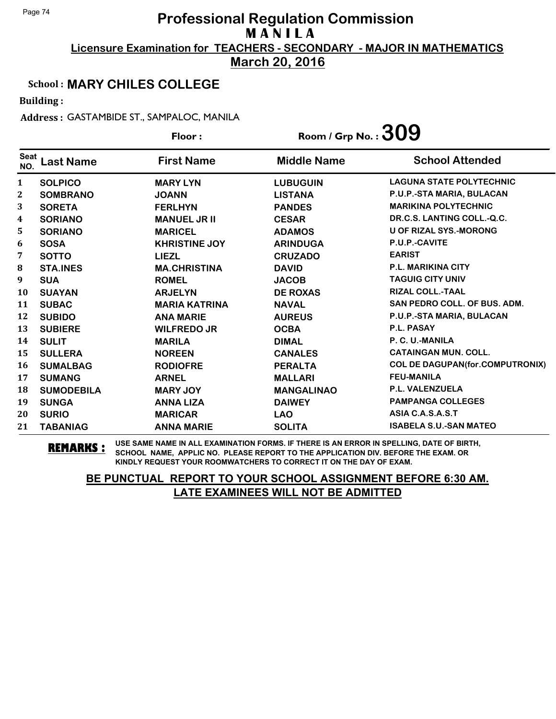**March 20, 2016**

#### School : **MARY CHILES COLLEGE**

Building :

Address : GASTAMBIDE ST., SAMPALOC, MANILA

|                    |                   | Floor:               | Room / Grp No. : $309$ |                                        |
|--------------------|-------------------|----------------------|------------------------|----------------------------------------|
| <b>Seat</b><br>NO. | <b>Last Name</b>  | <b>First Name</b>    | <b>Middle Name</b>     | <b>School Attended</b>                 |
| 1                  | <b>SOLPICO</b>    | <b>MARY LYN</b>      | <b>LUBUGUIN</b>        | <b>LAGUNA STATE POLYTECHNIC</b>        |
| 2                  | <b>SOMBRANO</b>   | <b>JOANN</b>         | <b>LISTANA</b>         | P.U.P.-STA MARIA, BULACAN              |
| 3                  | <b>SORETA</b>     | <b>FERLHYN</b>       | <b>PANDES</b>          | <b>MARIKINA POLYTECHNIC</b>            |
| 4                  | <b>SORIANO</b>    | <b>MANUEL JR II</b>  | <b>CESAR</b>           | DR.C.S. LANTING COLL.-Q.C.             |
| 5                  | <b>SORIANO</b>    | <b>MARICEL</b>       | <b>ADAMOS</b>          | <b>U OF RIZAL SYS.-MORONG</b>          |
| 6                  | <b>SOSA</b>       | <b>KHRISTINE JOY</b> | <b>ARINDUGA</b>        | P.U.P.-CAVITE                          |
| 7                  | <b>SOTTO</b>      | <b>LIEZL</b>         | <b>CRUZADO</b>         | <b>EARIST</b>                          |
| 8                  | <b>STA.INES</b>   | <b>MA.CHRISTINA</b>  | <b>DAVID</b>           | <b>P.L. MARIKINA CITY</b>              |
| 9                  | <b>SUA</b>        | <b>ROMEL</b>         | <b>JACOB</b>           | <b>TAGUIG CITY UNIV</b>                |
| <b>10</b>          | <b>SUAYAN</b>     | <b>ARJELYN</b>       | <b>DE ROXAS</b>        | <b>RIZAL COLL.-TAAL</b>                |
| 11                 | <b>SUBAC</b>      | <b>MARIA KATRINA</b> | <b>NAVAL</b>           | <b>SAN PEDRO COLL. OF BUS. ADM.</b>    |
| 12                 | <b>SUBIDO</b>     | <b>ANA MARIE</b>     | <b>AUREUS</b>          | P.U.P.-STA MARIA, BULACAN              |
| 13                 | <b>SUBIERE</b>    | <b>WILFREDO JR</b>   | <b>OCBA</b>            | <b>P.L. PASAY</b>                      |
| 14                 | <b>SULIT</b>      | <b>MARILA</b>        | <b>DIMAL</b>           | P. C. U.-MANILA                        |
| 15                 | <b>SULLERA</b>    | <b>NOREEN</b>        | <b>CANALES</b>         | <b>CATAINGAN MUN. COLL.</b>            |
| 16                 | <b>SUMALBAG</b>   | <b>RODIOFRE</b>      | <b>PERALTA</b>         | <b>COL DE DAGUPAN(for.COMPUTRONIX)</b> |
| 17                 | <b>SUMANG</b>     | <b>ARNEL</b>         | <b>MALLARI</b>         | <b>FEU-MANILA</b>                      |
| 18                 | <b>SUMODEBILA</b> | <b>MARY JOY</b>      | <b>MANGALINAO</b>      | <b>P.L. VALENZUELA</b>                 |
| 19                 | <b>SUNGA</b>      | <b>ANNA LIZA</b>     | <b>DAIWEY</b>          | <b>PAMPANGA COLLEGES</b>               |
| 20                 | <b>SURIO</b>      | <b>MARICAR</b>       | <b>LAO</b>             | ASIA C.A.S.A.S.T                       |
| 21                 | <b>TABANIAG</b>   | <b>ANNA MARIE</b>    | <b>SOLITA</b>          | <b>ISABELA S.U.-SAN MATEO</b>          |

**REMARKS :** USE SAME NAME IN ALL EXAMINATION FORMS. IF THERE IS AN ERROR IN SPELLING, DATE OF BIRTH, SCHOOL NAME, APPLIC NO. PLEASE REPORT TO THE APPLICATION DIV. BEFORE THE EXAM. OR KINDLY REQUEST YOUR ROOMWATCHERS TO CORRECT IT ON THE DAY OF EXAM.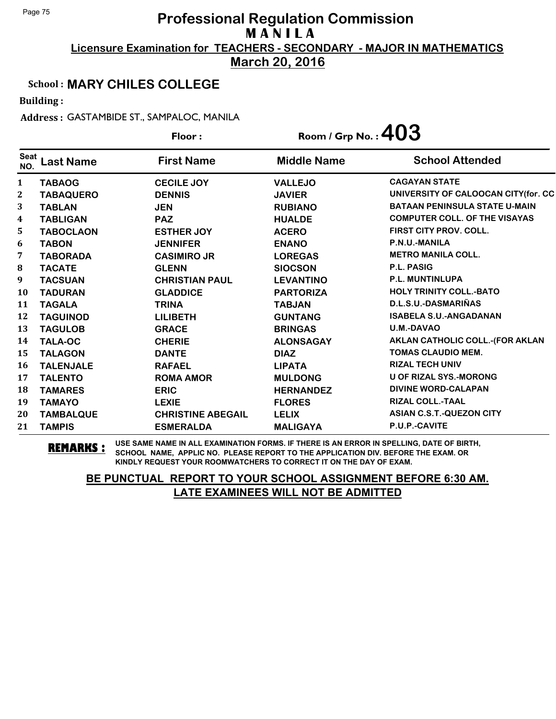**March 20, 2016**

### School : **MARY CHILES COLLEGE**

Building :

Address : GASTAMBIDE ST., SAMPALOC, MANILA

|                    |                  | Floor:                   | Room / Grp No. : $403$ |                                        |
|--------------------|------------------|--------------------------|------------------------|----------------------------------------|
| <b>Seat</b><br>NO. | <b>Last Name</b> | <b>First Name</b>        | <b>Middle Name</b>     | <b>School Attended</b>                 |
| $\mathbf{1}$       | <b>TABAOG</b>    | <b>CECILE JOY</b>        | <b>VALLEJO</b>         | <b>CAGAYAN STATE</b>                   |
| 2                  | <b>TABAQUERO</b> | <b>DENNIS</b>            | <b>JAVIER</b>          | UNIVERSITY OF CALOOCAN CITY(for. CC    |
| 3                  | <b>TABLAN</b>    | <b>JEN</b>               | <b>RUBIANO</b>         | <b>BATAAN PENINSULA STATE U-MAIN</b>   |
| 4                  | <b>TABLIGAN</b>  | <b>PAZ</b>               | <b>HUALDE</b>          | <b>COMPUTER COLL. OF THE VISAYAS</b>   |
| 5                  | <b>TABOCLAON</b> | <b>ESTHER JOY</b>        | <b>ACERO</b>           | <b>FIRST CITY PROV. COLL.</b>          |
| 6                  | <b>TABON</b>     | <b>JENNIFER</b>          | <b>ENANO</b>           | P.N.U.-MANILA                          |
| 7                  | <b>TABORADA</b>  | <b>CASIMIRO JR</b>       | <b>LOREGAS</b>         | <b>METRO MANILA COLL.</b>              |
| ${\bf 8}$          | <b>TACATE</b>    | <b>GLENN</b>             | <b>SIOCSON</b>         | <b>P.L. PASIG</b>                      |
| 9                  | <b>TACSUAN</b>   | <b>CHRISTIAN PAUL</b>    | <b>LEVANTINO</b>       | <b>P.L. MUNTINLUPA</b>                 |
| 10                 | <b>TADURAN</b>   | <b>GLADDICE</b>          | <b>PARTORIZA</b>       | <b>HOLY TRINITY COLL.-BATO</b>         |
| 11                 | <b>TAGALA</b>    | <b>TRINA</b>             | <b>TABJAN</b>          | D.L.S.U.-DASMARIÑAS                    |
| 12                 | <b>TAGUINOD</b>  | <b>LILIBETH</b>          | <b>GUNTANG</b>         | <b>ISABELA S.U.-ANGADANAN</b>          |
| 13                 | <b>TAGULOB</b>   | <b>GRACE</b>             | <b>BRINGAS</b>         | <b>U.M.-DAVAO</b>                      |
| 14                 | <b>TALA-OC</b>   | <b>CHERIE</b>            | <b>ALONSAGAY</b>       | <b>AKLAN CATHOLIC COLL.-(FOR AKLAN</b> |
| 15                 | <b>TALAGON</b>   | <b>DANTE</b>             | <b>DIAZ</b>            | <b>TOMAS CLAUDIO MEM.</b>              |
| 16                 | <b>TALENJALE</b> | <b>RAFAEL</b>            | <b>LIPATA</b>          | <b>RIZAL TECH UNIV</b>                 |
| 17                 | <b>TALENTO</b>   | <b>ROMA AMOR</b>         | <b>MULDONG</b>         | <b>U OF RIZAL SYS.-MORONG</b>          |
| 18                 | <b>TAMARES</b>   | <b>ERIC</b>              | <b>HERNANDEZ</b>       | <b>DIVINE WORD-CALAPAN</b>             |
| 19                 | <b>TAMAYO</b>    | <b>LEXIE</b>             | <b>FLORES</b>          | RIZAL COLL.-TAAL                       |
| 20                 | <b>TAMBALQUE</b> | <b>CHRISTINE ABEGAIL</b> | <b>LELIX</b>           | <b>ASIAN C.S.T.-QUEZON CITY</b>        |
| 21                 | <b>TAMPIS</b>    | <b>ESMERALDA</b>         | <b>MALIGAYA</b>        | P.U.P.-CAVITE                          |

**REMARKS :** USE SAME NAME IN ALL EXAMINATION FORMS. IF THERE IS AN ERROR IN SPELLING, DATE OF BIRTH, SCHOOL NAME, APPLIC NO. PLEASE REPORT TO THE APPLICATION DIV. BEFORE THE EXAM. OR KINDLY REQUEST YOUR ROOMWATCHERS TO CORRECT IT ON THE DAY OF EXAM.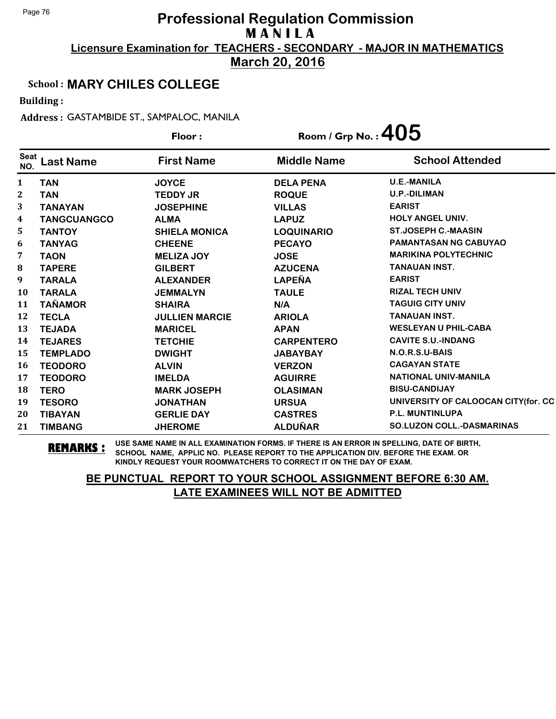**March 20, 2016**

### School : **MARY CHILES COLLEGE**

Building :

Address : GASTAMBIDE ST., SAMPALOC, MANILA

|                    |                    | Floor:                | Room / Grp No.: $405$ |                                     |
|--------------------|--------------------|-----------------------|-----------------------|-------------------------------------|
| <b>Seat</b><br>NO. | <b>Last Name</b>   | <b>First Name</b>     | <b>Middle Name</b>    | <b>School Attended</b>              |
| $\mathbf{1}$       | <b>TAN</b>         | <b>JOYCE</b>          | <b>DELA PENA</b>      | <b>U.E.-MANILA</b>                  |
| 2                  | <b>TAN</b>         | <b>TEDDY JR</b>       | <b>ROQUE</b>          | <b>U.P.-DILIMAN</b>                 |
| 3                  | <b>TANAYAN</b>     | <b>JOSEPHINE</b>      | <b>VILLAS</b>         | <b>EARIST</b>                       |
| 4                  | <b>TANGCUANGCO</b> | <b>ALMA</b>           | <b>LAPUZ</b>          | <b>HOLY ANGEL UNIV.</b>             |
| 5                  | <b>TANTOY</b>      | <b>SHIELA MONICA</b>  | <b>LOQUINARIO</b>     | <b>ST.JOSEPH C.-MAASIN</b>          |
| 6                  | <b>TANYAG</b>      | <b>CHEENE</b>         | <b>PECAYO</b>         | <b>PAMANTASAN NG CABUYAO</b>        |
| 7                  | <b>TAON</b>        | <b>MELIZA JOY</b>     | <b>JOSE</b>           | <b>MARIKINA POLYTECHNIC</b>         |
| ${\bf 8}$          | <b>TAPERE</b>      | <b>GILBERT</b>        | <b>AZUCENA</b>        | <b>TANAUAN INST.</b>                |
| 9                  | <b>TARALA</b>      | <b>ALEXANDER</b>      | <b>LAPEÑA</b>         | <b>EARIST</b>                       |
| 10                 | <b>TARALA</b>      | <b>JEMMALYN</b>       | <b>TAULE</b>          | <b>RIZAL TECH UNIV</b>              |
| 11                 | <b>TAÑAMOR</b>     | <b>SHAIRA</b>         | N/A                   | <b>TAGUIG CITY UNIV</b>             |
| 12                 | <b>TECLA</b>       | <b>JULLIEN MARCIE</b> | <b>ARIOLA</b>         | <b>TANAUAN INST.</b>                |
| 13                 | <b>TEJADA</b>      | <b>MARICEL</b>        | <b>APAN</b>           | <b>WESLEYAN U PHIL-CABA</b>         |
| 14                 | <b>TEJARES</b>     | <b>TETCHIE</b>        | <b>CARPENTERO</b>     | <b>CAVITE S.U.-INDANG</b>           |
| 15                 | <b>TEMPLADO</b>    | <b>DWIGHT</b>         | <b>JABAYBAY</b>       | N.O.R.S.U-BAIS                      |
| 16                 | <b>TEODORO</b>     | <b>ALVIN</b>          | <b>VERZON</b>         | <b>CAGAYAN STATE</b>                |
| 17                 | <b>TEODORO</b>     | <b>IMELDA</b>         | <b>AGUIRRE</b>        | <b>NATIONAL UNIV-MANILA</b>         |
| 18                 | <b>TERO</b>        | <b>MARK JOSEPH</b>    | <b>OLASIMAN</b>       | <b>BISU-CANDIJAY</b>                |
| 19                 | <b>TESORO</b>      | <b>JONATHAN</b>       | <b>URSUA</b>          | UNIVERSITY OF CALOOCAN CITY(for. CC |
| 20                 | <b>TIBAYAN</b>     | <b>GERLIE DAY</b>     | <b>CASTRES</b>        | <b>P.L. MUNTINLUPA</b>              |
| 21                 | <b>TIMBANG</b>     | <b>JHEROME</b>        | <b>ALDUÑAR</b>        | <b>SO.LUZON COLL.-DASMARINAS</b>    |

**REMARKS :** USE SAME NAME IN ALL EXAMINATION FORMS. IF THERE IS AN ERROR IN SPELLING, DATE OF BIRTH, SCHOOL NAME, APPLIC NO. PLEASE REPORT TO THE APPLICATION DIV. BEFORE THE EXAM. OR KINDLY REQUEST YOUR ROOMWATCHERS TO CORRECT IT ON THE DAY OF EXAM.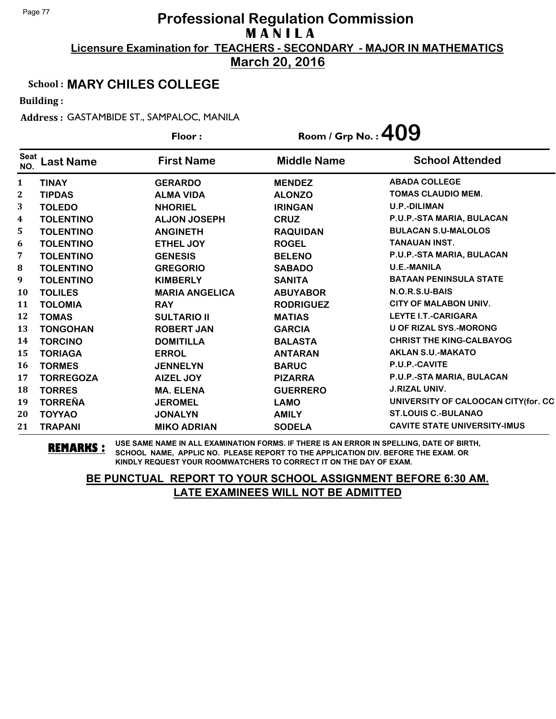**March 20, 2016**

## School : **MARY CHILES COLLEGE**

Building :

Address : GASTAMBIDE ST., SAMPALOC, MANILA

|                    |                  | Floor:                | Room / Grp No. : $409$ |                                      |  |
|--------------------|------------------|-----------------------|------------------------|--------------------------------------|--|
| <b>Seat</b><br>NO. | <b>Last Name</b> | <b>First Name</b>     | <b>Middle Name</b>     | <b>School Attended</b>               |  |
| 1                  | <b>TINAY</b>     | <b>GERARDO</b>        | <b>MENDEZ</b>          | <b>ABADA COLLEGE</b>                 |  |
| 2                  | <b>TIPDAS</b>    | <b>ALMA VIDA</b>      | <b>ALONZO</b>          | <b>TOMAS CLAUDIO MEM.</b>            |  |
| 3                  | <b>TOLEDO</b>    | <b>NHORIEL</b>        | <b>IRINGAN</b>         | <b>U.P.-DILIMAN</b>                  |  |
| 4                  | <b>TOLENTINO</b> | <b>ALJON JOSEPH</b>   | <b>CRUZ</b>            | P.U.P.-STA MARIA, BULACAN            |  |
| 5                  | <b>TOLENTINO</b> | <b>ANGINETH</b>       | <b>RAQUIDAN</b>        | <b>BULACAN S.U-MALOLOS</b>           |  |
| 6                  | <b>TOLENTINO</b> | ETHEL JOY             | <b>ROGEL</b>           | <b>TANAUAN INST.</b>                 |  |
| 7                  | <b>TOLENTINO</b> | <b>GENESIS</b>        | <b>BELENO</b>          | P.U.P.-STA MARIA, BULACAN            |  |
| 8                  | <b>TOLENTINO</b> | <b>GREGORIO</b>       | <b>SABADO</b>          | <b>U.E.-MANILA</b>                   |  |
| 9                  | <b>TOLENTINO</b> | <b>KIMBERLY</b>       | <b>SANITA</b>          | <b>BATAAN PENINSULA STATE</b>        |  |
| 10                 | <b>TOLILES</b>   | <b>MARIA ANGELICA</b> | <b>ABUYABOR</b>        | N.O.R.S.U-BAIS                       |  |
| 11                 | <b>TOLOMIA</b>   | <b>RAY</b>            | <b>RODRIGUEZ</b>       | <b>CITY OF MALABON UNIV.</b>         |  |
| 12                 | <b>TOMAS</b>     | <b>SULTARIO II</b>    | <b>MATIAS</b>          | <b>LEYTE I.T.-CARIGARA</b>           |  |
| 13                 | <b>TONGOHAN</b>  | <b>ROBERT JAN</b>     | <b>GARCIA</b>          | <b>U OF RIZAL SYS.-MORONG</b>        |  |
| 14                 | <b>TORCINO</b>   | <b>DOMITILLA</b>      | <b>BALASTA</b>         | <b>CHRIST THE KING-CALBAYOG</b>      |  |
| 15                 | <b>TORIAGA</b>   | <b>ERROL</b>          | <b>ANTARAN</b>         | <b>AKLAN S.U.-MAKATO</b>             |  |
| 16                 | <b>TORMES</b>    | <b>JENNELYN</b>       | <b>BARUC</b>           | P.U.P.-CAVITE                        |  |
| 17                 | <b>TORREGOZA</b> | <b>AIZEL JOY</b>      | <b>PIZARRA</b>         | P.U.P.-STA MARIA, BULACAN            |  |
| 18                 | <b>TORRES</b>    | <b>MA. ELENA</b>      | <b>GUERRERO</b>        | <b>J.RIZAL UNIV.</b>                 |  |
| 19                 | <b>TORREÑA</b>   | <b>JEROMEL</b>        | <b>LAMO</b>            | UNIVERSITY OF CALOOCAN CITY (for. CC |  |
| 20                 | <b>TOYYAO</b>    | <b>JONALYN</b>        | <b>AMILY</b>           | <b>ST.LOUIS C.-BULANAO</b>           |  |
| 21                 | <b>TRAPANI</b>   | <b>MIKO ADRIAN</b>    | <b>SODELA</b>          | <b>CAVITE STATE UNIVERSITY-IMUS</b>  |  |

**REMARKS :** USE SAME NAME IN ALL EXAMINATION FORMS. IF THERE IS AN ERROR IN SPELLING, DATE OF BIRTH, SCHOOL NAME, APPLIC NO. PLEASE REPORT TO THE APPLICATION DIV. BEFORE THE EXAM. OR KINDLY REQUEST YOUR ROOMWATCHERS TO CORRECT IT ON THE DAY OF EXAM.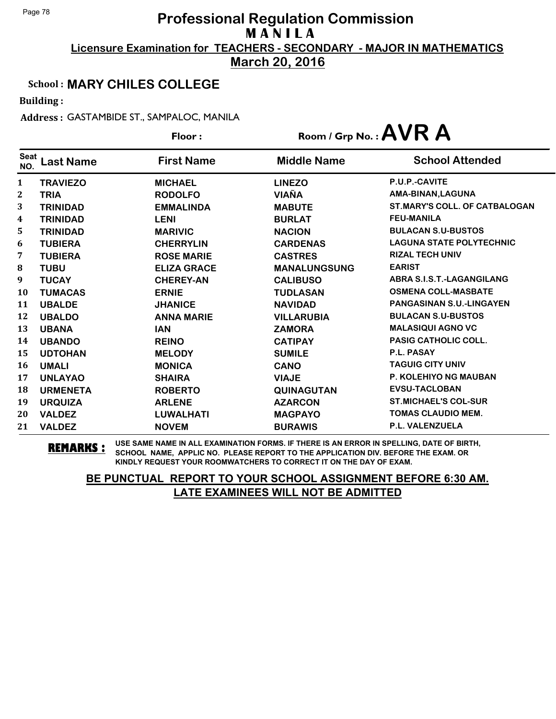**March 20, 2016**

### School : **MARY CHILES COLLEGE**

Building :

Address : GASTAMBIDE ST., SAMPALOC, MANILA

|                    |                  | Floor:             |                     | Room / Grp No.: AVR A                |  |
|--------------------|------------------|--------------------|---------------------|--------------------------------------|--|
| <b>Seat</b><br>NO. | <b>Last Name</b> | <b>First Name</b>  | <b>Middle Name</b>  | <b>School Attended</b>               |  |
| 1                  | <b>TRAVIEZO</b>  | <b>MICHAEL</b>     | <b>LINEZO</b>       | <b>P.U.P.-CAVITE</b>                 |  |
| 2                  | <b>TRIA</b>      | <b>RODOLFO</b>     | <b>VIAÑA</b>        | AMA-BINAN, LAGUNA                    |  |
| 3                  | <b>TRINIDAD</b>  | <b>EMMALINDA</b>   | <b>MABUTE</b>       | <b>ST.MARY'S COLL. OF CATBALOGAN</b> |  |
| 4                  | <b>TRINIDAD</b>  | <b>LENI</b>        | <b>BURLAT</b>       | <b>FEU-MANILA</b>                    |  |
| 5                  | <b>TRINIDAD</b>  | <b>MARIVIC</b>     | <b>NACION</b>       | <b>BULACAN S.U-BUSTOS</b>            |  |
| 6                  | <b>TUBIERA</b>   | <b>CHERRYLIN</b>   | <b>CARDENAS</b>     | <b>LAGUNA STATE POLYTECHNIC</b>      |  |
| 7                  | <b>TUBIERA</b>   | <b>ROSE MARIE</b>  | <b>CASTRES</b>      | <b>RIZAL TECH UNIV</b>               |  |
| 8                  | <b>TUBU</b>      | <b>ELIZA GRACE</b> | <b>MANALUNGSUNG</b> | <b>EARIST</b>                        |  |
| 9                  | <b>TUCAY</b>     | <b>CHEREY-AN</b>   | <b>CALIBUSO</b>     | ABRA S.I.S.T.-LAGANGILANG            |  |
| 10                 | <b>TUMACAS</b>   | <b>ERNIE</b>       | <b>TUDLASAN</b>     | <b>OSMENA COLL-MASBATE</b>           |  |
| 11                 | <b>UBALDE</b>    | <b>JHANICE</b>     | <b>NAVIDAD</b>      | <b>PANGASINAN S.U.-LINGAYEN</b>      |  |
| 12                 | <b>UBALDO</b>    | <b>ANNA MARIE</b>  | <b>VILLARUBIA</b>   | <b>BULACAN S.U-BUSTOS</b>            |  |
| 13                 | <b>UBANA</b>     | <b>IAN</b>         | <b>ZAMORA</b>       | <b>MALASIQUI AGNO VC</b>             |  |
| 14                 | <b>UBANDO</b>    | <b>REINO</b>       | <b>CATIPAY</b>      | <b>PASIG CATHOLIC COLL.</b>          |  |
| 15                 | <b>UDTOHAN</b>   | <b>MELODY</b>      | <b>SUMILE</b>       | <b>P.L. PASAY</b>                    |  |
| 16                 | <b>UMALI</b>     | <b>MONICA</b>      | <b>CANO</b>         | <b>TAGUIG CITY UNIV</b>              |  |
| 17                 | <b>UNLAYAO</b>   | <b>SHAIRA</b>      | <b>VIAJE</b>        | <b>P. KOLEHIYO NG MAUBAN</b>         |  |
| 18                 | <b>URMENETA</b>  | <b>ROBERTO</b>     | <b>QUINAGUTAN</b>   | <b>EVSU-TACLOBAN</b>                 |  |
| 19                 | <b>URQUIZA</b>   | <b>ARLENE</b>      | <b>AZARCON</b>      | <b>ST.MICHAEL'S COL-SUR</b>          |  |
| 20                 | <b>VALDEZ</b>    | <b>LUWALHATI</b>   | <b>MAGPAYO</b>      | TOMAS CLAUDIO MEM.                   |  |
| 21                 | <b>VALDEZ</b>    | <b>NOVEM</b>       | <b>BURAWIS</b>      | <b>P.L. VALENZUELA</b>               |  |

**REMARKS :** USE SAME NAME IN ALL EXAMINATION FORMS. IF THERE IS AN ERROR IN SPELLING, DATE OF BIRTH, SCHOOL NAME, APPLIC NO. PLEASE REPORT TO THE APPLICATION DIV. BEFORE THE EXAM. OR KINDLY REQUEST YOUR ROOMWATCHERS TO CORRECT IT ON THE DAY OF EXAM.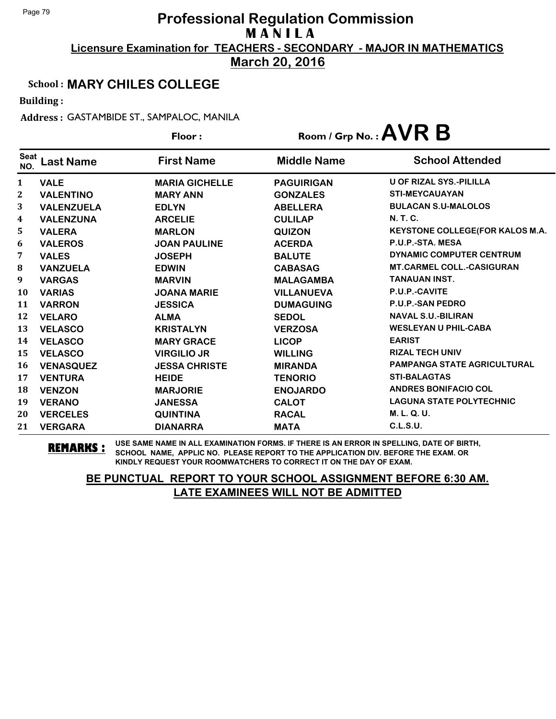**March 20, 2016**

### School : **MARY CHILES COLLEGE**

Building :

Address : GASTAMBIDE ST., SAMPALOC, MANILA

|                    |                   | Floor:                | Room / Grp No. : $AVR$ B |                                    |
|--------------------|-------------------|-----------------------|--------------------------|------------------------------------|
| <b>Seat</b><br>NO. | <b>Last Name</b>  | <b>First Name</b>     | <b>Middle Name</b>       | <b>School Attended</b>             |
| 1                  | <b>VALE</b>       | <b>MARIA GICHELLE</b> | <b>PAGUIRIGAN</b>        | <b>U OF RIZAL SYS.-PILILLA</b>     |
| 2                  | <b>VALENTINO</b>  | <b>MARY ANN</b>       | <b>GONZALES</b>          | <b>STI-MEYCAUAYAN</b>              |
| 3                  | <b>VALENZUELA</b> | <b>EDLYN</b>          | <b>ABELLERA</b>          | <b>BULACAN S.U-MALOLOS</b>         |
| 4                  | <b>VALENZUNA</b>  | <b>ARCELIE</b>        | <b>CULILAP</b>           | <b>N.T.C.</b>                      |
| 5                  | <b>VALERA</b>     | <b>MARLON</b>         | <b>QUIZON</b>            | KEYSTONE COLLEGE(FOR KALOS M.A.    |
| 6                  | <b>VALEROS</b>    | <b>JOAN PAULINE</b>   | <b>ACERDA</b>            | P.U.P.-STA. MESA                   |
| 7                  | <b>VALES</b>      | <b>JOSEPH</b>         | <b>BALUTE</b>            | DYNAMIC COMPUTER CENTRUM           |
| ${\bf 8}$          | <b>VANZUELA</b>   | <b>EDWIN</b>          | <b>CABASAG</b>           | <b>MT.CARMEL COLL.-CASIGURAN</b>   |
| 9                  | <b>VARGAS</b>     | <b>MARVIN</b>         | <b>MALAGAMBA</b>         | <b>TANAUAN INST.</b>               |
| 10                 | <b>VARIAS</b>     | <b>JOANA MARIE</b>    | <b>VILLANUEVA</b>        | P.U.P.-CAVITE                      |
| 11                 | <b>VARRON</b>     | <b>JESSICA</b>        | <b>DUMAGUING</b>         | P.U.P.-SAN PEDRO                   |
| 12                 | <b>VELARO</b>     | <b>ALMA</b>           | <b>SEDOL</b>             | <b>NAVAL S.U.-BILIRAN</b>          |
| 13                 | <b>VELASCO</b>    | <b>KRISTALYN</b>      | <b>VERZOSA</b>           | <b>WESLEYAN U PHIL-CABA</b>        |
| 14                 | <b>VELASCO</b>    | <b>MARY GRACE</b>     | <b>LICOP</b>             | <b>EARIST</b>                      |
| 15                 | <b>VELASCO</b>    | <b>VIRGILIO JR</b>    | <b>WILLING</b>           | <b>RIZAL TECH UNIV</b>             |
| 16                 | <b>VENASQUEZ</b>  | <b>JESSA CHRISTE</b>  | <b>MIRANDA</b>           | <b>PAMPANGA STATE AGRICULTURAL</b> |
| 17                 | <b>VENTURA</b>    | <b>HEIDE</b>          | <b>TENORIO</b>           | <b>STI-BALAGTAS</b>                |
| 18                 | <b>VENZON</b>     | <b>MARJORIE</b>       | <b>ENOJARDO</b>          | <b>ANDRES BONIFACIO COL</b>        |
| 19                 | <b>VERANO</b>     | <b>JANESSA</b>        | <b>CALOT</b>             | <b>LAGUNA STATE POLYTECHNIC</b>    |
| 20                 | <b>VERCELES</b>   | <b>QUINTINA</b>       | <b>RACAL</b>             | M. L. Q. U.                        |
| 21                 | <b>VERGARA</b>    | <b>DIANARRA</b>       | <b>MATA</b>              | <b>C.L.S.U.</b>                    |

**REMARKS :** USE SAME NAME IN ALL EXAMINATION FORMS. IF THERE IS AN ERROR IN SPELLING, DATE OF BIRTH, SCHOOL NAME, APPLIC NO. PLEASE REPORT TO THE APPLICATION DIV. BEFORE THE EXAM. OR KINDLY REQUEST YOUR ROOMWATCHERS TO CORRECT IT ON THE DAY OF EXAM.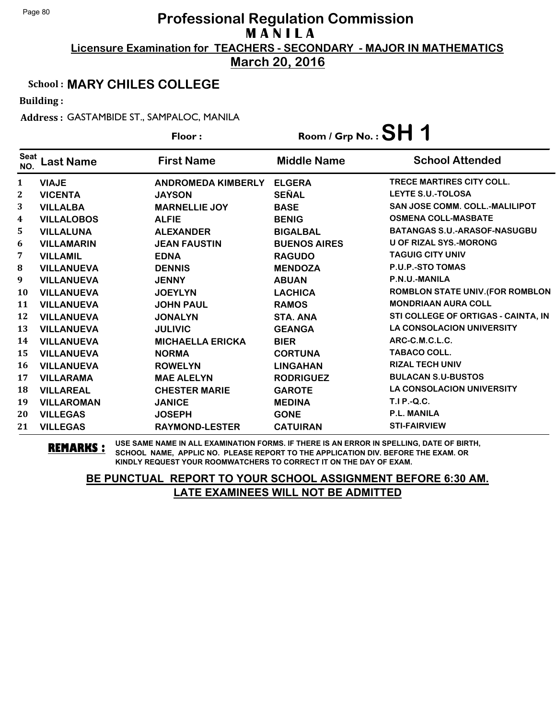**March 20, 2016**

### School : **MARY CHILES COLLEGE**

Building :

Address : GASTAMBIDE ST., SAMPALOC, MANILA

|                         |                   | Floor:                    | Room / Grp No. : $SH$ 1 |                                         |
|-------------------------|-------------------|---------------------------|-------------------------|-----------------------------------------|
| <b>Seat</b><br>NO.      | <b>Last Name</b>  | <b>First Name</b>         | <b>Middle Name</b>      | <b>School Attended</b>                  |
| $\mathbf{1}$            | <b>VIAJE</b>      | <b>ANDROMEDA KIMBERLY</b> | <b>ELGERA</b>           | <b>TRECE MARTIRES CITY COLL.</b>        |
| $\mathbf{2}$            | <b>VICENTA</b>    | <b>JAYSON</b>             | <b>SEÑAL</b>            | <b>LEYTE S.U.-TOLOSA</b>                |
| 3                       | <b>VILLALBA</b>   | <b>MARNELLIE JOY</b>      | <b>BASE</b>             | <b>SAN JOSE COMM. COLL.-MALILIPOT</b>   |
| $\overline{\mathbf{4}}$ | <b>VILLALOBOS</b> | <b>ALFIE</b>              | <b>BENIG</b>            | <b>OSMENA COLL-MASBATE</b>              |
| 5                       | <b>VILLALUNA</b>  | <b>ALEXANDER</b>          | <b>BIGALBAL</b>         | <b>BATANGAS S.U.-ARASOF-NASUGBU</b>     |
| 6                       | <b>VILLAMARIN</b> | <b>JEAN FAUSTIN</b>       | <b>BUENOS AIRES</b>     | <b>U OF RIZAL SYS.-MORONG</b>           |
| 7                       | <b>VILLAMIL</b>   | <b>EDNA</b>               | <b>RAGUDO</b>           | <b>TAGUIG CITY UNIV</b>                 |
| 8                       | <b>VILLANUEVA</b> | <b>DENNIS</b>             | <b>MENDOZA</b>          | <b>P.U.P.-STO TOMAS</b>                 |
| 9                       | <b>VILLANUEVA</b> | <b>JENNY</b>              | <b>ABUAN</b>            | P.N.U.-MANILA                           |
| <b>10</b>               | <b>VILLANUEVA</b> | <b>JOEYLYN</b>            | <b>LACHICA</b>          | <b>ROMBLON STATE UNIV. (FOR ROMBLON</b> |
| 11                      | <b>VILLANUEVA</b> | <b>JOHN PAUL</b>          | <b>RAMOS</b>            | <b>MONDRIAAN AURA COLL</b>              |
| 12                      | <b>VILLANUEVA</b> | <b>JONALYN</b>            | STA. ANA                | STI COLLEGE OF ORTIGAS - CAINTA, IN     |
| 13                      | <b>VILLANUEVA</b> | <b>JULIVIC</b>            | <b>GEANGA</b>           | <b>LA CONSOLACION UNIVERSITY</b>        |
| 14                      | <b>VILLANUEVA</b> | <b>MICHAELLA ERICKA</b>   | <b>BIER</b>             | ARC-C.M.C.L.C.                          |
| 15                      | <b>VILLANUEVA</b> | <b>NORMA</b>              | <b>CORTUNA</b>          | <b>TABACO COLL.</b>                     |
| 16                      | <b>VILLANUEVA</b> | <b>ROWELYN</b>            | <b>LINGAHAN</b>         | <b>RIZAL TECH UNIV</b>                  |
| 17                      | <b>VILLARAMA</b>  | <b>MAE ALELYN</b>         | <b>RODRIGUEZ</b>        | <b>BULACAN S.U-BUSTOS</b>               |
| 18                      | <b>VILLAREAL</b>  | <b>CHESTER MARIE</b>      | <b>GAROTE</b>           | <b>LA CONSOLACION UNIVERSITY</b>        |
| 19                      | <b>VILLAROMAN</b> | <b>JANICE</b>             | <b>MEDINA</b>           | T.I P.-Q.C.                             |
| 20                      | <b>VILLEGAS</b>   | <b>JOSEPH</b>             | <b>GONE</b>             | <b>P.L. MANILA</b>                      |
| 21                      | <b>VILLEGAS</b>   | <b>RAYMOND-LESTER</b>     | <b>CATUIRAN</b>         | <b>STI-FAIRVIEW</b>                     |

**REMARKS :** USE SAME NAME IN ALL EXAMINATION FORMS. IF THERE IS AN ERROR IN SPELLING, DATE OF BIRTH, SCHOOL NAME, APPLIC NO. PLEASE REPORT TO THE APPLICATION DIV. BEFORE THE EXAM. OR KINDLY REQUEST YOUR ROOMWATCHERS TO CORRECT IT ON THE DAY OF EXAM.